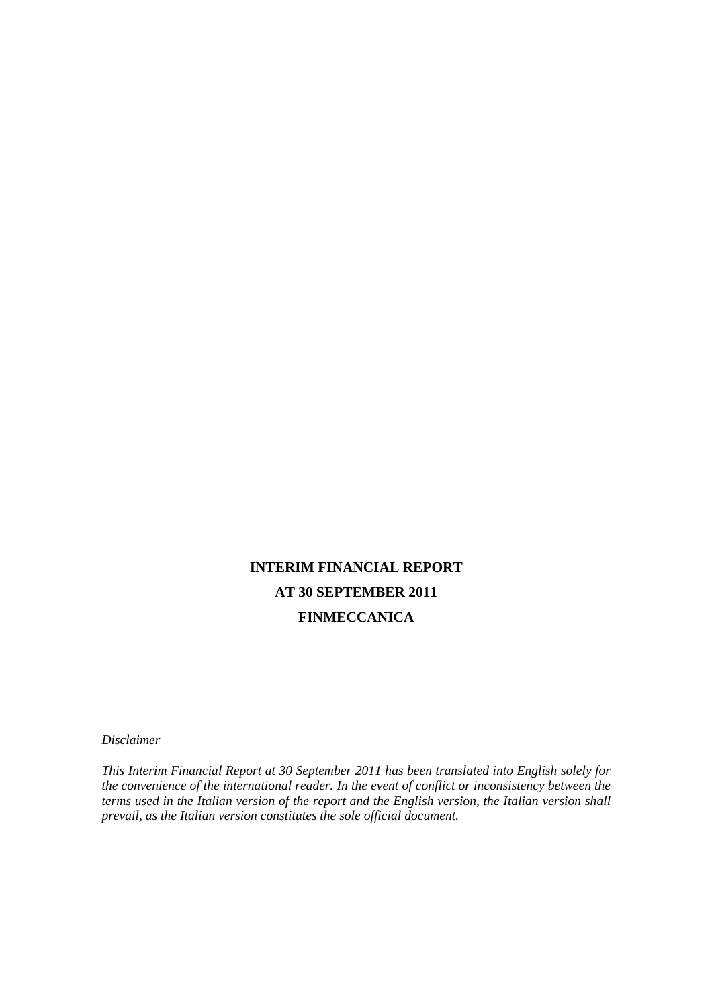# **INTERIM FINANCIAL REPORT AT 30 SEPTEMBER 2011 FINMECCANICA**

*Disclaimer* 

*This Interim Financial Report at 30 September 2011 has been translated into English solely for the convenience of the international reader. In the event of conflict or inconsistency between the terms used in the Italian version of the report and the English version, the Italian version shall prevail, as the Italian version constitutes the sole official document.*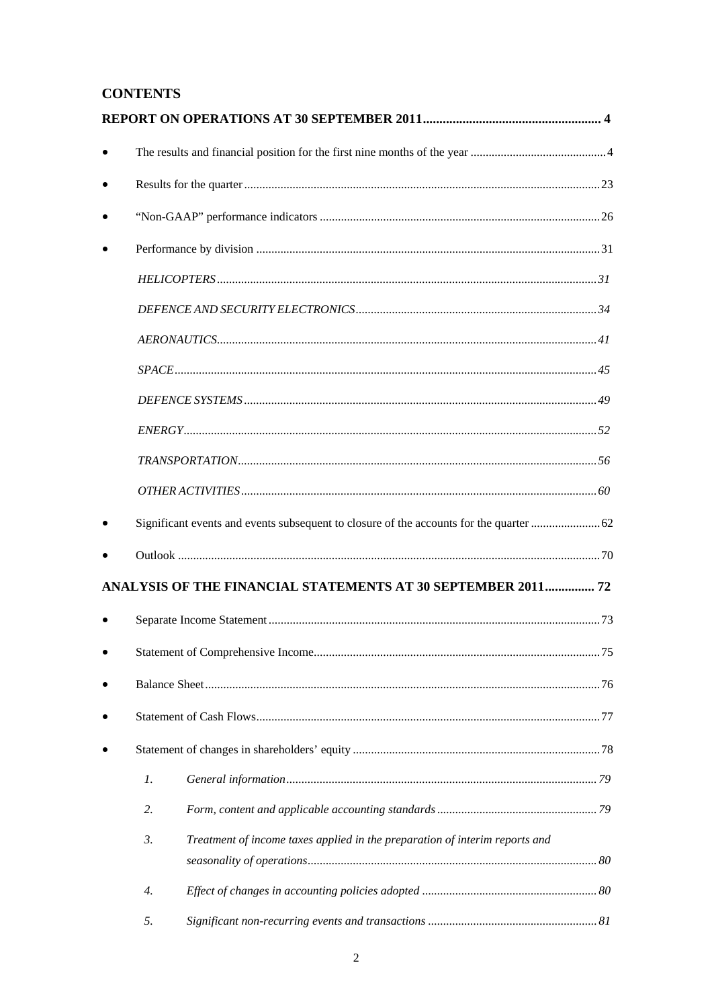## **CONTENTS**

|    | ANALYSIS OF THE FINANCIAL STATEMENTS AT 30 SEPTEMBER 2011 72                |  |
|----|-----------------------------------------------------------------------------|--|
|    |                                                                             |  |
|    |                                                                             |  |
|    |                                                                             |  |
|    |                                                                             |  |
|    |                                                                             |  |
| 1. |                                                                             |  |
| 2. |                                                                             |  |
| 3. | Treatment of income taxes applied in the preparation of interim reports and |  |
|    |                                                                             |  |
| 4. |                                                                             |  |
| 5. |                                                                             |  |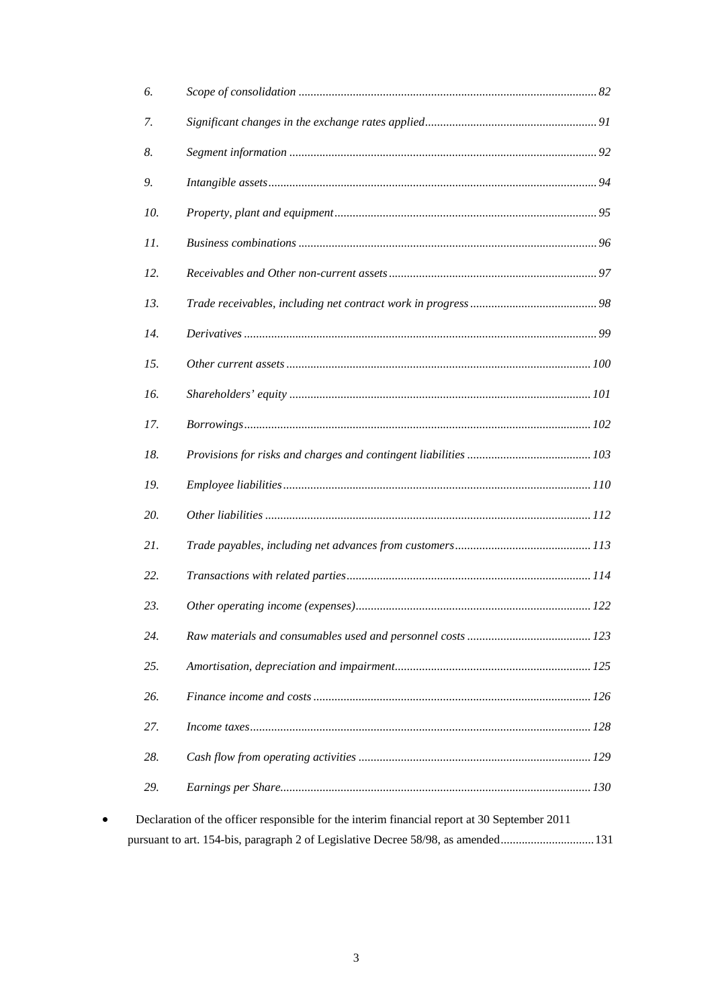| 6.  |                                                                                              |  |
|-----|----------------------------------------------------------------------------------------------|--|
| 7.  |                                                                                              |  |
| 8.  |                                                                                              |  |
| 9.  |                                                                                              |  |
| 10. |                                                                                              |  |
| 11. |                                                                                              |  |
| 12. |                                                                                              |  |
| 13. |                                                                                              |  |
| 14. |                                                                                              |  |
| 15. |                                                                                              |  |
| 16. |                                                                                              |  |
| 17. |                                                                                              |  |
| 18. |                                                                                              |  |
| 19. |                                                                                              |  |
| 20. |                                                                                              |  |
| 21. |                                                                                              |  |
| 22. |                                                                                              |  |
| 23. |                                                                                              |  |
| 24. |                                                                                              |  |
| 25. |                                                                                              |  |
| 26. |                                                                                              |  |
| 27. |                                                                                              |  |
| 28. |                                                                                              |  |
| 29. |                                                                                              |  |
|     | Declaration of the officer responsible for the interim financial report at 30 September 2011 |  |
|     | pursuant to art. 154-bis, paragraph 2 of Legislative Decree 58/98, as amended131             |  |

 $\bullet$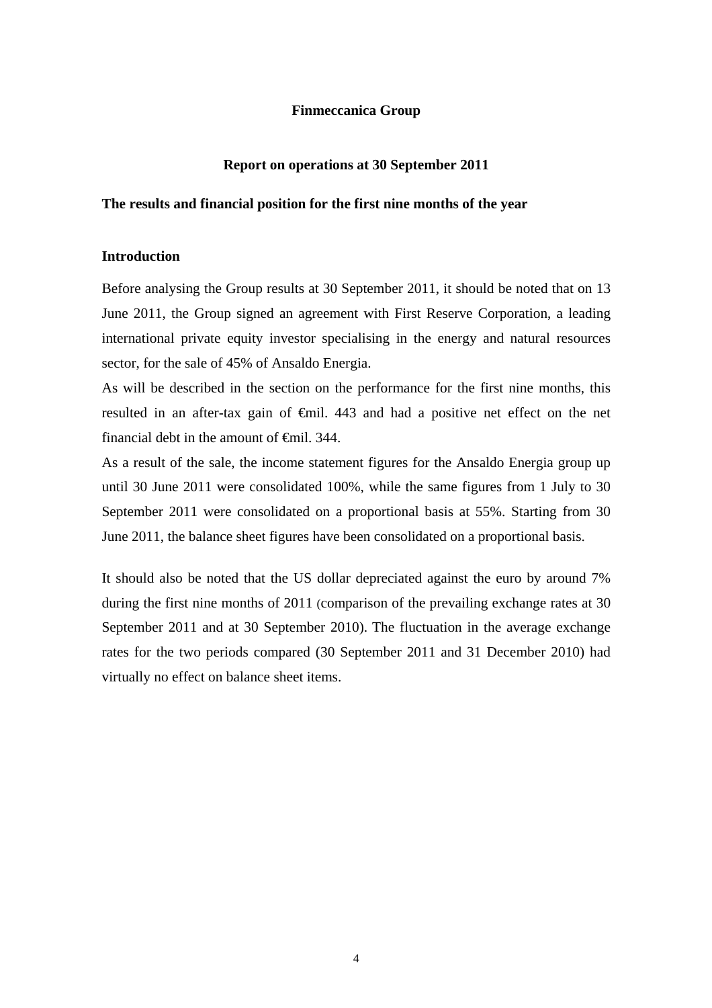## **Finmeccanica Group**

## **Report on operations at 30 September 2011**

## **The results and financial position for the first nine months of the year**

## **Introduction**

Before analysing the Group results at 30 September 2011, it should be noted that on 13 June 2011, the Group signed an agreement with First Reserve Corporation, a leading international private equity investor specialising in the energy and natural resources sector, for the sale of 45% of Ansaldo Energia.

As will be described in the section on the performance for the first nine months, this resulted in an after-tax gain of €mil. 443 and had a positive net effect on the net financial debt in the amount of  $\theta$ mil. 344.

As a result of the sale, the income statement figures for the Ansaldo Energia group up until 30 June 2011 were consolidated 100%, while the same figures from 1 July to 30 September 2011 were consolidated on a proportional basis at 55%. Starting from 30 June 2011, the balance sheet figures have been consolidated on a proportional basis.

It should also be noted that the US dollar depreciated against the euro by around 7% during the first nine months of 2011 (comparison of the prevailing exchange rates at 30 September 2011 and at 30 September 2010). The fluctuation in the average exchange rates for the two periods compared (30 September 2011 and 31 December 2010) had virtually no effect on balance sheet items.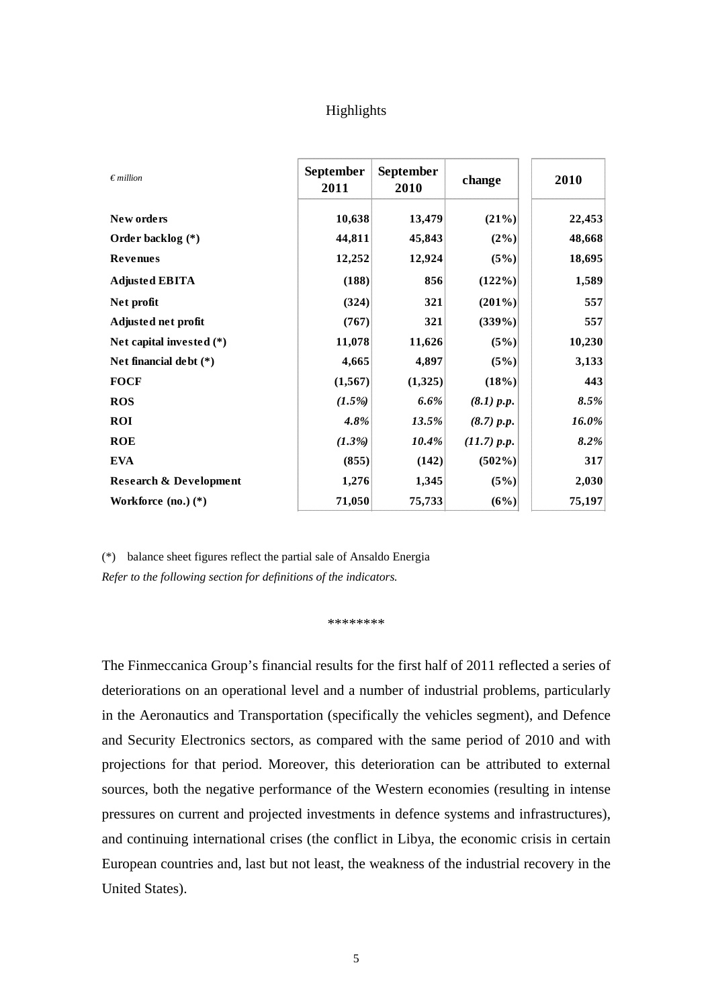## Highlights

| $\epsilon$ million                | <b>September</b><br>2011 | <b>September</b><br>2010 | change      | 2010   |
|-----------------------------------|--------------------------|--------------------------|-------------|--------|
| New orders                        | 10,638                   | 13,479                   | (21%)       | 22,453 |
| Order backlog (*)                 | 44,811                   | 45,843                   | $(2\%)$     | 48,668 |
| <b>Revenues</b>                   | 12,252                   | 12,924                   | (5%)        | 18,695 |
| <b>Adjusted EBITA</b>             | (188)                    | 856                      | (122%)      | 1,589  |
| Net profit                        | (324)                    | 321                      | $(201\%)$   | 557    |
| Adjusted net profit               | (767)                    | 321                      | $(339\%)$   | 557    |
| Net capital invested $(*)$        | 11,078                   | 11,626                   | $(5\%)$     | 10,230 |
| Net financial debt $(*)$          | 4,665                    | 4,897                    | (5%)        | 3,133  |
| <b>FOCF</b>                       | (1, 567)                 | (1,325)                  | (18%)       | 443    |
| <b>ROS</b>                        | $(1.5\%)$                | 6.6%                     | (8.1) p.p.  | 8.5%   |
| <b>ROI</b>                        | 4.8%                     | 13.5%                    | (8.7) p.p.  | 16.0%  |
| <b>ROE</b>                        | $(1.3\%)$                | 10.4%                    | (11.7) p.p. | 8.2%   |
| <b>EVA</b>                        | (855)                    | (142)                    | $(502\%)$   | 317    |
| <b>Research &amp; Development</b> | 1,276                    | 1,345                    | (5%)        | 2,030  |
| Workforce $(no.) (*)$             | 71,050                   | 75,733                   | (6%)        | 75,197 |

(\*) balance sheet figures reflect the partial sale of Ansaldo Energia *Refer to the following section for definitions of the indicators.* 

\*\*\*\*\*\*\*\*

The Finmeccanica Group's financial results for the first half of 2011 reflected a series of deteriorations on an operational level and a number of industrial problems, particularly in the Aeronautics and Transportation (specifically the vehicles segment), and Defence and Security Electronics sectors, as compared with the same period of 2010 and with projections for that period. Moreover, this deterioration can be attributed to external sources, both the negative performance of the Western economies (resulting in intense pressures on current and projected investments in defence systems and infrastructures), and continuing international crises (the conflict in Libya, the economic crisis in certain European countries and, last but not least, the weakness of the industrial recovery in the United States).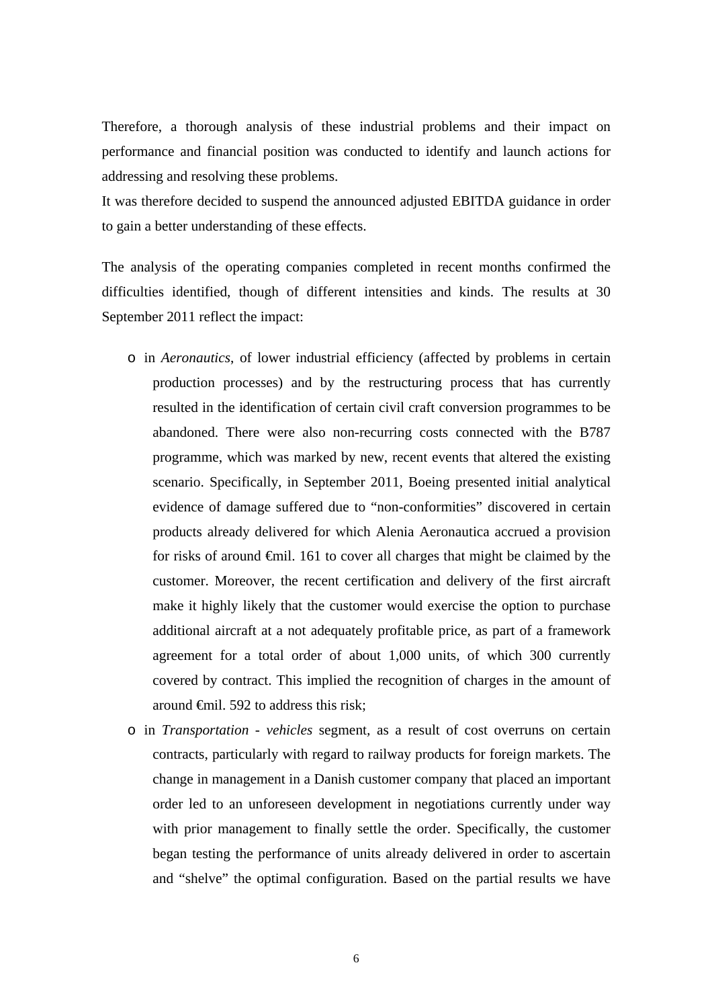Therefore, a thorough analysis of these industrial problems and their impact on performance and financial position was conducted to identify and launch actions for addressing and resolving these problems.

It was therefore decided to suspend the announced adjusted EBITDA guidance in order to gain a better understanding of these effects.

The analysis of the operating companies completed in recent months confirmed the difficulties identified, though of different intensities and kinds. The results at 30 September 2011 reflect the impact:

- o in *Aeronautics*, of lower industrial efficiency (affected by problems in certain production processes) and by the restructuring process that has currently resulted in the identification of certain civil craft conversion programmes to be abandoned. There were also non-recurring costs connected with the B787 programme, which was marked by new, recent events that altered the existing scenario. Specifically, in September 2011, Boeing presented initial analytical evidence of damage suffered due to "non-conformities" discovered in certain products already delivered for which Alenia Aeronautica accrued a provision for risks of around €mil. 161 to cover all charges that might be claimed by the customer. Moreover, the recent certification and delivery of the first aircraft make it highly likely that the customer would exercise the option to purchase additional aircraft at a not adequately profitable price, as part of a framework agreement for a total order of about 1,000 units, of which 300 currently covered by contract. This implied the recognition of charges in the amount of around €mil. 592 to address this risk;
- o in *Transportation - vehicles* segment*,* as a result of cost overruns on certain contracts, particularly with regard to railway products for foreign markets. The change in management in a Danish customer company that placed an important order led to an unforeseen development in negotiations currently under way with prior management to finally settle the order. Specifically, the customer began testing the performance of units already delivered in order to ascertain and "shelve" the optimal configuration. Based on the partial results we have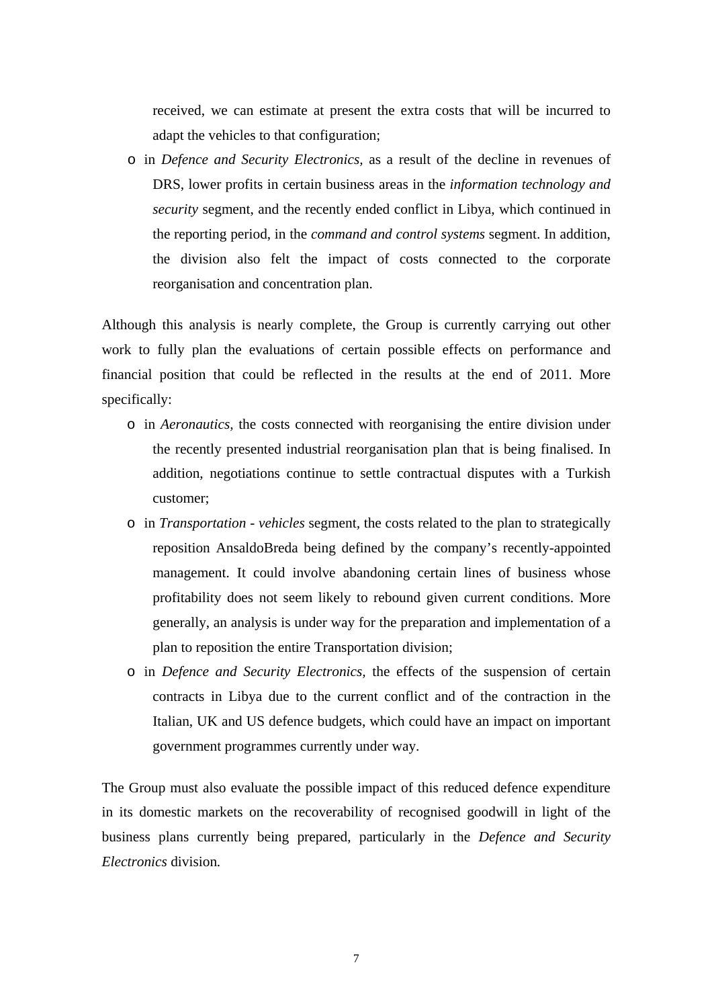received, we can estimate at present the extra costs that will be incurred to adapt the vehicles to that configuration;

o in *Defence and Security Electronics,* as a result of the decline in revenues of DRS, lower profits in certain business areas in the *information technology and security* segment, and the recently ended conflict in Libya, which continued in the reporting period, in the *command and control systems* segment. In addition, the division also felt the impact of costs connected to the corporate reorganisation and concentration plan.

Although this analysis is nearly complete, the Group is currently carrying out other work to fully plan the evaluations of certain possible effects on performance and financial position that could be reflected in the results at the end of 2011. More specifically:

- o in *Aeronautics,* the costs connected with reorganising the entire division under the recently presented industrial reorganisation plan that is being finalised. In addition, negotiations continue to settle contractual disputes with a Turkish customer;
- o in *Transportation vehicles* segment*,* the costs related to the plan to strategically reposition AnsaldoBreda being defined by the company's recently-appointed management. It could involve abandoning certain lines of business whose profitability does not seem likely to rebound given current conditions. More generally, an analysis is under way for the preparation and implementation of a plan to reposition the entire Transportation division;
- o in *Defence and Security Electronics,* the effects of the suspension of certain contracts in Libya due to the current conflict and of the contraction in the Italian, UK and US defence budgets, which could have an impact on important government programmes currently under way.

The Group must also evaluate the possible impact of this reduced defence expenditure in its domestic markets on the recoverability of recognised goodwill in light of the business plans currently being prepared, particularly in the *Defence and Security Electronics* division*.*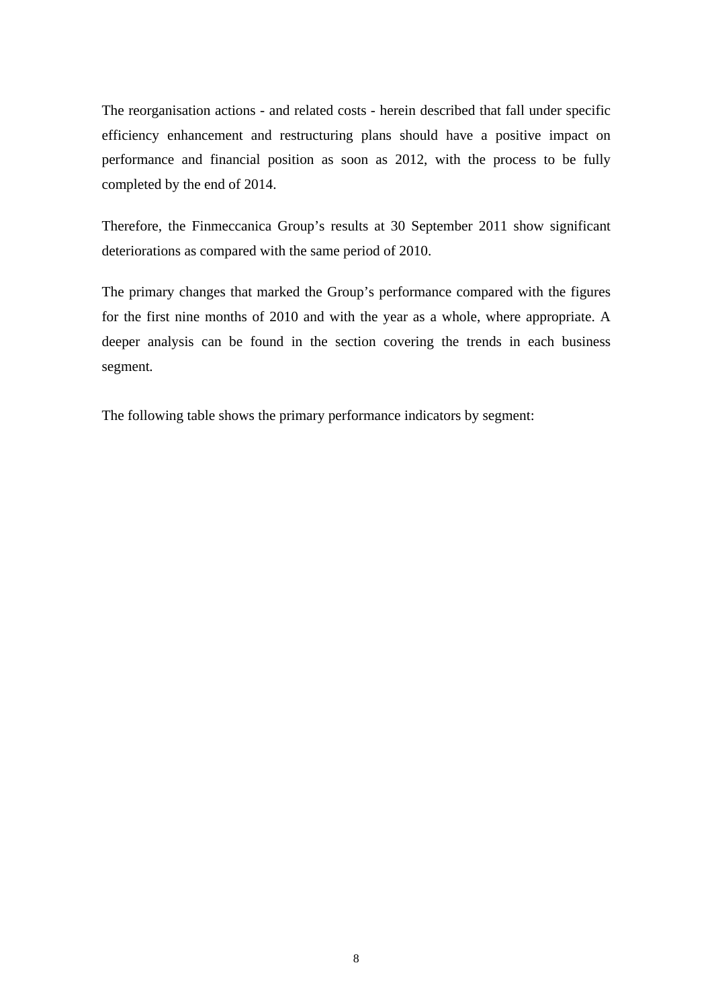The reorganisation actions - and related costs - herein described that fall under specific efficiency enhancement and restructuring plans should have a positive impact on performance and financial position as soon as 2012, with the process to be fully completed by the end of 2014.

Therefore, the Finmeccanica Group's results at 30 September 2011 show significant deteriorations as compared with the same period of 2010.

The primary changes that marked the Group's performance compared with the figures for the first nine months of 2010 and with the year as a whole, where appropriate. A deeper analysis can be found in the section covering the trends in each business segment*.*

The following table shows the primary performance indicators by segment: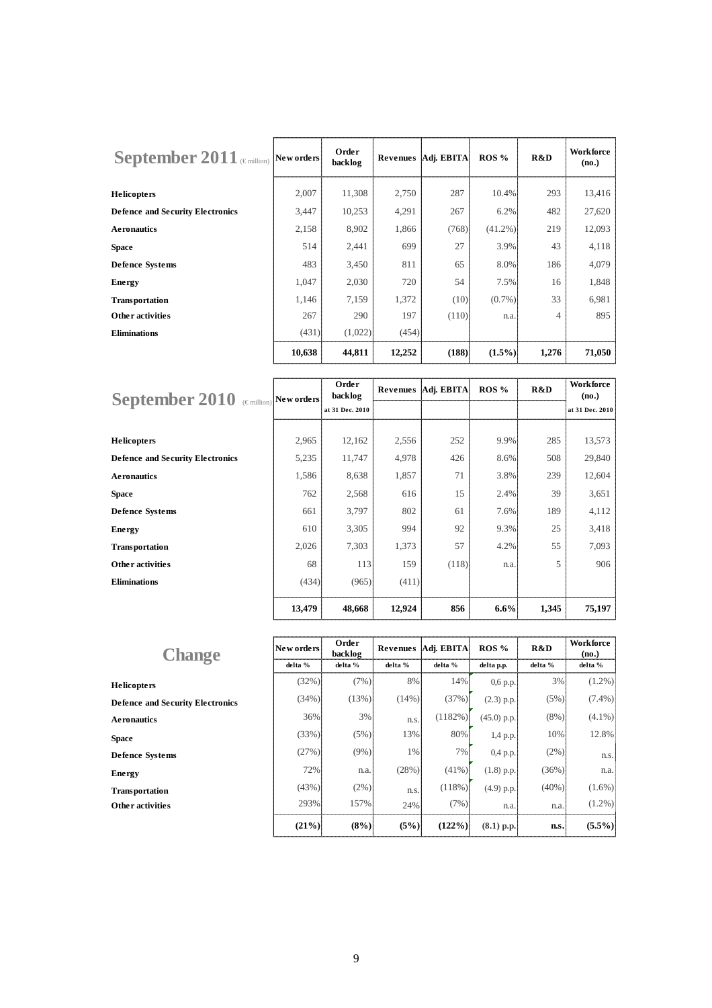| September 2011 ( $\epsilon_{\text{million}}$ New orders) |        | Order<br>backlog |        | Revenues   Adj. EBITA | $ROS\%$    | R&D   | <b>Workforce</b><br>(no.) |
|----------------------------------------------------------|--------|------------------|--------|-----------------------|------------|-------|---------------------------|
| <b>Helicopters</b>                                       | 2,007  | 11,308           | 2,750  | 287                   | 10.4%      | 293   | 13,416                    |
| <b>Defence and Security Electronics</b>                  | 3,447  | 10,253           | 4,291  | 267                   | 6.2%       | 482   | 27,620                    |
| <b>Aeronautics</b>                                       | 2,158  | 8,902            | 1,866  | (768)                 | $(41.2\%)$ | 219   | 12,093                    |
| <b>Space</b>                                             | 514    | 2,441            | 699    | 27                    | 3.9%       | 43    | 4,118                     |
| <b>Defence Systems</b>                                   | 483    | 3,450            | 811    | 65                    | 8.0%       | 186   | 4,079                     |
| Energy                                                   | 1,047  | 2,030            | 720    | 54                    | 7.5%       | 16    | 1,848                     |
| <b>Transportation</b>                                    | 1,146  | 7,159            | 1,372  | (10)                  | $(0.7\%)$  | 33    | 6,981                     |
| <b>Other activities</b>                                  | 267    | 290              | 197    | (110)                 | n.a.       | 4     | 895                       |
| <b>Eliminations</b>                                      | (431)  | (1,022)          | (454)  |                       |            |       |                           |
|                                                          | 10,638 | 44,811           | 12,252 | (188)                 | $(1.5\%)$  | 1,276 | 71,050                    |

| September 2010 $\text{C}$ (Emillion) New orders |        | Order<br>backlog |        | Revenues   Adj. EBITA | ROS % | R&D   | Workforce<br>(no.) |
|-------------------------------------------------|--------|------------------|--------|-----------------------|-------|-------|--------------------|
|                                                 |        | at 31 Dec. 2010  |        |                       |       |       | at 31 Dec. 2010    |
|                                                 |        |                  |        |                       |       |       |                    |
| <b>Helicopters</b>                              | 2,965  | 12,162           | 2,556  | 252                   | 9.9%  | 285   | 13,573             |
| <b>Defence and Security Electronics</b>         | 5,235  | 11,747           | 4,978  | 426                   | 8.6%  | 508   | 29,840             |
| <b>Aeronautics</b>                              | 1,586  | 8,638            | 1,857  | 71                    | 3.8%  | 239   | 12,604             |
| <b>Space</b>                                    | 762    | 2,568            | 616    | 15                    | 2.4%  | 39    | 3,651              |
| <b>Defence Systems</b>                          | 661    | 3,797            | 802    | 61                    | 7.6%  | 189   | 4,112              |
| Energy                                          | 610    | 3,305            | 994    | 92                    | 9.3%  | 25    | 3,418              |
| <b>Transportation</b>                           | 2,026  | 7,303            | 1,373  | 57                    | 4.2%  | 55    | 7,093              |
| <b>Other activities</b>                         | 68     | 113              | 159    | (118)                 | n.a.  | 5     | 906                |
| <b>Eliminations</b>                             | (434)  | (965)            | (411)  |                       |       |       |                    |
|                                                 | 13,479 | 48,668           | 12,924 | 856                   | 6.6%  | 1,345 | 75,197             |

| <b>Change</b>                           | New orders | Order<br>backlog |          | Revenues   Adj. EBITA | ROS %         | R&D      | Workforce<br>(no.) |
|-----------------------------------------|------------|------------------|----------|-----------------------|---------------|----------|--------------------|
|                                         | delta %    | delta %          | delta %  | delta %               | delta p.p.    | delta %  | delta %            |
| <b>Helicopters</b>                      | (32%)      | (7%)             | 8%       | 14%                   | $0,6$ p.p.    | 3%       | $(1.2\%)$          |
| <b>Defence and Security Electronics</b> | (34%)      | (13%)            | $(14\%)$ | (37%)                 | $(2.3)$ p.p.  | (5%)     | $(7.4\%)$          |
| <b>Aeronautics</b>                      | 36%        | 3%               | n.s.     | (1182%)               | $(45.0)$ p.p. | $(8\%)$  | $(4.1\%)$          |
| <b>Space</b>                            | (33%)      | (5%)             | 13%      | 80%                   | 1,4 p.p.      | 10%      | 12.8%              |
| <b>Defence Systems</b>                  | (27%)      | $(9\%)$          | 1%       | 7%                    | 0,4 p.p.      | (2%)     | n.s.               |
| Energy                                  | 72%        | n.a.             | (28%)    | $(41\%)$              | $(1.8)$ p.p.  | (36%)    | n.a.               |
| <b>Transportation</b>                   | (43%)      | (2%)             | n.s.     | (118%)                | $(4.9)$ p.p.  | $(40\%)$ | $(1.6\%)$          |
| <b>Other activities</b>                 | 293%       | 157%             | 24%      | (7%)                  | n.a.          | n.a.     | $(1.2\%)$          |
|                                         | $(21\%)$   | (8%)             | (5%)     | $(122\%)$             | $(8.1)$ p.p.  | n.s.     | $(5.5\%)$          |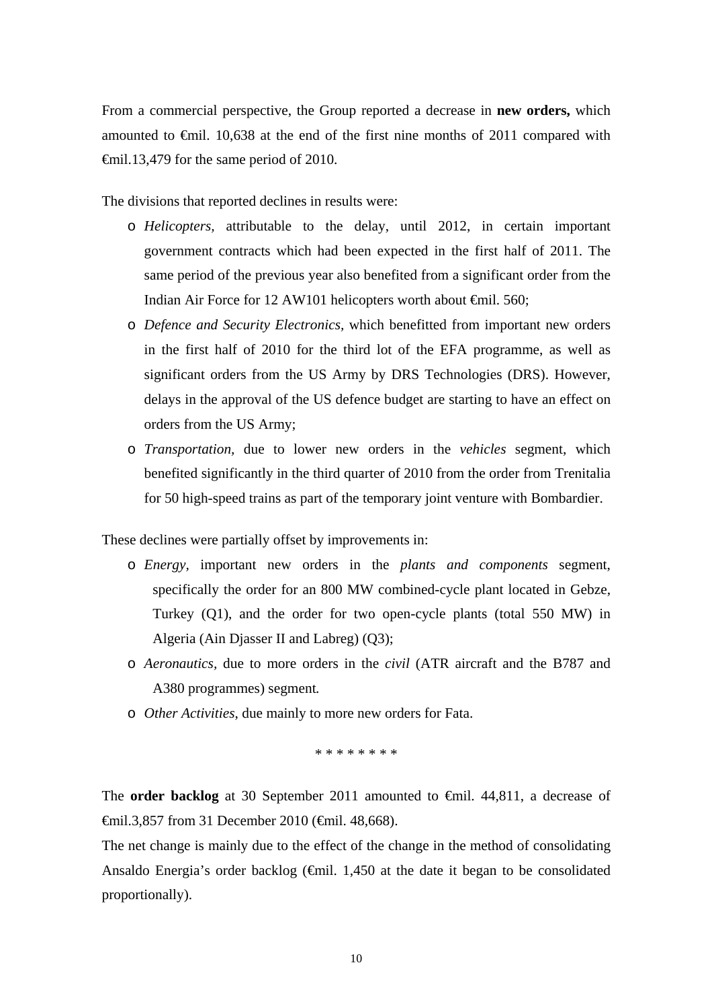From a commercial perspective, the Group reported a decrease in **new orders,** which amounted to €mil. 10,638 at the end of the first nine months of 2011 compared with €mil.13,479 for the same period of 2010.

The divisions that reported declines in results were:

- o *Helicopters,* attributable to the delay, until 2012, in certain important government contracts which had been expected in the first half of 2011. The same period of the previous year also benefited from a significant order from the Indian Air Force for 12 AW101 helicopters worth about €mil. 560;
- o *Defence and Security Electronics,* which benefitted from important new orders in the first half of 2010 for the third lot of the EFA programme, as well as significant orders from the US Army by DRS Technologies (DRS). However, delays in the approval of the US defence budget are starting to have an effect on orders from the US Army;
- o *Transportation,* due to lower new orders in the *vehicles* segment, which benefited significantly in the third quarter of 2010 from the order from Trenitalia for 50 high-speed trains as part of the temporary joint venture with Bombardier.

These declines were partially offset by improvements in:

- o *Energy,* important new orders in the *plants and components* segment, specifically the order for an 800 MW combined-cycle plant located in Gebze, Turkey (Q1), and the order for two open-cycle plants (total 550 MW) in Algeria (Ain Djasser II and Labreg) (Q3);
- o *Aeronautics,* due to more orders in the *civil* (ATR aircraft and the B787 and A380 programmes) segment*.*
- o *Other Activities*, due mainly to more new orders for Fata.

\* \* \* \* \* \* \* \*

The **order backlog** at 30 September 2011 amounted to €mil. 44,811, a decrease of €mil.3,857 from 31 December 2010 (€mil. 48,668).

The net change is mainly due to the effect of the change in the method of consolidating Ansaldo Energia's order backlog  $(\text{f})$ . 1,450 at the date it began to be consolidated proportionally).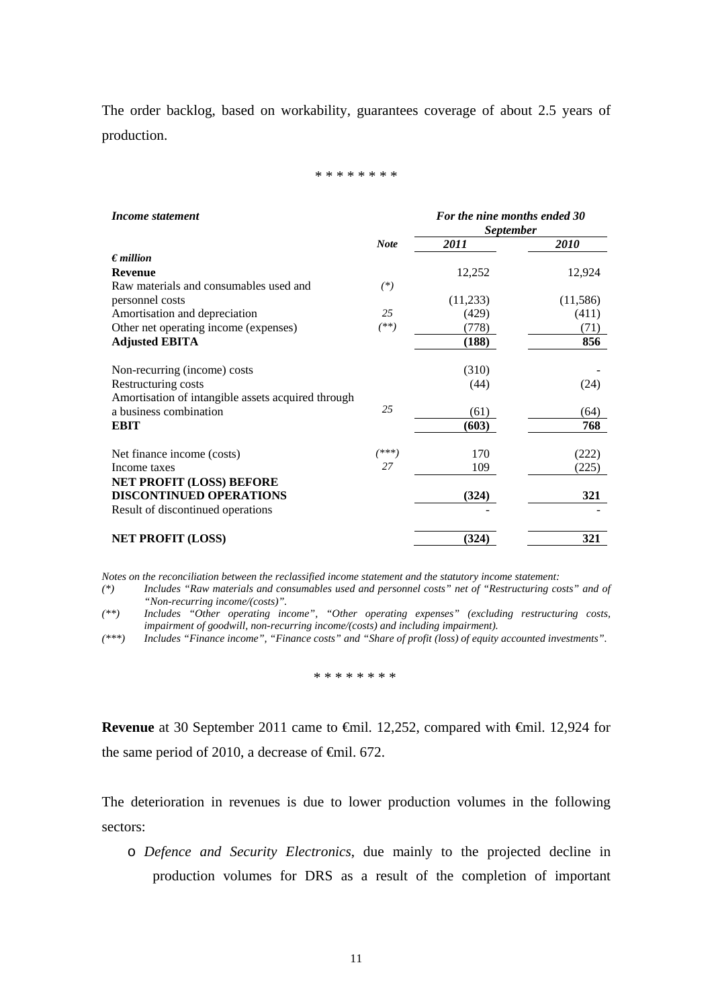The order backlog, based on workability, guarantees coverage of about 2.5 years of production.

#### \* \* \* \* \* \* \* \*

| Income statement                                   |             | For the nine months ended 30<br><b>September</b> |           |  |
|----------------------------------------------------|-------------|--------------------------------------------------|-----------|--|
|                                                    | <b>Note</b> | 2011                                             | 2010      |  |
| $\epsilon$ <i>million</i>                          |             |                                                  |           |  |
| <b>Revenue</b>                                     |             | 12,252                                           | 12,924    |  |
| Raw materials and consumables used and             | $(*)$       |                                                  |           |  |
| personnel costs                                    |             | (11,233)                                         | (11, 586) |  |
| Amortisation and depreciation                      | 25          | (429)                                            | (411)     |  |
| Other net operating income (expenses)              | (**)        | (778)                                            | (71)      |  |
| <b>Adjusted EBITA</b>                              |             | (188)                                            | 856       |  |
| Non-recurring (income) costs                       |             | (310)                                            |           |  |
| Restructuring costs                                |             | (44)                                             | (24)      |  |
| Amortisation of intangible assets acquired through |             |                                                  |           |  |
| a business combination                             | 25          | (61)                                             | (64)      |  |
| <b>EBIT</b>                                        |             | (603)                                            | 768       |  |
| Net finance income (costs)                         | (***)       | 170                                              | (222)     |  |
| Income taxes                                       | 27          | 109                                              | (225)     |  |
| <b>NET PROFIT (LOSS) BEFORE</b>                    |             |                                                  |           |  |
| <b>DISCONTINUED OPERATIONS</b>                     |             | (324)                                            | 321       |  |
| Result of discontinued operations                  |             |                                                  |           |  |
| <b>NET PROFIT (LOSS)</b>                           |             | (324)                                            | 321       |  |

*Notes on the reconciliation between the reclassified income statement and the statutory income statement:* 

*(\*) Includes "Raw materials and consumables used and personnel costs" net of "Restructuring costs" and of "Non-recurring income/(costs)".* 

*(\*\*) Includes "Other operating income", "Other operating expenses" (excluding restructuring costs, impairment of goodwill, non-recurring income/(costs) and including impairment).* 

*(\*\*\*) Includes "Finance income", "Finance costs" and "Share of profit (loss) of equity accounted investments".*

\* \* \* \* \* \* \* \*

**Revenue** at 30 September 2011 came to €mil. 12,252, compared with €mil. 12,924 for the same period of 2010, a decrease of  $\epsilon$ mil. 672.

The deterioration in revenues is due to lower production volumes in the following sectors:

o *Defence and Security Electronics*, due mainly to the projected decline in production volumes for DRS as a result of the completion of important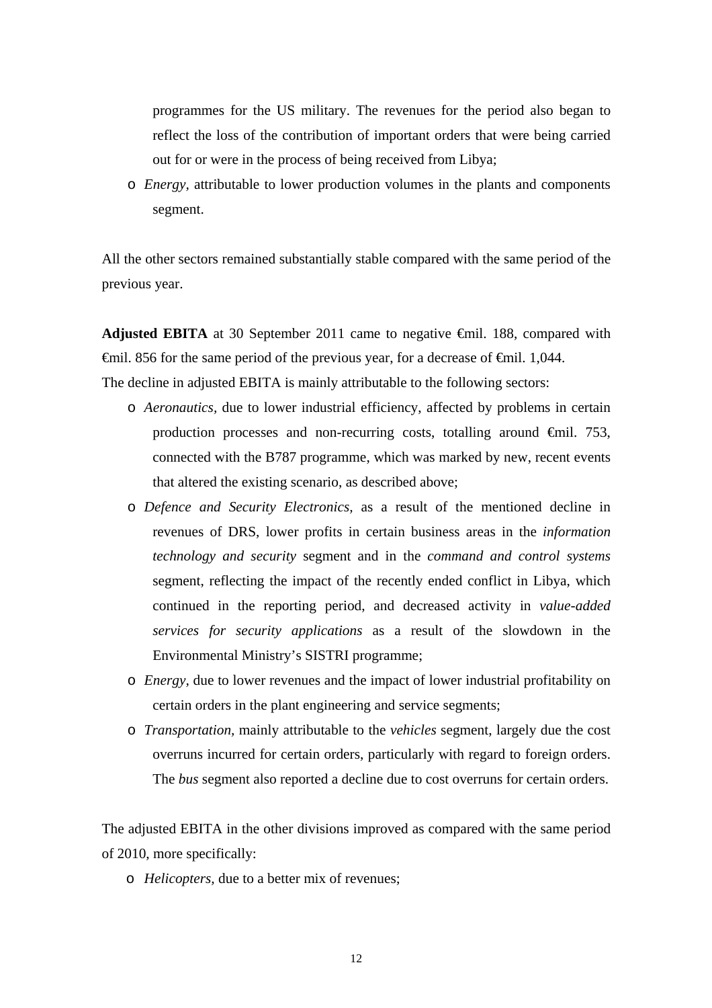programmes for the US military. The revenues for the period also began to reflect the loss of the contribution of important orders that were being carried out for or were in the process of being received from Libya;

o *Energy,* attributable to lower production volumes in the plants and components segment.

All the other sectors remained substantially stable compared with the same period of the previous year.

**Adjusted EBITA** at 30 September 2011 came to negative €mil. 188, compared with €mil. 856 for the same period of the previous year, for a decrease of €mil. 1,044. The decline in adjusted EBITA is mainly attributable to the following sectors:

- o *Aeronautics,* due to lower industrial efficiency, affected by problems in certain production processes and non-recurring costs, totalling around €mil. 753, connected with the B787 programme, which was marked by new, recent events that altered the existing scenario, as described above;
- o *Defence and Security Electronics,* as a result of the mentioned decline in revenues of DRS, lower profits in certain business areas in the *information technology and security* segment and in the *command and control systems*  segment, reflecting the impact of the recently ended conflict in Libya, which continued in the reporting period, and decreased activity in *value-added services for security applications* as a result of the slowdown in the Environmental Ministry's SISTRI programme;
- o *Energy,* due to lower revenues and the impact of lower industrial profitability on certain orders in the plant engineering and service segments;
- o *Transportation,* mainly attributable to the *vehicles* segment, largely due the cost overruns incurred for certain orders, particularly with regard to foreign orders. The *bus* segment also reported a decline due to cost overruns for certain orders.

The adjusted EBITA in the other divisions improved as compared with the same period of 2010, more specifically:

o *Helicopters,* due to a better mix of revenues;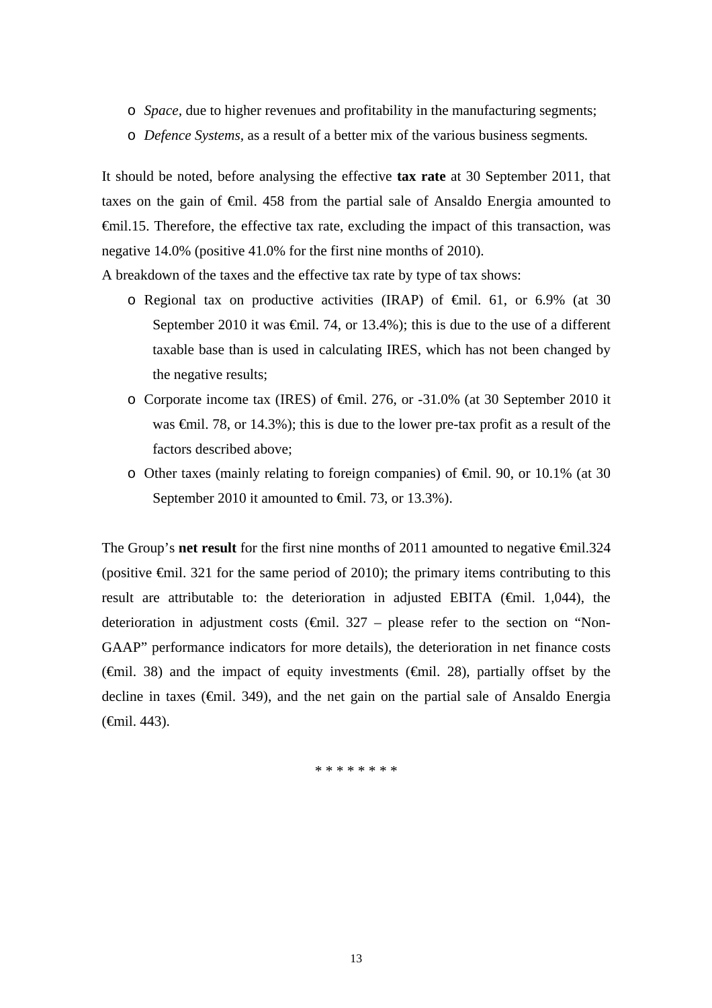- o *Space,* due to higher revenues and profitability in the manufacturing segments;
- o *Defence Systems,* as a result of a better mix of the various business segments*.*

It should be noted, before analysing the effective **tax rate** at 30 September 2011, that taxes on the gain of €mil. 458 from the partial sale of Ansaldo Energia amounted to €mil.15. Therefore, the effective tax rate, excluding the impact of this transaction, was negative 14.0% (positive 41.0% for the first nine months of 2010).

A breakdown of the taxes and the effective tax rate by type of tax shows:

- o Regional tax on productive activities (IRAP) of €mil. 61, or 6.9% (at 30 September 2010 it was  $\epsilon$ mil. 74, or 13.4%); this is due to the use of a different taxable base than is used in calculating IRES, which has not been changed by the negative results;
- o Corporate income tax (IRES) of €mil. 276, or -31.0% (at 30 September 2010 it was €mil. 78, or 14.3%); this is due to the lower pre-tax profit as a result of the factors described above;
- o Other taxes (mainly relating to foreign companies) of €mil. 90, or 10.1% (at 30 September 2010 it amounted to <del>€</del>mil. 73, or 13.3%).

The Group's **net result** for the first nine months of 2011 amounted to negative <del>€</del>mil.324 (positive  $\epsilon$ mil. 321 for the same period of 2010); the primary items contributing to this result are attributable to: the deterioration in adjusted EBITA ( $\epsilon$ mil. 1,044), the deterioration in adjustment costs ( $\bigoplus$ nil. 327 – please refer to the section on "Non-GAAP" performance indicators for more details), the deterioration in net finance costs ( $\oplus$ mil. 38) and the impact of equity investments ( $\oplus$ mil. 28), partially offset by the decline in taxes (€mil. 349), and the net gain on the partial sale of Ansaldo Energia (€mil. 443).

\* \* \* \* \* \* \* \*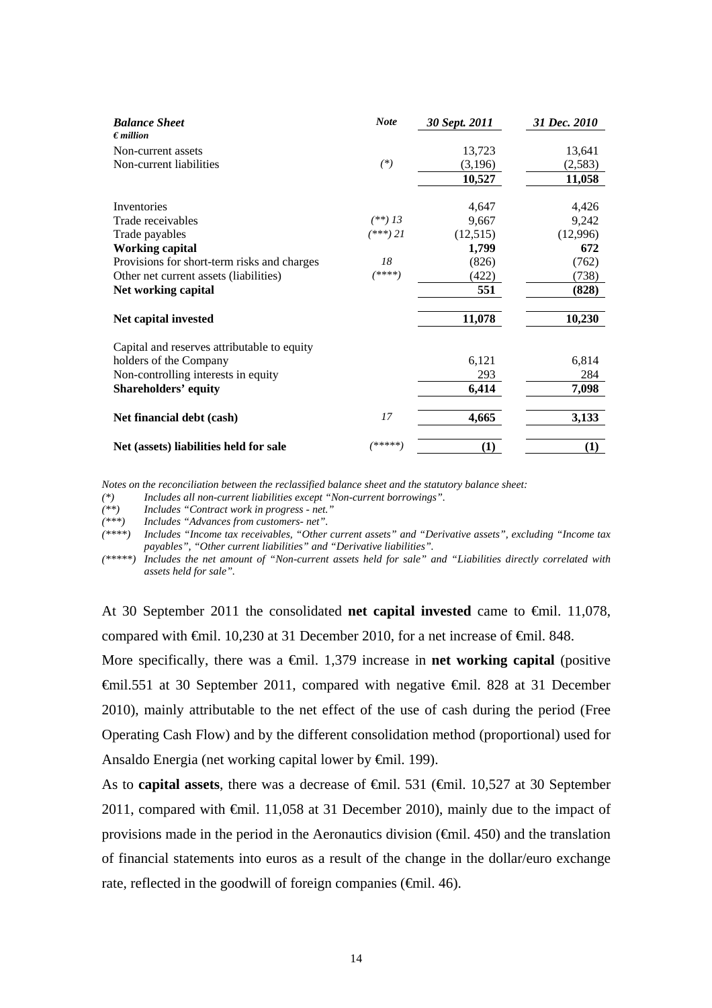| <b>Balance Sheet</b>                        | <b>Note</b> | 30 Sept. 2011 | 31 Dec. 2010 |
|---------------------------------------------|-------------|---------------|--------------|
| $\epsilon$ <i>million</i>                   |             |               |              |
| Non-current assets                          |             | 13,723        | 13,641       |
| Non-current liabilities                     | $(*)$       | (3,196)       | (2,583)      |
|                                             |             | 10,527        | 11,058       |
|                                             |             |               |              |
| Inventories                                 |             | 4,647         | 4,426        |
| Trade receivables                           | $(**)$ 13   | 9,667         | 9,242        |
| Trade payables                              | $(***)$ 21  | (12,515)      | (12,996)     |
| <b>Working capital</b>                      |             | 1,799         | 672          |
| Provisions for short-term risks and charges | 18          | (826)         | (762)        |
| Other net current assets (liabilities)      | (****)      | (422)         | (738)        |
| Net working capital                         |             | 551           | (828)        |
| Net capital invested                        |             | 11,078        | 10,230       |
| Capital and reserves attributable to equity |             |               |              |
| holders of the Company                      |             | 6,121         | 6,814        |
| Non-controlling interests in equity         |             | 293           | 284          |
| <b>Shareholders' equity</b>                 |             | 6,414         | 7,098        |
| Net financial debt (cash)                   | 17          | 4,665         | 3,133        |
| Net (assets) liabilities held for sale      | /*****)     | $\bf(1)$      | (1)          |

*Notes on the reconciliation between the reclassified balance sheet and the statutory balance sheet:* 

*(\*) Includes all non-current liabilities except "Non-current borrowings".* 

*(\*\*) Includes "Contract work in progress - net."* 

*(\*\*\*) Includes "Advances from customers- net".* 

*(\*\*\*\*) Includes "Income tax receivables, "Other current assets" and "Derivative assets", excluding "Income tax payables", "Other current liabilities" and "Derivative liabilities".* 

*(\*\*\*\*\*) Includes the net amount of "Non-current assets held for sale" and "Liabilities directly correlated with assets held for sale".* 

At 30 September 2011 the consolidated **net capital invested** came to €mil. 11,078, compared with  $\epsilon$ mil. 10,230 at 31 December 2010, for a net increase of  $\epsilon$ mil. 848.

More specifically, there was a  $\oplus$ mil. 1,379 increase in **net working capital** (positive €mil.551 at 30 September 2011, compared with negative €mil. 828 at 31 December 2010), mainly attributable to the net effect of the use of cash during the period (Free Operating Cash Flow) and by the different consolidation method (proportional) used for Ansaldo Energia (net working capital lower by €mil. 199).

As to **capital assets**, there was a decrease of €mil. 531 (€mil. 10,527 at 30 September 2011, compared with €mil. 11,058 at 31 December 2010), mainly due to the impact of provisions made in the period in the Aeronautics division  $(\text{fmil. } 450)$  and the translation of financial statements into euros as a result of the change in the dollar/euro exchange rate, reflected in the goodwill of foreign companies (€mil. 46).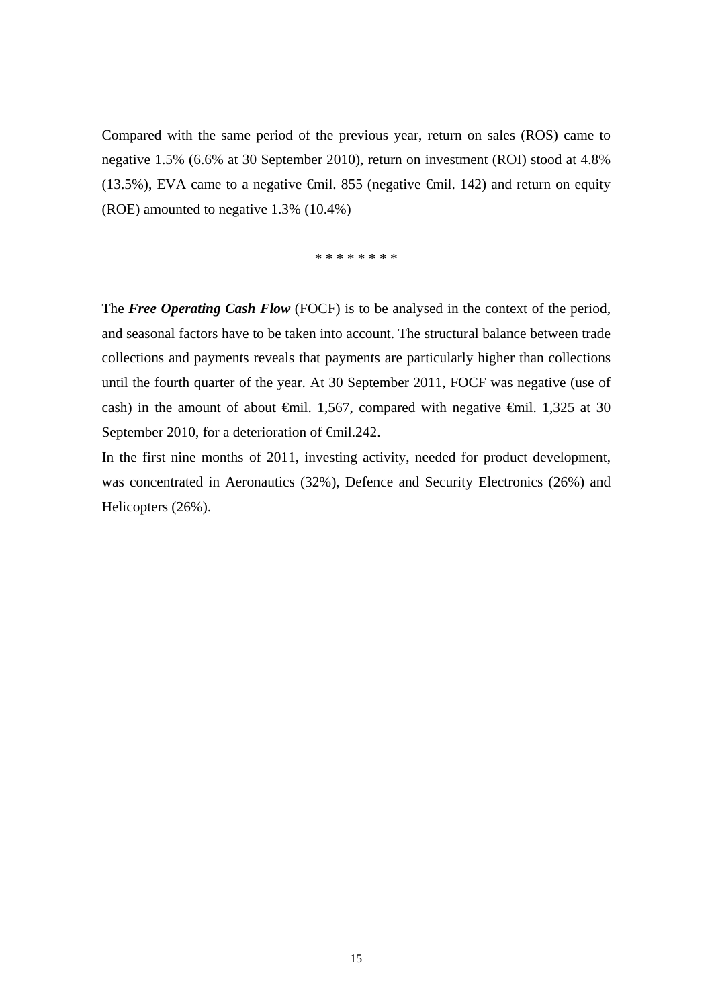Compared with the same period of the previous year, return on sales (ROS) came to negative 1.5% (6.6% at 30 September 2010), return on investment (ROI) stood at 4.8% (13.5%), EVA came to a negative  $\epsilon$ mil. 855 (negative  $\epsilon$ mil. 142) and return on equity (ROE) amounted to negative 1.3% (10.4%)

\* \* \* \* \* \* \* \*

The *Free Operating Cash Flow* (FOCF) is to be analysed in the context of the period, and seasonal factors have to be taken into account. The structural balance between trade collections and payments reveals that payments are particularly higher than collections until the fourth quarter of the year. At 30 September 2011, FOCF was negative (use of cash) in the amount of about  $\theta$ mil. 1,567, compared with negative  $\theta$ mil. 1,325 at 30 September 2010, for a deterioration of <del>€</del>mil.242.

In the first nine months of 2011, investing activity, needed for product development, was concentrated in Aeronautics (32%), Defence and Security Electronics (26%) and Helicopters (26%).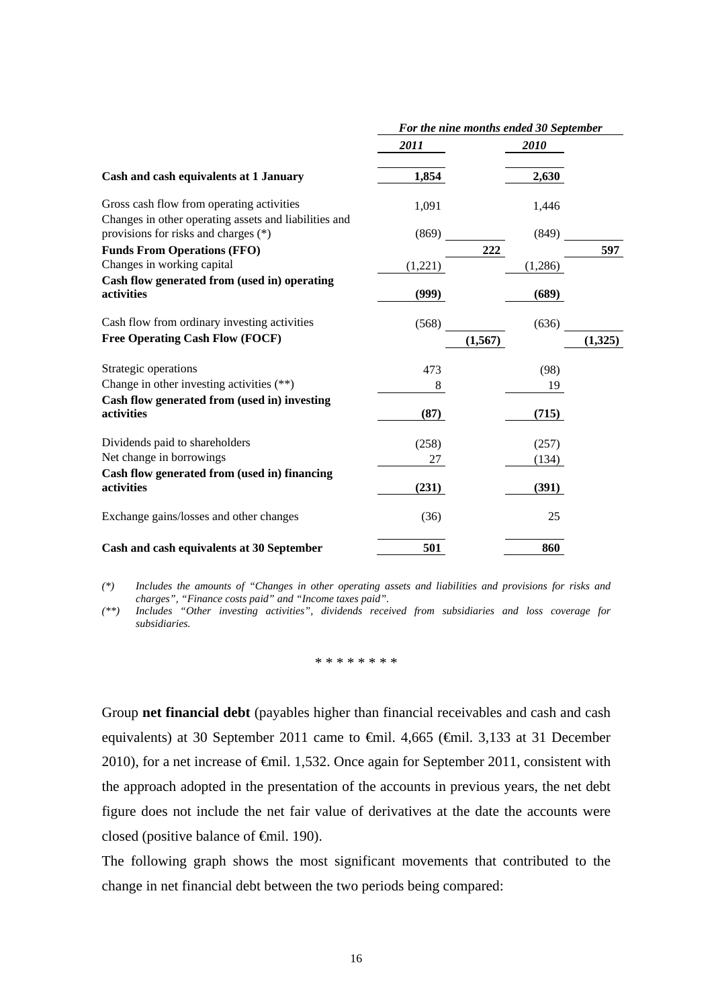|                                                                                                    | For the nine months ended 30 September |             |          |  |
|----------------------------------------------------------------------------------------------------|----------------------------------------|-------------|----------|--|
|                                                                                                    | 2011                                   | <i>2010</i> |          |  |
| Cash and cash equivalents at 1 January                                                             | 1,854                                  | 2,630       |          |  |
| Gross cash flow from operating activities<br>Changes in other operating assets and liabilities and | 1,091                                  | 1,446       |          |  |
| provisions for risks and charges (*)                                                               | (869)                                  | (849)       |          |  |
| <b>Funds From Operations (FFO)</b>                                                                 |                                        | 222         | 597      |  |
| Changes in working capital                                                                         | (1,221)                                | (1,286)     |          |  |
| Cash flow generated from (used in) operating                                                       |                                        |             |          |  |
| activities                                                                                         | (999)                                  | (689)       |          |  |
| Cash flow from ordinary investing activities                                                       | (568)                                  | (636)       |          |  |
| <b>Free Operating Cash Flow (FOCF)</b>                                                             |                                        | (1, 567)    | (1, 325) |  |
| Strategic operations                                                                               | 473                                    | (98)        |          |  |
| Change in other investing activities $(**)$                                                        | 8                                      | 19          |          |  |
| Cash flow generated from (used in) investing<br>activities                                         | (87)                                   | (715)       |          |  |
| Dividends paid to shareholders                                                                     | (258)                                  | (257)       |          |  |
| Net change in borrowings                                                                           | 27                                     | (134)       |          |  |
| Cash flow generated from (used in) financing<br>activities                                         | (231)                                  | (391)       |          |  |
| Exchange gains/losses and other changes                                                            | (36)                                   | 25          |          |  |
| Cash and cash equivalents at 30 September                                                          | 501                                    | 860         |          |  |

*(\*) Includes the amounts of "Changes in other operating assets and liabilities and provisions for risks and charges", "Finance costs paid" and "Income taxes paid".* 

*(\*\*) Includes "Other investing activities", dividends received from subsidiaries and loss coverage for subsidiaries.* 

#### \* \* \* \* \* \* \* \*

Group **net financial debt** (payables higher than financial receivables and cash and cash equivalents) at 30 September 2011 came to €mil. 4,665 (€mil. 3,133 at 31 December 2010), for a net increase of €mil. 1,532. Once again for September 2011, consistent with the approach adopted in the presentation of the accounts in previous years, the net debt figure does not include the net fair value of derivatives at the date the accounts were closed (positive balance of €mil. 190).

The following graph shows the most significant movements that contributed to the change in net financial debt between the two periods being compared: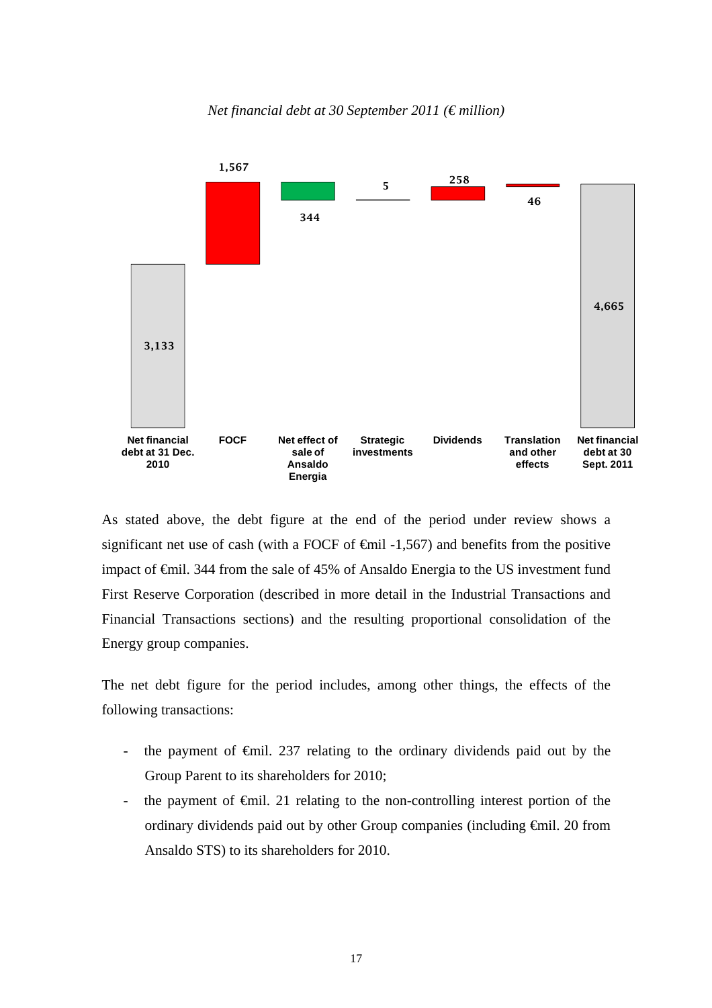*Net financial debt at 30 September 2011 (€ million)* 



As stated above, the debt figure at the end of the period under review shows a significant net use of cash (with a FOCF of  $\epsilon$ mil -1,567) and benefits from the positive impact of €mil. 344 from the sale of 45% of Ansaldo Energia to the US investment fund First Reserve Corporation (described in more detail in the Industrial Transactions and Financial Transactions sections) and the resulting proportional consolidation of the Energy group companies.

The net debt figure for the period includes, among other things, the effects of the following transactions:

- the payment of  $\epsilon$ mil. 237 relating to the ordinary dividends paid out by the Group Parent to its shareholders for 2010;
- the payment of €mil. 21 relating to the non-controlling interest portion of the ordinary dividends paid out by other Group companies (including €mil. 20 from Ansaldo STS) to its shareholders for 2010.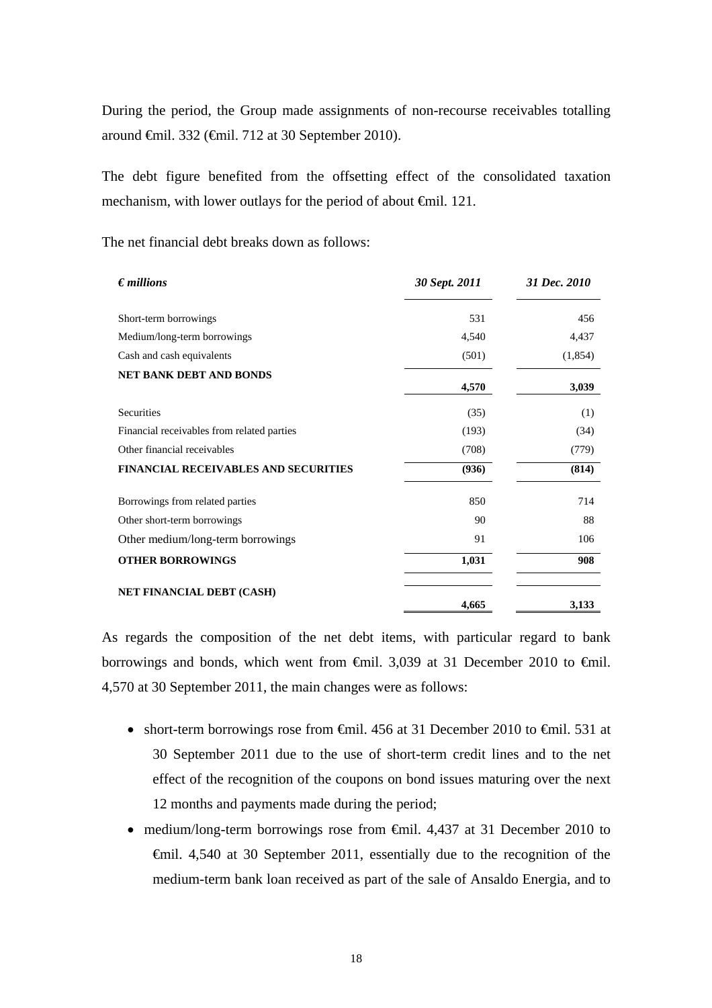During the period, the Group made assignments of non-recourse receivables totalling around €mil. 332 (€mil. 712 at 30 September 2010).

The debt figure benefited from the offsetting effect of the consolidated taxation mechanism, with lower outlays for the period of about €mil. 121.

The net financial debt breaks down as follows:

| $\epsilon$ <i>millions</i>                  | 30 Sept. 2011 | 31 Dec. 2010 |  |
|---------------------------------------------|---------------|--------------|--|
| Short-term borrowings                       | 531           | 456          |  |
| Medium/long-term borrowings                 | 4,540         | 4,437        |  |
| Cash and cash equivalents                   | (501)         | (1,854)      |  |
| <b>NET BANK DEBT AND BONDS</b>              | 4,570         | 3,039        |  |
| <b>Securities</b>                           | (35)          | (1)          |  |
| Financial receivables from related parties  | (193)         | (34)         |  |
| Other financial receivables                 | (708)         | (779)        |  |
| <b>FINANCIAL RECEIVABLES AND SECURITIES</b> | (936)         | (814)        |  |
| Borrowings from related parties             | 850           | 714          |  |
| Other short-term borrowings                 | 90            | 88           |  |
| Other medium/long-term borrowings           | 91            | 106          |  |
| <b>OTHER BORROWINGS</b>                     | 1,031         | 908          |  |
| <b>NET FINANCIAL DEBT (CASH)</b>            | 4,665         | 3,133        |  |

As regards the composition of the net debt items, with particular regard to bank borrowings and bonds, which went from  $\oplus$ mil. 3,039 at 31 December 2010 to  $\oplus$ mil. 4,570 at 30 September 2011, the main changes were as follows:

- short-term borrowings rose from  $\oplus$ mil. 456 at 31 December 2010 to  $\oplus$ mil. 531 at 30 September 2011 due to the use of short-term credit lines and to the net effect of the recognition of the coupons on bond issues maturing over the next 12 months and payments made during the period;
- medium/long-term borrowings rose from €mil. 4,437 at 31 December 2010 to €mil. 4,540 at 30 September 2011, essentially due to the recognition of the medium-term bank loan received as part of the sale of Ansaldo Energia, and to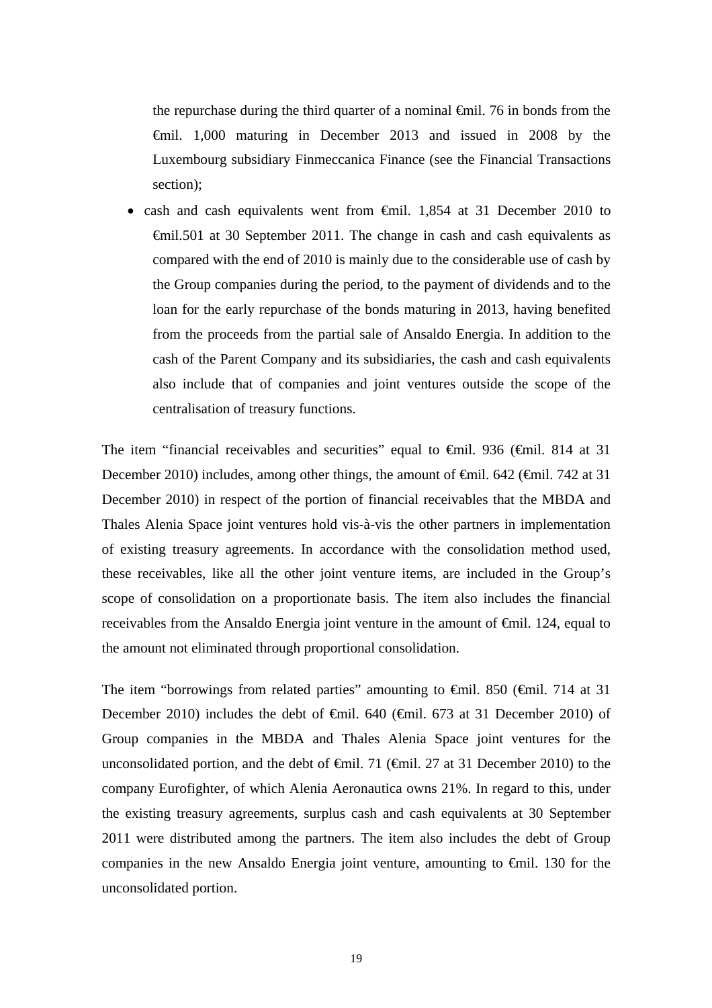the repurchase during the third quarter of a nominal  $\epsilon$ mil. 76 in bonds from the €mil. 1,000 maturing in December 2013 and issued in 2008 by the Luxembourg subsidiary Finmeccanica Finance (see the Financial Transactions section);

 cash and cash equivalents went from €mil. 1,854 at 31 December 2010 to €mil.501 at 30 September 2011. The change in cash and cash equivalents as compared with the end of 2010 is mainly due to the considerable use of cash by the Group companies during the period, to the payment of dividends and to the loan for the early repurchase of the bonds maturing in 2013, having benefited from the proceeds from the partial sale of Ansaldo Energia. In addition to the cash of the Parent Company and its subsidiaries, the cash and cash equivalents also include that of companies and joint ventures outside the scope of the centralisation of treasury functions.

The item "financial receivables and securities" equal to €mil. 936 (€mil. 814 at 31 December 2010) includes, among other things, the amount of <del>€</del>mil. 642 (€mil. 742 at 31 December 2010) in respect of the portion of financial receivables that the MBDA and Thales Alenia Space joint ventures hold vis-à-vis the other partners in implementation of existing treasury agreements. In accordance with the consolidation method used, these receivables, like all the other joint venture items, are included in the Group's scope of consolidation on a proportionate basis. The item also includes the financial receivables from the Ansaldo Energia joint venture in the amount of €mil. 124, equal to the amount not eliminated through proportional consolidation.

The item "borrowings from related parties" amounting to  $\theta$ mil. 850 ( $\theta$ mil. 714 at 31 December 2010) includes the debt of €mil. 640 (€mil. 673 at 31 December 2010) of Group companies in the MBDA and Thales Alenia Space joint ventures for the unconsolidated portion, and the debt of  $\epsilon$ mil. 71 ( $\epsilon$ mil. 27 at 31 December 2010) to the company Eurofighter, of which Alenia Aeronautica owns 21%. In regard to this, under the existing treasury agreements, surplus cash and cash equivalents at 30 September 2011 were distributed among the partners. The item also includes the debt of Group companies in the new Ansaldo Energia joint venture, amounting to  $\epsilon$ mil. 130 for the unconsolidated portion.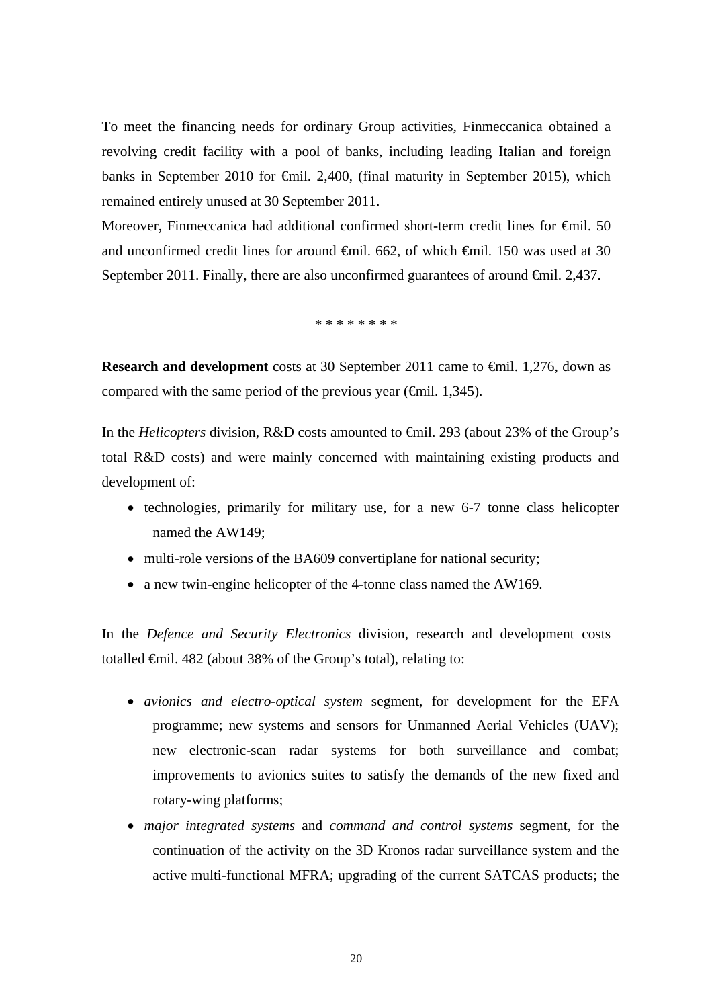To meet the financing needs for ordinary Group activities, Finmeccanica obtained a revolving credit facility with a pool of banks, including leading Italian and foreign banks in September 2010 for €mil. 2,400, (final maturity in September 2015), which remained entirely unused at 30 September 2011.

Moreover, Finmeccanica had additional confirmed short-term credit lines for <del>C</del>mil. 50 and unconfirmed credit lines for around €mil. 662, of which €mil. 150 was used at 30 September 2011. Finally, there are also unconfirmed guarantees of around <del>€mil</del>. 2,437.

\* \* \* \* \* \* \* \*

**Research and development** costs at 30 September 2011 came to €mil. 1,276, down as compared with the same period of the previous year ( $\epsilon$ mil. 1,345).

In the *Helicopters* division, R&D costs amounted to €mil. 293 (about 23% of the Group's total R&D costs) and were mainly concerned with maintaining existing products and development of:

- technologies, primarily for military use, for a new 6-7 tonne class helicopter named the AW149;
- multi-role versions of the BA609 convertiplane for national security;
- a new twin-engine helicopter of the 4-tonne class named the AW169.

In the *Defence and Security Electronics* division, research and development costs totalled €mil. 482 (about 38% of the Group's total), relating to:

- *avionics and electro-optical system* segment, for development for the EFA programme; new systems and sensors for Unmanned Aerial Vehicles (UAV); new electronic-scan radar systems for both surveillance and combat; improvements to avionics suites to satisfy the demands of the new fixed and rotary-wing platforms;
- *major integrated systems* and *command and control systems* segment, for the continuation of the activity on the 3D Kronos radar surveillance system and the active multi-functional MFRA; upgrading of the current SATCAS products; the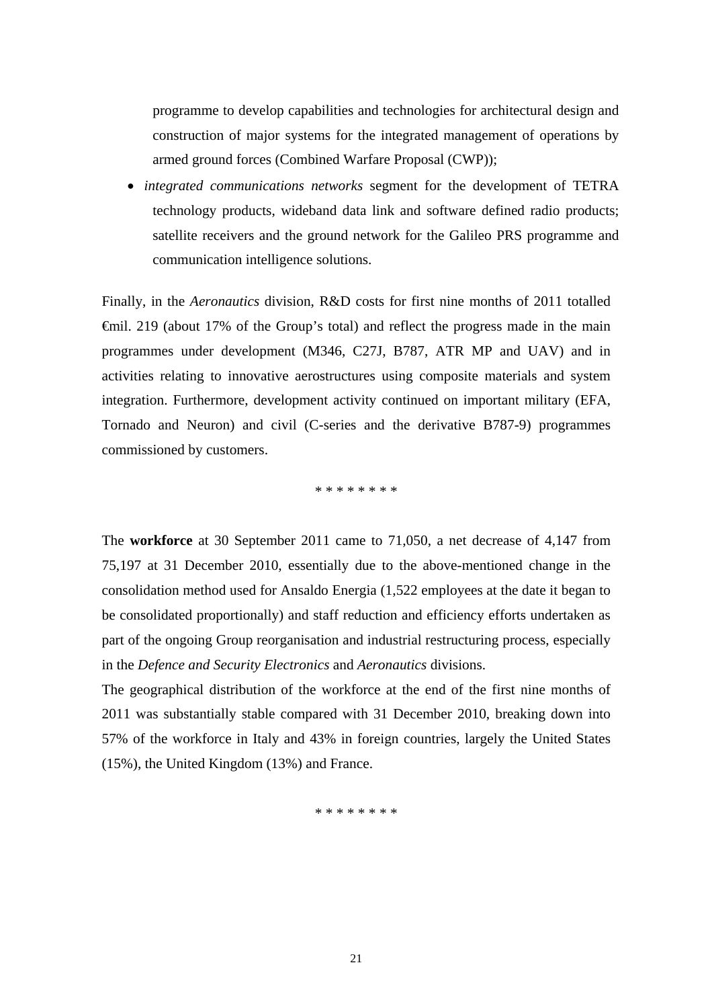programme to develop capabilities and technologies for architectural design and construction of major systems for the integrated management of operations by armed ground forces (Combined Warfare Proposal (CWP));

 *integrated communications networks* segment for the development of TETRA technology products, wideband data link and software defined radio products; satellite receivers and the ground network for the Galileo PRS programme and communication intelligence solutions.

Finally, in the *Aeronautics* division, R&D costs for first nine months of 2011 totalled €mil. 219 (about 17% of the Group's total) and reflect the progress made in the main programmes under development (M346, C27J, B787, ATR MP and UAV) and in activities relating to innovative aerostructures using composite materials and system integration. Furthermore, development activity continued on important military (EFA, Tornado and Neuron) and civil (C-series and the derivative B787-9) programmes commissioned by customers.

\* \* \* \* \* \* \* \*

The **workforce** at 30 September 2011 came to 71,050, a net decrease of 4,147 from 75,197 at 31 December 2010, essentially due to the above-mentioned change in the consolidation method used for Ansaldo Energia (1,522 employees at the date it began to be consolidated proportionally) and staff reduction and efficiency efforts undertaken as part of the ongoing Group reorganisation and industrial restructuring process, especially in the *Defence and Security Electronics* and *Aeronautics* divisions.

The geographical distribution of the workforce at the end of the first nine months of 2011 was substantially stable compared with 31 December 2010, breaking down into 57% of the workforce in Italy and 43% in foreign countries, largely the United States (15%), the United Kingdom (13%) and France.

\* \* \* \* \* \* \* \*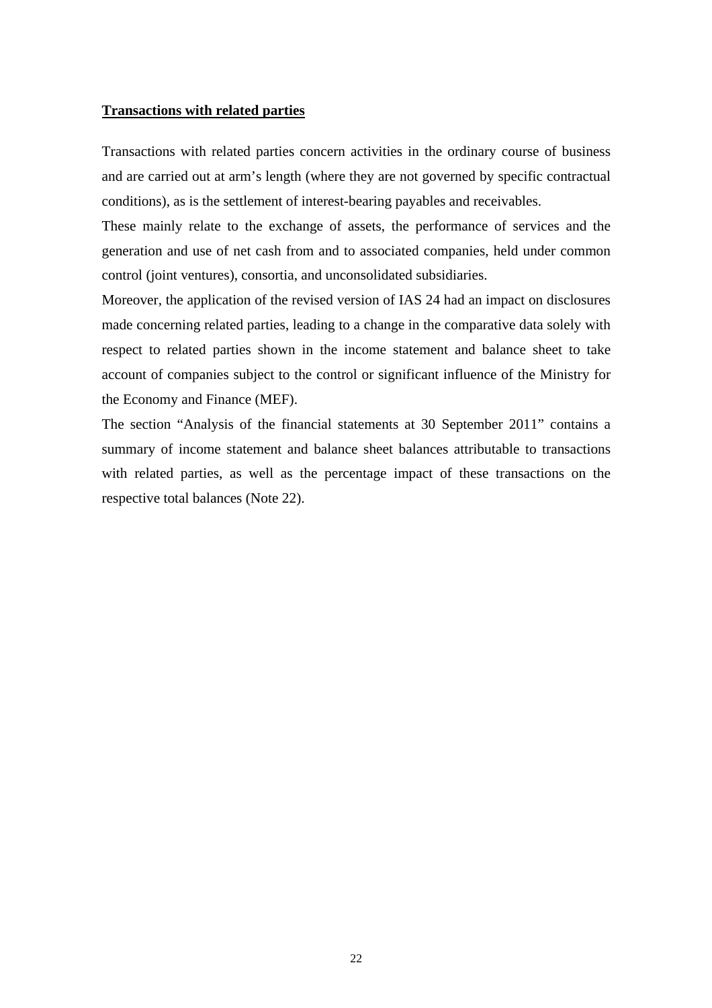### **Transactions with related parties**

Transactions with related parties concern activities in the ordinary course of business and are carried out at arm's length (where they are not governed by specific contractual conditions), as is the settlement of interest-bearing payables and receivables.

These mainly relate to the exchange of assets, the performance of services and the generation and use of net cash from and to associated companies, held under common control (joint ventures), consortia, and unconsolidated subsidiaries.

Moreover, the application of the revised version of IAS 24 had an impact on disclosures made concerning related parties, leading to a change in the comparative data solely with respect to related parties shown in the income statement and balance sheet to take account of companies subject to the control or significant influence of the Ministry for the Economy and Finance (MEF).

The section "Analysis of the financial statements at 30 September 2011" contains a summary of income statement and balance sheet balances attributable to transactions with related parties, as well as the percentage impact of these transactions on the respective total balances (Note 22).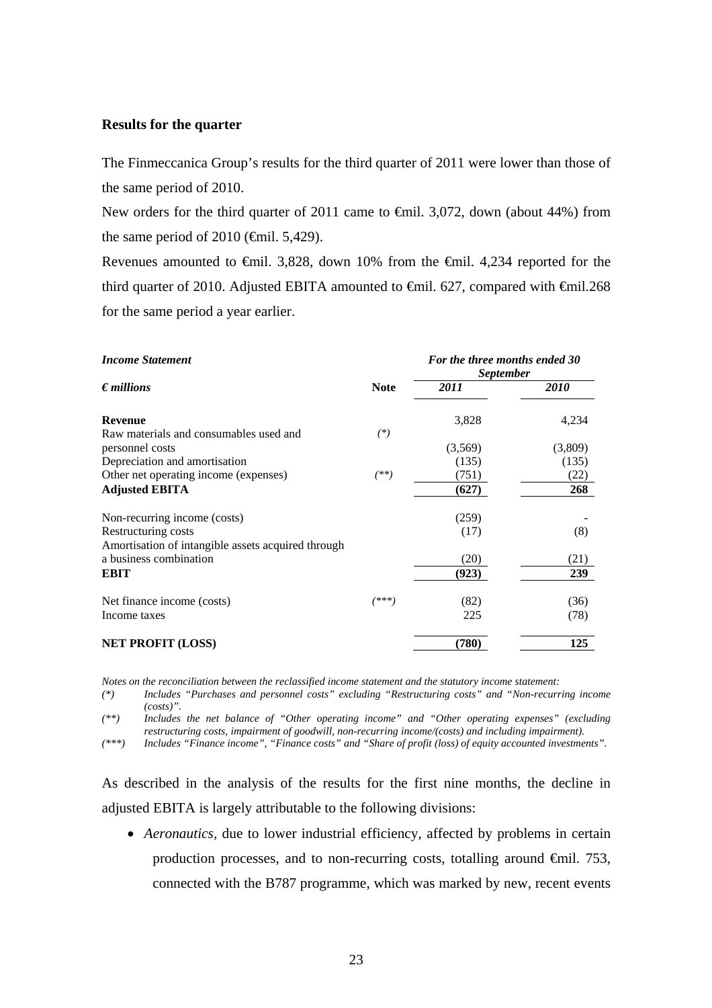## **Results for the quarter**

The Finmeccanica Group's results for the third quarter of 2011 were lower than those of the same period of 2010.

New orders for the third quarter of 2011 came to €mil. 3,072, down (about 44%) from the same period of 2010 ( $\epsilon$ mil. 5,429).

Revenues amounted to €mil. 3,828, down 10% from the €mil. 4,234 reported for the third quarter of 2010. Adjusted EBITA amounted to  $\epsilon$ mil. 627, compared with  $\epsilon$ mil.268 for the same period a year earlier.

| <b>Income Statement</b>                            |             | For the three months ended 30<br><i>September</i> |         |  |
|----------------------------------------------------|-------------|---------------------------------------------------|---------|--|
| $\epsilon$ <i>millions</i>                         | <b>Note</b> | 2011                                              | 2010    |  |
| <b>Revenue</b>                                     |             | 3,828                                             | 4,234   |  |
| Raw materials and consumables used and             | $(*)$       |                                                   |         |  |
| personnel costs                                    |             | (3,569)                                           | (3,809) |  |
| Depreciation and amortisation                      |             | (135)                                             | (135)   |  |
| Other net operating income (expenses)              | $^{(**)}$   | (751)                                             | (22)    |  |
| <b>Adjusted EBITA</b>                              |             | (627)                                             | 268     |  |
| Non-recurring income (costs)                       |             | (259)                                             |         |  |
| Restructuring costs                                |             | (17)                                              | (8)     |  |
| Amortisation of intangible assets acquired through |             |                                                   |         |  |
| a business combination                             |             | (20)                                              | (21)    |  |
| <b>EBIT</b>                                        |             | (923)                                             | 239     |  |
| Net finance income (costs)                         | (***)       | (82)                                              | (36)    |  |
| Income taxes                                       |             | 225                                               | (78)    |  |
| <b>NET PROFIT (LOSS)</b>                           |             | (780)                                             | 125     |  |

*Notes on the reconciliation between the reclassified income statement and the statutory income statement:* 

*(\*) Includes "Purchases and personnel costs" excluding "Restructuring costs" and "Non-recurring income (costs)".* 

*(\*\*) Includes the net balance of "Other operating income" and "Other operating expenses" (excluding restructuring costs, impairment of goodwill, non-recurring income/(costs) and including impairment).* 

*(\*\*\*) Includes "Finance income", "Finance costs" and "Share of profit (loss) of equity accounted investments".* 

As described in the analysis of the results for the first nine months, the decline in adjusted EBITA is largely attributable to the following divisions:

 *Aeronautics,* due to lower industrial efficiency, affected by problems in certain production processes, and to non-recurring costs, totalling around  $\epsilon$ mil. 753, connected with the B787 programme, which was marked by new, recent events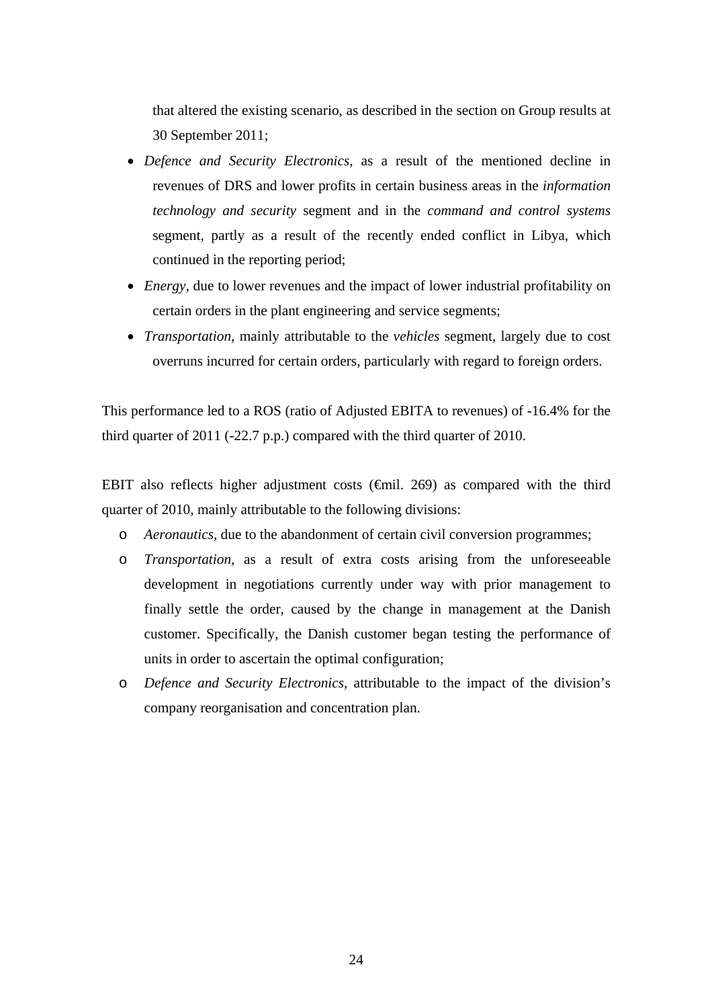that altered the existing scenario, as described in the section on Group results at 30 September 2011;

- *Defence and Security Electronics,* as a result of the mentioned decline in revenues of DRS and lower profits in certain business areas in the *information technology and security* segment and in the *command and control systems*  segment, partly as a result of the recently ended conflict in Libya, which continued in the reporting period;
- *Energy,* due to lower revenues and the impact of lower industrial profitability on certain orders in the plant engineering and service segments;
- *Transportation,* mainly attributable to the *vehicles* segment, largely due to cost overruns incurred for certain orders, particularly with regard to foreign orders.

This performance led to a ROS (ratio of Adjusted EBITA to revenues) of -16.4% for the third quarter of 2011 (-22.7 p.p.) compared with the third quarter of 2010.

EBIT also reflects higher adjustment costs  $(\text{f})$ . 269) as compared with the third quarter of 2010, mainly attributable to the following divisions:

- o *Aeronautics,* due to the abandonment of certain civil conversion programmes;
- o *Transportation,* as a result of extra costs arising from the unforeseeable development in negotiations currently under way with prior management to finally settle the order, caused by the change in management at the Danish customer. Specifically, the Danish customer began testing the performance of units in order to ascertain the optimal configuration;
- o *Defence and Security Electronics,* attributable to the impact of the division's company reorganisation and concentration plan.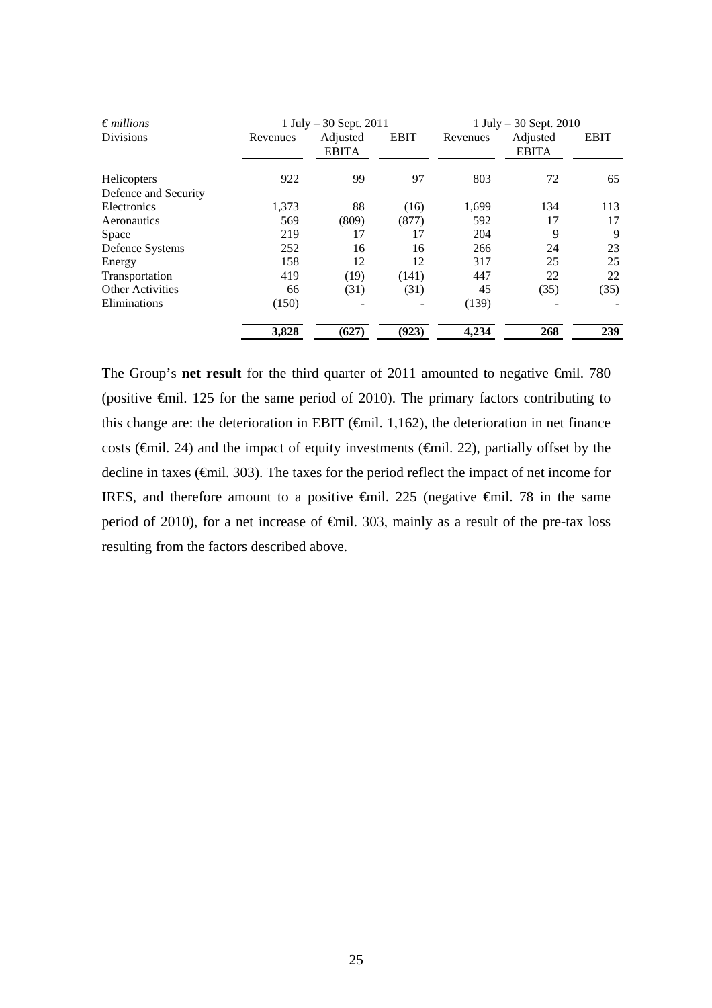| $\epsilon$ millions                 |          | $1$ July $-30$ Sept. 2011 |             | 1 July $-30$ Sept. 2010 |                          |             |
|-------------------------------------|----------|---------------------------|-------------|-------------------------|--------------------------|-------------|
| <b>Divisions</b>                    | Revenues | Adjusted<br><b>EBITA</b>  | <b>EBIT</b> | Revenues                | Adjusted<br><b>EBITA</b> | <b>EBIT</b> |
| Helicopters<br>Defence and Security | 922      | 99                        | 97          | 803                     | 72                       | 65          |
| Electronics                         | 1,373    | 88                        | (16)        | 1,699                   | 134                      | 113         |
| Aeronautics                         | 569      | (809)                     | (877)       | 592                     | 17                       | 17          |
| <b>Space</b>                        | 219      | 17                        | 17          | 204                     | 9                        | 9           |
| Defence Systems                     | 252      | 16                        | 16          | 266                     | 24                       | 23          |
| Energy                              | 158      | 12                        | 12          | 317                     | 25                       | 25          |
| Transportation                      | 419      | (19)                      | (141)       | 447                     | 22                       | 22          |
| <b>Other Activities</b>             | 66       | (31)                      | (31)        | 45                      | (35)                     | (35)        |
| Eliminations                        | (150)    |                           |             | (139)                   |                          |             |
|                                     | 3,828    | (627)                     | (923)       | 4,234                   | 268                      | 239         |

The Group's **net result** for the third quarter of 2011 amounted to negative <del>€</del>mil. 780 (positive €mil. 125 for the same period of 2010). The primary factors contributing to this change are: the deterioration in EBIT ( $\bigoplus$ mil. 1,162), the deterioration in net finance costs (€mil. 24) and the impact of equity investments (€mil. 22), partially offset by the decline in taxes (€mil. 303). The taxes for the period reflect the impact of net income for IRES, and therefore amount to a positive €mil. 225 (negative €mil. 78 in the same period of 2010), for a net increase of €mil. 303, mainly as a result of the pre-tax loss resulting from the factors described above.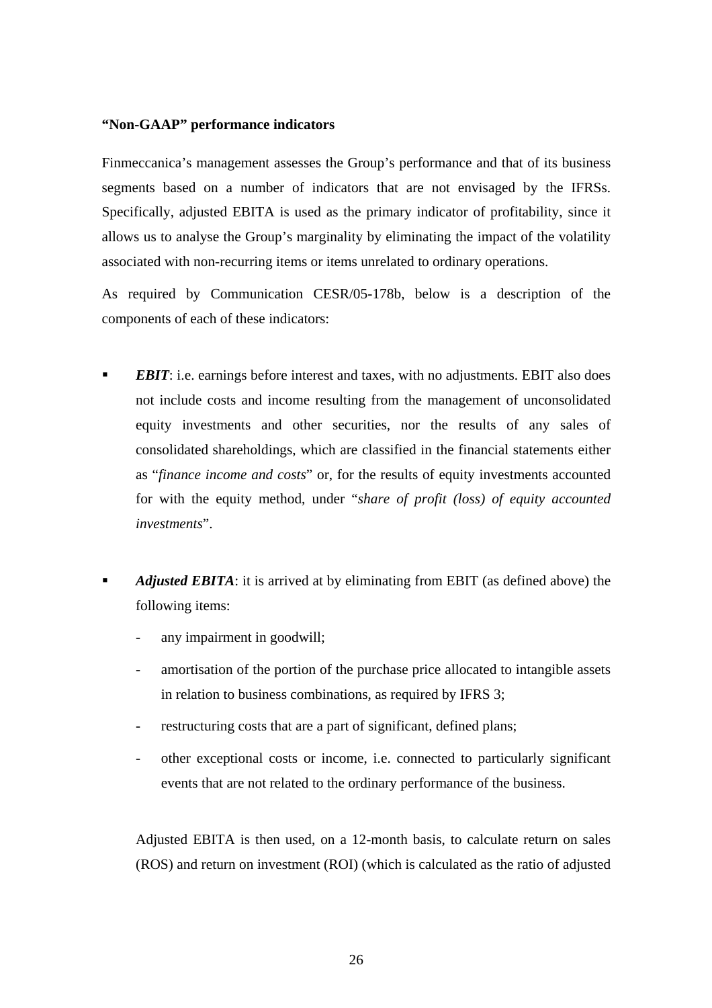## **"Non-GAAP" performance indicators**

Finmeccanica's management assesses the Group's performance and that of its business segments based on a number of indicators that are not envisaged by the IFRSs. Specifically, adjusted EBITA is used as the primary indicator of profitability, since it allows us to analyse the Group's marginality by eliminating the impact of the volatility associated with non-recurring items or items unrelated to ordinary operations.

As required by Communication CESR/05-178b, below is a description of the components of each of these indicators:

- *EBIT*: i.e. earnings before interest and taxes, with no adjustments. EBIT also does not include costs and income resulting from the management of unconsolidated equity investments and other securities, nor the results of any sales of consolidated shareholdings, which are classified in the financial statements either as "*finance income and costs*" or, for the results of equity investments accounted for with the equity method, under "*share of profit (loss) of equity accounted investments*".
- *Adjusted EBITA*: it is arrived at by eliminating from EBIT (as defined above) the following items:
	- any impairment in goodwill:
	- amortisation of the portion of the purchase price allocated to intangible assets in relation to business combinations, as required by IFRS 3;
	- restructuring costs that are a part of significant, defined plans;
	- other exceptional costs or income, i.e. connected to particularly significant events that are not related to the ordinary performance of the business.

Adjusted EBITA is then used, on a 12-month basis, to calculate return on sales (ROS) and return on investment (ROI) (which is calculated as the ratio of adjusted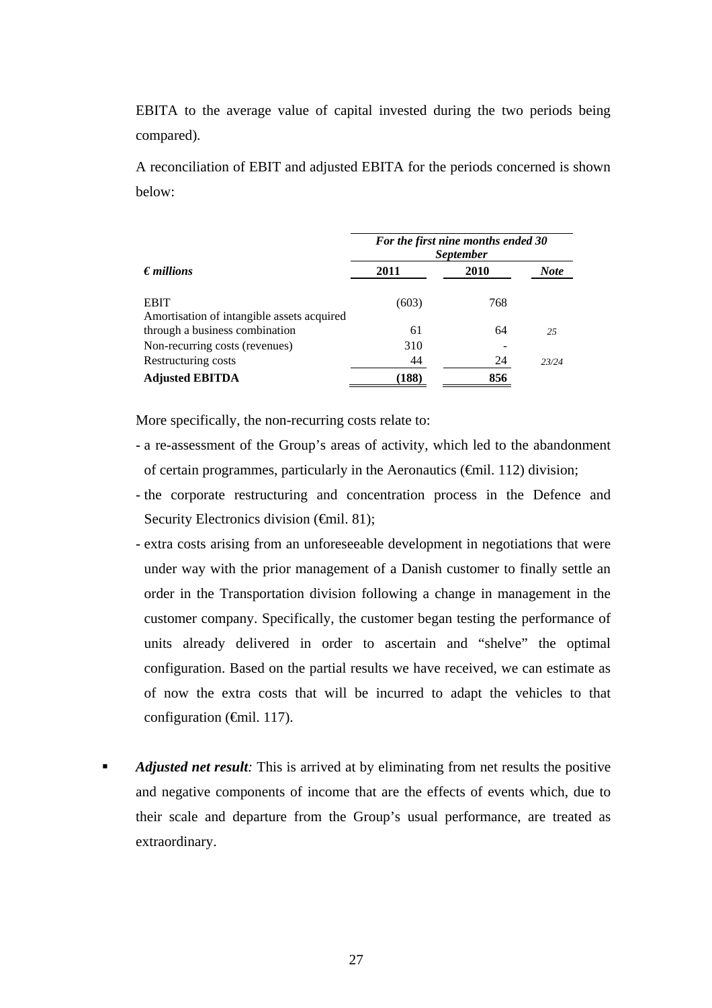EBITA to the average value of capital invested during the two periods being compared)*.*

A reconciliation of EBIT and adjusted EBITA for the periods concerned is shown below:

|                                                                              | For the first nine months ended 30<br><i>September</i> |      |             |  |
|------------------------------------------------------------------------------|--------------------------------------------------------|------|-------------|--|
| $\epsilon$ <i>millions</i>                                                   | 2011                                                   | 2010 | <b>Note</b> |  |
| <b>EBIT</b>                                                                  | (603)                                                  | 768  |             |  |
| Amortisation of intangible assets acquired<br>through a business combination | 61                                                     | 64   | 2.5         |  |
| Non-recurring costs (revenues)                                               | 310                                                    |      |             |  |
| Restructuring costs                                                          | 44                                                     | 24   | 23/24       |  |
| <b>Adjusted EBITDA</b>                                                       | (188)                                                  | 856  |             |  |

More specifically, the non-recurring costs relate to:

- a re-assessment of the Group's areas of activity, which led to the abandonment of certain programmes, particularly in the Aeronautics ( $\epsilon$ mil. 112) division;
- the corporate restructuring and concentration process in the Defence and Security Electronics division (€mil. 81);
- extra costs arising from an unforeseeable development in negotiations that were under way with the prior management of a Danish customer to finally settle an order in the Transportation division following a change in management in the customer company. Specifically, the customer began testing the performance of units already delivered in order to ascertain and "shelve" the optimal configuration. Based on the partial results we have received, we can estimate as of now the extra costs that will be incurred to adapt the vehicles to that configuration  $(\text{Gmil. } 117)$ .
- *Adjusted net result:* This is arrived at by eliminating from net results the positive and negative components of income that are the effects of events which, due to their scale and departure from the Group's usual performance, are treated as extraordinary.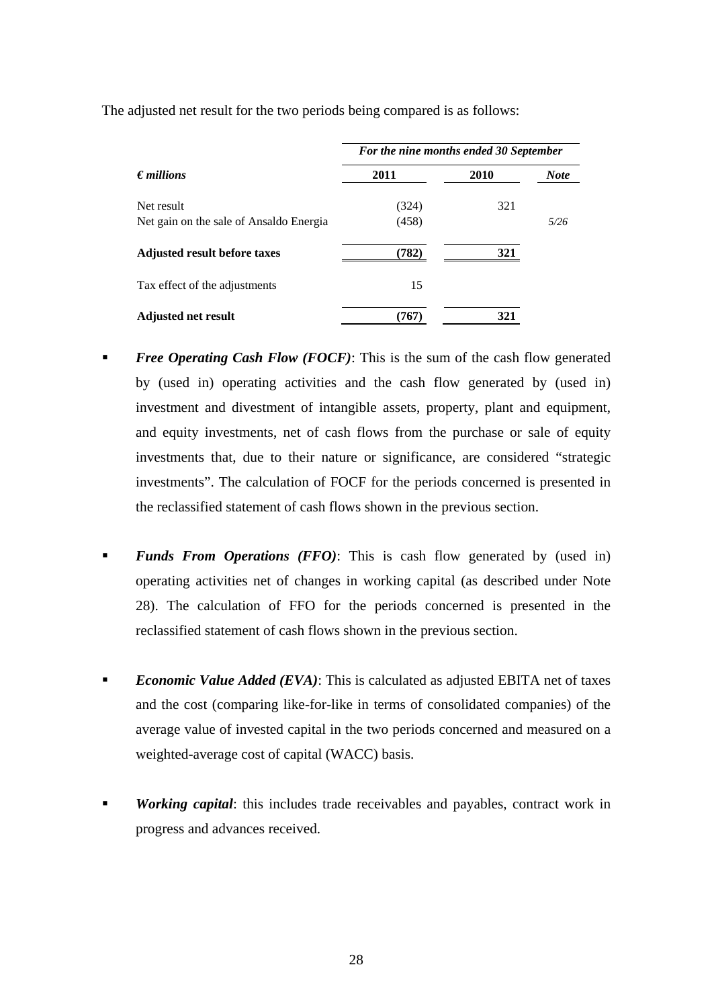|                                         | For the nine months ended 30 September |             |             |  |
|-----------------------------------------|----------------------------------------|-------------|-------------|--|
| $\epsilon$ <i>millions</i>              | 2011                                   | <b>2010</b> | <b>Note</b> |  |
| Net result                              | (324)                                  | 321         |             |  |
| Net gain on the sale of Ansaldo Energia | (458)                                  |             | 5/26        |  |
| <b>Adjusted result before taxes</b>     | (782)                                  | 321         |             |  |
| Tax effect of the adjustments           | 15                                     |             |             |  |
| <b>Adjusted net result</b>              | (767)                                  | 321         |             |  |

The adjusted net result for the two periods being compared is as follows:

- *Free Operating Cash Flow (FOCF)*: This is the sum of the cash flow generated by (used in) operating activities and the cash flow generated by (used in) investment and divestment of intangible assets, property, plant and equipment, and equity investments, net of cash flows from the purchase or sale of equity investments that, due to their nature or significance, are considered "strategic investments". The calculation of FOCF for the periods concerned is presented in the reclassified statement of cash flows shown in the previous section.
- *Funds From Operations (FFO)*: This is cash flow generated by (used in) operating activities net of changes in working capital (as described under Note 28). The calculation of FFO for the periods concerned is presented in the reclassified statement of cash flows shown in the previous section.
- **Economic Value Added (EVA):** This is calculated as adjusted EBITA net of taxes and the cost (comparing like-for-like in terms of consolidated companies) of the average value of invested capital in the two periods concerned and measured on a weighted-average cost of capital (WACC) basis.
- *Working capital*: this includes trade receivables and payables, contract work in progress and advances received.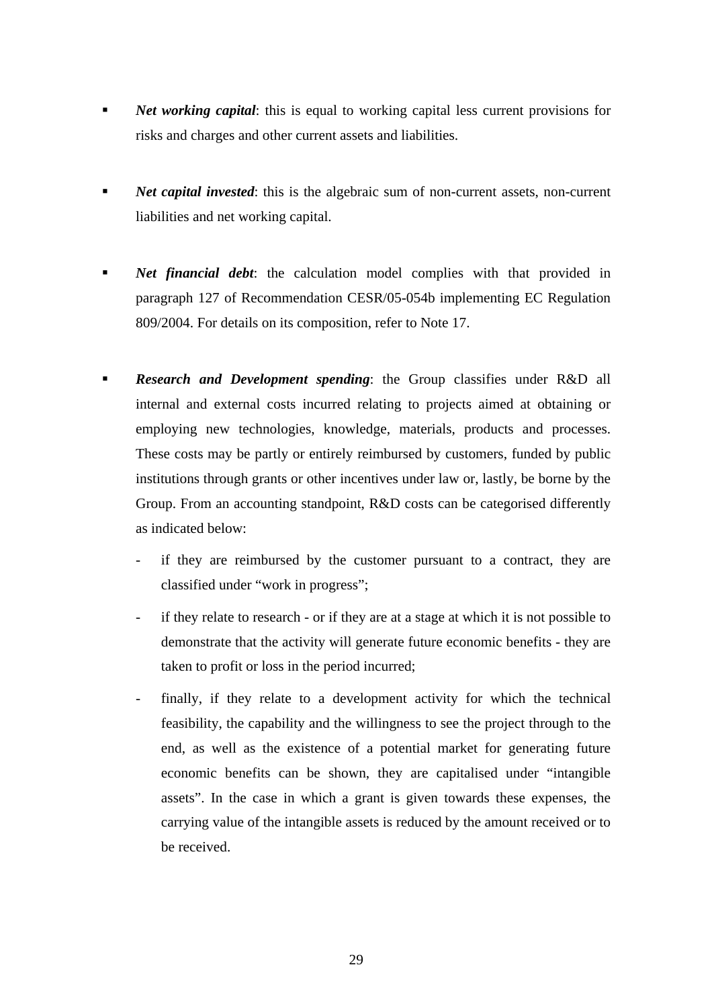- **Net working capital:** this is equal to working capital less current provisions for risks and charges and other current assets and liabilities.
- *Net capital invested*: this is the algebraic sum of non-current assets, non-current liabilities and net working capital.
- *Net financial debt*: the calculation model complies with that provided in paragraph 127 of Recommendation CESR/05-054b implementing EC Regulation 809/2004. For details on its composition, refer to Note 17.
- *Research and Development spending*: the Group classifies under R&D all internal and external costs incurred relating to projects aimed at obtaining or employing new technologies, knowledge, materials, products and processes. These costs may be partly or entirely reimbursed by customers, funded by public institutions through grants or other incentives under law or, lastly, be borne by the Group. From an accounting standpoint, R&D costs can be categorised differently as indicated below:
	- if they are reimbursed by the customer pursuant to a contract, they are classified under "work in progress";
	- if they relate to research or if they are at a stage at which it is not possible to demonstrate that the activity will generate future economic benefits - they are taken to profit or loss in the period incurred;
	- finally, if they relate to a development activity for which the technical feasibility, the capability and the willingness to see the project through to the end, as well as the existence of a potential market for generating future economic benefits can be shown, they are capitalised under "intangible assets". In the case in which a grant is given towards these expenses, the carrying value of the intangible assets is reduced by the amount received or to be received.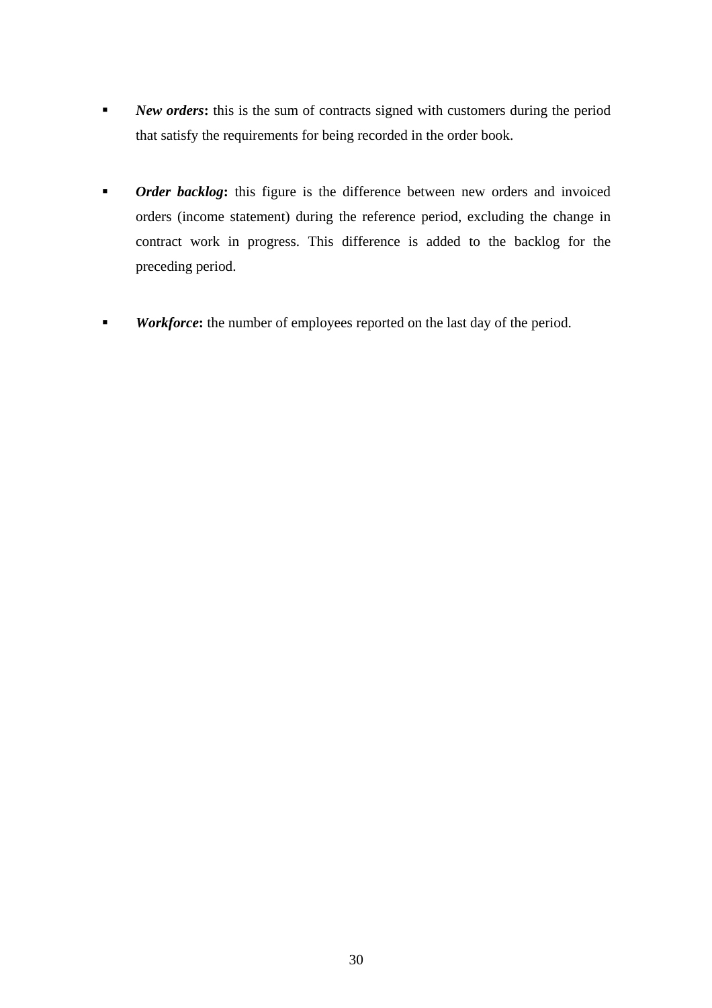- **New orders:** this is the sum of contracts signed with customers during the period that satisfy the requirements for being recorded in the order book.
- *Order backlog*: this figure is the difference between new orders and invoiced orders (income statement) during the reference period, excluding the change in contract work in progress. This difference is added to the backlog for the preceding period.
- **Workforce:** the number of employees reported on the last day of the period.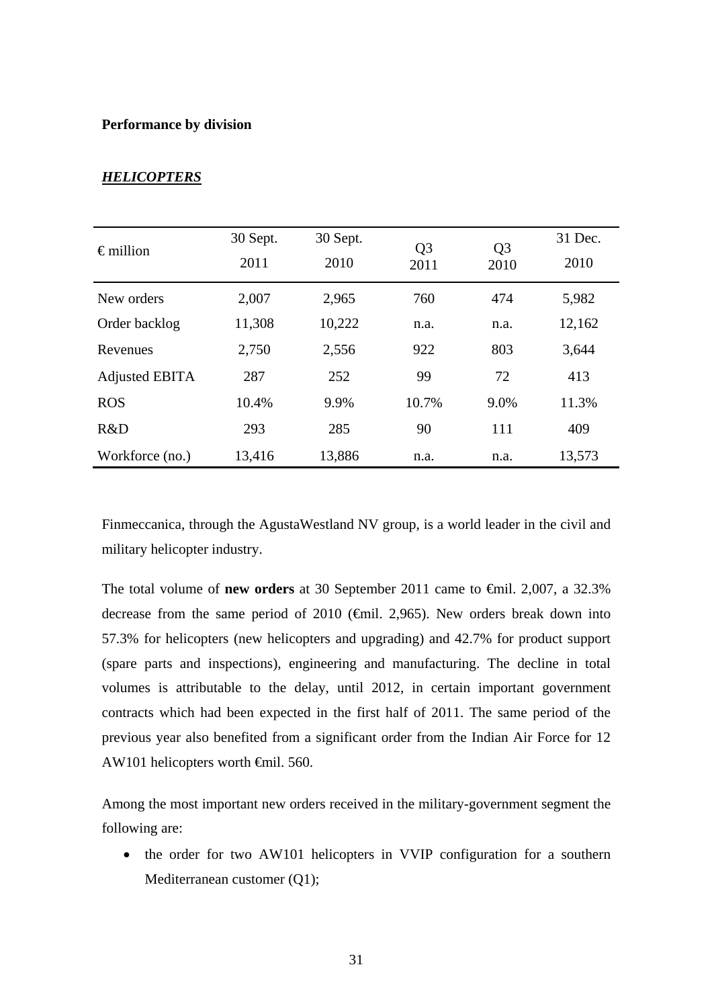## **Performance by division**

| $\epsilon$ million    | 30 Sept.<br>2011 | 30 Sept.<br>2010 | Q <sub>3</sub><br>2011 | Q <sub>3</sub><br>2010 | 31 Dec.<br>2010 |
|-----------------------|------------------|------------------|------------------------|------------------------|-----------------|
| New orders            | 2,007            | 2,965            | 760                    | 474                    | 5,982           |
| Order backlog         | 11,308           | 10,222           | n.a.                   | n.a.                   | 12,162          |
| Revenues              | 2,750            | 2,556            | 922                    | 803                    | 3,644           |
| <b>Adjusted EBITA</b> | 287              | 252              | 99                     | 72                     | 413             |
| <b>ROS</b>            | 10.4%            | 9.9%             | 10.7%                  | 9.0%                   | 11.3%           |
| R&D                   | 293              | 285              | 90                     | 111                    | 409             |
| Workforce (no.)       | 13,416           | 13,886           | n.a.                   | n.a.                   | 13,573          |

## *HELICOPTERS*

Finmeccanica, through the AgustaWestland NV group, is a world leader in the civil and military helicopter industry.

The total volume of **new orders** at 30 September 2011 came to €mil. 2,007, a 32.3% decrease from the same period of 2010 ( $\bigoplus$  finil. 2,965). New orders break down into 57.3% for helicopters (new helicopters and upgrading) and 42.7% for product support (spare parts and inspections), engineering and manufacturing. The decline in total volumes is attributable to the delay, until 2012, in certain important government contracts which had been expected in the first half of 2011. The same period of the previous year also benefited from a significant order from the Indian Air Force for 12 AW101 helicopters worth €mil. 560.

Among the most important new orders received in the military-government segment the following are:

• the order for two AW101 helicopters in VVIP configuration for a southern Mediterranean customer (Q1);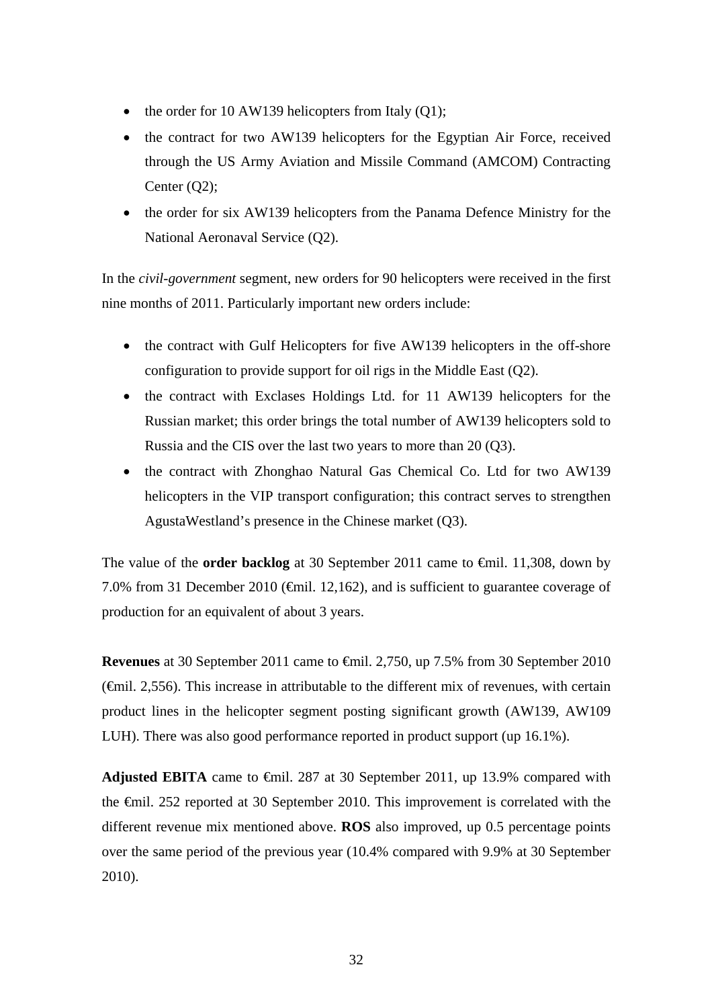- the order for 10 AW139 helicopters from Italy  $(Q1)$ ;
- the contract for two AW139 helicopters for the Egyptian Air Force, received through the US Army Aviation and Missile Command (AMCOM) Contracting Center (Q2);
- the order for six AW139 helicopters from the Panama Defence Ministry for the National Aeronaval Service (Q2).

In the *civil-government* segment, new orders for 90 helicopters were received in the first nine months of 2011. Particularly important new orders include:

- the contract with Gulf Helicopters for five AW139 helicopters in the off-shore configuration to provide support for oil rigs in the Middle East (Q2).
- the contract with Exclases Holdings Ltd. for 11 AW139 helicopters for the Russian market; this order brings the total number of AW139 helicopters sold to Russia and the CIS over the last two years to more than 20 (Q3).
- the contract with Zhonghao Natural Gas Chemical Co. Ltd for two AW139 helicopters in the VIP transport configuration; this contract serves to strengthen AgustaWestland's presence in the Chinese market (Q3).

The value of the **order backlog** at 30 September 2011 came to <del>€mil</del>. 11,308, down by 7.0% from 31 December 2010 ( $\epsilon$ mil. 12,162), and is sufficient to guarantee coverage of production for an equivalent of about 3 years.

**Revenues** at 30 September 2011 came to €mil. 2,750, up 7.5% from 30 September 2010 (€mil. 2,556). This increase in attributable to the different mix of revenues, with certain product lines in the helicopter segment posting significant growth (AW139, AW109 LUH). There was also good performance reported in product support (up 16.1%).

**Adjusted EBITA** came to €mil. 287 at 30 September 2011, up 13.9% compared with the €mil. 252 reported at 30 September 2010. This improvement is correlated with the different revenue mix mentioned above. **ROS** also improved, up 0.5 percentage points over the same period of the previous year (10.4% compared with 9.9% at 30 September 2010).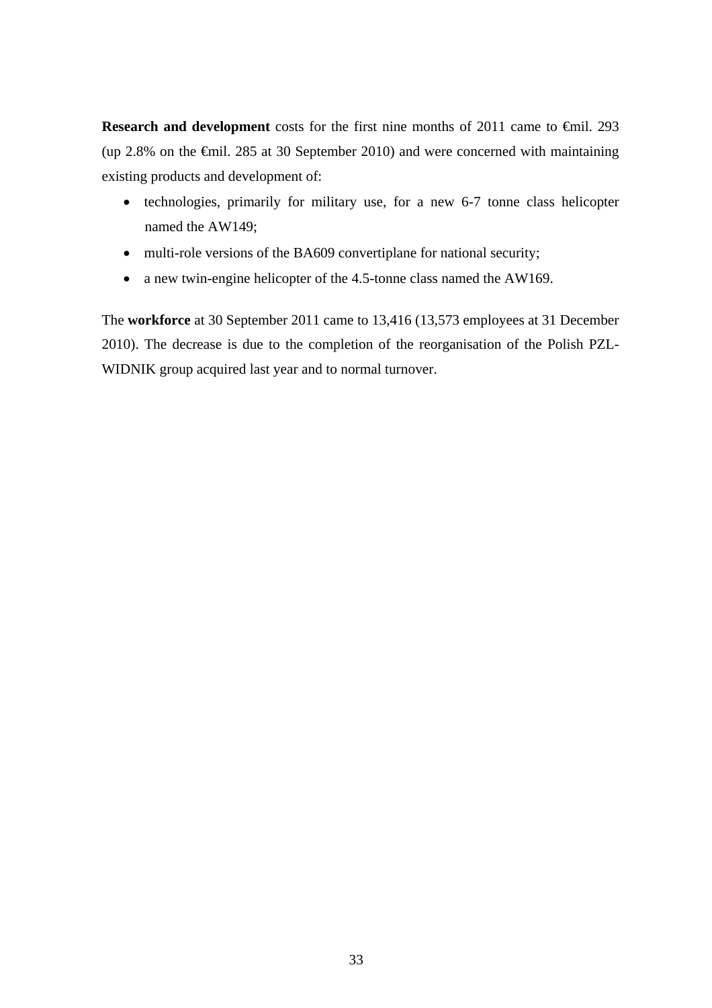**Research and development** costs for the first nine months of 2011 came to €mil. 293 (up 2.8% on the  $\epsilon$ mil. 285 at 30 September 2010) and were concerned with maintaining existing products and development of:

- technologies, primarily for military use, for a new 6-7 tonne class helicopter named the AW149;
- multi-role versions of the BA609 convertiplane for national security;
- a new twin-engine helicopter of the 4.5-tonne class named the AW169.

The **workforce** at 30 September 2011 came to 13,416 (13,573 employees at 31 December 2010). The decrease is due to the completion of the reorganisation of the Polish PZL-WIDNIK group acquired last year and to normal turnover.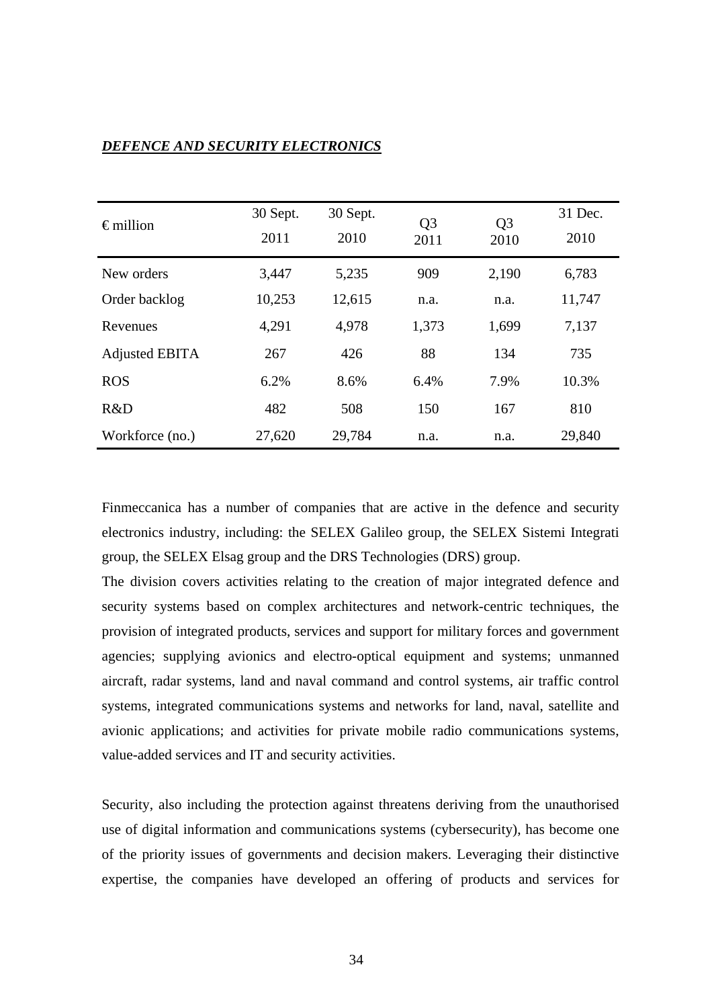## *DEFENCE AND SECURITY ELECTRONICS*

| $\epsilon$ million    | 30 Sept.<br>2011 | 30 Sept.<br>2010 | Q <sub>3</sub><br>2011 | Q <sub>3</sub><br>2010 | 31 Dec.<br>2010 |
|-----------------------|------------------|------------------|------------------------|------------------------|-----------------|
| New orders            | 3,447            | 5,235            | 909                    | 2,190                  | 6,783           |
| Order backlog         | 10,253           | 12,615           | n.a.                   | n.a.                   | 11,747          |
| Revenues              | 4,291            | 4,978            | 1,373                  | 1,699                  | 7,137           |
| <b>Adjusted EBITA</b> | 267              | 426              | 88                     | 134                    | 735             |
| <b>ROS</b>            | 6.2%             | 8.6%             | 6.4%                   | 7.9%                   | 10.3%           |
| R&D                   | 482              | 508              | 150                    | 167                    | 810             |
| Workforce (no.)       | 27,620           | 29,784           | n.a.                   | n.a.                   | 29,840          |

Finmeccanica has a number of companies that are active in the defence and security electronics industry, including: the SELEX Galileo group, the SELEX Sistemi Integrati group, the SELEX Elsag group and the DRS Technologies (DRS) group.

The division covers activities relating to the creation of major integrated defence and security systems based on complex architectures and network-centric techniques, the provision of integrated products, services and support for military forces and government agencies; supplying avionics and electro-optical equipment and systems; unmanned aircraft, radar systems, land and naval command and control systems, air traffic control systems, integrated communications systems and networks for land, naval, satellite and avionic applications; and activities for private mobile radio communications systems, value-added services and IT and security activities.

Security, also including the protection against threatens deriving from the unauthorised use of digital information and communications systems (cybersecurity), has become one of the priority issues of governments and decision makers. Leveraging their distinctive expertise, the companies have developed an offering of products and services for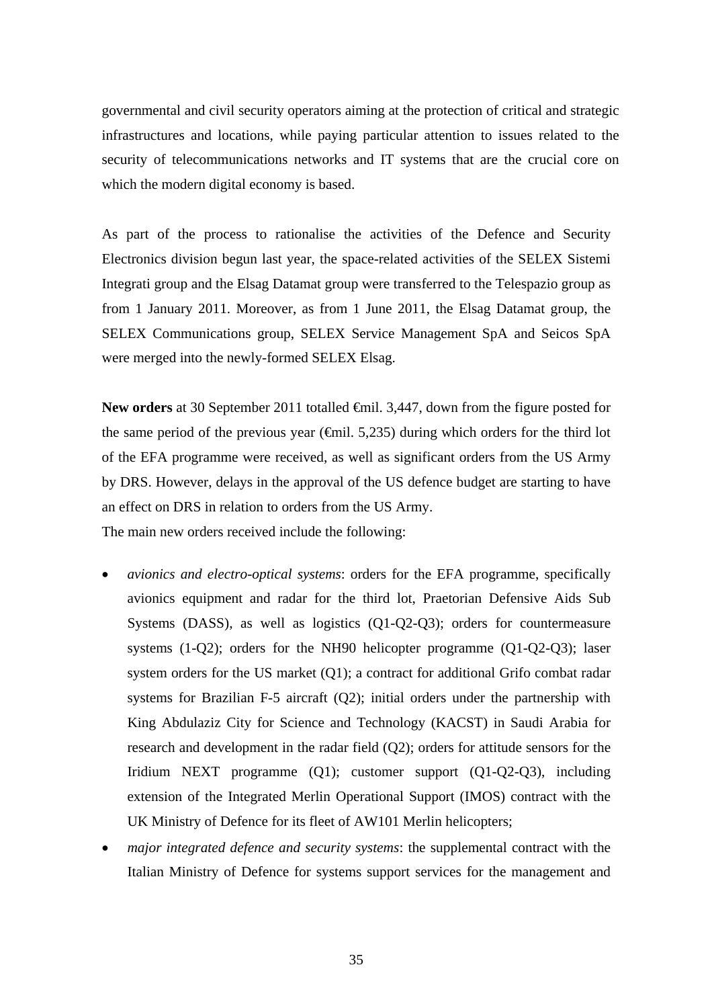governmental and civil security operators aiming at the protection of critical and strategic infrastructures and locations, while paying particular attention to issues related to the security of telecommunications networks and IT systems that are the crucial core on which the modern digital economy is based.

As part of the process to rationalise the activities of the Defence and Security Electronics division begun last year, the space-related activities of the SELEX Sistemi Integrati group and the Elsag Datamat group were transferred to the Telespazio group as from 1 January 2011. Moreover, as from 1 June 2011, the Elsag Datamat group, the SELEX Communications group, SELEX Service Management SpA and Seicos SpA were merged into the newly-formed SELEX Elsag.

New orders at 30 September 2011 totalled <del>€</del>mil. 3,447, down from the figure posted for the same period of the previous year ( $\epsilon$ mil. 5,235) during which orders for the third lot of the EFA programme were received, as well as significant orders from the US Army by DRS. However, delays in the approval of the US defence budget are starting to have an effect on DRS in relation to orders from the US Army. The main new orders received include the following:

- *avionics and electro-optical systems*: orders for the EFA programme, specifically avionics equipment and radar for the third lot, Praetorian Defensive Aids Sub Systems (DASS), as well as logistics (Q1-Q2-Q3); orders for countermeasure systems (1-Q2); orders for the NH90 helicopter programme (Q1-Q2-Q3); laser system orders for the US market (Q1); a contract for additional Grifo combat radar systems for Brazilian F-5 aircraft (Q2); initial orders under the partnership with King Abdulaziz City for Science and Technology (KACST) in Saudi Arabia for research and development in the radar field (Q2); orders for attitude sensors for the Iridium NEXT programme (Q1); customer support (Q1-Q2-Q3), including extension of the Integrated Merlin Operational Support (IMOS) contract with the UK Ministry of Defence for its fleet of AW101 Merlin helicopters;
- *major integrated defence and security systems*: the supplemental contract with the Italian Ministry of Defence for systems support services for the management and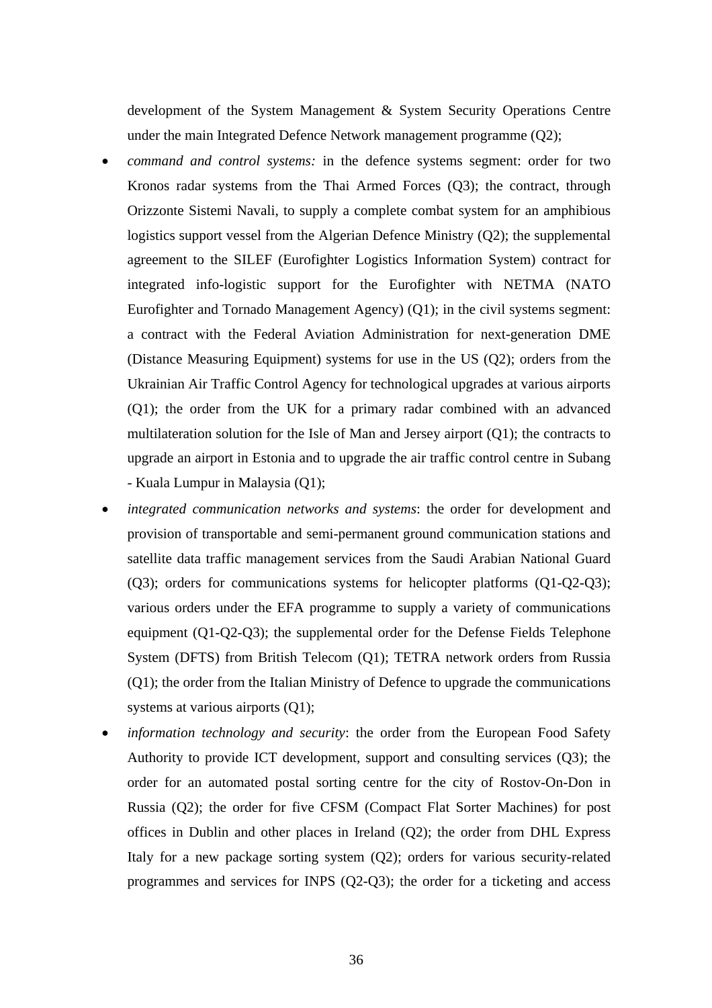development of the System Management & System Security Operations Centre under the main Integrated Defence Network management programme (Q2);

- *command and control systems:* in the defence systems segment: order for two Kronos radar systems from the Thai Armed Forces (Q3); the contract, through Orizzonte Sistemi Navali, to supply a complete combat system for an amphibious logistics support vessel from the Algerian Defence Ministry (Q2); the supplemental agreement to the SILEF (Eurofighter Logistics Information System) contract for integrated info-logistic support for the Eurofighter with NETMA (NATO Eurofighter and Tornado Management Agency) (Q1); in the civil systems segment: a contract with the Federal Aviation Administration for next-generation DME (Distance Measuring Equipment) systems for use in the US (Q2); orders from the Ukrainian Air Traffic Control Agency for technological upgrades at various airports (Q1); the order from the UK for a primary radar combined with an advanced multilateration solution for the Isle of Man and Jersey airport (Q1); the contracts to upgrade an airport in Estonia and to upgrade the air traffic control centre in Subang - Kuala Lumpur in Malaysia (Q1);
- *integrated communication networks and systems*: the order for development and provision of transportable and semi-permanent ground communication stations and satellite data traffic management services from the Saudi Arabian National Guard (Q3); orders for communications systems for helicopter platforms (Q1-Q2-Q3); various orders under the EFA programme to supply a variety of communications equipment (Q1-Q2-Q3); the supplemental order for the Defense Fields Telephone System (DFTS) from British Telecom (Q1); TETRA network orders from Russia (Q1); the order from the Italian Ministry of Defence to upgrade the communications systems at various airports (Q1);
- *information technology and security*: the order from the European Food Safety Authority to provide ICT development, support and consulting services (Q3); the order for an automated postal sorting centre for the city of Rostov-On-Don in Russia (Q2); the order for five CFSM (Compact Flat Sorter Machines) for post offices in Dublin and other places in Ireland (Q2); the order from DHL Express Italy for a new package sorting system (Q2); orders for various security-related programmes and services for INPS (Q2-Q3); the order for a ticketing and access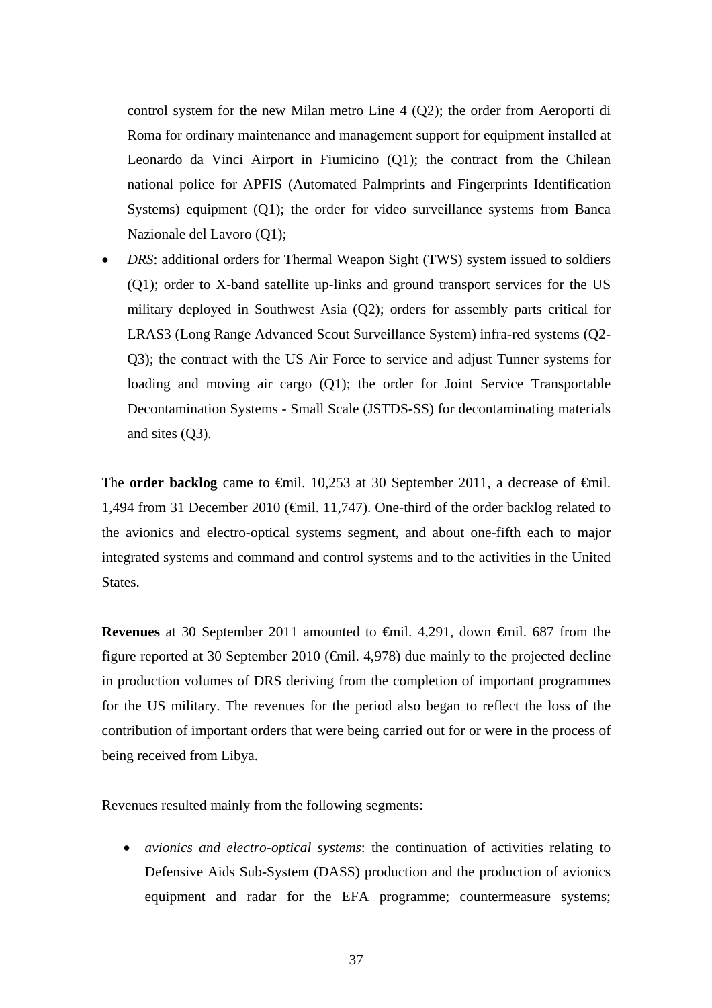control system for the new Milan metro Line 4 (Q2); the order from Aeroporti di Roma for ordinary maintenance and management support for equipment installed at Leonardo da Vinci Airport in Fiumicino (Q1); the contract from the Chilean national police for APFIS (Automated Palmprints and Fingerprints Identification Systems) equipment (Q1); the order for video surveillance systems from Banca Nazionale del Lavoro (Q1);

 *DRS*: additional orders for Thermal Weapon Sight (TWS) system issued to soldiers (Q1); order to X-band satellite up-links and ground transport services for the US military deployed in Southwest Asia (Q2); orders for assembly parts critical for LRAS3 (Long Range Advanced Scout Surveillance System) infra-red systems (Q2- Q3); the contract with the US Air Force to service and adjust Tunner systems for loading and moving air cargo (Q1); the order for Joint Service Transportable Decontamination Systems - Small Scale (JSTDS-SS) for decontaminating materials and sites (Q3).

The **order backlog** came to  $\theta$ mil. 10,253 at 30 September 2011, a decrease of  $\theta$ mil. 1,494 from 31 December 2010 (€mil. 11,747). One-third of the order backlog related to the avionics and electro-optical systems segment, and about one-fifth each to major integrated systems and command and control systems and to the activities in the United States.

**Revenues** at 30 September 2011 amounted to €mil. 4,291, down €mil. 687 from the figure reported at 30 September 2010 ( $\epsilon$ mil. 4,978) due mainly to the projected decline in production volumes of DRS deriving from the completion of important programmes for the US military. The revenues for the period also began to reflect the loss of the contribution of important orders that were being carried out for or were in the process of being received from Libya.

Revenues resulted mainly from the following segments:

 *avionics and electro-optical systems*: the continuation of activities relating to Defensive Aids Sub-System (DASS) production and the production of avionics equipment and radar for the EFA programme; countermeasure systems;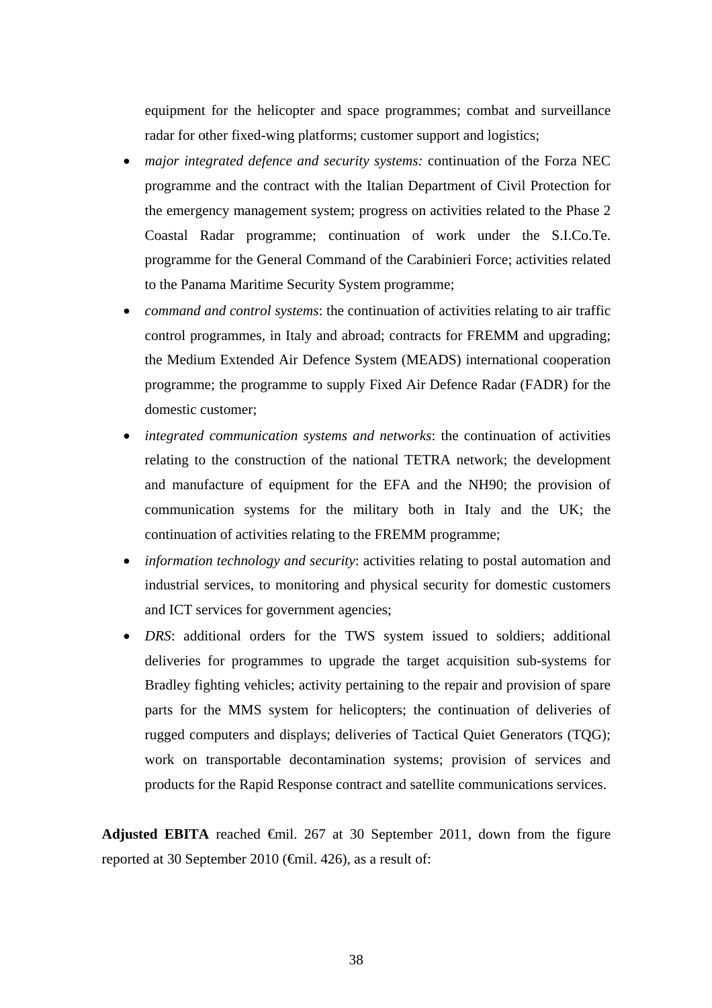equipment for the helicopter and space programmes; combat and surveillance radar for other fixed-wing platforms; customer support and logistics;

- *major integrated defence and security systems:* continuation of the Forza NEC programme and the contract with the Italian Department of Civil Protection for the emergency management system; progress on activities related to the Phase 2 Coastal Radar programme; continuation of work under the S.I.Co.Te. programme for the General Command of the Carabinieri Force; activities related to the Panama Maritime Security System programme;
- *command and control systems*: the continuation of activities relating to air traffic control programmes, in Italy and abroad; contracts for FREMM and upgrading; the Medium Extended Air Defence System (MEADS) international cooperation programme; the programme to supply Fixed Air Defence Radar (FADR) for the domestic customer;
- *integrated communication systems and networks*: the continuation of activities relating to the construction of the national TETRA network; the development and manufacture of equipment for the EFA and the NH90; the provision of communication systems for the military both in Italy and the UK; the continuation of activities relating to the FREMM programme;
- *information technology and security*: activities relating to postal automation and industrial services, to monitoring and physical security for domestic customers and ICT services for government agencies;
- *DRS*: additional orders for the TWS system issued to soldiers; additional deliveries for programmes to upgrade the target acquisition sub-systems for Bradley fighting vehicles; activity pertaining to the repair and provision of spare parts for the MMS system for helicopters; the continuation of deliveries of rugged computers and displays; deliveries of Tactical Quiet Generators (TQG); work on transportable decontamination systems; provision of services and products for the Rapid Response contract and satellite communications services.

**Adjusted EBITA** reached  $\oplus$ mil. 267 at 30 September 2011, down from the figure reported at 30 September 2010 (€mil. 426), as a result of: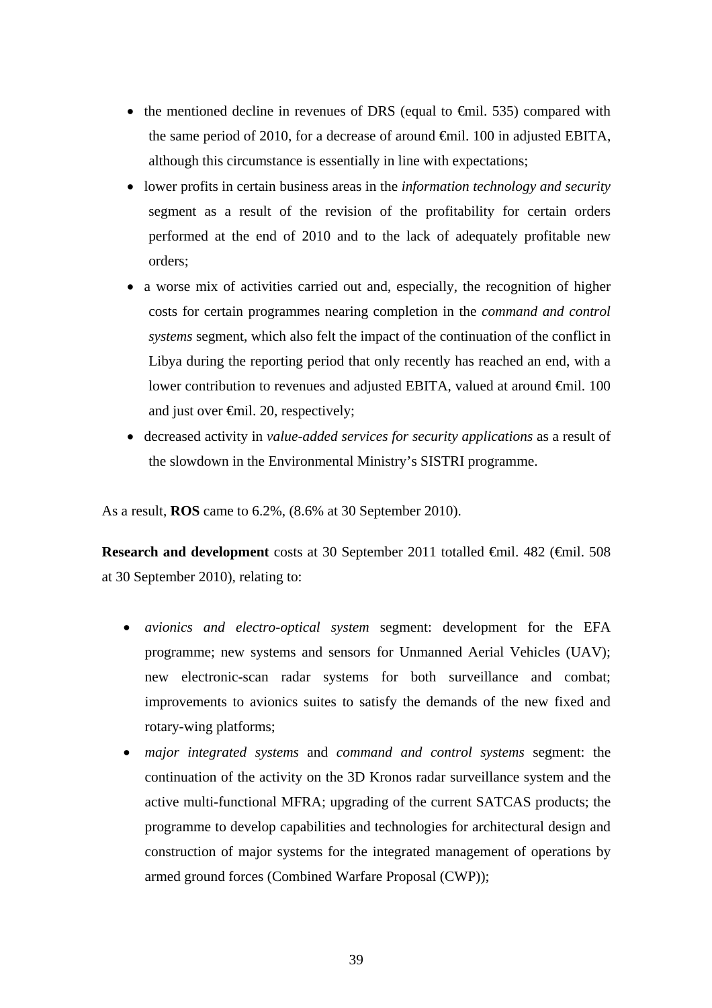- the mentioned decline in revenues of DRS (equal to  $\epsilon$ mil. 535) compared with the same period of 2010, for a decrease of around €mil. 100 in adjusted EBITA, although this circumstance is essentially in line with expectations;
- lower profits in certain business areas in the *information technology and security*  segment as a result of the revision of the profitability for certain orders performed at the end of 2010 and to the lack of adequately profitable new orders;
- a worse mix of activities carried out and, especially, the recognition of higher costs for certain programmes nearing completion in the *command and control systems* segment, which also felt the impact of the continuation of the conflict in Libya during the reporting period that only recently has reached an end, with a lower contribution to revenues and adjusted EBITA, valued at around €mil. 100 and just over €mil. 20, respectively;
- decreased activity in *value-added services for security applications* as a result of the slowdown in the Environmental Ministry's SISTRI programme.

As a result, **ROS** came to 6.2%, (8.6% at 30 September 2010).

**Research and development** costs at 30 September 2011 totalled €mil. 482 (€mil. 508 at 30 September 2010), relating to:

- *avionics and electro-optical system* segment: development for the EFA programme; new systems and sensors for Unmanned Aerial Vehicles (UAV); new electronic-scan radar systems for both surveillance and combat; improvements to avionics suites to satisfy the demands of the new fixed and rotary-wing platforms;
- *major integrated systems* and *command and control systems* segment: the continuation of the activity on the 3D Kronos radar surveillance system and the active multi-functional MFRA; upgrading of the current SATCAS products; the programme to develop capabilities and technologies for architectural design and construction of major systems for the integrated management of operations by armed ground forces (Combined Warfare Proposal (CWP));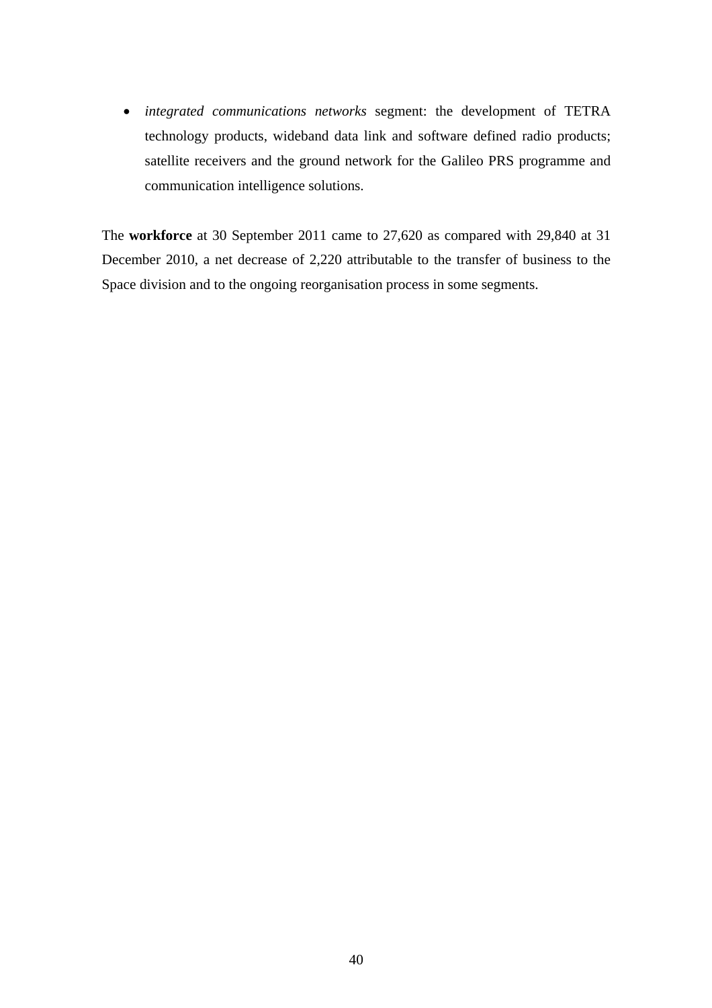*integrated communications networks* segment: the development of TETRA technology products, wideband data link and software defined radio products; satellite receivers and the ground network for the Galileo PRS programme and communication intelligence solutions.

The **workforce** at 30 September 2011 came to 27,620 as compared with 29,840 at 31 December 2010, a net decrease of 2,220 attributable to the transfer of business to the Space division and to the ongoing reorganisation process in some segments.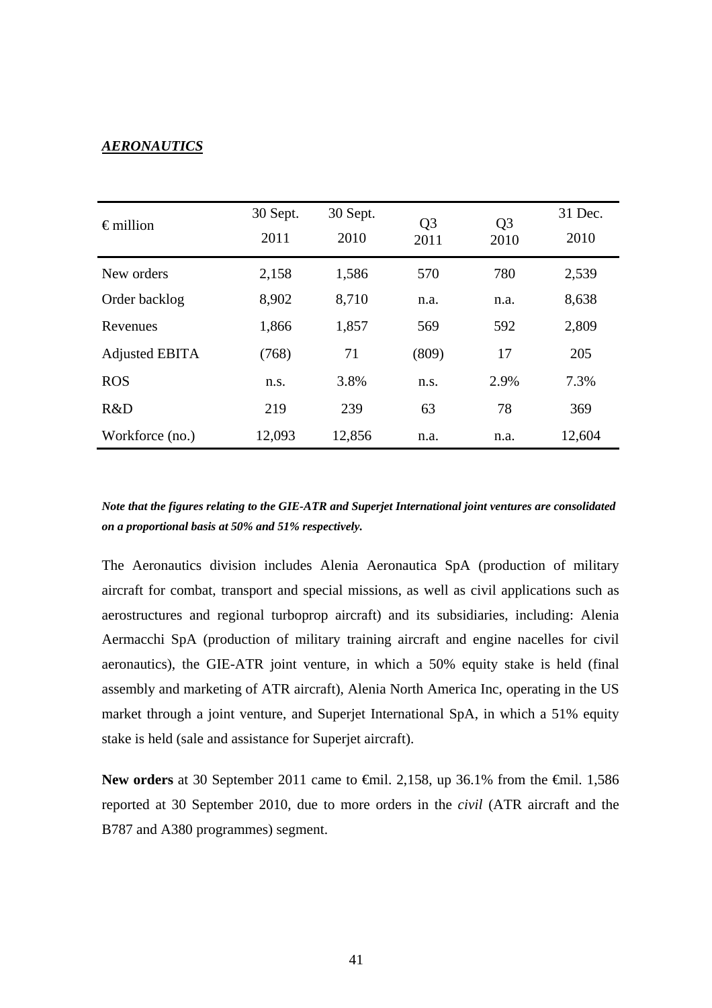## *AERONAUTICS*

| $\epsilon$ million | 30 Sept.     | 30 Sept. | Q <sub>3</sub> | Q <sub>3</sub> | 31 Dec. |
|--------------------|--------------|----------|----------------|----------------|---------|
|                    | 2011<br>2010 |          | 2011           | 2010           | 2010    |
| New orders         | 2,158        | 1,586    | 570            | 780            | 2,539   |
| Order backlog      | 8,902        | 8,710    | n.a.           | n.a.           | 8,638   |
| Revenues           | 1,866        | 1,857    | 569            | 592            | 2,809   |
| Adjusted EBITA     | (768)        | 71       | (809)          | 17             | 205     |
| <b>ROS</b>         | n.s.         | 3.8%     | n.s.           | 2.9%           | 7.3%    |
| R&D                | 219          | 239      | 63             | 78             | 369     |
| Workforce (no.)    | 12,093       | 12,856   | n.a.           | n.a.           | 12,604  |

*Note that the figures relating to the GIE-ATR and Superjet International joint ventures are consolidated on a proportional basis at 50% and 51% respectively.*

The Aeronautics division includes Alenia Aeronautica SpA (production of military aircraft for combat, transport and special missions, as well as civil applications such as aerostructures and regional turboprop aircraft) and its subsidiaries, including: Alenia Aermacchi SpA (production of military training aircraft and engine nacelles for civil aeronautics), the GIE-ATR joint venture, in which a 50% equity stake is held (final assembly and marketing of ATR aircraft), Alenia North America Inc, operating in the US market through a joint venture, and Superjet International SpA, in which a 51% equity stake is held (sale and assistance for Superjet aircraft).

New orders at 30 September 2011 came to <del>€</del>mil. 2,158, up 36.1% from the <del>€</del>mil. 1,586 reported at 30 September 2010, due to more orders in the *civil* (ATR aircraft and the B787 and A380 programmes) segment.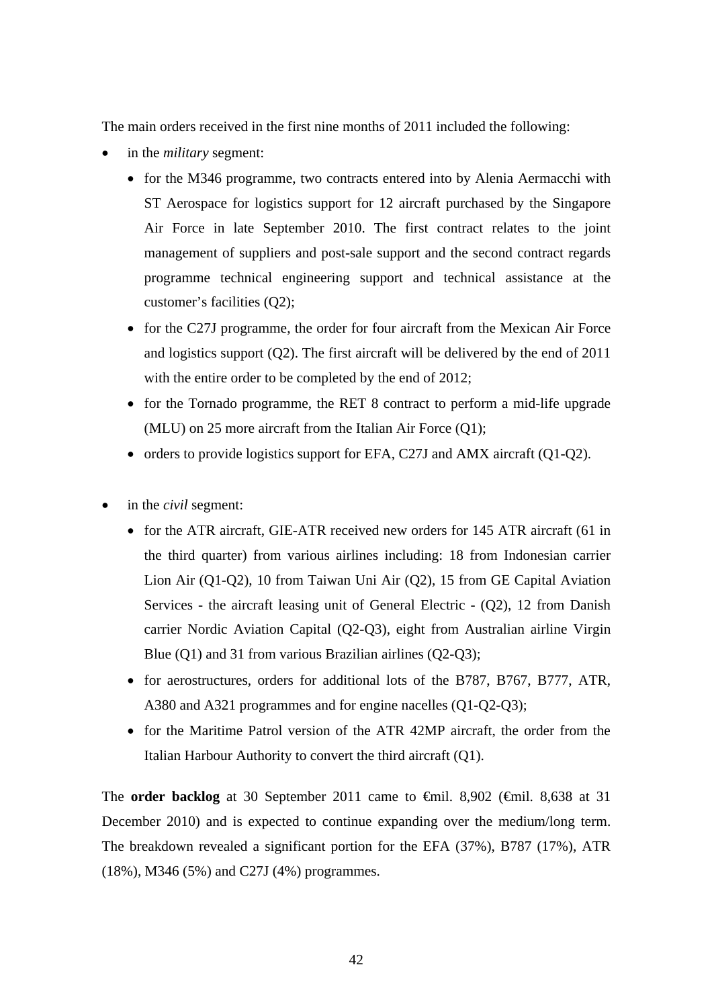The main orders received in the first nine months of 2011 included the following:

- in the *military* segment:
	- for the M346 programme, two contracts entered into by Alenia Aermacchi with ST Aerospace for logistics support for 12 aircraft purchased by the Singapore Air Force in late September 2010. The first contract relates to the joint management of suppliers and post-sale support and the second contract regards programme technical engineering support and technical assistance at the customer's facilities (Q2);
	- for the C27J programme, the order for four aircraft from the Mexican Air Force and logistics support (Q2). The first aircraft will be delivered by the end of 2011 with the entire order to be completed by the end of 2012;
	- for the Tornado programme, the RET 8 contract to perform a mid-life upgrade (MLU) on 25 more aircraft from the Italian Air Force (Q1);
	- orders to provide logistics support for EFA, C27J and AMX aircraft  $(O1-O2)$ .
- in the *civil* segment:
	- for the ATR aircraft, GIE-ATR received new orders for 145 ATR aircraft (61 in the third quarter) from various airlines including: 18 from Indonesian carrier Lion Air (Q1-Q2), 10 from Taiwan Uni Air (Q2), 15 from GE Capital Aviation Services - the aircraft leasing unit of General Electric - (Q2), 12 from Danish carrier Nordic Aviation Capital (Q2-Q3), eight from Australian airline Virgin Blue (Q1) and 31 from various Brazilian airlines (Q2-Q3);
	- for aerostructures, orders for additional lots of the B787, B767, B777, ATR, A380 and A321 programmes and for engine nacelles (Q1-Q2-Q3);
	- for the Maritime Patrol version of the ATR 42MP aircraft, the order from the Italian Harbour Authority to convert the third aircraft (Q1).

The **order backlog** at 30 September 2011 came to €mil. 8,902 (€mil. 8,638 at 31 December 2010) and is expected to continue expanding over the medium/long term. The breakdown revealed a significant portion for the EFA (37%), B787 (17%), ATR (18%), M346 (5%) and C27J (4%) programmes.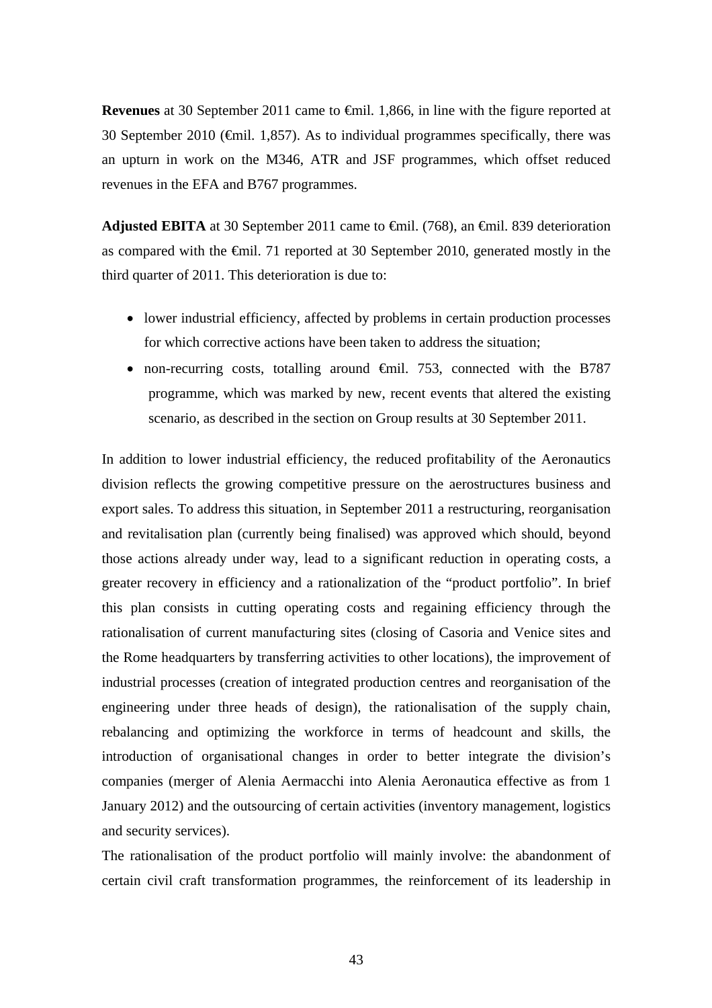**Revenues** at 30 September 2011 came to €mil. 1,866, in line with the figure reported at 30 September 2010 ( $\epsilon$ mil. 1,857). As to individual programmes specifically, there was an upturn in work on the M346, ATR and JSF programmes, which offset reduced revenues in the EFA and B767 programmes.

**Adjusted EBITA** at 30 September 2011 came to €mil. (768), an €mil. 839 deterioration as compared with the €mil. 71 reported at 30 September 2010, generated mostly in the third quarter of 2011. This deterioration is due to:

- lower industrial efficiency, affected by problems in certain production processes for which corrective actions have been taken to address the situation;
- non-recurring costs, totalling around €mil. 753, connected with the B787 programme, which was marked by new, recent events that altered the existing scenario, as described in the section on Group results at 30 September 2011.

In addition to lower industrial efficiency, the reduced profitability of the Aeronautics division reflects the growing competitive pressure on the aerostructures business and export sales. To address this situation, in September 2011 a restructuring, reorganisation and revitalisation plan (currently being finalised) was approved which should, beyond those actions already under way, lead to a significant reduction in operating costs, a greater recovery in efficiency and a rationalization of the "product portfolio". In brief this plan consists in cutting operating costs and regaining efficiency through the rationalisation of current manufacturing sites (closing of Casoria and Venice sites and the Rome headquarters by transferring activities to other locations), the improvement of industrial processes (creation of integrated production centres and reorganisation of the engineering under three heads of design), the rationalisation of the supply chain, rebalancing and optimizing the workforce in terms of headcount and skills, the introduction of organisational changes in order to better integrate the division's companies (merger of Alenia Aermacchi into Alenia Aeronautica effective as from 1 January 2012) and the outsourcing of certain activities (inventory management, logistics and security services).

The rationalisation of the product portfolio will mainly involve: the abandonment of certain civil craft transformation programmes, the reinforcement of its leadership in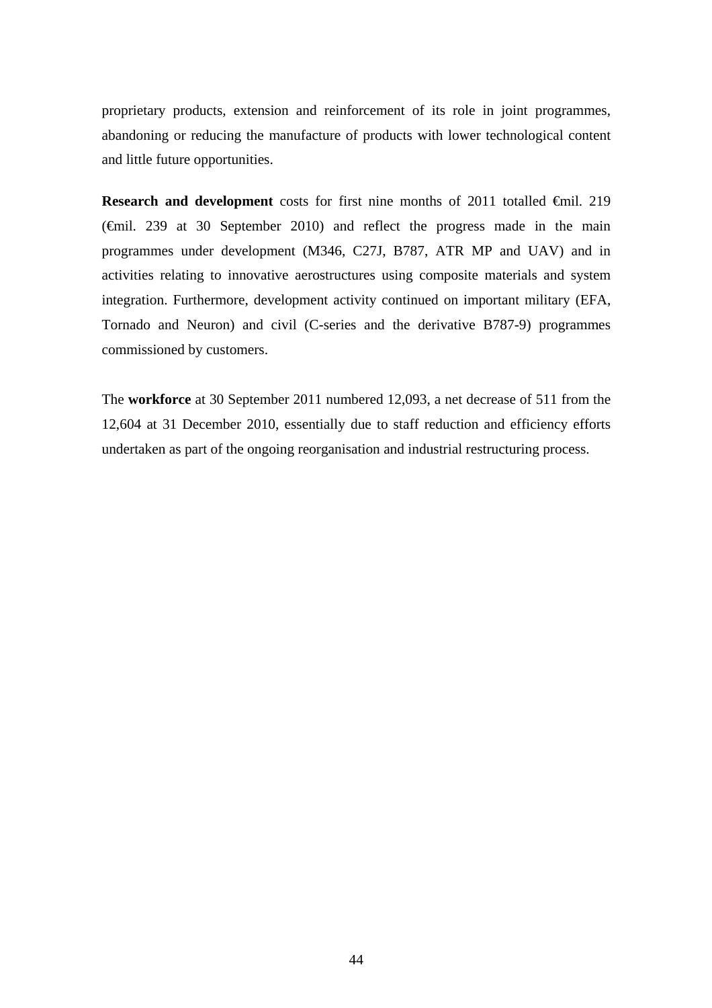proprietary products, extension and reinforcement of its role in joint programmes, abandoning or reducing the manufacture of products with lower technological content and little future opportunities.

**Research and development** costs for first nine months of 2011 totalled €mil. 219 (€mil. 239 at 30 September 2010) and reflect the progress made in the main programmes under development (M346, C27J, B787, ATR MP and UAV) and in activities relating to innovative aerostructures using composite materials and system integration. Furthermore, development activity continued on important military (EFA, Tornado and Neuron) and civil (C-series and the derivative B787-9) programmes commissioned by customers.

The **workforce** at 30 September 2011 numbered 12,093, a net decrease of 511 from the 12,604 at 31 December 2010, essentially due to staff reduction and efficiency efforts undertaken as part of the ongoing reorganisation and industrial restructuring process.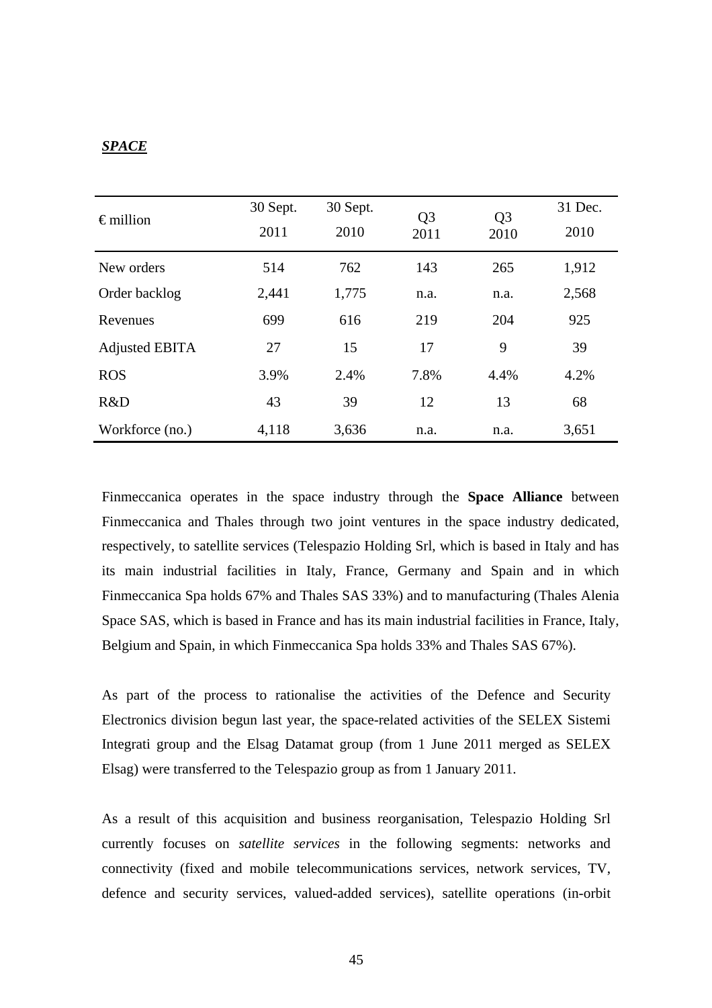## *SPACE*

| $\epsilon$ million    | 30 Sept.<br>2011 | 30 Sept.<br>2010 | Q <sub>3</sub><br>2011 | Q <sub>3</sub><br>2010 | 31 Dec.<br>2010 |
|-----------------------|------------------|------------------|------------------------|------------------------|-----------------|
| New orders            | 514              | 762              | 143                    | 265                    | 1,912           |
| Order backlog         | 2,441            | 1,775            | n.a.                   | n.a.                   | 2,568           |
| Revenues              | 699              | 616              | 219                    | 204                    | 925             |
| <b>Adjusted EBITA</b> | 27               | 15               | 17                     | 9                      | 39              |
| <b>ROS</b>            | 3.9%             | 2.4%             | 7.8%                   | 4.4%                   | 4.2%            |
| R&D                   | 43               | 39               | 12                     | 13                     | 68              |
| Workforce (no.)       | 4,118            | 3,636            | n.a.                   | n.a.                   | 3,651           |

Finmeccanica operates in the space industry through the **Space Alliance** between Finmeccanica and Thales through two joint ventures in the space industry dedicated, respectively, to satellite services (Telespazio Holding Srl, which is based in Italy and has its main industrial facilities in Italy, France, Germany and Spain and in which Finmeccanica Spa holds 67% and Thales SAS 33%) and to manufacturing (Thales Alenia Space SAS, which is based in France and has its main industrial facilities in France, Italy, Belgium and Spain, in which Finmeccanica Spa holds 33% and Thales SAS 67%).

As part of the process to rationalise the activities of the Defence and Security Electronics division begun last year, the space-related activities of the SELEX Sistemi Integrati group and the Elsag Datamat group (from 1 June 2011 merged as SELEX Elsag) were transferred to the Telespazio group as from 1 January 2011.

As a result of this acquisition and business reorganisation, Telespazio Holding Srl currently focuses on *satellite services* in the following segments: networks and connectivity (fixed and mobile telecommunications services, network services, TV, defence and security services, valued-added services), satellite operations (in-orbit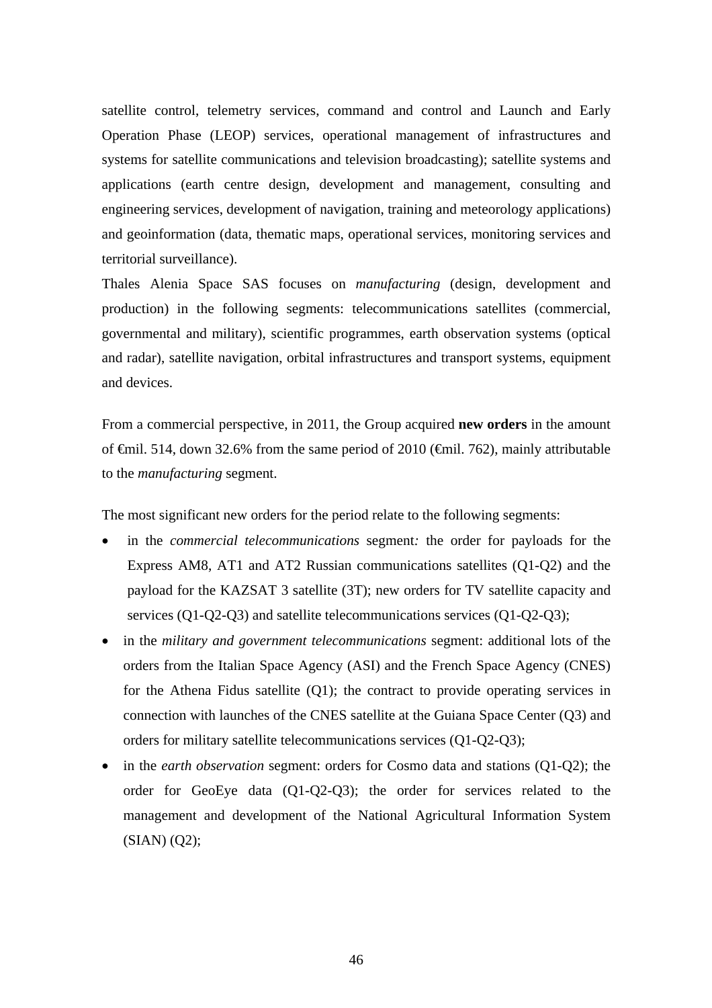satellite control, telemetry services, command and control and Launch and Early Operation Phase (LEOP) services, operational management of infrastructures and systems for satellite communications and television broadcasting); satellite systems and applications (earth centre design, development and management, consulting and engineering services, development of navigation, training and meteorology applications) and geoinformation (data, thematic maps, operational services, monitoring services and territorial surveillance).

Thales Alenia Space SAS focuses on *manufacturing* (design, development and production) in the following segments: telecommunications satellites (commercial, governmental and military), scientific programmes, earth observation systems (optical and radar), satellite navigation, orbital infrastructures and transport systems, equipment and devices.

From a commercial perspective, in 2011, the Group acquired **new orders** in the amount of €mil. 514, down 32.6% from the same period of 2010 (€mil. 762), mainly attributable to the *manufacturing* segment.

The most significant new orders for the period relate to the following segments:

- in the *commercial telecommunications* segment*:* the order for payloads for the Express AM8, AT1 and AT2 Russian communications satellites (Q1-Q2) and the payload for the KAZSAT 3 satellite (3T); new orders for TV satellite capacity and services (Q1-Q2-Q3) and satellite telecommunications services (Q1-Q2-Q3);
- in the *military and government telecommunications* segment: additional lots of the orders from the Italian Space Agency (ASI) and the French Space Agency (CNES) for the Athena Fidus satellite (Q1); the contract to provide operating services in connection with launches of the CNES satellite at the Guiana Space Center (Q3) and orders for military satellite telecommunications services (Q1-Q2-Q3);
- in the *earth observation* segment: orders for Cosmo data and stations (Q1-Q2); the order for GeoEye data (Q1-Q2-Q3); the order for services related to the management and development of the National Agricultural Information System (SIAN) (Q2);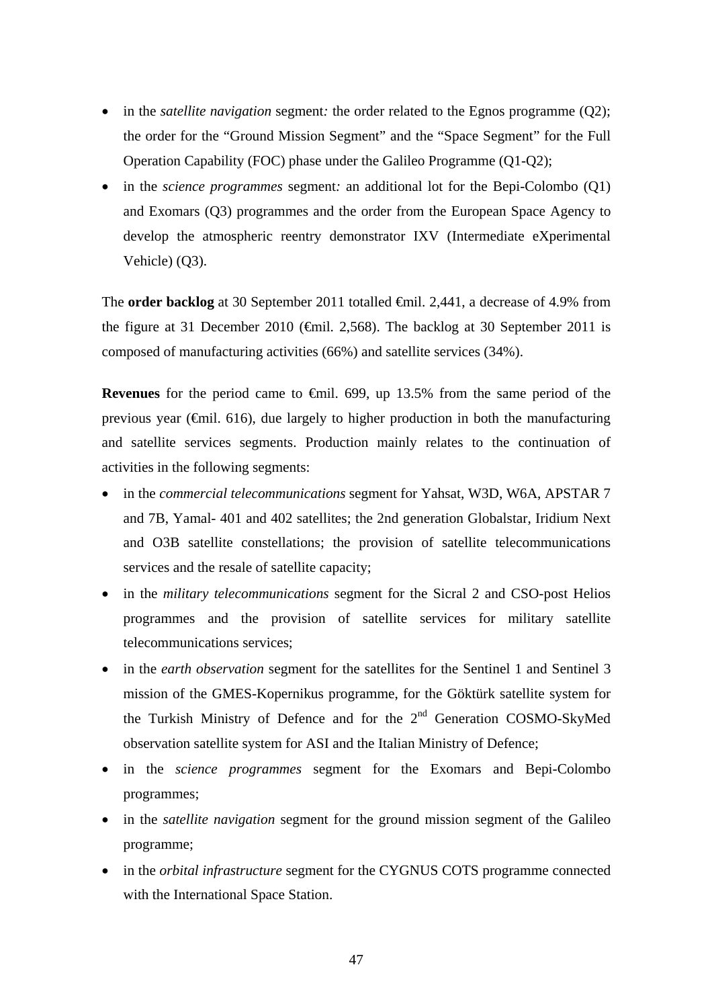- in the *satellite navigation* segment: the order related to the Egnos programme (Q2); the order for the "Ground Mission Segment" and the "Space Segment" for the Full Operation Capability (FOC) phase under the Galileo Programme (Q1-Q2);
- in the *science programmes* segment: an additional lot for the Bepi-Colombo (Q1) and Exomars (Q3) programmes and the order from the European Space Agency to develop the atmospheric reentry demonstrator IXV (Intermediate eXperimental Vehicle) (Q3).

The **order backlog** at 30 September 2011 totalled €mil. 2,441, a decrease of 4.9% from the figure at 31 December 2010 ( $\epsilon$ mil. 2,568). The backlog at 30 September 2011 is composed of manufacturing activities (66%) and satellite services (34%).

**Revenues** for the period came to €mil. 699, up 13.5% from the same period of the previous year ( $\epsilon$ mil. 616), due largely to higher production in both the manufacturing and satellite services segments. Production mainly relates to the continuation of activities in the following segments:

- in the *commercial telecommunications* segment for Yahsat, W3D, W6A, APSTAR 7 and 7B, Yamal- 401 and 402 satellites; the 2nd generation Globalstar, Iridium Next and O3B satellite constellations; the provision of satellite telecommunications services and the resale of satellite capacity;
- in the *military telecommunications* segment for the Sicral 2 and CSO-post Helios programmes and the provision of satellite services for military satellite telecommunications services;
- in the *earth observation* segment for the satellites for the Sentinel 1 and Sentinel 3 mission of the GMES-Kopernikus programme, for the Göktürk satellite system for the Turkish Ministry of Defence and for the 2<sup>nd</sup> Generation COSMO-SkyMed observation satellite system for ASI and the Italian Ministry of Defence;
- in the *science programmes* segment for the Exomars and Bepi-Colombo programmes;
- in the *satellite navigation* segment for the ground mission segment of the Galileo programme;
- in the *orbital infrastructure* segment for the CYGNUS COTS programme connected with the International Space Station.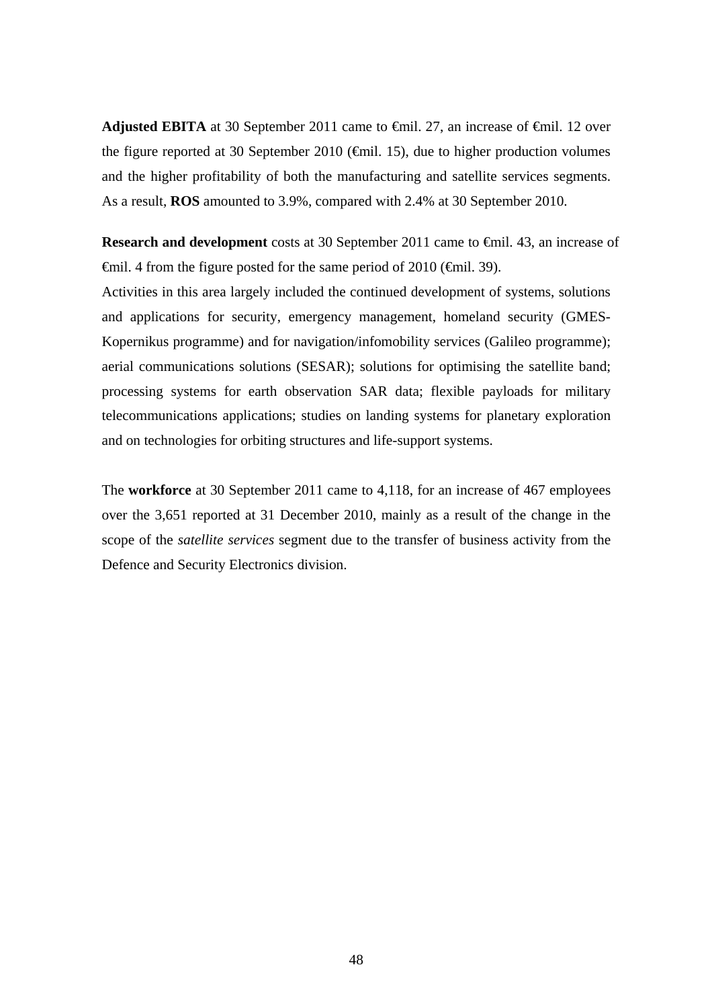**Adjusted EBITA** at 30 September 2011 came to  $\theta$ mil. 27, an increase of  $\theta$ mil. 12 over the figure reported at 30 September 2010 ( $\bigoplus$  fil. 15), due to higher production volumes and the higher profitability of both the manufacturing and satellite services segments. As a result, **ROS** amounted to 3.9%, compared with 2.4% at 30 September 2010.

**Research and development** costs at 30 September 2011 came to €mil. 43, an increase of  $\theta$ mil. 4 from the figure posted for the same period of 2010 ( $\theta$ mil. 39).

Activities in this area largely included the continued development of systems, solutions and applications for security, emergency management, homeland security (GMES-Kopernikus programme) and for navigation/infomobility services (Galileo programme); aerial communications solutions (SESAR); solutions for optimising the satellite band; processing systems for earth observation SAR data; flexible payloads for military telecommunications applications; studies on landing systems for planetary exploration and on technologies for orbiting structures and life-support systems.

The **workforce** at 30 September 2011 came to 4,118, for an increase of 467 employees over the 3,651 reported at 31 December 2010, mainly as a result of the change in the scope of the *satellite services* segment due to the transfer of business activity from the Defence and Security Electronics division.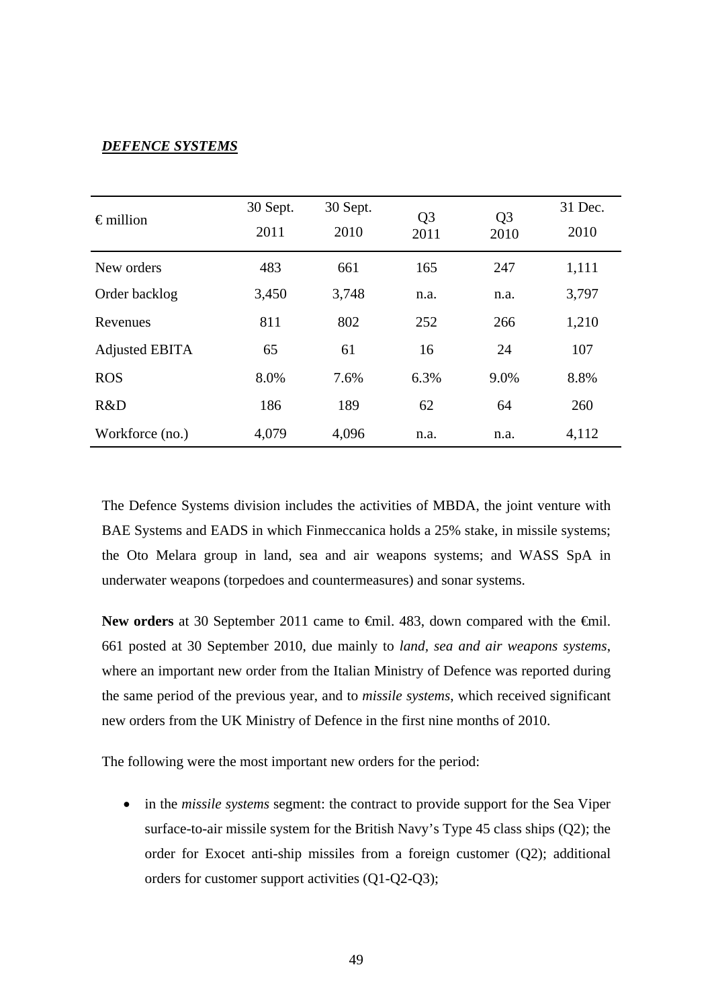## *DEFENCE SYSTEMS*

| $\epsilon$ million    | 30 Sept.<br>2011 | 30 Sept.<br>2010 | Q <sub>3</sub><br>2011 | Q <sub>3</sub><br>2010 | 31 Dec.<br>2010 |
|-----------------------|------------------|------------------|------------------------|------------------------|-----------------|
| New orders            | 483              | 661              | 165                    | 247                    | 1,111           |
| Order backlog         | 3,450            | 3,748            | n.a.                   | n.a.                   | 3,797           |
| Revenues              | 811              | 802              | 252                    | 266                    | 1,210           |
| <b>Adjusted EBITA</b> | 65               | 61               | 16                     | 24                     | 107             |
| <b>ROS</b>            | 8.0%             | 7.6%             | 6.3%                   | 9.0%                   | 8.8%            |
| R&D                   | 186              | 189              | 62                     | 64                     | 260             |
| Workforce (no.)       | 4,079            | 4,096            | n.a.                   | n.a.                   | 4,112           |

The Defence Systems division includes the activities of MBDA, the joint venture with BAE Systems and EADS in which Finmeccanica holds a 25% stake, in missile systems; the Oto Melara group in land, sea and air weapons systems; and WASS SpA in underwater weapons (torpedoes and countermeasures) and sonar systems.

New orders at 30 September 2011 came to <del>€</del>mil. 483, down compared with the <del>€</del>mil. 661 posted at 30 September 2010, due mainly to *land, sea and air weapons systems*, where an important new order from the Italian Ministry of Defence was reported during the same period of the previous year, and to *missile systems*, which received significant new orders from the UK Ministry of Defence in the first nine months of 2010.

The following were the most important new orders for the period:

 in the *missile systems* segment: the contract to provide support for the Sea Viper surface-to-air missile system for the British Navy's Type 45 class ships (Q2); the order for Exocet anti-ship missiles from a foreign customer (Q2); additional orders for customer support activities (Q1-Q2-Q3);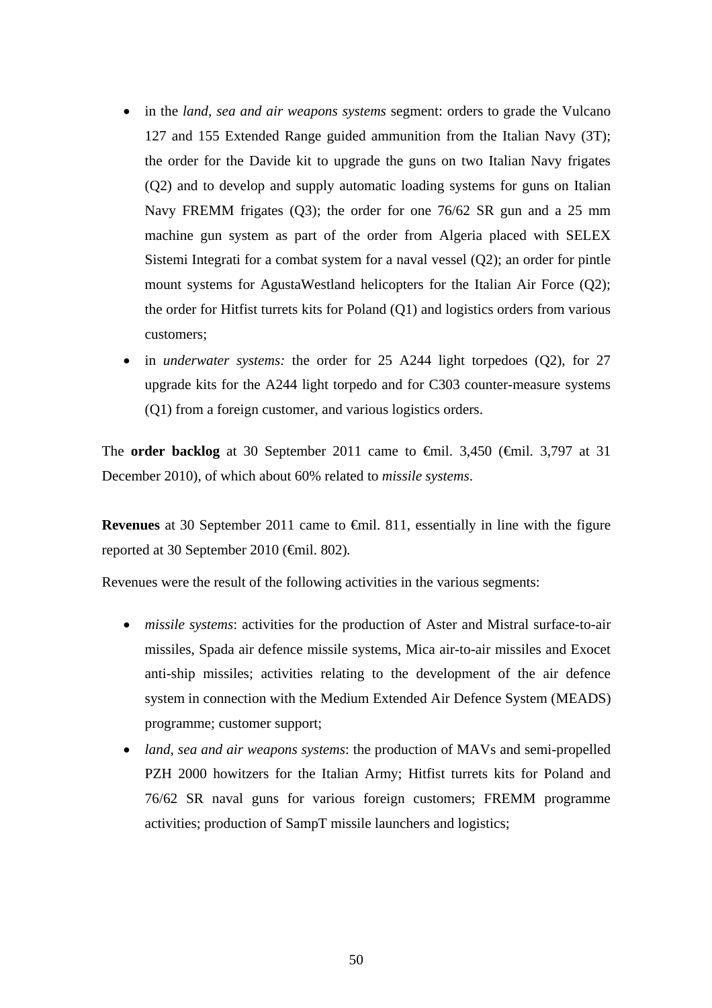- in the *land, sea and air weapons systems* segment: orders to grade the Vulcano 127 and 155 Extended Range guided ammunition from the Italian Navy (3T); the order for the Davide kit to upgrade the guns on two Italian Navy frigates (Q2) and to develop and supply automatic loading systems for guns on Italian Navy FREMM frigates (Q3); the order for one 76/62 SR gun and a 25 mm machine gun system as part of the order from Algeria placed with SELEX Sistemi Integrati for a combat system for a naval vessel (Q2); an order for pintle mount systems for AgustaWestland helicopters for the Italian Air Force (Q2); the order for Hitfist turrets kits for Poland (Q1) and logistics orders from various customers;
- in *underwater systems:* the order for 25 A244 light torpedoes (Q2), for 27 upgrade kits for the A244 light torpedo and for C303 counter-measure systems (Q1) from a foreign customer, and various logistics orders.

The **order backlog** at 30 September 2011 came to €mil. 3,450 (€mil. 3,797 at 31 December 2010), of which about 60% related to *missile systems*.

**Revenues** at 30 September 2011 came to €mil. 811, essentially in line with the figure reported at 30 September 2010 (€mil. 802)*.*

Revenues were the result of the following activities in the various segments:

- *missile systems*: activities for the production of Aster and Mistral surface-to-air missiles, Spada air defence missile systems, Mica air-to-air missiles and Exocet anti-ship missiles; activities relating to the development of the air defence system in connection with the Medium Extended Air Defence System (MEADS) programme; customer support;
- *land, sea and air weapons systems*: the production of MAVs and semi-propelled PZH 2000 howitzers for the Italian Army; Hitfist turrets kits for Poland and 76/62 SR naval guns for various foreign customers; FREMM programme activities; production of SampT missile launchers and logistics;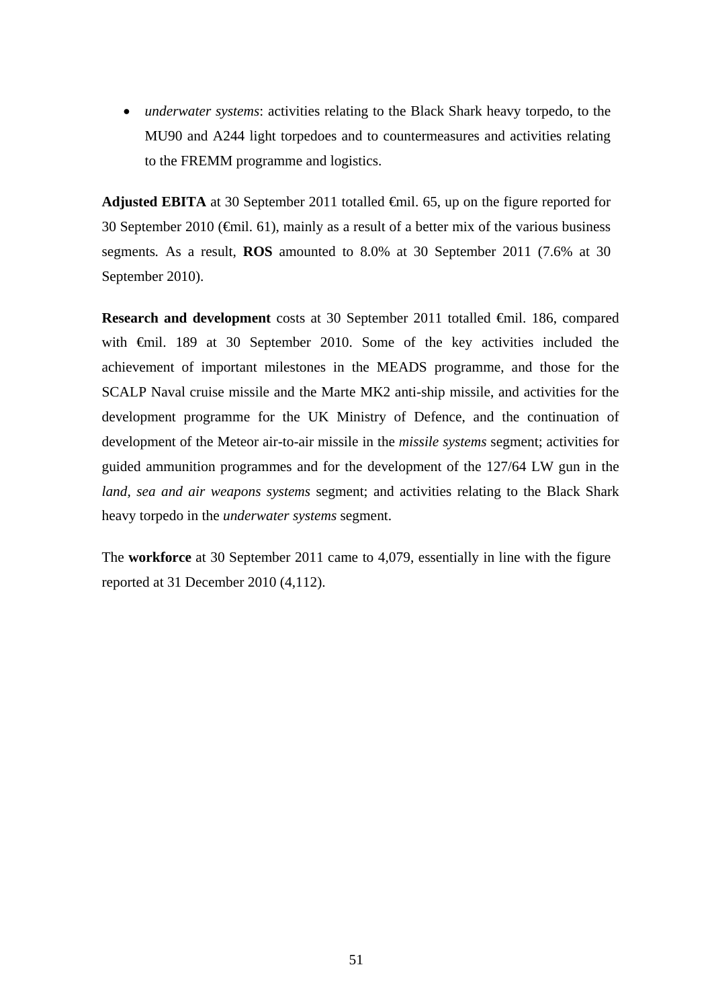*underwater systems*: activities relating to the Black Shark heavy torpedo, to the MU90 and A244 light torpedoes and to countermeasures and activities relating to the FREMM programme and logistics.

**Adjusted EBITA** at 30 September 2011 totalled €mil. 65, up on the figure reported for 30 September 2010 ( $\epsilon$ mil. 61), mainly as a result of a better mix of the various business segments*.* As a result, **ROS** amounted to 8.0% at 30 September 2011 (7.6% at 30 September 2010).

**Research and development** costs at 30 September 2011 totalled €mil. 186, compared with €mil. 189 at 30 September 2010. Some of the key activities included the achievement of important milestones in the MEADS programme, and those for the SCALP Naval cruise missile and the Marte MK2 anti-ship missile, and activities for the development programme for the UK Ministry of Defence, and the continuation of development of the Meteor air-to-air missile in the *missile systems* segment; activities for guided ammunition programmes and for the development of the 127/64 LW gun in the *land, sea and air weapons systems* segment; and activities relating to the Black Shark heavy torpedo in the *underwater systems* segment.

The **workforce** at 30 September 2011 came to 4,079, essentially in line with the figure reported at 31 December 2010 (4,112).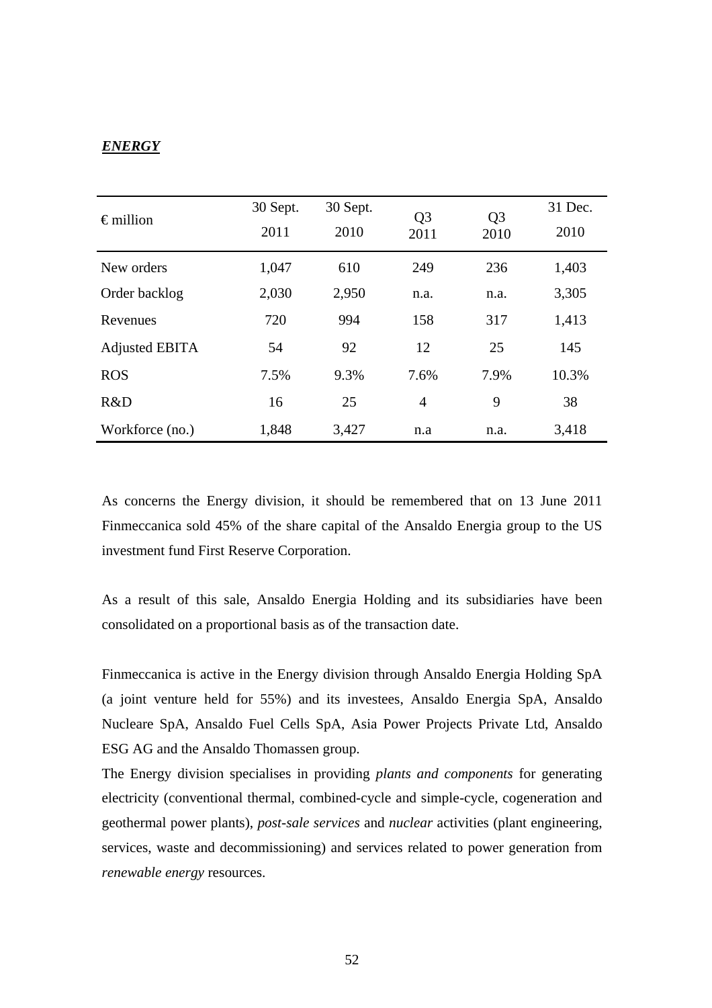# *ENERGY*

| $\epsilon$ million | 30 Sept.<br>2011 | 30 Sept.<br>2010 | Q <sub>3</sub><br>2011 | Q <sub>3</sub><br>2010 | 31 Dec.<br>2010 |
|--------------------|------------------|------------------|------------------------|------------------------|-----------------|
| New orders         | 1,047            | 610              | 249                    | 236                    | 1,403           |
| Order backlog      | 2,030            | 2,950            | n.a.                   | n.a.                   | 3,305           |
| Revenues           | 720              | 994              | 158                    | 317                    | 1,413           |
| Adjusted EBITA     | 54               | 92               | 12                     | 25                     | 145             |
| <b>ROS</b>         | 7.5%             | 9.3%             | 7.6%                   | 7.9%                   | 10.3%           |
| R&D                | 16               | 25               | $\overline{4}$         | 9                      | 38              |
| Workforce (no.)    | 1,848            | 3,427            | n.a                    | n.a.                   | 3,418           |

As concerns the Energy division, it should be remembered that on 13 June 2011 Finmeccanica sold 45% of the share capital of the Ansaldo Energia group to the US investment fund First Reserve Corporation.

As a result of this sale, Ansaldo Energia Holding and its subsidiaries have been consolidated on a proportional basis as of the transaction date.

Finmeccanica is active in the Energy division through Ansaldo Energia Holding SpA (a joint venture held for 55%) and its investees, Ansaldo Energia SpA, Ansaldo Nucleare SpA, Ansaldo Fuel Cells SpA, Asia Power Projects Private Ltd, Ansaldo ESG AG and the Ansaldo Thomassen group.

The Energy division specialises in providing *plants and components* for generating electricity (conventional thermal, combined-cycle and simple-cycle, cogeneration and geothermal power plants), *post-sale services* and *nuclear* activities (plant engineering, services, waste and decommissioning) and services related to power generation from *renewable energy* resources.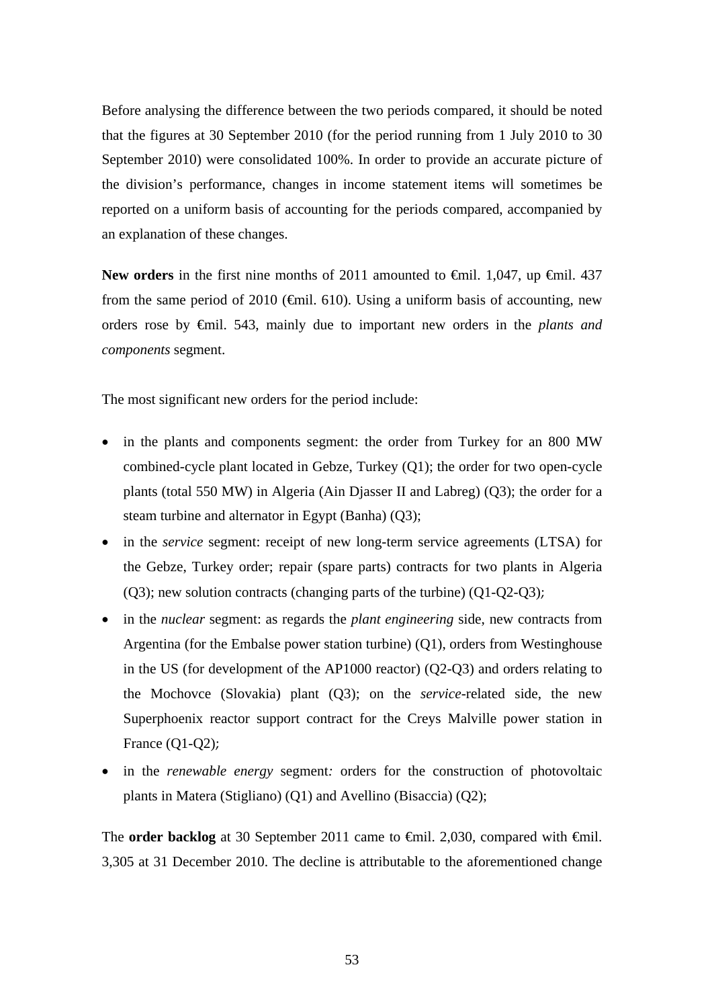Before analysing the difference between the two periods compared, it should be noted that the figures at 30 September 2010 (for the period running from 1 July 2010 to 30 September 2010) were consolidated 100%. In order to provide an accurate picture of the division's performance, changes in income statement items will sometimes be reported on a uniform basis of accounting for the periods compared, accompanied by an explanation of these changes.

New orders in the first nine months of 2011 amounted to <del>€</del>mil. 1,047, up <del>€</del>mil. 437 from the same period of 2010 ( $\bigoplus$  finil. 610). Using a uniform basis of accounting, new orders rose by €mil. 543, mainly due to important new orders in the *plants and components* segment.

The most significant new orders for the period include:

- in the plants and components segment: the order from Turkey for an 800 MW combined-cycle plant located in Gebze, Turkey (Q1); the order for two open-cycle plants (total 550 MW) in Algeria (Ain Djasser II and Labreg) (Q3); the order for a steam turbine and alternator in Egypt (Banha) (Q3);
- in the *service* segment: receipt of new long-term service agreements (LTSA) for the Gebze, Turkey order; repair (spare parts) contracts for two plants in Algeria (Q3); new solution contracts (changing parts of the turbine) (Q1-Q2-Q3);
- in the *nuclear* segment: as regards the *plant engineering* side, new contracts from Argentina (for the Embalse power station turbine) (Q1), orders from Westinghouse in the US (for development of the AP1000 reactor)  $(Q2-O3)$  and orders relating to the Mochovce (Slovakia) plant (Q3); on the *service*-related side, the new Superphoenix reactor support contract for the Creys Malville power station in France (Q1-Q2);
- in the *renewable energy* segment*:* orders for the construction of photovoltaic plants in Matera (Stigliano) (Q1) and Avellino (Bisaccia) (Q2);

The **order backlog** at 30 September 2011 came to  $\theta$ mil. 2,030, compared with  $\theta$ mil. 3,305 at 31 December 2010. The decline is attributable to the aforementioned change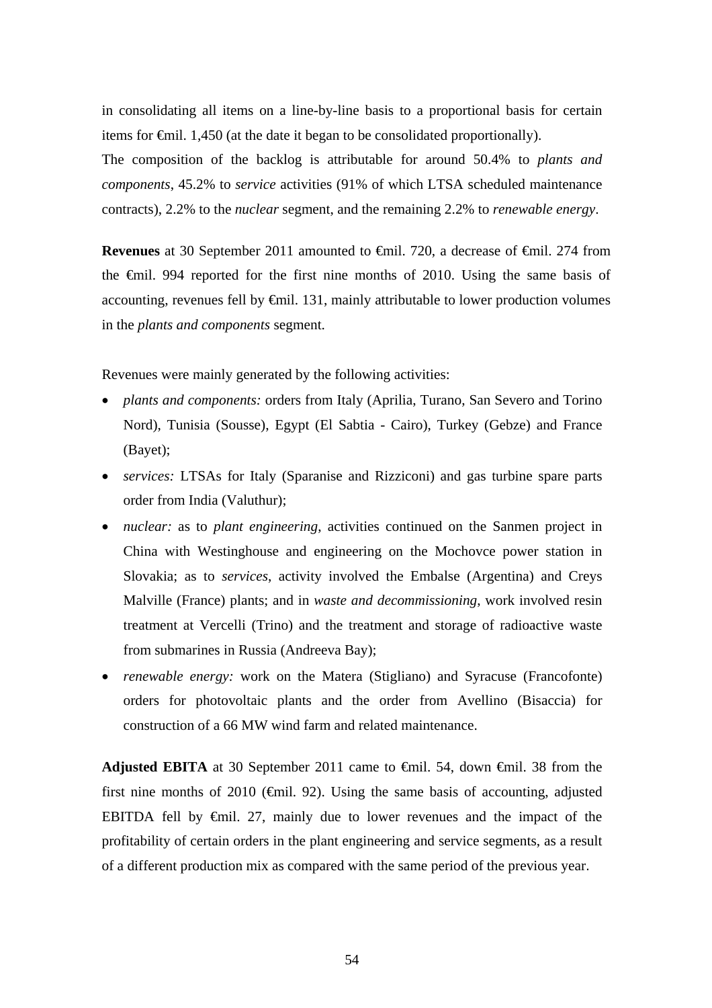in consolidating all items on a line-by-line basis to a proportional basis for certain items for €mil. 1,450 (at the date it began to be consolidated proportionally).

The composition of the backlog is attributable for around 50.4% to *plants and components*, 45.2% to *service* activities (91% of which LTSA scheduled maintenance contracts), 2.2% to the *nuclear* segment, and the remaining 2.2% to *renewable energy*.

**Revenues** at 30 September 2011 amounted to €mil. 720, a decrease of €mil. 274 from the €mil. 994 reported for the first nine months of 2010. Using the same basis of accounting, revenues fell by  $\epsilon$ mil. 131, mainly attributable to lower production volumes in the *plants and components* segment.

Revenues were mainly generated by the following activities:

- *plants and components:* orders from Italy (Aprilia, Turano, San Severo and Torino Nord), Tunisia (Sousse), Egypt (El Sabtia - Cairo), Turkey (Gebze) and France (Bayet);
- *services:* LTSAs for Italy (Sparanise and Rizziconi) and gas turbine spare parts order from India (Valuthur);
- *nuclear:* as to *plant engineering*, activities continued on the Sanmen project in China with Westinghouse and engineering on the Mochovce power station in Slovakia; as to *services*, activity involved the Embalse (Argentina) and Creys Malville (France) plants; and in *waste and decommissioning*, work involved resin treatment at Vercelli (Trino) and the treatment and storage of radioactive waste from submarines in Russia (Andreeva Bay);
- *renewable energy:* work on the Matera (Stigliano) and Syracuse (Francofonte) orders for photovoltaic plants and the order from Avellino (Bisaccia) for construction of a 66 MW wind farm and related maintenance.

**Adjusted EBITA** at 30 September 2011 came to  $\oplus$  iii. 54, down  $\oplus$  iii. 38 from the first nine months of 2010 ( $\bigoplus$ nil. 92). Using the same basis of accounting, adjusted EBITDA fell by  $\epsilon$ mil. 27, mainly due to lower revenues and the impact of the profitability of certain orders in the plant engineering and service segments, as a result of a different production mix as compared with the same period of the previous year.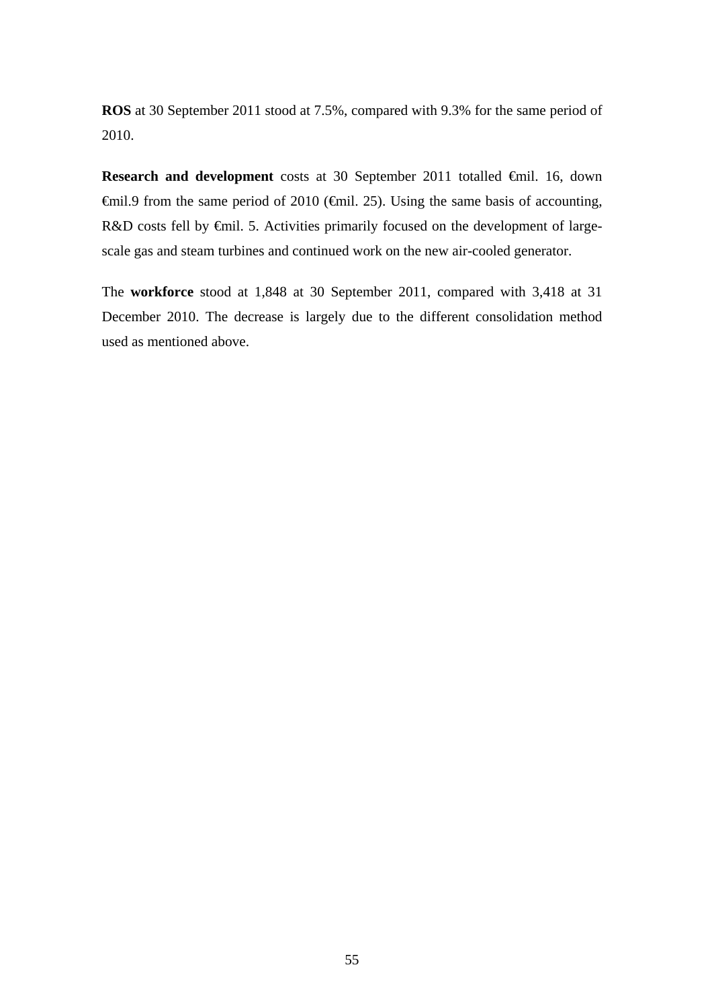**ROS** at 30 September 2011 stood at 7.5%, compared with 9.3% for the same period of 2010.

**Research and development** costs at 30 September 2011 totalled €mil. 16, down €mil.9 from the same period of 2010 (€mil. 25). Using the same basis of accounting, R&D costs fell by €mil. 5. Activities primarily focused on the development of largescale gas and steam turbines and continued work on the new air-cooled generator.

The **workforce** stood at 1,848 at 30 September 2011, compared with 3,418 at 31 December 2010. The decrease is largely due to the different consolidation method used as mentioned above.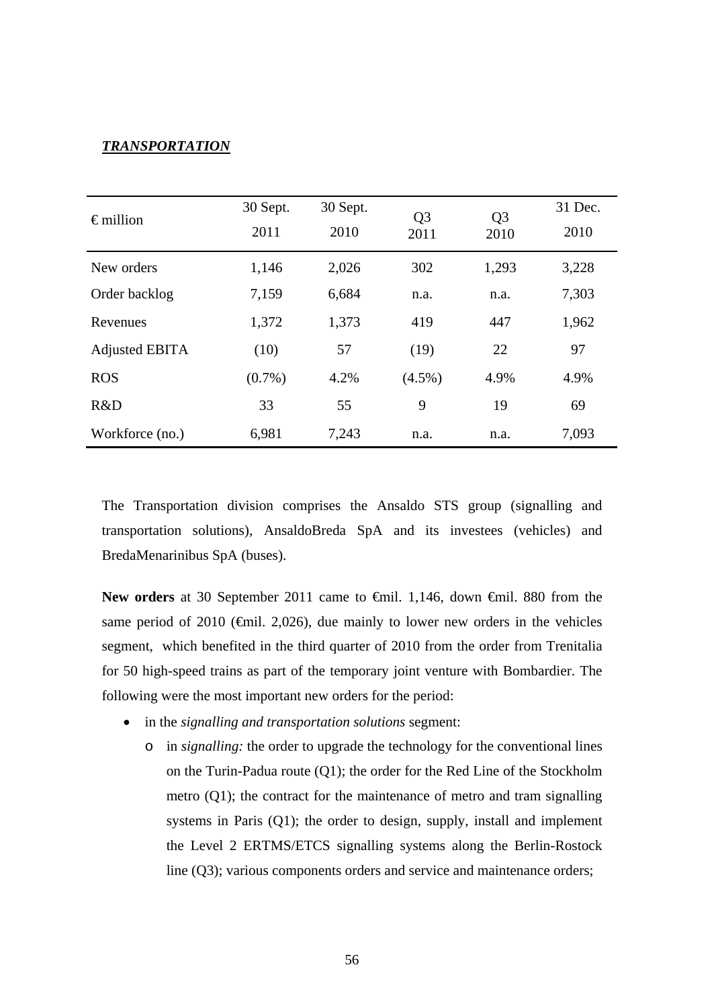### *TRANSPORTATION*

| $\epsilon$ million    | 30 Sept.<br>2011 | 30 Sept.<br>2010 | Q <sub>3</sub><br>2011 | Q <sub>3</sub><br>2010 | 31 Dec.<br>2010 |
|-----------------------|------------------|------------------|------------------------|------------------------|-----------------|
| New orders            | 1,146            | 2,026            | 302                    | 1,293                  | 3,228           |
| Order backlog         | 7,159            | 6,684            | n.a.                   | n.a.                   | 7,303           |
| Revenues              | 1,372            | 1,373            | 419                    | 447                    | 1,962           |
| <b>Adjusted EBITA</b> | (10)             | 57               | (19)                   | 22                     | 97              |
| <b>ROS</b>            | $(0.7\%)$        | 4.2%             | $(4.5\%)$              | 4.9%                   | 4.9%            |
| R&D                   | 33               | 55               | 9                      | 19                     | 69              |
| Workforce (no.)       | 6,981            | 7,243            | n.a.                   | n.a.                   | 7,093           |

The Transportation division comprises the Ansaldo STS group (signalling and transportation solutions), AnsaldoBreda SpA and its investees (vehicles) and BredaMenarinibus SpA (buses).

New orders at 30 September 2011 came to <del>€</del>mil. 1,146, down <del>€</del>mil. 880 from the same period of 2010 ( $\epsilon$ mil. 2,026), due mainly to lower new orders in the vehicles segment, which benefited in the third quarter of 2010 from the order from Trenitalia for 50 high-speed trains as part of the temporary joint venture with Bombardier. The following were the most important new orders for the period:

- in the *signalling and transportation solutions* segment:
	- o in *signalling:* the order to upgrade the technology for the conventional lines on the Turin-Padua route (Q1); the order for the Red Line of the Stockholm metro (Q1); the contract for the maintenance of metro and tram signalling systems in Paris (Q1); the order to design, supply, install and implement the Level 2 ERTMS/ETCS signalling systems along the Berlin-Rostock line (Q3); various components orders and service and maintenance orders;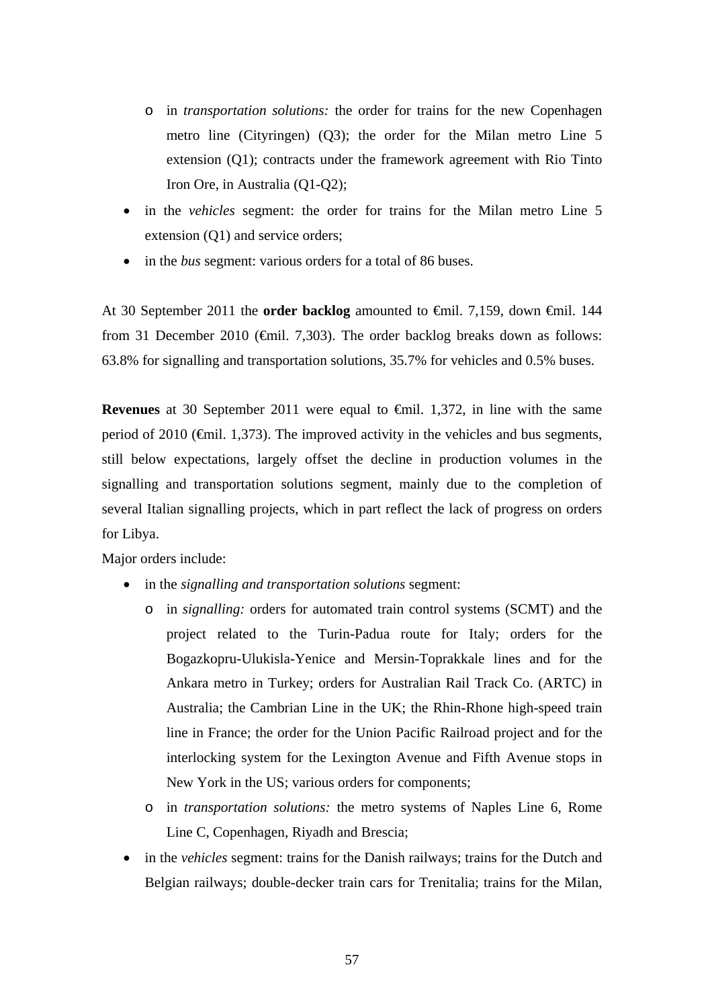- o in *transportation solutions:* the order for trains for the new Copenhagen metro line (Cityringen) (Q3); the order for the Milan metro Line 5 extension (Q1); contracts under the framework agreement with Rio Tinto Iron Ore, in Australia (Q1-Q2);
- in the *vehicles* segment: the order for trains for the Milan metro Line 5 extension (Q1) and service orders;
- in the *bus* segment: various orders for a total of 86 buses.

At 30 September 2011 the **order backlog** amounted to €mil. 7,159, down €mil. 144 from 31 December 2010 ( $\bigoplus$ nil. 7,303). The order backlog breaks down as follows: 63.8% for signalling and transportation solutions, 35.7% for vehicles and 0.5% buses.

**Revenues** at 30 September 2011 were equal to €mil. 1,372, in line with the same period of 2010 (€mil. 1,373). The improved activity in the vehicles and bus segments, still below expectations, largely offset the decline in production volumes in the signalling and transportation solutions segment, mainly due to the completion of several Italian signalling projects, which in part reflect the lack of progress on orders for Libya.

Major orders include:

- in the *signalling and transportation solutions* segment:
	- o in *signalling:* orders for automated train control systems (SCMT) and the project related to the Turin-Padua route for Italy; orders for the Bogazkopru-Ulukisla-Yenice and Mersin-Toprakkale lines and for the Ankara metro in Turkey; orders for Australian Rail Track Co. (ARTC) in Australia; the Cambrian Line in the UK; the Rhin-Rhone high-speed train line in France; the order for the Union Pacific Railroad project and for the interlocking system for the Lexington Avenue and Fifth Avenue stops in New York in the US; various orders for components;
	- o in *transportation solutions:* the metro systems of Naples Line 6, Rome Line C, Copenhagen, Riyadh and Brescia;
- in the *vehicles* segment: trains for the Danish railways; trains for the Dutch and Belgian railways; double-decker train cars for Trenitalia; trains for the Milan,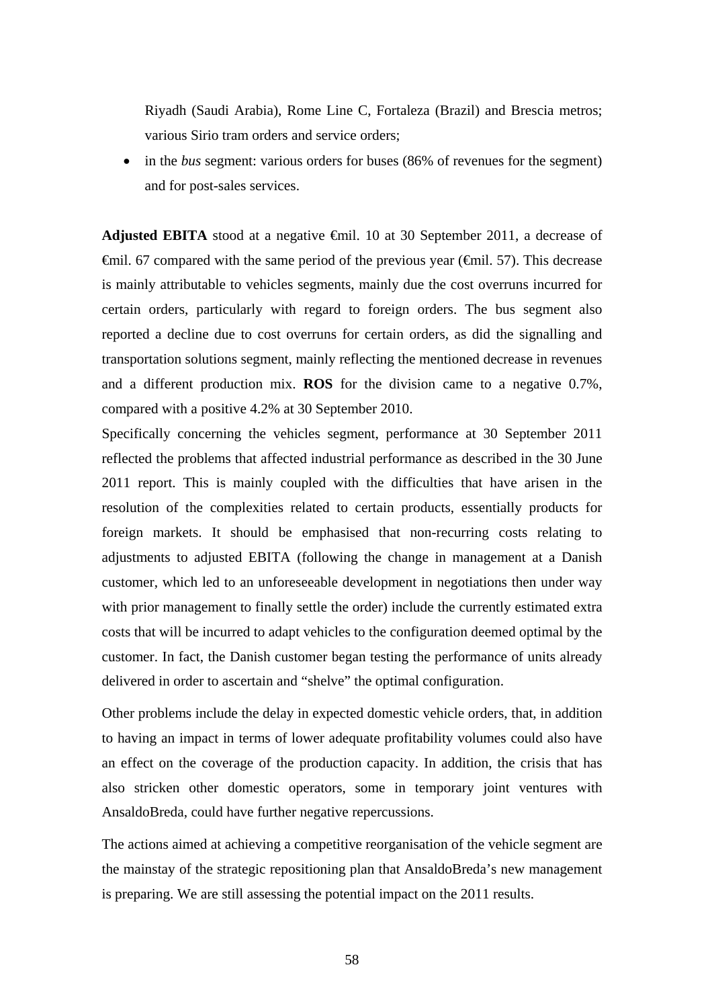Riyadh (Saudi Arabia), Rome Line C, Fortaleza (Brazil) and Brescia metros; various Sirio tram orders and service orders;

• in the *bus* segment: various orders for buses (86% of revenues for the segment) and for post-sales services.

**Adjusted EBITA** stood at a negative  $\theta$ mil. 10 at 30 September 2011, a decrease of  $\theta$ mil. 67 compared with the same period of the previous year ( $\theta$ mil. 57). This decrease is mainly attributable to vehicles segments, mainly due the cost overruns incurred for certain orders, particularly with regard to foreign orders. The bus segment also reported a decline due to cost overruns for certain orders, as did the signalling and transportation solutions segment, mainly reflecting the mentioned decrease in revenues and a different production mix. **ROS** for the division came to a negative 0.7%, compared with a positive 4.2% at 30 September 2010.

Specifically concerning the vehicles segment, performance at 30 September 2011 reflected the problems that affected industrial performance as described in the 30 June 2011 report. This is mainly coupled with the difficulties that have arisen in the resolution of the complexities related to certain products, essentially products for foreign markets. It should be emphasised that non-recurring costs relating to adjustments to adjusted EBITA (following the change in management at a Danish customer, which led to an unforeseeable development in negotiations then under way with prior management to finally settle the order) include the currently estimated extra costs that will be incurred to adapt vehicles to the configuration deemed optimal by the customer. In fact, the Danish customer began testing the performance of units already delivered in order to ascertain and "shelve" the optimal configuration.

Other problems include the delay in expected domestic vehicle orders, that, in addition to having an impact in terms of lower adequate profitability volumes could also have an effect on the coverage of the production capacity. In addition, the crisis that has also stricken other domestic operators, some in temporary joint ventures with AnsaldoBreda, could have further negative repercussions.

The actions aimed at achieving a competitive reorganisation of the vehicle segment are the mainstay of the strategic repositioning plan that AnsaldoBreda's new management is preparing. We are still assessing the potential impact on the 2011 results.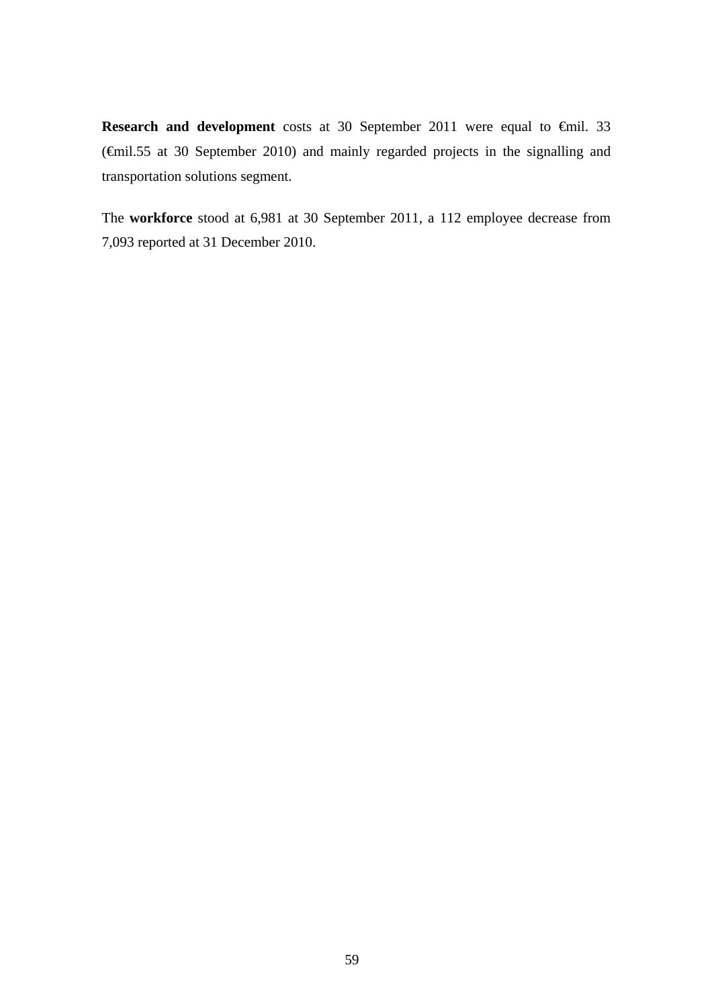**Research and development** costs at 30 September 2011 were equal to €mil. 33 (€mil.55 at 30 September 2010) and mainly regarded projects in the signalling and transportation solutions segment.

The **workforce** stood at 6,981 at 30 September 2011, a 112 employee decrease from 7,093 reported at 31 December 2010.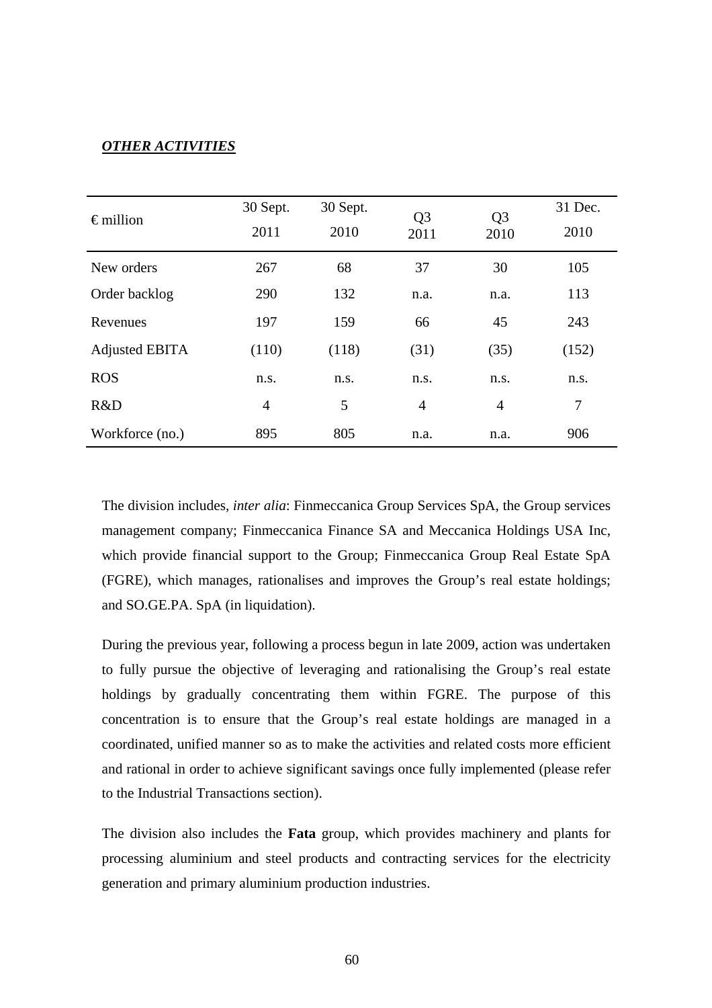# *OTHER ACTIVITIES*

| $\epsilon$ million | 30 Sept.<br>2011 | 30 Sept.<br>2010 | Q <sub>3</sub><br>2011 | Q <sub>3</sub><br>2010 | 31 Dec.<br>2010 |
|--------------------|------------------|------------------|------------------------|------------------------|-----------------|
| New orders         | 267              | 68               | 37                     | 30                     | 105             |
| Order backlog      | 290              | 132              | n.a.                   | n.a.                   | 113             |
| Revenues           | 197              | 159              | 66                     | 45                     | 243             |
| Adjusted EBITA     | (110)            | (118)            | (31)                   | (35)                   | (152)           |
| <b>ROS</b>         | n.s.             | n.s.             | n.s.                   | n.s.                   | n.s.            |
| R&D                | $\overline{4}$   | 5                | $\overline{4}$         | $\overline{4}$         | 7               |
| Workforce (no.)    | 895              | 805              | n.a.                   | n.a.                   | 906             |

The division includes, *inter alia*: Finmeccanica Group Services SpA, the Group services management company; Finmeccanica Finance SA and Meccanica Holdings USA Inc, which provide financial support to the Group; Finmeccanica Group Real Estate SpA (FGRE), which manages, rationalises and improves the Group's real estate holdings; and SO.GE.PA. SpA (in liquidation).

During the previous year, following a process begun in late 2009, action was undertaken to fully pursue the objective of leveraging and rationalising the Group's real estate holdings by gradually concentrating them within FGRE. The purpose of this concentration is to ensure that the Group's real estate holdings are managed in a coordinated, unified manner so as to make the activities and related costs more efficient and rational in order to achieve significant savings once fully implemented (please refer to the Industrial Transactions section).

The division also includes the **Fata** group, which provides machinery and plants for processing aluminium and steel products and contracting services for the electricity generation and primary aluminium production industries.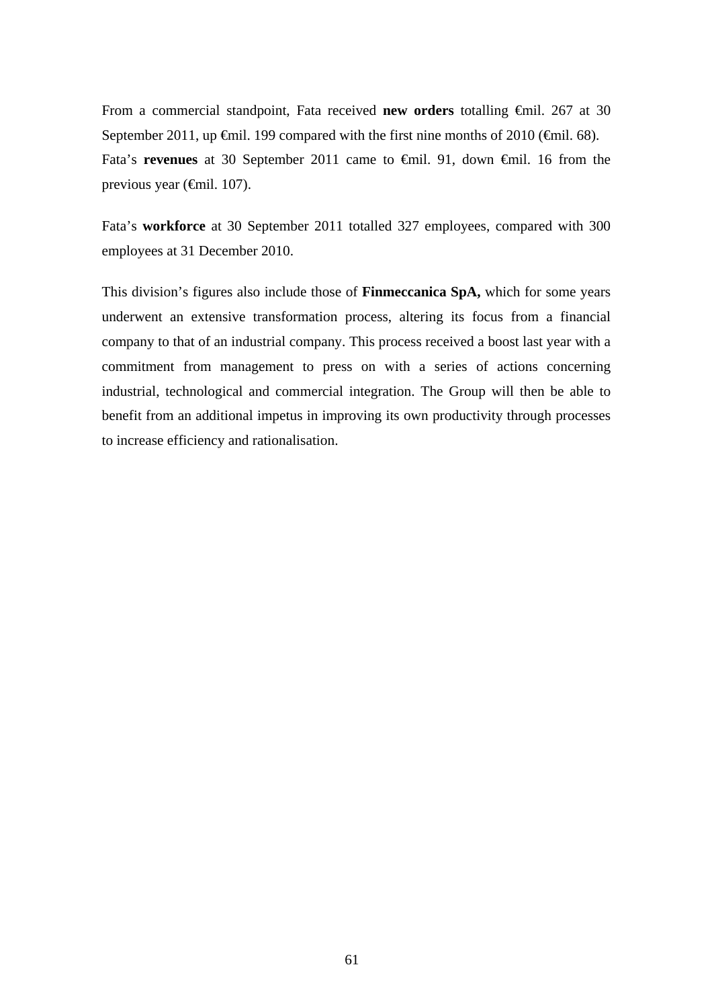From a commercial standpoint, Fata received **new orders** totalling €mil. 267 at 30 September 2011, up  $\epsilon$ mil. 199 compared with the first nine months of 2010 ( $\epsilon$ mil. 68). Fata's **revenues** at 30 September 2011 came to €mil. 91, down €mil. 16 from the previous year (€mil. 107).

Fata's **workforce** at 30 September 2011 totalled 327 employees, compared with 300 employees at 31 December 2010.

This division's figures also include those of **Finmeccanica SpA,** which for some years underwent an extensive transformation process, altering its focus from a financial company to that of an industrial company. This process received a boost last year with a commitment from management to press on with a series of actions concerning industrial, technological and commercial integration. The Group will then be able to benefit from an additional impetus in improving its own productivity through processes to increase efficiency and rationalisation.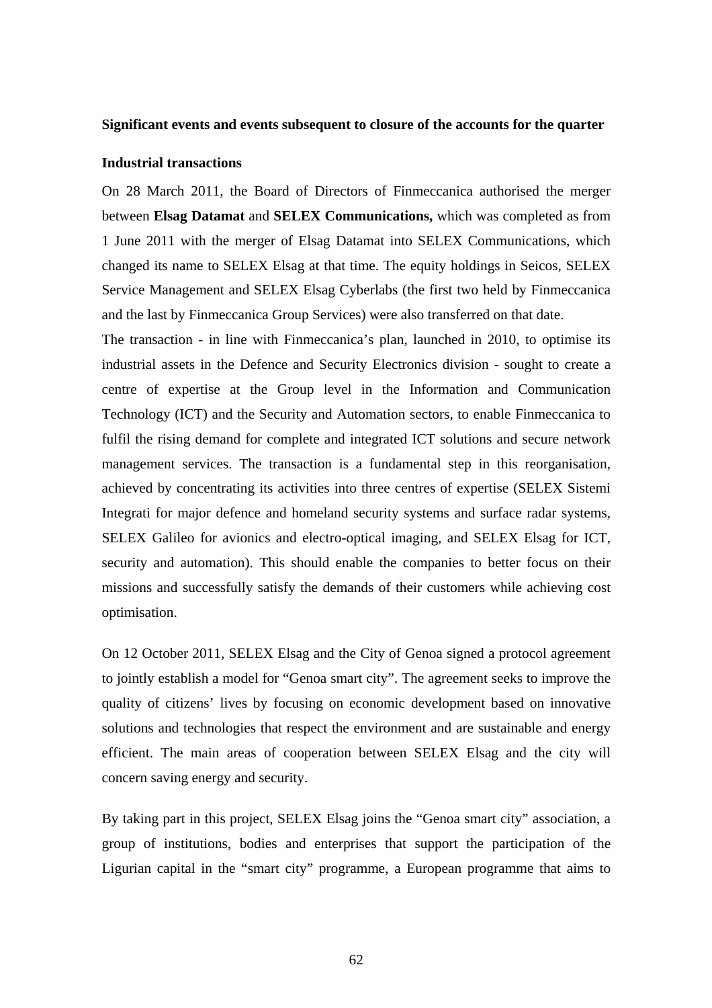#### **Significant events and events subsequent to closure of the accounts for the quarter**

#### **Industrial transactions**

On 28 March 2011, the Board of Directors of Finmeccanica authorised the merger between **Elsag Datamat** and **SELEX Communications,** which was completed as from 1 June 2011 with the merger of Elsag Datamat into SELEX Communications, which changed its name to SELEX Elsag at that time. The equity holdings in Seicos, SELEX Service Management and SELEX Elsag Cyberlabs (the first two held by Finmeccanica and the last by Finmeccanica Group Services) were also transferred on that date.

The transaction - in line with Finmeccanica's plan, launched in 2010, to optimise its industrial assets in the Defence and Security Electronics division - sought to create a centre of expertise at the Group level in the Information and Communication Technology (ICT) and the Security and Automation sectors, to enable Finmeccanica to fulfil the rising demand for complete and integrated ICT solutions and secure network management services. The transaction is a fundamental step in this reorganisation, achieved by concentrating its activities into three centres of expertise (SELEX Sistemi Integrati for major defence and homeland security systems and surface radar systems, SELEX Galileo for avionics and electro-optical imaging, and SELEX Elsag for ICT, security and automation). This should enable the companies to better focus on their missions and successfully satisfy the demands of their customers while achieving cost optimisation.

On 12 October 2011, SELEX Elsag and the City of Genoa signed a protocol agreement to jointly establish a model for "Genoa smart city". The agreement seeks to improve the quality of citizens' lives by focusing on economic development based on innovative solutions and technologies that respect the environment and are sustainable and energy efficient. The main areas of cooperation between SELEX Elsag and the city will concern saving energy and security.

By taking part in this project, SELEX Elsag joins the "Genoa smart city" association, a group of institutions, bodies and enterprises that support the participation of the Ligurian capital in the "smart city" programme, a European programme that aims to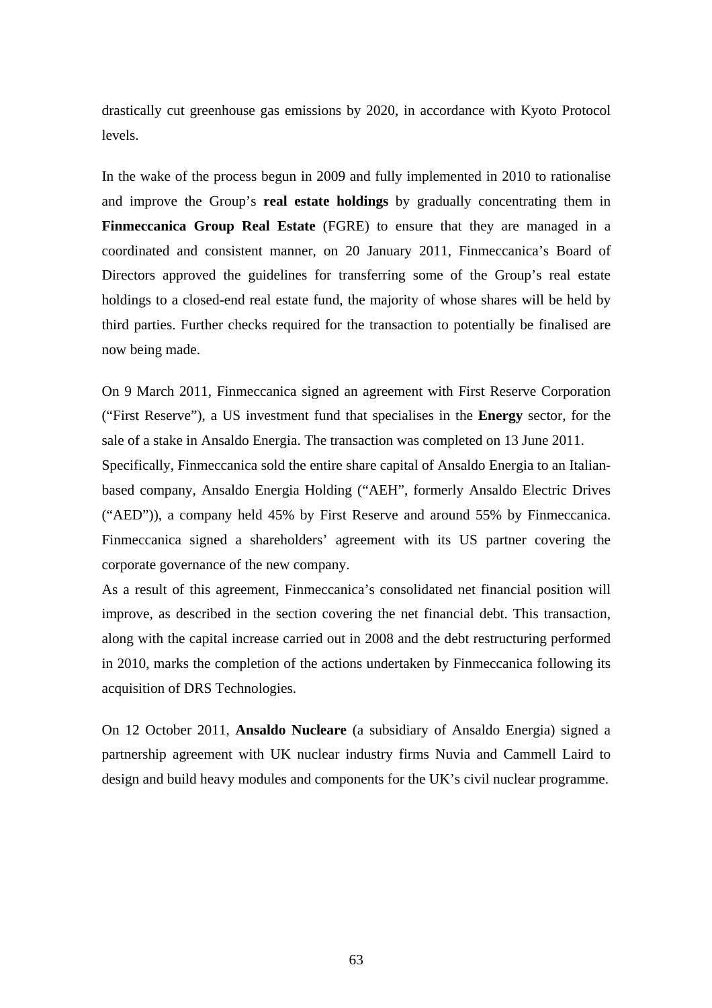drastically cut greenhouse gas emissions by 2020, in accordance with Kyoto Protocol levels.

In the wake of the process begun in 2009 and fully implemented in 2010 to rationalise and improve the Group's **real estate holdings** by gradually concentrating them in **Finmeccanica Group Real Estate** (FGRE) to ensure that they are managed in a coordinated and consistent manner, on 20 January 2011, Finmeccanica's Board of Directors approved the guidelines for transferring some of the Group's real estate holdings to a closed-end real estate fund, the majority of whose shares will be held by third parties. Further checks required for the transaction to potentially be finalised are now being made.

On 9 March 2011, Finmeccanica signed an agreement with First Reserve Corporation ("First Reserve"), a US investment fund that specialises in the **Energy** sector, for the sale of a stake in Ansaldo Energia. The transaction was completed on 13 June 2011.

Specifically, Finmeccanica sold the entire share capital of Ansaldo Energia to an Italianbased company, Ansaldo Energia Holding ("AEH", formerly Ansaldo Electric Drives ("AED")), a company held 45% by First Reserve and around 55% by Finmeccanica. Finmeccanica signed a shareholders' agreement with its US partner covering the corporate governance of the new company.

As a result of this agreement, Finmeccanica's consolidated net financial position will improve, as described in the section covering the net financial debt. This transaction, along with the capital increase carried out in 2008 and the debt restructuring performed in 2010, marks the completion of the actions undertaken by Finmeccanica following its acquisition of DRS Technologies.

On 12 October 2011, **Ansaldo Nucleare** (a subsidiary of Ansaldo Energia) signed a partnership agreement with UK nuclear industry firms Nuvia and Cammell Laird to design and build heavy modules and components for the UK's civil nuclear programme.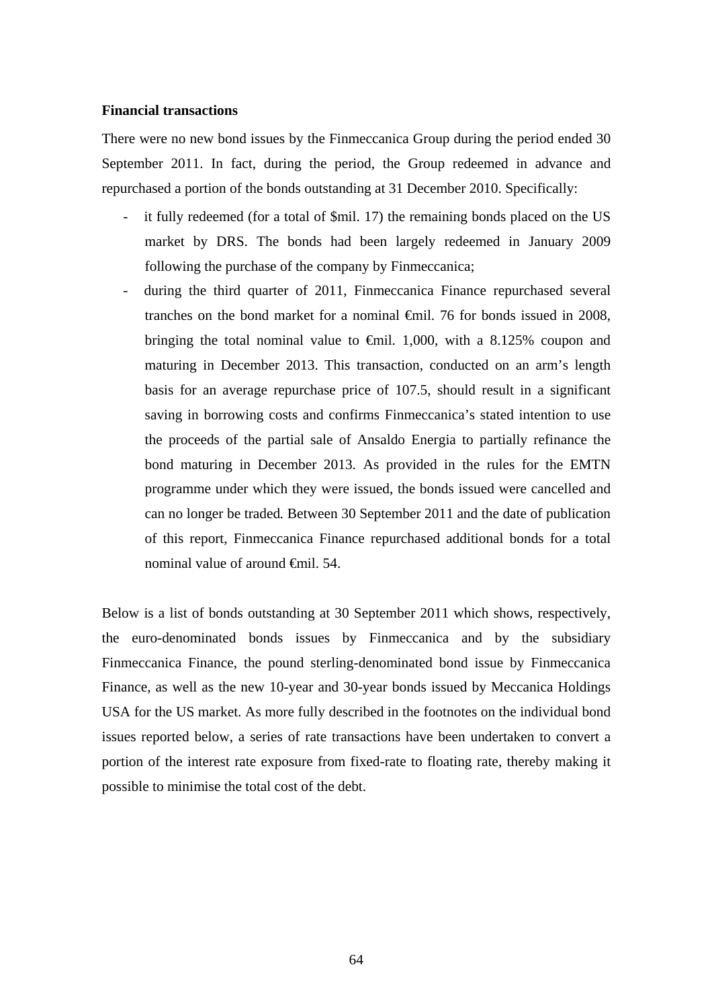### **Financial transactions**

There were no new bond issues by the Finmeccanica Group during the period ended 30 September 2011. In fact, during the period, the Group redeemed in advance and repurchased a portion of the bonds outstanding at 31 December 2010. Specifically:

- it fully redeemed (for a total of \$mil. 17) the remaining bonds placed on the US market by DRS. The bonds had been largely redeemed in January 2009 following the purchase of the company by Finmeccanica;
- during the third quarter of 2011, Finmeccanica Finance repurchased several tranches on the bond market for a nominal €mil. 76 for bonds issued in 2008, bringing the total nominal value to  $\epsilon$ mil. 1,000, with a 8.125% coupon and maturing in December 2013. This transaction, conducted on an arm's length basis for an average repurchase price of 107.5, should result in a significant saving in borrowing costs and confirms Finmeccanica's stated intention to use the proceeds of the partial sale of Ansaldo Energia to partially refinance the bond maturing in December 2013. As provided in the rules for the EMTN programme under which they were issued, the bonds issued were cancelled and can no longer be traded*.* Between 30 September 2011 and the date of publication of this report, Finmeccanica Finance repurchased additional bonds for a total nominal value of around €mil. 54.

Below is a list of bonds outstanding at 30 September 2011 which shows, respectively, the euro-denominated bonds issues by Finmeccanica and by the subsidiary Finmeccanica Finance, the pound sterling-denominated bond issue by Finmeccanica Finance, as well as the new 10-year and 30-year bonds issued by Meccanica Holdings USA for the US market. As more fully described in the footnotes on the individual bond issues reported below, a series of rate transactions have been undertaken to convert a portion of the interest rate exposure from fixed-rate to floating rate, thereby making it possible to minimise the total cost of the debt.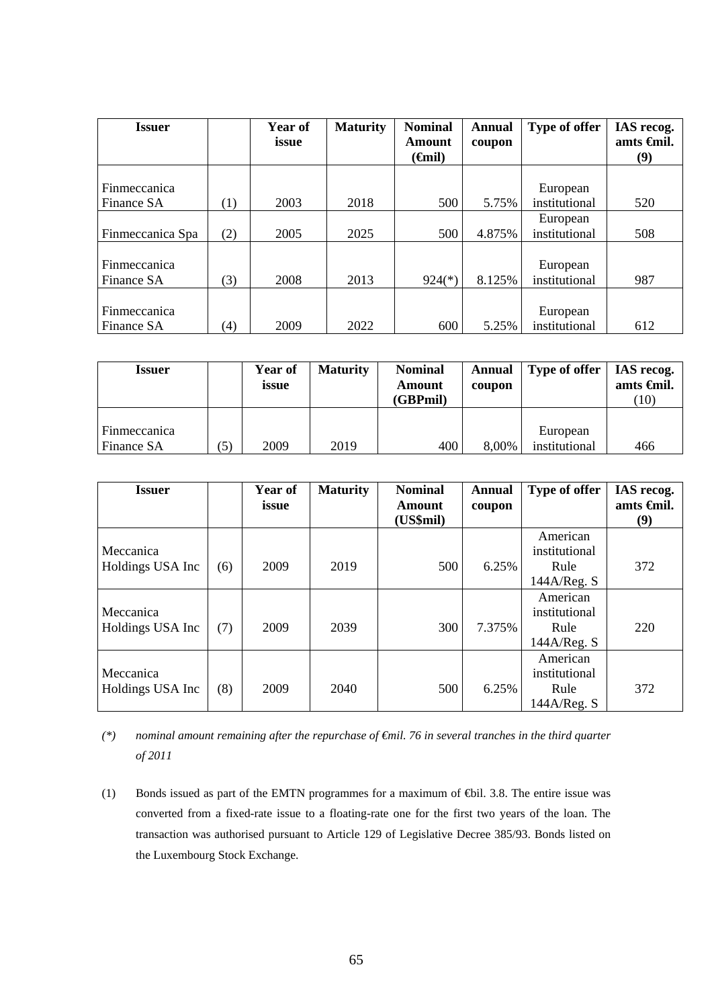| <b>Issuer</b>    |     | Year of<br>issue | <b>Maturity</b> | <b>Nominal</b><br>Amount | <b>Annual</b><br>coupon | Type of offer | IAS recog.<br>amts <del>C</del> inil. |
|------------------|-----|------------------|-----------------|--------------------------|-------------------------|---------------|---------------------------------------|
|                  |     |                  |                 | ( <del>G</del> nil)      |                         |               | (9)                                   |
|                  |     |                  |                 |                          |                         |               |                                       |
| Finmeccanica     |     |                  |                 |                          |                         | European      |                                       |
| Finance SA       | (1) | 2003             | 2018            | 500                      | 5.75%                   | institutional | 520                                   |
|                  |     |                  |                 |                          |                         | European      |                                       |
| Finmeccanica Spa | (2) | 2005             | 2025            | 500                      | 4.875%                  | institutional | 508                                   |
|                  |     |                  |                 |                          |                         |               |                                       |
| Finmeccanica     |     |                  |                 |                          |                         | European      |                                       |
| Finance SA       | (3) | 2008             | 2013            | $924(*)$                 | 8.125%                  | institutional | 987                                   |
|                  |     |                  |                 |                          |                         |               |                                       |
| Finmeccanica     |     |                  |                 |                          |                         | European      |                                       |
| Finance SA       | (4) | 2009             | 2022            | 600                      | 5.25%                   | institutional | 612                                   |

| <b>Issuer</b>              |     | Year of<br>issue | <b>Maturity</b> | <b>Nominal</b><br>Amount<br>(GBPmil) | <b>Annual</b><br>coupon | Type of offer             | IAS recog.<br>amts <del>C</del> inil.<br>(10) |
|----------------------------|-----|------------------|-----------------|--------------------------------------|-------------------------|---------------------------|-----------------------------------------------|
| Finmeccanica<br>Finance SA | (5) | 2009             | 2019            | 400                                  | 8,00%                   | European<br>institutional | 466                                           |

| <b>Issuer</b>                 |     | Year of<br>issue | <b>Maturity</b> | <b>Nominal</b><br><b>Amount</b><br>(US\$mil) | <b>Annual</b><br>coupon | Type of offer                                    | IAS recog.<br>amts <del>C</del> inil.<br>(9) |
|-------------------------------|-----|------------------|-----------------|----------------------------------------------|-------------------------|--------------------------------------------------|----------------------------------------------|
| Meccanica<br>Holdings USA Inc | (6) | 2009             | 2019            | 500                                          | 6.25%                   | American<br>institutional<br>Rule<br>144A/Reg. S | 372                                          |
| Meccanica<br>Holdings USA Inc | (7) | 2009             | 2039            | 300                                          | 7.375%                  | American<br>institutional<br>Rule<br>144A/Reg. S | 220                                          |
| Meccanica<br>Holdings USA Inc | (8) | 2009             | 2040            | 500                                          | 6.25%                   | American<br>institutional<br>Rule<br>144A/Reg. S | 372                                          |

*(\*) nominal amount remaining after the repurchase of €mil. 76 in several tranches in the third quarter of 2011* 

(1) Bonds issued as part of the EMTN programmes for a maximum of €bil. 3.8. The entire issue was converted from a fixed-rate issue to a floating-rate one for the first two years of the loan. The transaction was authorised pursuant to Article 129 of Legislative Decree 385/93. Bonds listed on the Luxembourg Stock Exchange.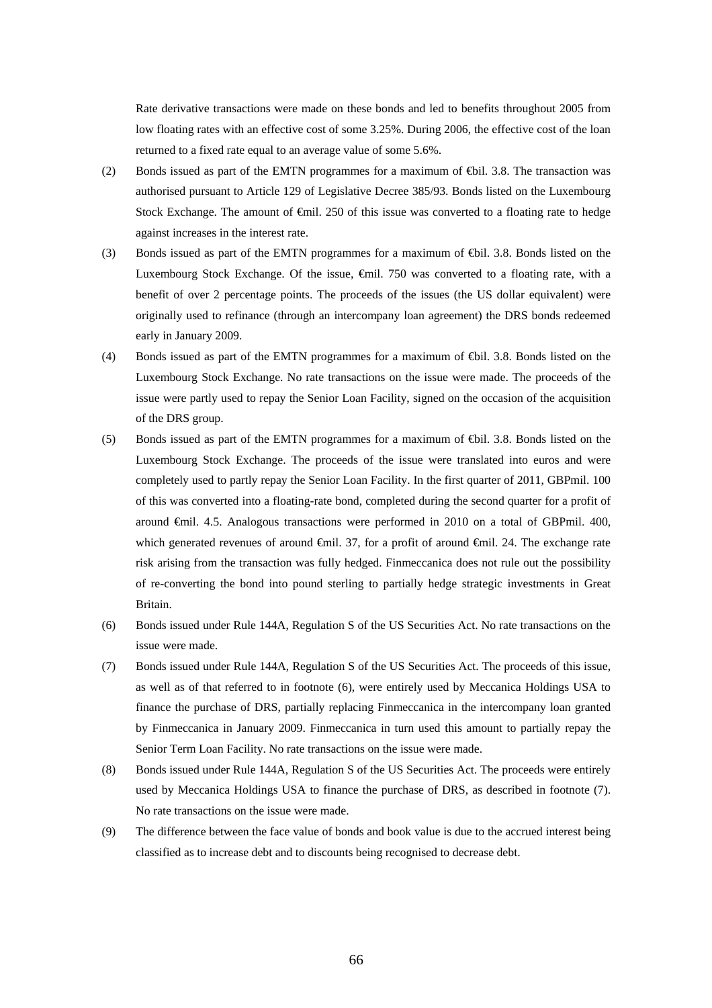Rate derivative transactions were made on these bonds and led to benefits throughout 2005 from low floating rates with an effective cost of some 3.25%. During 2006, the effective cost of the loan returned to a fixed rate equal to an average value of some 5.6%.

- (2) Bonds issued as part of the EMTN programmes for a maximum of €bil. 3.8. The transaction was authorised pursuant to Article 129 of Legislative Decree 385/93. Bonds listed on the Luxembourg Stock Exchange. The amount of €mil. 250 of this issue was converted to a floating rate to hedge against increases in the interest rate.
- (3) Bonds issued as part of the EMTN programmes for a maximum of €bil. 3.8. Bonds listed on the Luxembourg Stock Exchange. Of the issue, €mil. 750 was converted to a floating rate, with a benefit of over 2 percentage points. The proceeds of the issues (the US dollar equivalent) were originally used to refinance (through an intercompany loan agreement) the DRS bonds redeemed early in January 2009.
- (4) Bonds issued as part of the EMTN programmes for a maximum of €bil. 3.8. Bonds listed on the Luxembourg Stock Exchange. No rate transactions on the issue were made. The proceeds of the issue were partly used to repay the Senior Loan Facility, signed on the occasion of the acquisition of the DRS group.
- (5) Bonds issued as part of the EMTN programmes for a maximum of €bil. 3.8. Bonds listed on the Luxembourg Stock Exchange. The proceeds of the issue were translated into euros and were completely used to partly repay the Senior Loan Facility. In the first quarter of 2011, GBPmil. 100 of this was converted into a floating-rate bond, completed during the second quarter for a profit of around €mil. 4.5. Analogous transactions were performed in 2010 on a total of GBPmil. 400, which generated revenues of around €mil. 37, for a profit of around €mil. 24. The exchange rate risk arising from the transaction was fully hedged. Finmeccanica does not rule out the possibility of re-converting the bond into pound sterling to partially hedge strategic investments in Great Britain.
- (6) Bonds issued under Rule 144A, Regulation S of the US Securities Act. No rate transactions on the issue were made.
- (7) Bonds issued under Rule 144A, Regulation S of the US Securities Act. The proceeds of this issue, as well as of that referred to in footnote (6), were entirely used by Meccanica Holdings USA to finance the purchase of DRS, partially replacing Finmeccanica in the intercompany loan granted by Finmeccanica in January 2009. Finmeccanica in turn used this amount to partially repay the Senior Term Loan Facility. No rate transactions on the issue were made.
- (8) Bonds issued under Rule 144A, Regulation S of the US Securities Act. The proceeds were entirely used by Meccanica Holdings USA to finance the purchase of DRS, as described in footnote (7). No rate transactions on the issue were made.
- (9) The difference between the face value of bonds and book value is due to the accrued interest being classified as to increase debt and to discounts being recognised to decrease debt.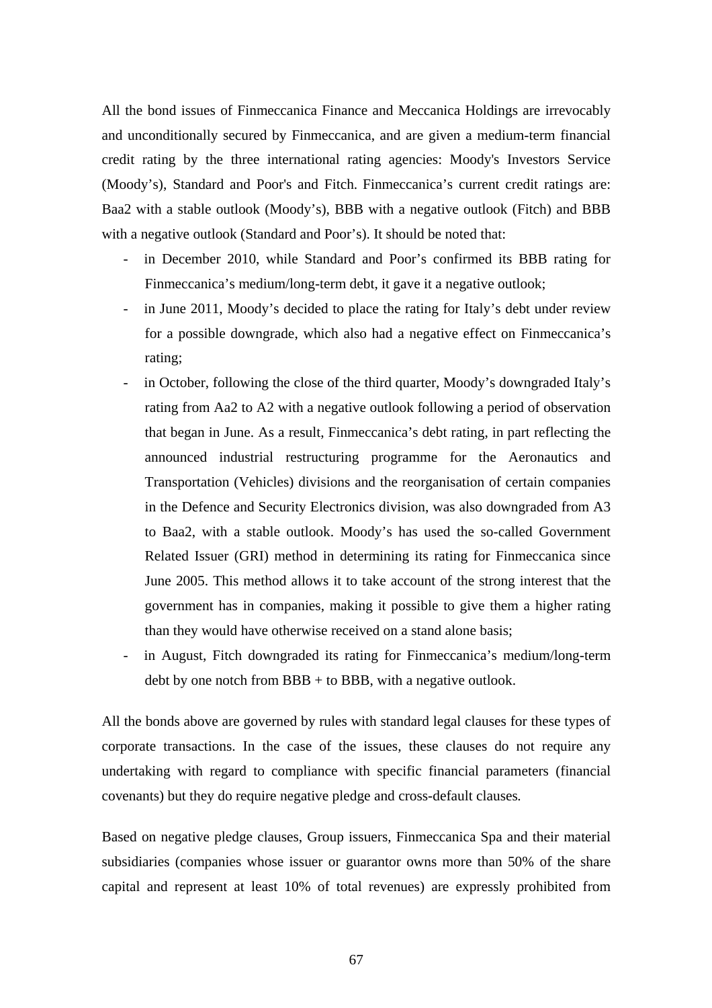All the bond issues of Finmeccanica Finance and Meccanica Holdings are irrevocably and unconditionally secured by Finmeccanica, and are given a medium-term financial credit rating by the three international rating agencies: Moody's Investors Service (Moody's), Standard and Poor's and Fitch. Finmeccanica's current credit ratings are: Baa2 with a stable outlook (Moody's), BBB with a negative outlook (Fitch) and BBB with a negative outlook (Standard and Poor's). It should be noted that:

- in December 2010, while Standard and Poor's confirmed its BBB rating for Finmeccanica's medium/long-term debt, it gave it a negative outlook;
- in June 2011, Moody's decided to place the rating for Italy's debt under review for a possible downgrade, which also had a negative effect on Finmeccanica's rating;
- in October, following the close of the third quarter, Moody's downgraded Italy's rating from Aa2 to A2 with a negative outlook following a period of observation that began in June. As a result, Finmeccanica's debt rating, in part reflecting the announced industrial restructuring programme for the Aeronautics and Transportation (Vehicles) divisions and the reorganisation of certain companies in the Defence and Security Electronics division, was also downgraded from A3 to Baa2, with a stable outlook. Moody's has used the so-called Government Related Issuer (GRI) method in determining its rating for Finmeccanica since June 2005. This method allows it to take account of the strong interest that the government has in companies, making it possible to give them a higher rating than they would have otherwise received on a stand alone basis;
- in August, Fitch downgraded its rating for Finmeccanica's medium/long-term debt by one notch from  $BBB +$  to  $BBB$ , with a negative outlook.

All the bonds above are governed by rules with standard legal clauses for these types of corporate transactions. In the case of the issues, these clauses do not require any undertaking with regard to compliance with specific financial parameters (financial covenants) but they do require negative pledge and cross-default clauses*.*

Based on negative pledge clauses, Group issuers, Finmeccanica Spa and their material subsidiaries (companies whose issuer or guarantor owns more than 50% of the share capital and represent at least 10% of total revenues) are expressly prohibited from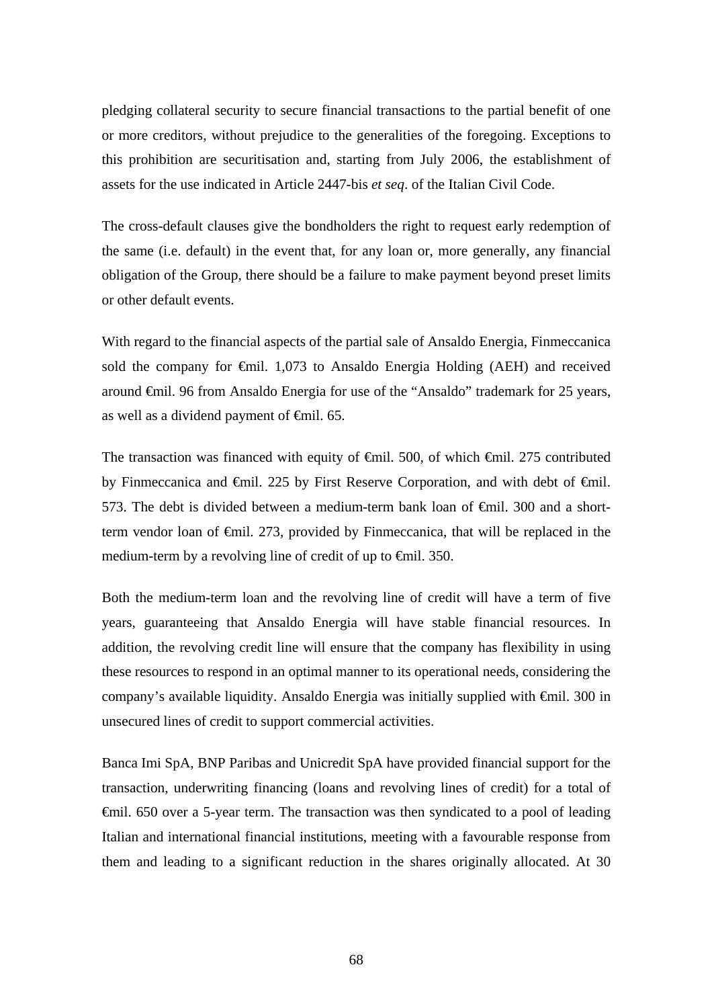pledging collateral security to secure financial transactions to the partial benefit of one or more creditors, without prejudice to the generalities of the foregoing. Exceptions to this prohibition are securitisation and, starting from July 2006, the establishment of assets for the use indicated in Article 2447-bis *et seq*. of the Italian Civil Code.

The cross-default clauses give the bondholders the right to request early redemption of the same (i.e. default) in the event that, for any loan or, more generally, any financial obligation of the Group, there should be a failure to make payment beyond preset limits or other default events.

With regard to the financial aspects of the partial sale of Ansaldo Energia, Finmeccanica sold the company for €mil. 1,073 to Ansaldo Energia Holding (AEH) and received around €mil. 96 from Ansaldo Energia for use of the "Ansaldo" trademark for 25 years, as well as a dividend payment of  $\epsilon$ mil. 65.

The transaction was financed with equity of €mil. 500, of which €mil. 275 contributed by Finmeccanica and €mil. 225 by First Reserve Corporation, and with debt of €mil. 573. The debt is divided between a medium-term bank loan of €mil. 300 and a shortterm vendor loan of €mil. 273, provided by Finmeccanica, that will be replaced in the medium-term by a revolving line of credit of up to <del>€</del>mil. 350.

Both the medium-term loan and the revolving line of credit will have a term of five years, guaranteeing that Ansaldo Energia will have stable financial resources. In addition, the revolving credit line will ensure that the company has flexibility in using these resources to respond in an optimal manner to its operational needs, considering the company's available liquidity. Ansaldo Energia was initially supplied with €mil. 300 in unsecured lines of credit to support commercial activities.

Banca Imi SpA, BNP Paribas and Unicredit SpA have provided financial support for the transaction, underwriting financing (loans and revolving lines of credit) for a total of €mil. 650 over a 5-year term. The transaction was then syndicated to a pool of leading Italian and international financial institutions, meeting with a favourable response from them and leading to a significant reduction in the shares originally allocated. At 30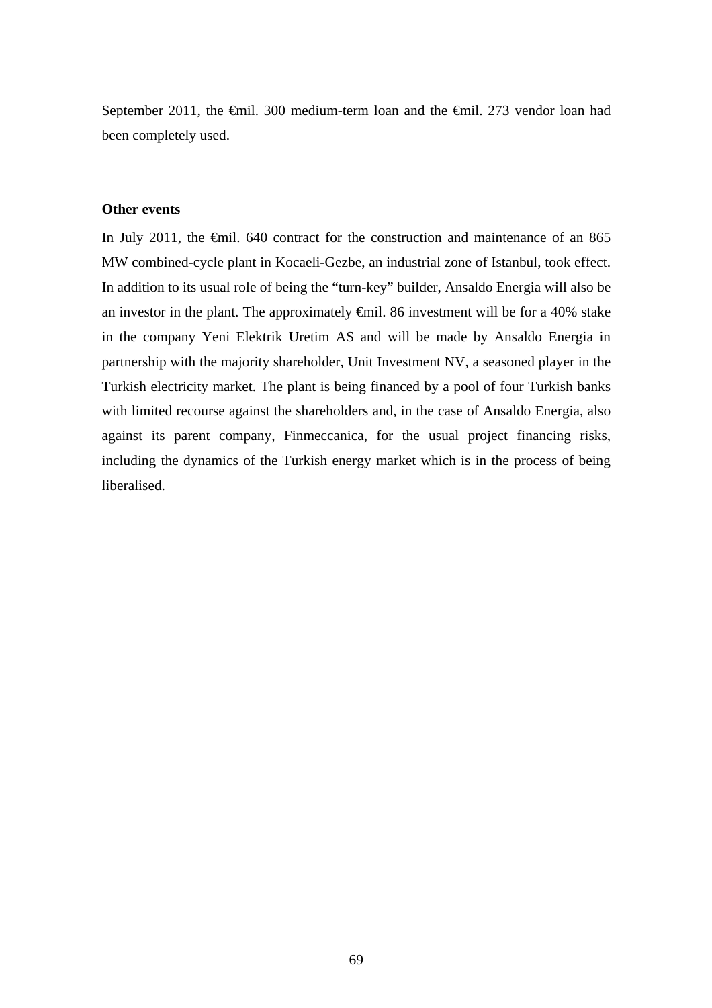September 2011, the €mil. 300 medium-term loan and the €mil. 273 vendor loan had been completely used.

# **Other events**

In July 2011, the €mil. 640 contract for the construction and maintenance of an 865 MW combined-cycle plant in Kocaeli-Gezbe, an industrial zone of Istanbul, took effect. In addition to its usual role of being the "turn-key" builder, Ansaldo Energia will also be an investor in the plant. The approximately  $\oplus$  mil. 86 investment will be for a 40% stake in the company Yeni Elektrik Uretim AS and will be made by Ansaldo Energia in partnership with the majority shareholder, Unit Investment NV, a seasoned player in the Turkish electricity market. The plant is being financed by a pool of four Turkish banks with limited recourse against the shareholders and, in the case of Ansaldo Energia, also against its parent company, Finmeccanica, for the usual project financing risks, including the dynamics of the Turkish energy market which is in the process of being liberalised.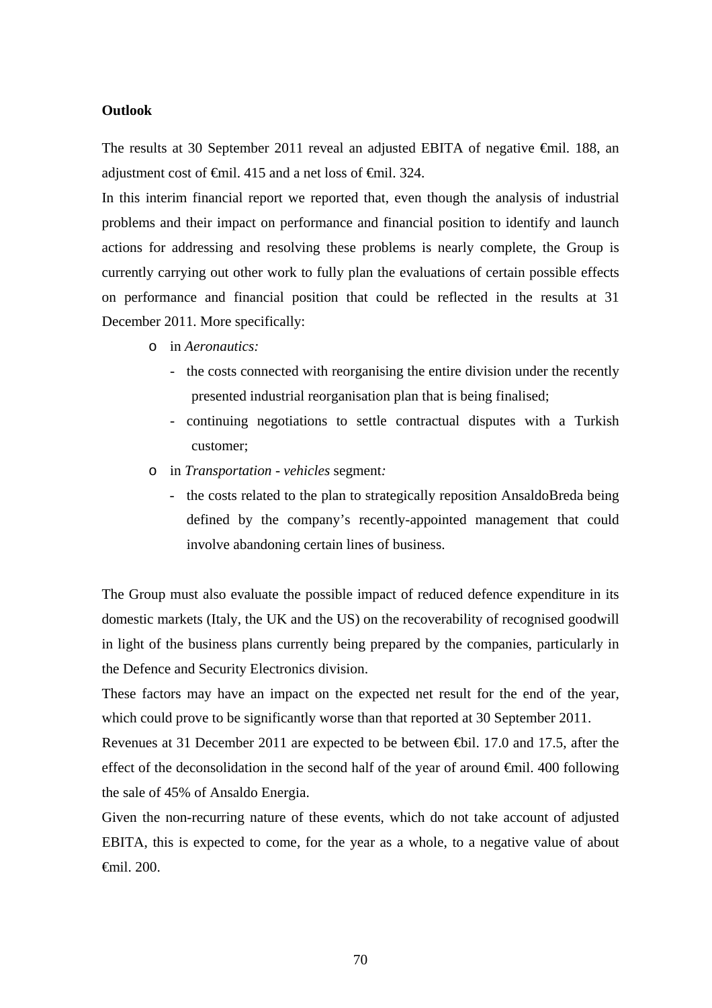### **Outlook**

The results at 30 September 2011 reveal an adjusted EBITA of negative €mil. 188, an adjustment cost of €mil. 415 and a net loss of €mil. 324.

In this interim financial report we reported that, even though the analysis of industrial problems and their impact on performance and financial position to identify and launch actions for addressing and resolving these problems is nearly complete, the Group is currently carrying out other work to fully plan the evaluations of certain possible effects on performance and financial position that could be reflected in the results at 31 December 2011. More specifically:

- o in *Aeronautics:*
	- the costs connected with reorganising the entire division under the recently presented industrial reorganisation plan that is being finalised;
	- continuing negotiations to settle contractual disputes with a Turkish customer;
- o in *Transportation vehicles* segment*:*
	- the costs related to the plan to strategically reposition AnsaldoBreda being defined by the company's recently-appointed management that could involve abandoning certain lines of business.

The Group must also evaluate the possible impact of reduced defence expenditure in its domestic markets (Italy, the UK and the US) on the recoverability of recognised goodwill in light of the business plans currently being prepared by the companies, particularly in the Defence and Security Electronics division.

These factors may have an impact on the expected net result for the end of the year, which could prove to be significantly worse than that reported at 30 September 2011.

Revenues at 31 December 2011 are expected to be between €bil. 17.0 and 17.5, after the effect of the deconsolidation in the second half of the year of around €mil. 400 following the sale of 45% of Ansaldo Energia.

Given the non-recurring nature of these events, which do not take account of adjusted EBITA, this is expected to come, for the year as a whole, to a negative value of about €mil. 200.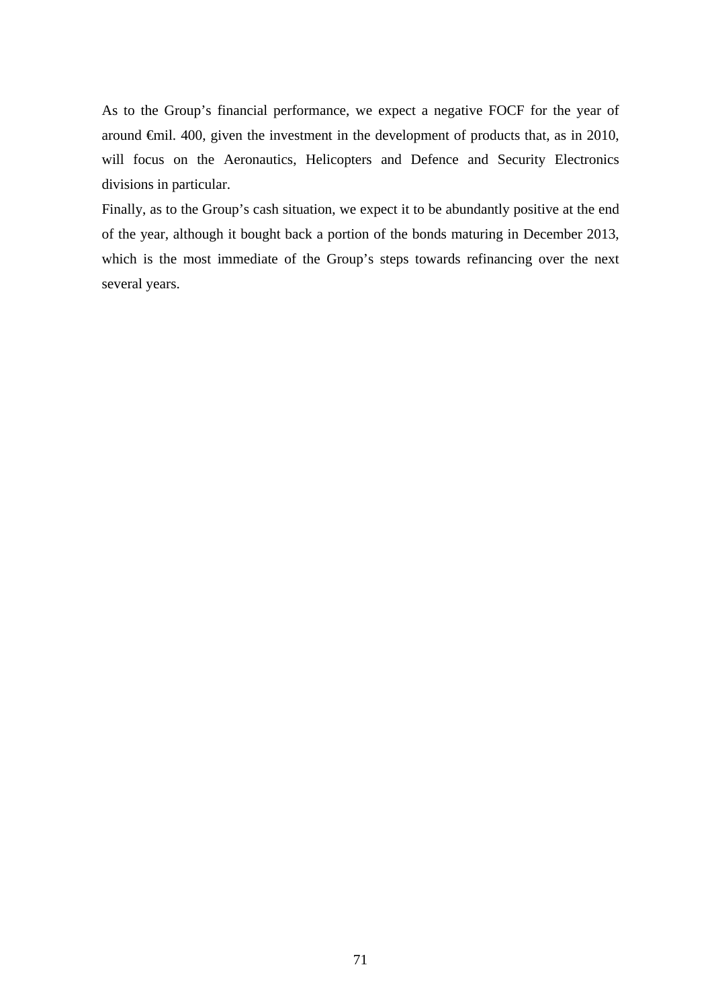As to the Group's financial performance, we expect a negative FOCF for the year of around €mil. 400, given the investment in the development of products that, as in 2010, will focus on the Aeronautics, Helicopters and Defence and Security Electronics divisions in particular.

Finally, as to the Group's cash situation, we expect it to be abundantly positive at the end of the year, although it bought back a portion of the bonds maturing in December 2013, which is the most immediate of the Group's steps towards refinancing over the next several years.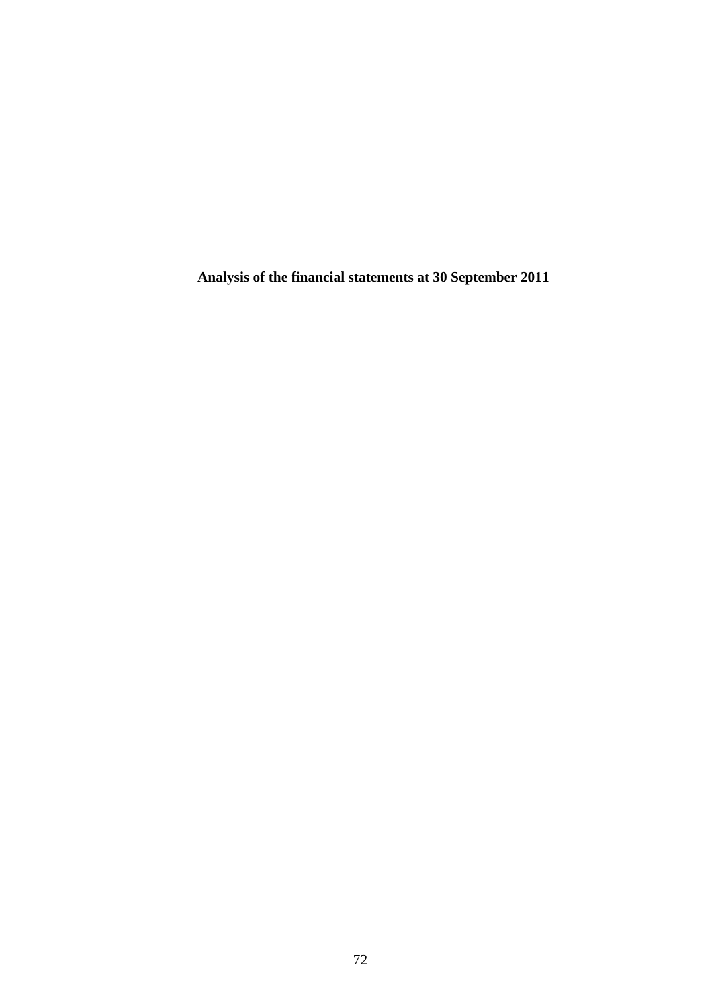**Analysis of the financial statements at 30 September 2011**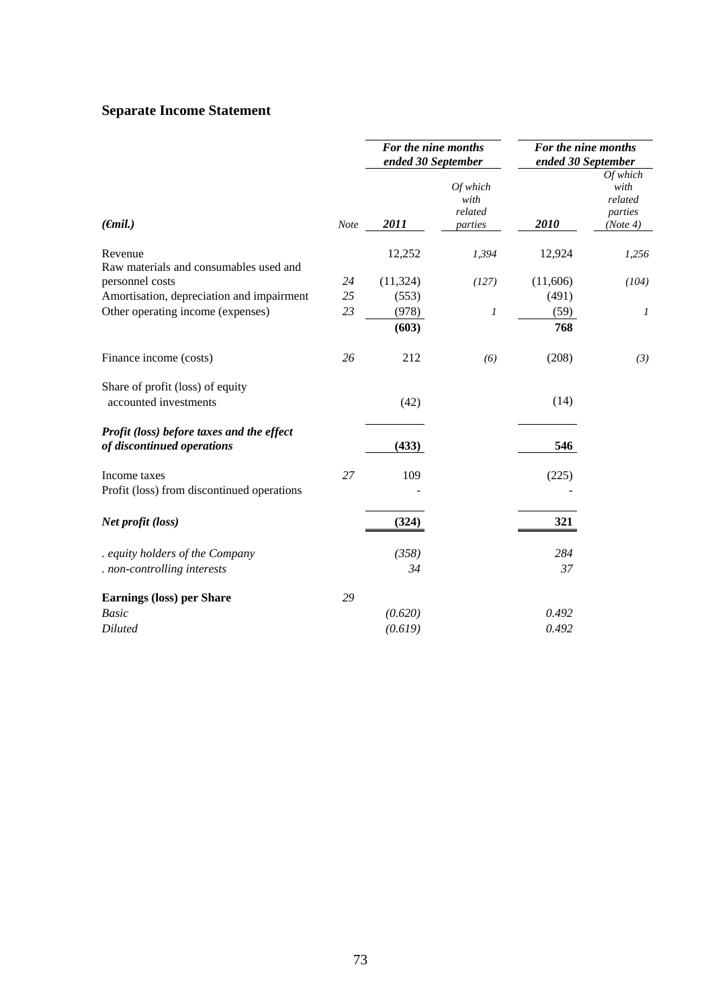## **Separate Income Statement**

|                                                                         |      | For the nine months<br>ended 30 September |                                          | For the nine months<br>ended 30 September |                                                    |  |
|-------------------------------------------------------------------------|------|-------------------------------------------|------------------------------------------|-------------------------------------------|----------------------------------------------------|--|
| $(\epsilon mil.)$                                                       | Note | 2011                                      | $Of$ which<br>with<br>related<br>parties | 2010                                      | Of which<br>with<br>related<br>parties<br>(Note 4) |  |
| Revenue                                                                 |      | 12,252                                    | 1,394                                    | 12,924                                    | 1,256                                              |  |
| Raw materials and consumables used and                                  |      |                                           |                                          |                                           |                                                    |  |
| personnel costs                                                         | 24   | (11, 324)                                 | (127)                                    | (11,606)                                  | (104)                                              |  |
| Amortisation, depreciation and impairment                               | 25   | (553)                                     |                                          | (491)                                     |                                                    |  |
| Other operating income (expenses)                                       | 23   | (978)                                     | $\boldsymbol{l}$                         | (59)                                      | 1                                                  |  |
|                                                                         |      | (603)                                     |                                          | 768                                       |                                                    |  |
| Finance income (costs)                                                  | 26   | 212                                       | (6)                                      | (208)                                     | (3)                                                |  |
| Share of profit (loss) of equity                                        |      |                                           |                                          |                                           |                                                    |  |
| accounted investments                                                   |      | (42)                                      |                                          | (14)                                      |                                                    |  |
| Profit (loss) before taxes and the effect<br>of discontinued operations |      | (433)                                     |                                          | 546                                       |                                                    |  |
| Income taxes                                                            | 27   | 109                                       |                                          | (225)                                     |                                                    |  |
| Profit (loss) from discontinued operations                              |      |                                           |                                          |                                           |                                                    |  |
| Net profit (loss)                                                       |      | (324)                                     |                                          | 321                                       |                                                    |  |
| . equity holders of the Company                                         |      | (358)                                     |                                          | 284                                       |                                                    |  |
| . non-controlling interests                                             |      | 34                                        |                                          | 37                                        |                                                    |  |
| <b>Earnings (loss) per Share</b>                                        | 29   |                                           |                                          |                                           |                                                    |  |
| <b>Basic</b>                                                            |      | (0.620)                                   |                                          | 0.492                                     |                                                    |  |
| <b>Diluted</b>                                                          |      | (0.619)                                   |                                          | 0.492                                     |                                                    |  |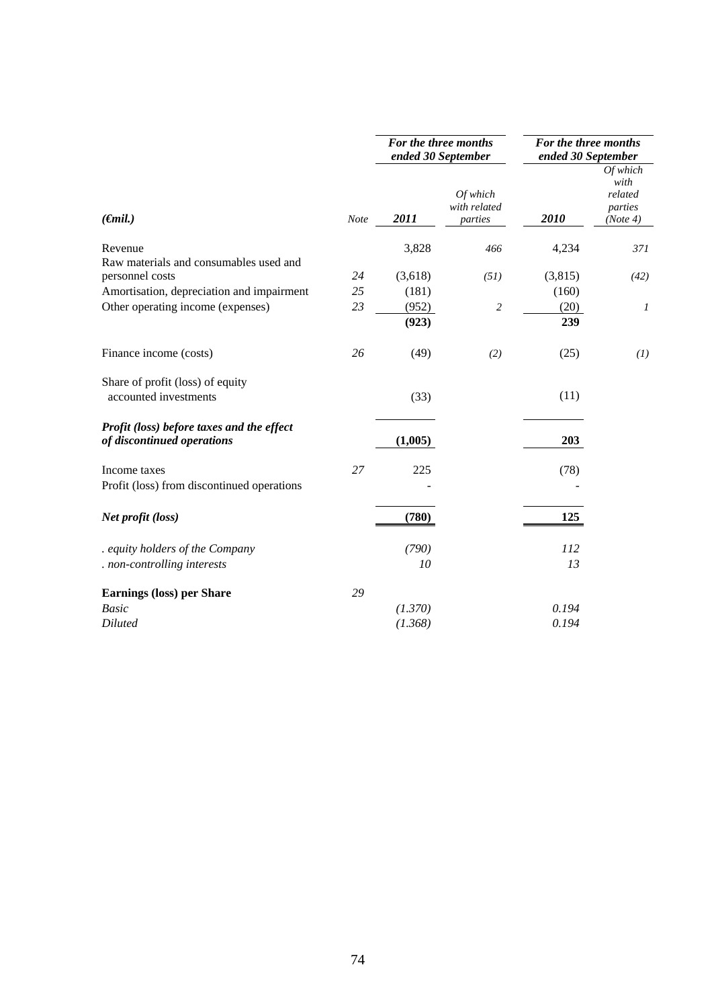|                                                                         |             |         | For the three months<br>ended 30 September | For the three months<br>ended 30 September |                                                    |
|-------------------------------------------------------------------------|-------------|---------|--------------------------------------------|--------------------------------------------|----------------------------------------------------|
| $(\epsilon mil.)$                                                       | <b>Note</b> | 2011    | Of which<br>with related<br>parties        | 2010                                       | Of which<br>with<br>related<br>parties<br>(Note 4) |
| Revenue                                                                 |             | 3,828   | 466                                        | 4,234                                      | 371                                                |
| Raw materials and consumables used and                                  |             |         |                                            |                                            |                                                    |
| personnel costs                                                         | 24          | (3,618) | (51)                                       | (3,815)                                    | (42)                                               |
| Amortisation, depreciation and impairment                               | 25          | (181)   |                                            | (160)                                      |                                                    |
| Other operating income (expenses)                                       | 23          | (952)   | $\sqrt{2}$                                 | (20)                                       | $\boldsymbol{l}$                                   |
|                                                                         |             | (923)   |                                            | 239                                        |                                                    |
| Finance income (costs)                                                  | 26          | (49)    | (2)                                        | (25)                                       | (I)                                                |
| Share of profit (loss) of equity<br>accounted investments               |             | (33)    |                                            | (11)                                       |                                                    |
| Profit (loss) before taxes and the effect<br>of discontinued operations |             | (1,005) |                                            | 203                                        |                                                    |
| Income taxes                                                            | 27          | 225     |                                            | (78)                                       |                                                    |
| Profit (loss) from discontinued operations                              |             |         |                                            |                                            |                                                    |
| Net profit (loss)                                                       |             | (780)   |                                            | 125                                        |                                                    |
| equity holders of the Company                                           |             | (790)   |                                            | 112                                        |                                                    |
| . non-controlling interests                                             |             | 10      |                                            | 13                                         |                                                    |
| <b>Earnings (loss) per Share</b>                                        | 29          |         |                                            |                                            |                                                    |
| <b>Basic</b>                                                            |             | (1.370) |                                            | 0.194                                      |                                                    |
| <b>Diluted</b>                                                          |             | (1.368) |                                            | 0.194                                      |                                                    |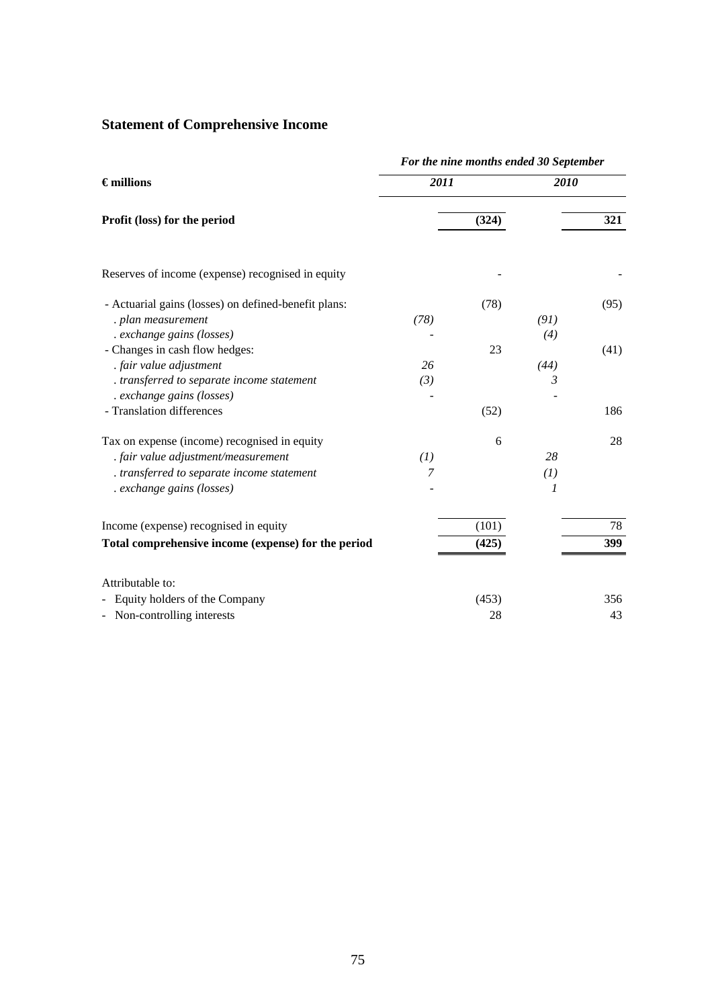# **Statement of Comprehensive Income**

|                                                                         | For the nine months ended 30 September |       |      |      |  |  |
|-------------------------------------------------------------------------|----------------------------------------|-------|------|------|--|--|
| $\epsilon$ millions                                                     | 2011                                   |       | 2010 |      |  |  |
| Profit (loss) for the period                                            |                                        | (324) |      | 321  |  |  |
| Reserves of income (expense) recognised in equity                       |                                        |       |      |      |  |  |
| - Actuarial gains (losses) on defined-benefit plans:                    |                                        | (78)  |      | (95) |  |  |
| . plan measurement                                                      | (78)                                   |       | (91) |      |  |  |
| . exchange gains (losses)                                               |                                        |       | (4)  |      |  |  |
| - Changes in cash flow hedges:                                          |                                        | 23    |      | (41) |  |  |
| . fair value adjustment                                                 | 26                                     |       | (44) |      |  |  |
| . transferred to separate income statement<br>. exchange gains (losses) | (3)                                    |       | 3    |      |  |  |
| - Translation differences                                               |                                        | (52)  |      | 186  |  |  |
| Tax on expense (income) recognised in equity                            |                                        | 6     |      | 28   |  |  |
| . fair value adjustment/measurement                                     | (I)                                    |       | 28   |      |  |  |
| . transferred to separate income statement                              | 7                                      |       | (I)  |      |  |  |
| . exchange gains (losses)                                               |                                        |       | 1    |      |  |  |
| Income (expense) recognised in equity                                   |                                        | (101) |      | 78   |  |  |
| Total comprehensive income (expense) for the period                     |                                        | (425) |      | 399  |  |  |
| Attributable to:                                                        |                                        |       |      |      |  |  |
| Equity holders of the Company                                           |                                        | (453) |      | 356  |  |  |
| Non-controlling interests                                               |                                        | 28    |      | 43   |  |  |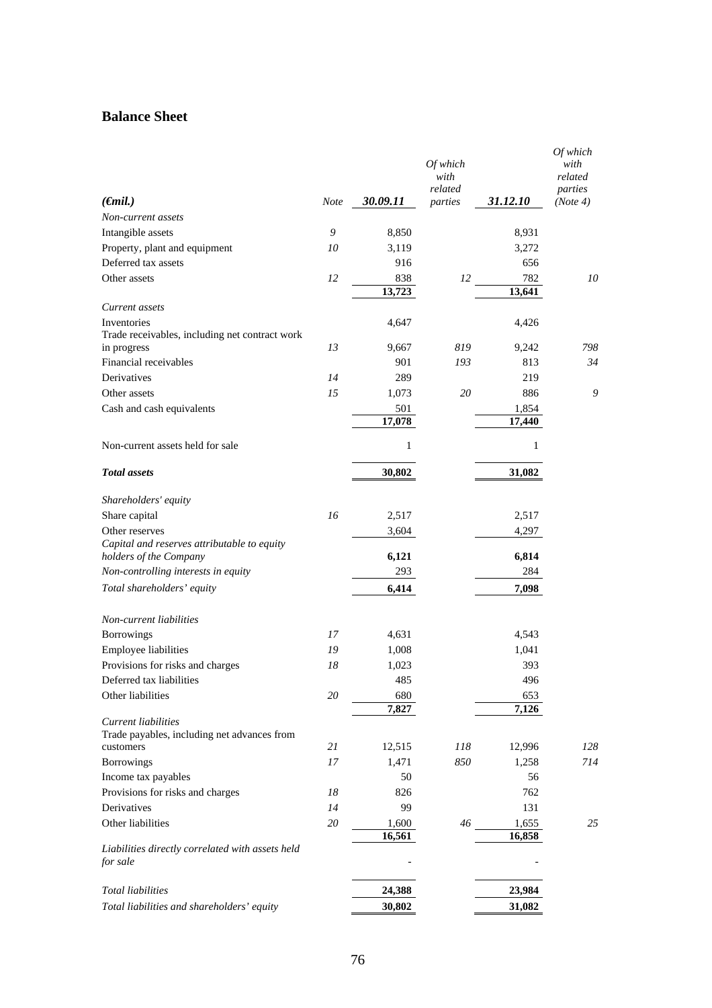## **Balance Sheet**

|                                                                       |             |          | Of which<br>with   |          | Of which<br>with<br>related |
|-----------------------------------------------------------------------|-------------|----------|--------------------|----------|-----------------------------|
| $(\epsilon$ mil.)                                                     | <b>Note</b> | 30.09.11 | related<br>parties | 31.12.10 | parties<br>(Note 4)         |
| Non-current assets                                                    |             |          |                    |          |                             |
| Intangible assets                                                     | 9           | 8,850    |                    | 8,931    |                             |
| Property, plant and equipment                                         | 10          | 3,119    |                    | 3,272    |                             |
| Deferred tax assets                                                   |             | 916      |                    | 656      |                             |
| Other assets                                                          | 12          | 838      | 12                 | 782      | 10                          |
|                                                                       |             | 13,723   |                    | 13,641   |                             |
| Current assets                                                        |             |          |                    |          |                             |
| Inventories<br>Trade receivables, including net contract work         |             | 4,647    |                    | 4,426    |                             |
| in progress                                                           | 13          | 9,667    | 819                | 9,242    | 798                         |
| Financial receivables                                                 |             | 901      | 193                | 813      | 34                          |
| Derivatives                                                           | 14          | 289      |                    | 219      |                             |
| Other assets                                                          | 15          | 1,073    | 20                 | 886      | 9                           |
| Cash and cash equivalents                                             |             | 501      |                    | 1,854    |                             |
|                                                                       |             | 17,078   |                    | 17,440   |                             |
| Non-current assets held for sale                                      |             | 1        |                    | 1        |                             |
| <b>Total</b> assets                                                   |             | 30,802   |                    | 31,082   |                             |
| Shareholders' equity                                                  |             |          |                    |          |                             |
| Share capital                                                         | 16          | 2,517    |                    | 2,517    |                             |
| Other reserves                                                        |             | 3,604    |                    | 4,297    |                             |
| Capital and reserves attributable to equity<br>holders of the Company |             | 6,121    |                    | 6,814    |                             |
| Non-controlling interests in equity                                   |             | 293      |                    | 284      |                             |
| Total shareholders' equity                                            |             | 6,414    |                    | 7,098    |                             |
| Non-current liabilities                                               |             |          |                    |          |                             |
| Borrowings                                                            | 17          | 4,631    |                    | 4,543    |                             |
| Employee liabilities                                                  | 19          | 1,008    |                    | 1,041    |                             |
| Provisions for risks and charges                                      | 18          | 1,023    |                    | 393      |                             |
| Deferred tax liabilities                                              |             | 485      |                    | 496      |                             |
| Other liabilities                                                     | $20\,$      | 680      |                    | 653      |                             |
| Current liabilities                                                   |             | 7,827    |                    | 7,126    |                             |
| Trade payables, including net advances from                           |             |          |                    |          |                             |
| customers                                                             | 21          | 12,515   | 118                | 12,996   | 128                         |
| Borrowings                                                            | 17          | 1,471    | 850                | 1,258    | 714                         |
| Income tax payables                                                   |             | 50       |                    | 56       |                             |
| Provisions for risks and charges                                      | 18          | 826      |                    | 762      |                             |
| Derivatives                                                           | 14          | 99       |                    | 131      |                             |
| Other liabilities                                                     | 20          | 1,600    | 46                 | 1,655    | 25                          |
| Liabilities directly correlated with assets held<br>for sale          |             | 16,561   |                    | 16,858   |                             |
|                                                                       |             |          |                    |          |                             |
| <b>Total liabilities</b>                                              |             | 24,388   |                    | 23,984   |                             |
| Total liabilities and shareholders' equity                            |             | 30,802   |                    | 31,082   |                             |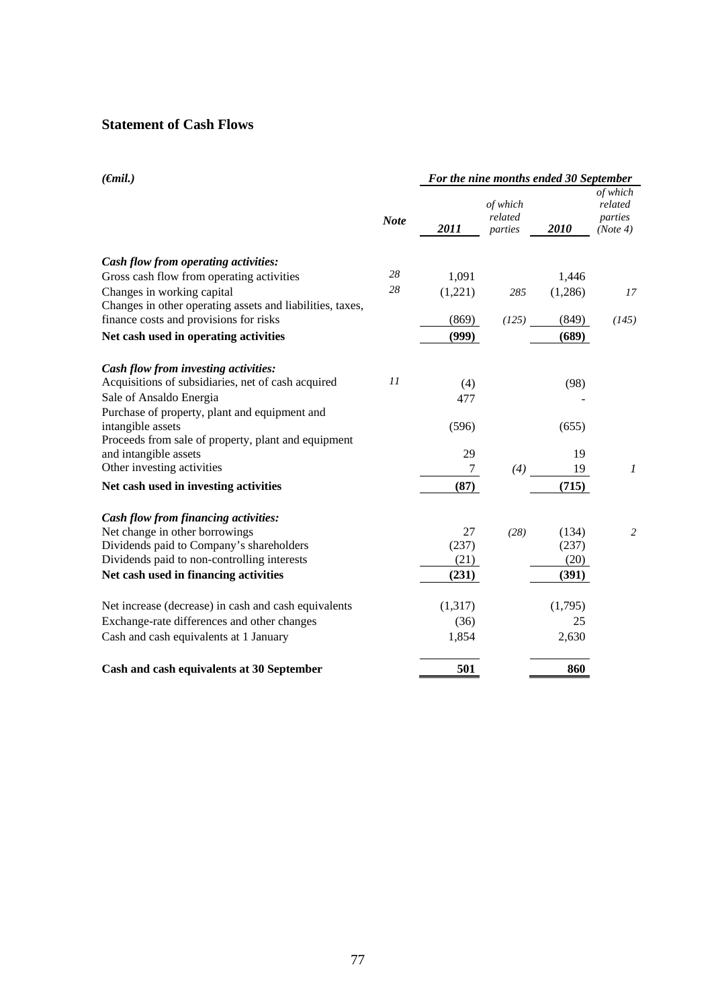## **Statement of Cash Flows**

| $(\epsilon mil.)$                                         | For the nine months ended 30 September |         |                                |         |                                            |
|-----------------------------------------------------------|----------------------------------------|---------|--------------------------------|---------|--------------------------------------------|
|                                                           | <b>Note</b>                            | 2011    | of which<br>related<br>parties | 2010    | of which<br>related<br>parties<br>(Note 4) |
| Cash flow from operating activities:                      |                                        |         |                                |         |                                            |
| Gross cash flow from operating activities                 | 28                                     | 1,091   |                                | 1,446   |                                            |
| Changes in working capital                                | 28                                     | (1,221) | 285                            | (1,286) | 17                                         |
| Changes in other operating assets and liabilities, taxes, |                                        |         |                                |         |                                            |
| finance costs and provisions for risks                    |                                        | (869)   | (125)                          | (849)   | (145)                                      |
| Net cash used in operating activities                     |                                        | (999)   |                                | (689)   |                                            |
| Cash flow from investing activities:                      |                                        |         |                                |         |                                            |
| Acquisitions of subsidiaries, net of cash acquired        | 11                                     | (4)     |                                | (98)    |                                            |
| Sale of Ansaldo Energia                                   |                                        | 477     |                                |         |                                            |
| Purchase of property, plant and equipment and             |                                        |         |                                |         |                                            |
| intangible assets                                         |                                        | (596)   |                                | (655)   |                                            |
| Proceeds from sale of property, plant and equipment       |                                        |         |                                |         |                                            |
| and intangible assets                                     |                                        | 29      |                                | 19      |                                            |
| Other investing activities                                |                                        | 7       | (4)                            | 19      | 1                                          |
| Net cash used in investing activities                     |                                        | (87)    |                                | (715)   |                                            |
| Cash flow from financing activities:                      |                                        |         |                                |         |                                            |
| Net change in other borrowings                            |                                        | 27      | (28)                           | (134)   | $\overline{2}$                             |
| Dividends paid to Company's shareholders                  |                                        | (237)   |                                | (237)   |                                            |
| Dividends paid to non-controlling interests               |                                        | (21)    |                                | (20)    |                                            |
| Net cash used in financing activities                     |                                        | (231)   |                                | (391)   |                                            |
| Net increase (decrease) in cash and cash equivalents      |                                        | (1,317) |                                | (1,795) |                                            |
| Exchange-rate differences and other changes               |                                        | (36)    |                                | 25      |                                            |
| Cash and cash equivalents at 1 January                    |                                        | 1,854   |                                | 2,630   |                                            |
| Cash and cash equivalents at 30 September                 |                                        | 501     |                                | 860     |                                            |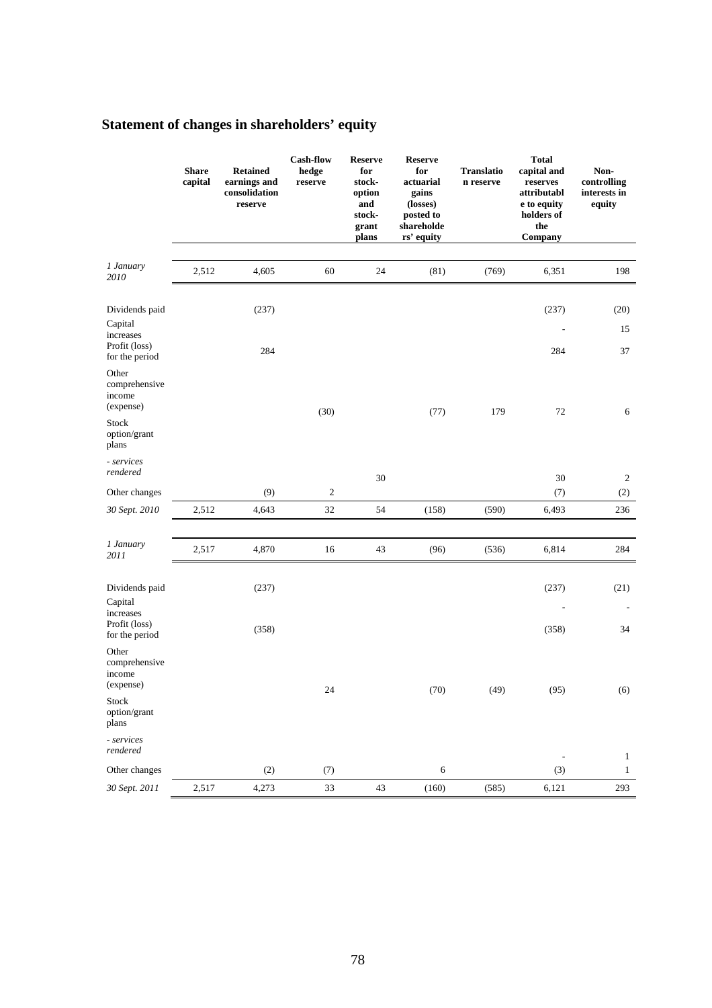# **Statement of changes in shareholders' equity**

|                                                                                                   | <b>Share</b><br>capital | <b>Retained</b><br>earnings and<br>consolidation<br>reserve | <b>Cash-flow</b><br>hedge<br>reserve | <b>Reserve</b><br>for<br>stock-<br>option<br>and<br>stock-<br>grant<br>plans | <b>Reserve</b><br>for<br>actuarial<br>gains<br>(losses)<br>posted to<br>shareholde<br>rs' equity | <b>Translatio</b><br>n reserve | <b>Total</b><br>capital and<br>reserves<br>attributabl<br>e to equity<br>holders of<br>the<br>Company | Non-<br>controlling<br>interests in<br>equity |
|---------------------------------------------------------------------------------------------------|-------------------------|-------------------------------------------------------------|--------------------------------------|------------------------------------------------------------------------------|--------------------------------------------------------------------------------------------------|--------------------------------|-------------------------------------------------------------------------------------------------------|-----------------------------------------------|
| 1 January<br>2010                                                                                 | 2,512                   | 4,605                                                       | 60                                   | 24                                                                           | (81)                                                                                             | (769)                          | 6,351                                                                                                 | 198                                           |
| Dividends paid<br>Capital<br>increases<br>Profit (loss)                                           |                         | (237)<br>284                                                |                                      |                                                                              |                                                                                                  |                                | (237)<br>284                                                                                          | (20)<br>15<br>37                              |
| for the period<br>Other<br>comprehensive<br>income<br>(expense)<br>Stock<br>option/grant<br>plans |                         |                                                             | (30)                                 |                                                                              | (77)                                                                                             | 179                            | 72                                                                                                    | 6                                             |
| - services<br>rendered                                                                            |                         |                                                             |                                      | 30                                                                           |                                                                                                  |                                | 30                                                                                                    | 2                                             |
| Other changes                                                                                     |                         | (9)                                                         | $\boldsymbol{2}$                     |                                                                              |                                                                                                  |                                | (7)                                                                                                   | (2)                                           |
| 30 Sept. 2010                                                                                     | 2,512                   | 4,643                                                       | 32                                   | 54                                                                           | (158)                                                                                            | (590)                          | 6,493                                                                                                 | 236                                           |
| 1 January<br>2011                                                                                 | 2,517                   | 4,870                                                       | 16                                   | 43                                                                           | (96)                                                                                             | (536)                          | 6,814                                                                                                 | 284                                           |
| Dividends paid<br>Capital<br>increases<br>Profit (loss)                                           |                         | (237)<br>(358)                                              |                                      |                                                                              |                                                                                                  |                                | (237)<br>(358)                                                                                        | (21)<br>34                                    |
| for the period<br>Other<br>comprehensive<br>income<br>(expense)<br>Stock<br>option/grant<br>plans |                         |                                                             | 24                                   |                                                                              | (70)                                                                                             | (49)                           | (95)                                                                                                  | (6)                                           |
| - services<br>rendered                                                                            |                         |                                                             |                                      |                                                                              |                                                                                                  |                                | $\overline{\phantom{a}}$                                                                              | $\mathbf{1}$                                  |
| Other changes                                                                                     |                         | $\left( 2\right)$                                           | (7)                                  |                                                                              | $\sqrt{6}$                                                                                       |                                | (3)                                                                                                   | $\mathbf{1}$                                  |
| 30 Sept. 2011                                                                                     | 2,517                   | 4,273                                                       | 33                                   | 43                                                                           | (160)                                                                                            | (585)                          | 6,121                                                                                                 | 293                                           |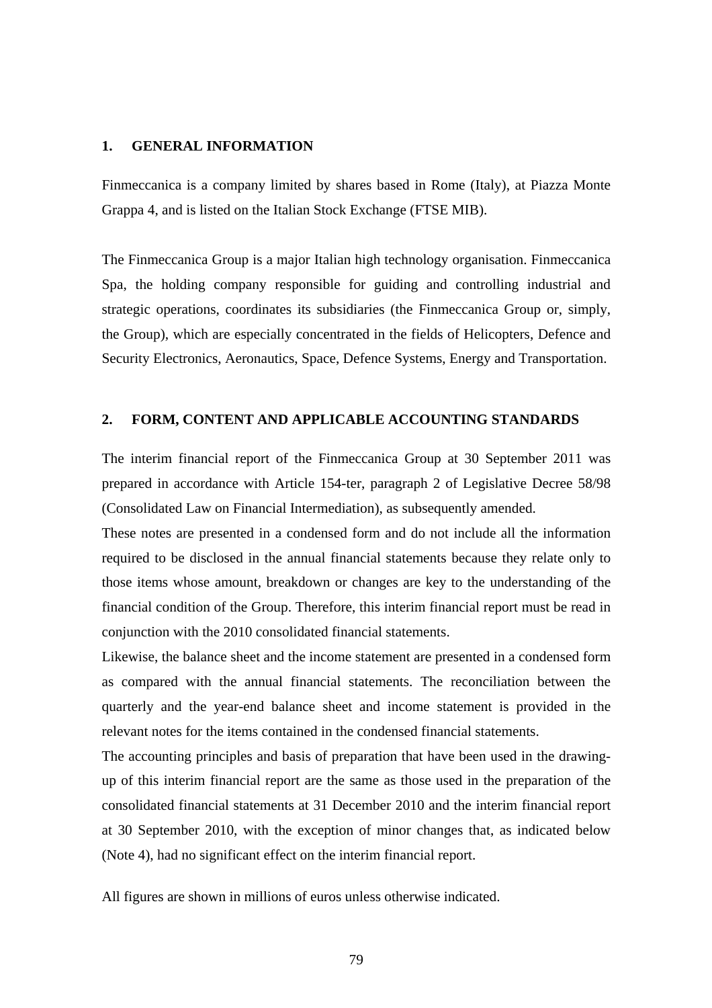#### **1. GENERAL INFORMATION**

Finmeccanica is a company limited by shares based in Rome (Italy), at Piazza Monte Grappa 4, and is listed on the Italian Stock Exchange (FTSE MIB).

The Finmeccanica Group is a major Italian high technology organisation. Finmeccanica Spa, the holding company responsible for guiding and controlling industrial and strategic operations, coordinates its subsidiaries (the Finmeccanica Group or, simply, the Group), which are especially concentrated in the fields of Helicopters, Defence and Security Electronics, Aeronautics, Space, Defence Systems, Energy and Transportation.

#### **2. FORM, CONTENT AND APPLICABLE ACCOUNTING STANDARDS**

The interim financial report of the Finmeccanica Group at 30 September 2011 was prepared in accordance with Article 154-ter, paragraph 2 of Legislative Decree 58/98 (Consolidated Law on Financial Intermediation), as subsequently amended.

These notes are presented in a condensed form and do not include all the information required to be disclosed in the annual financial statements because they relate only to those items whose amount, breakdown or changes are key to the understanding of the financial condition of the Group. Therefore, this interim financial report must be read in conjunction with the 2010 consolidated financial statements.

Likewise, the balance sheet and the income statement are presented in a condensed form as compared with the annual financial statements. The reconciliation between the quarterly and the year-end balance sheet and income statement is provided in the relevant notes for the items contained in the condensed financial statements.

The accounting principles and basis of preparation that have been used in the drawingup of this interim financial report are the same as those used in the preparation of the consolidated financial statements at 31 December 2010 and the interim financial report at 30 September 2010, with the exception of minor changes that, as indicated below (Note 4), had no significant effect on the interim financial report.

All figures are shown in millions of euros unless otherwise indicated.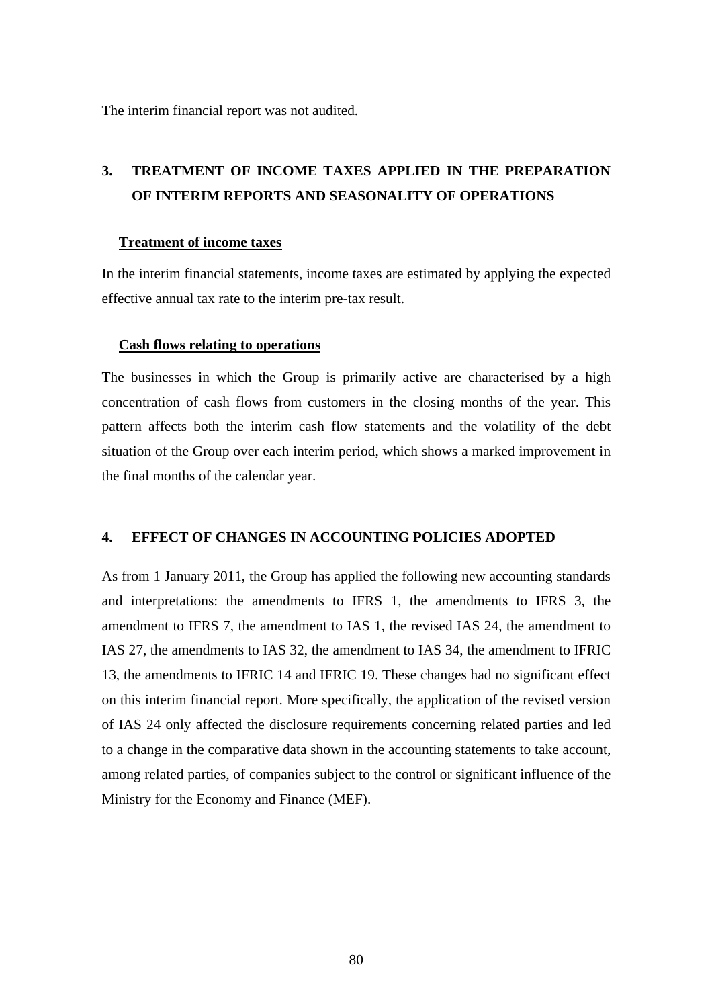The interim financial report was not audited.

# **3. TREATMENT OF INCOME TAXES APPLIED IN THE PREPARATION OF INTERIM REPORTS AND SEASONALITY OF OPERATIONS**

#### **Treatment of income taxes**

In the interim financial statements, income taxes are estimated by applying the expected effective annual tax rate to the interim pre-tax result.

#### **Cash flows relating to operations**

The businesses in which the Group is primarily active are characterised by a high concentration of cash flows from customers in the closing months of the year. This pattern affects both the interim cash flow statements and the volatility of the debt situation of the Group over each interim period, which shows a marked improvement in the final months of the calendar year.

#### **4. EFFECT OF CHANGES IN ACCOUNTING POLICIES ADOPTED**

As from 1 January 2011, the Group has applied the following new accounting standards and interpretations: the amendments to IFRS 1, the amendments to IFRS 3, the amendment to IFRS 7, the amendment to IAS 1, the revised IAS 24, the amendment to IAS 27, the amendments to IAS 32, the amendment to IAS 34, the amendment to IFRIC 13, the amendments to IFRIC 14 and IFRIC 19. These changes had no significant effect on this interim financial report. More specifically, the application of the revised version of IAS 24 only affected the disclosure requirements concerning related parties and led to a change in the comparative data shown in the accounting statements to take account, among related parties, of companies subject to the control or significant influence of the Ministry for the Economy and Finance (MEF).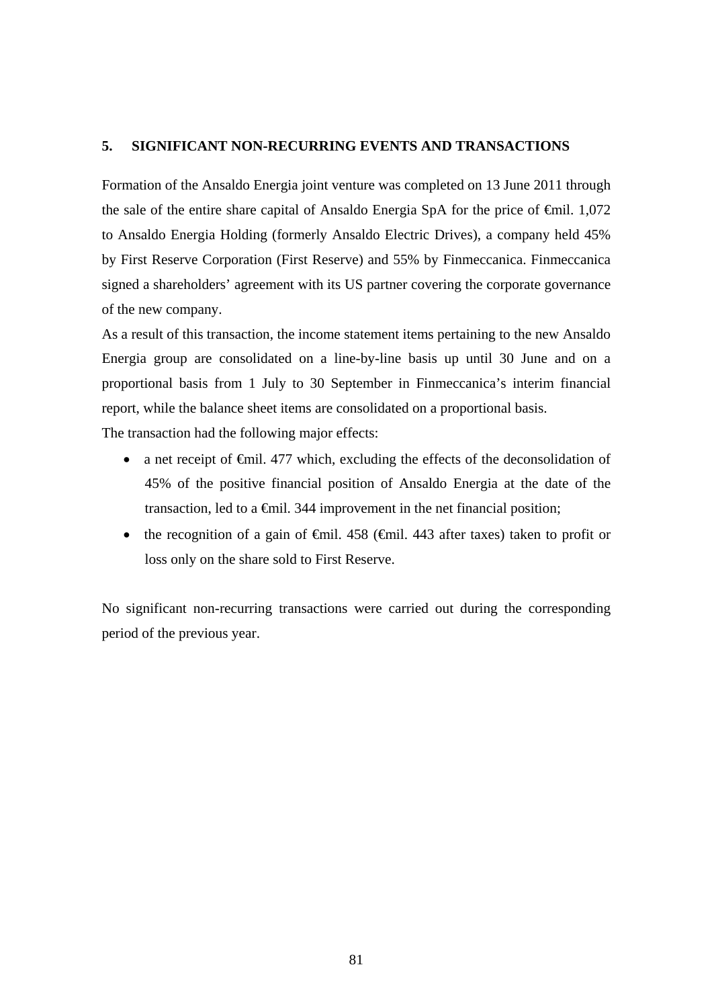## **5. SIGNIFICANT NON-RECURRING EVENTS AND TRANSACTIONS**

Formation of the Ansaldo Energia joint venture was completed on 13 June 2011 through the sale of the entire share capital of Ansaldo Energia SpA for the price of  $\epsilon$ mil. 1,072 to Ansaldo Energia Holding (formerly Ansaldo Electric Drives), a company held 45% by First Reserve Corporation (First Reserve) and 55% by Finmeccanica. Finmeccanica signed a shareholders' agreement with its US partner covering the corporate governance of the new company.

As a result of this transaction, the income statement items pertaining to the new Ansaldo Energia group are consolidated on a line-by-line basis up until 30 June and on a proportional basis from 1 July to 30 September in Finmeccanica's interim financial report, while the balance sheet items are consolidated on a proportional basis.

The transaction had the following major effects:

- a net receipt of €mil. 477 which, excluding the effects of the deconsolidation of 45% of the positive financial position of Ansaldo Energia at the date of the transaction, led to a  $\epsilon$ mil. 344 improvement in the net financial position;
- the recognition of a gain of  $\theta$ mil. 458 ( $\theta$ mil. 443 after taxes) taken to profit or loss only on the share sold to First Reserve.

No significant non-recurring transactions were carried out during the corresponding period of the previous year.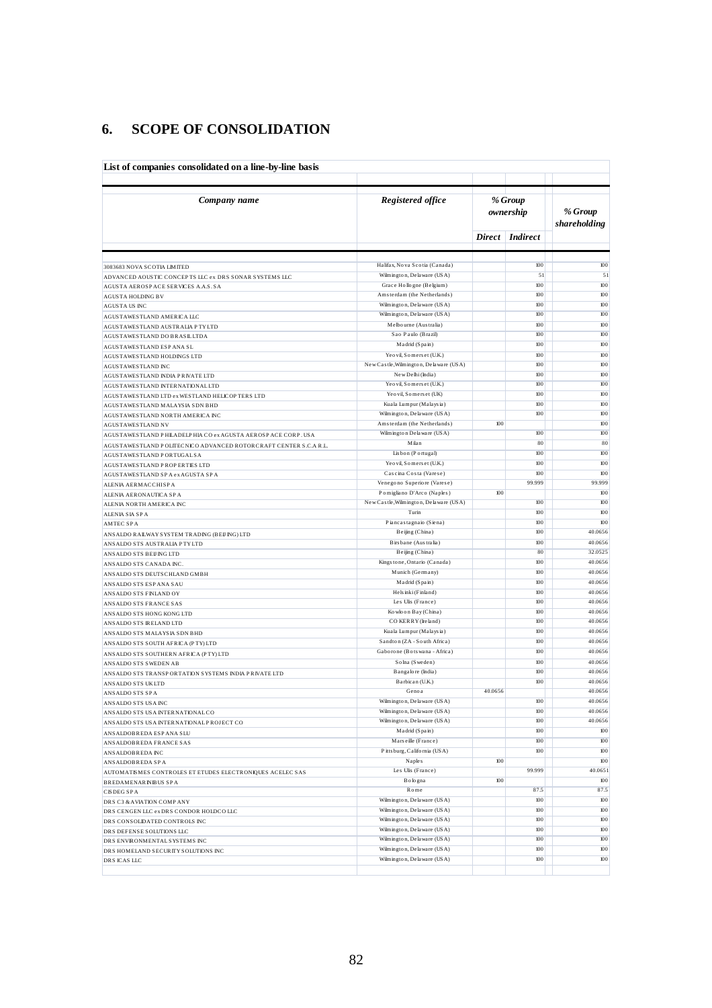## **6. SCOPE OF CONSOLIDATION**

| List of companies consolidated on a line-by-line basis                                                                           |                                                             |                      |                 |                         |
|----------------------------------------------------------------------------------------------------------------------------------|-------------------------------------------------------------|----------------------|-----------------|-------------------------|
| Company name                                                                                                                     | Registered office                                           | % Group<br>ownership |                 | % Group<br>shareholding |
|                                                                                                                                  |                                                             |                      | Direct Indirect |                         |
|                                                                                                                                  |                                                             |                      |                 |                         |
| 3083683 NOVA SCOTIA LIMITED                                                                                                      | Halifax, Nova Scotia (Canada)<br>Wilmington, Delaware (USA) |                      | 100<br>51       | 100<br>51               |
| ADVANCED AOUSTIC CONCEPTS LLC ex DRS SONAR SYSTEMS LLC<br>AGUSTA AEROSPACE SERVICES A.A.S. SA                                    | Grace Hollogne (Belgium)                                    |                      | 100             | 100                     |
| AGUSTA HOLDING BV                                                                                                                | Amsterdam (the Netherlands)                                 |                      | 100             | 100                     |
| AGUSTA US INC                                                                                                                    | Wilmington, Delaware (USA)                                  |                      | 100             | 100                     |
| AGUSTAWESTLAND AMERICA LLC                                                                                                       | Wilmington, Delaware (USA)                                  |                      | 100             | 100                     |
| AGUSTAWESTLAND AUSTRALIA PTY LTD                                                                                                 | Melbourne (Australia)                                       |                      | 100             | 100                     |
| AGUSTAWESTLAND DO BRASILLTDA                                                                                                     | Sao Paulo (Brazil)<br>Madrid (Spain)                        |                      | 100<br>100      | 100<br>100              |
| AGUSTAWESTLAND ESP ANA SL<br>AGUSTAWESTLAND HOLDINGS LTD                                                                         | Yeo vil, Somers et (U.K.)                                   |                      | 100             | 100                     |
| AGUSTAWESTLAND INC                                                                                                               | New Castle, Wilmington, Delaware (USA)                      |                      | 100             | 100                     |
| AGUSTAWESTLAND INDIA PRIVATE LTD                                                                                                 | New Delhi (India)                                           |                      | 100             | 100                     |
| AGUSTAWESTLAND INTERNATIONALLTD                                                                                                  | Yeo vil, Somers et (U.K.)                                   |                      | 100             | 100                     |
| AGUSTAWESTLAND LTD ex WESTLAND HELICOP TERS LTD                                                                                  | Yeo vil, Somerset (UK)                                      |                      | 100             | 100                     |
| AGUSTAWESTLAND MALAYSIA SDN BHD                                                                                                  | Kuala Lumpur (Malaysia)                                     |                      | 100             | 100                     |
| AGUSTAWESTLAND NORTH AMERICA INC                                                                                                 | Wilmington, Delaware (USA)<br>Amsterdam (the Netherlands)   | 100                  | 100             | 100<br>100              |
| <b>AGUSTAWESTLAND NV</b>                                                                                                         | Wilmington Delaware (USA)                                   |                      | 100             | 100                     |
| AGUSTAWESTLAND PHILADELPHIA CO ex AGUSTA AEROSPACE CORP. USA<br>AGUSTAWESTLAND POLITECNICO ADVANCED ROTORCRAFT CENTER S.C.A R.L. | Milan                                                       |                      | 80              | 80                      |
| AGUSTAWESTLAND PORTUGAL SA                                                                                                       | Lisbon (Portugal)                                           |                      | 100             | 100                     |
| AGUSTAWESTLAND PROPERTIES LTD                                                                                                    | Yeo vil, Somers et (U.K.)                                   |                      | 100             | 100                     |
| AGUSTAWESTLAND SP A ex AGUSTA SP A                                                                                               | Cascina Costa (Varese)                                      |                      | 100             | 100                     |
| ALENIA AERMACCHISPA                                                                                                              | Venegono Superiore (Varese)                                 |                      | 99.999          | 99.999                  |
| ALENIA AERONAUTICA SPA                                                                                                           | Pomigliano D'Arco (Naples)                                  | 100                  |                 | 100                     |
| ALENIA NORTH AMERICA INC                                                                                                         | New Castle, Wilmington, Delaware (USA)<br>Turin             |                      | 100<br>100      | 100<br>100              |
| ALENIA SIA SPA                                                                                                                   | Piancastagnaio (Siena)                                      |                      | 100             | 100                     |
| <b>AMTEC SPA</b><br>ANSALDO RAILWAY SYSTEM TRADING (BEIJING) LTD                                                                 | Beijing (China)                                             |                      | 100             | 40.0656                 |
| ANSALDO STS AUSTRALIA PTYLTD                                                                                                     | Birsbane (Australia)                                        |                      | 100             | 40.0656                 |
| ANSALDO STS BEIJ ING LTD                                                                                                         | Beijing (China)                                             |                      | 80              | 32.0525                 |
| ANSALDO STS CANADA INC.                                                                                                          | Kingstone, Ontario (Canada)                                 |                      | 100             | 40.0656                 |
| ANSALDO STS DEUTSCHLAND GMBH                                                                                                     | Munich (Germany)                                            |                      | 100             | 40.0656                 |
| ANSALDO STS ESP ANA SAU                                                                                                          | Madrid (Spain)                                              |                      | 100             | 40.0656                 |
| ANSALDO STS FINLAND OY                                                                                                           | Hels inki (Finland)                                         |                      | 100             | 40.0656                 |
| ANSALDO STS FRANCE SAS                                                                                                           | Les Ulis (France)<br>Kowloon Bay (China)                    |                      | 100<br>100      | 40.0656<br>40.0656      |
| ANSALDO STS HONG KONG LTD<br>ANSALDO STS IRELAND LTD                                                                             | CO KERRY (Ireland)                                          |                      | 100             | 40.0656                 |
| ANSALDO STS MALAYSIA SDN BHD                                                                                                     | Kuala Lumpur (Malaysia)                                     |                      | 100             | 40.0656                 |
| ANSALDO STS SOUTH AFRICA (PTY) LTD                                                                                               | Sandton (ZA - South Africa)                                 |                      | 100             | 40.0656                 |
| ANSALDO STS SOUTHERN AFRICA (PTY) LTD                                                                                            | Gaborone (Botswana - Africa)                                |                      | 100             | 40.0656                 |
| ANSALDO STS SWEDEN AB                                                                                                            | Solna (Sweden)                                              |                      | 100             | 40.0656                 |
| ANSALDO STS TRANSPORTATION SYSTEMS INDIA PRIVATE LTD                                                                             | Bangalore (India)                                           |                      | 100             | 40.0656                 |
| ANSALDO STS UKLTD                                                                                                                | Barbican (U.K.)<br>Genoa                                    | 40.0656              | 100             | 40.0656<br>40.0656      |
| ANS ALDO STS SPA                                                                                                                 | Wilmington, Delaware (USA)                                  |                      | 100             | 40.0656                 |
| ANSALDO STS USA INC<br>ANSALDO STS USA INTERNATIONAL CO                                                                          | Wilmington, Delaware (USA)                                  |                      | 100             | 40.0656                 |
| ANSALDO STS USA INTERNATIONAL PROJECT CO                                                                                         | Wilmington, Delaware (USA)                                  |                      | $100\,$         | 40.0656                 |
| ANSALDOBREDA ESP ANA SLU                                                                                                         | Madrid (Spain)                                              |                      | 100             | $100\,$                 |
| ANSALDOBREDA FRANCE SAS                                                                                                          | Marseille (France)                                          |                      | 100             | 100                     |
| ANSALDOBREDA INC                                                                                                                 | Pitts burg, California (USA)                                |                      | $100\,$         | 100                     |
| ANSALDOBREDA SPA                                                                                                                 | Naples                                                      | 100                  |                 | 100                     |
| AUTOMATISMES CONTROLES ET ETUDES ELECTRONIQUES ACELEC SAS                                                                        | Les Ulis (France)<br>Bologna                                | 100                  | 99.999          | 40.0651<br>100          |
| <b>BREDAMENARINIBUS SPA</b>                                                                                                      | Rome                                                        |                      | 87.5            | 87.5                    |
| CISDEG SPA<br>DRS C3 & AVIATION COMPANY                                                                                          | Wilmington, Delaware (USA)                                  |                      | $100\,$         | 100                     |
| DRS CENGEN LLC ex DRS CONDOR HOLDCO LLC                                                                                          | Wilmington, Delaware (USA)                                  |                      | 100             | 100                     |
| DRS CONSOLIDATED CONTROLS INC                                                                                                    | Wilmington, Delaware (USA)                                  |                      | 100             | 100                     |
| DRS DEFENSE SOLUTIONS LLC                                                                                                        | Wilmington, Delaware (USA)                                  |                      | $100\,$         | 100                     |
| DRS ENVIRONMENTAL SYSTEMS INC                                                                                                    | Wilmington, Delaware (USA)                                  |                      | 100             | 100                     |
| DRS HOMELAND SECURITY SOLUTIONS INC                                                                                              | Wilmington, Delaware (USA)                                  |                      | 100             | 100                     |
| DRS ICAS LLC                                                                                                                     | Wilmington, Delaware (USA)                                  |                      | $100\,$         | 100                     |
|                                                                                                                                  |                                                             |                      |                 |                         |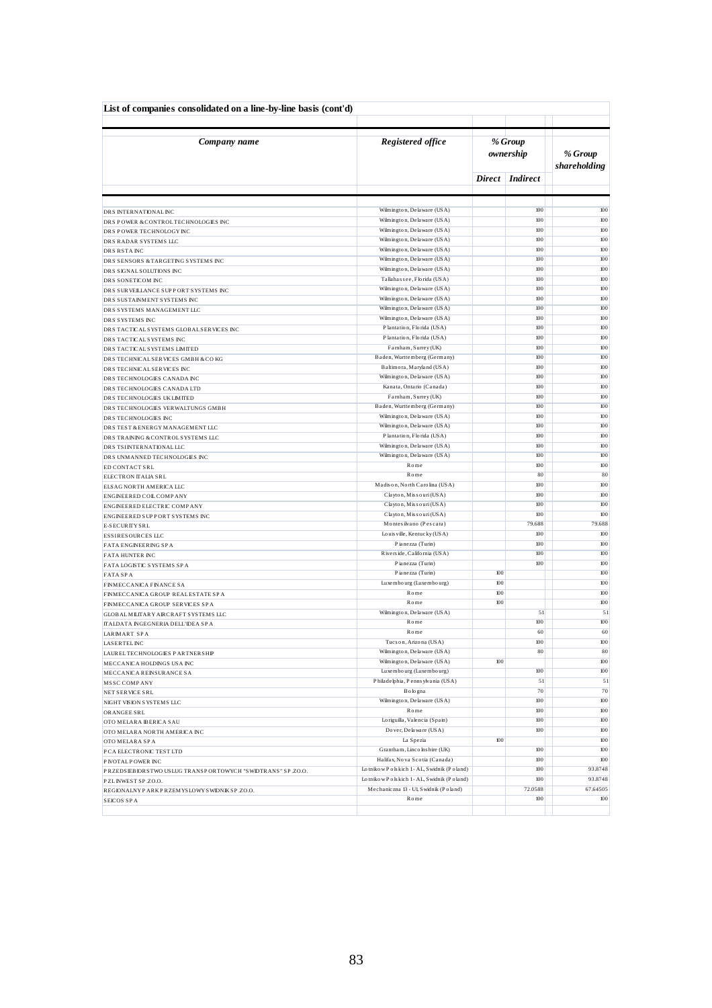| List of companies consolidated on a line-by-line basis (cont'd) |                                                          |                      |                   |                         |
|-----------------------------------------------------------------|----------------------------------------------------------|----------------------|-------------------|-------------------------|
| Company name                                                    | Registered office                                        | % Group<br>ownership |                   | % Group<br>shareholding |
|                                                                 |                                                          |                      | Direct Indirect   |                         |
|                                                                 |                                                          |                      |                   |                         |
| DRS INTERNATIONALINC                                            | Wilmington, Delaware (USA)<br>Wilmington, Delaware (USA) |                      | 100<br>100        | 100<br>100              |
| DRS POWER & CONTROLTECHNOLOGIES INC<br>DRS POWER TECHNOLOGY INC | Wilmington, Delaware (USA)                               |                      | 100               | 100                     |
| DRS RADAR SYSTEMS LLC                                           | Wilmington, Delaware (USA)                               |                      | 100               | 100                     |
| DRS RSTAINC                                                     | Wilmington, Delaware (USA)                               |                      | 100               | 100                     |
| DRS SENSORS & TARGETING SYSTEMS INC                             | Wilmington, Delaware (USA)                               |                      | 100               | 100                     |
| DRS SIGNAL SOLUTIONS INC                                        | Wilmington, Delaware (USA)                               |                      | 100               | 100                     |
| DRS SONETICOM INC                                               | Tallahas see, Florida (USA)                              |                      | 100               | 100                     |
| DRS SURVELLANCE SUPPORT SYSTEMS INC                             | Wilmington, Delaware (USA)                               |                      | 100               | 100                     |
| DRS SUSTAINMENT SYSTEMS INC                                     | Wilmington, Delaware (USA)                               |                      | 100               | 100                     |
| DRS SYSTEMS MANAGEMENT LLC                                      | Wilmington, Delaware (USA)                               |                      | 100               | 100                     |
| DRS SYSTEMS INC                                                 | Wilmington, Delaware (USA)                               |                      | 100               | 100                     |
| DRS TACTICAL SYSTEMS GLOBAL SERVICES INC                        | Plantation, Florida (USA)                                |                      | 100               | 100                     |
| DRS TACTICAL SYSTEMS INC                                        | Plantation, Florida (USA)                                |                      | 100               | 100                     |
| DRS TACTICAL SYSTEMS LIMITED                                    | Farnham, Surrey (UK)                                     |                      | 100               | 100                     |
| DRS TECHNICAL SERVICES GMBH & COKG                              | Baden, Wurttemberg (Germany)                             |                      | 100               | 100                     |
| DRS TECHNICAL SERVICES INC                                      | Baltimora, Maryland (USA)<br>Wilmington, Delaware (USA)  |                      | 100<br>100        | 100<br>100              |
| DRS TECHNOLOGIES CANADA INC                                     | Kanata, Ontario (Canada)                                 |                      | 100               | 100                     |
| DRS TECHNOLOGIES CANADA LTD<br>DRS TECHNOLOGIES UKLIMITED       | Farnham, Surrey (UK)                                     |                      | 100               | 100                     |
| DRS TECHNOLOGIES VERWALTUNGS GMBH                               | Baden, Wurttemberg (Germany)                             |                      | 100               | 100                     |
| DRS TECHNOLOGIES INC                                            | Wilmington, Delaware (USA)                               |                      | 100               | 100                     |
| DRS TEST & ENERGY MANAGEMENT LLC                                | Wilmington, Delaware (USA)                               |                      | 100               | 100                     |
| DRS TRAINING & CONTROL SYSTEMS LLC                              | Plantation, Florida (USA)                                |                      | 100               | 100                     |
| DRS TSINTERNATIONALLLC                                          | Wilmington, Delaware (USA)                               |                      | $100\,$           | 100                     |
| DRS UNMANNED TECHNOLOGIES INC                                   | Wilmington, Delaware (USA)                               |                      | 100               | 100                     |
| ED CONTACT SRL                                                  | Rome                                                     |                      | 100               | 100                     |
| ELECTRON ITALIA SRL                                             | Rome                                                     |                      | 80                | 80                      |
| ELSAG NORTH AMERICA LLC                                         | Madison, North Carolina (USA)                            |                      | 100               | 100                     |
| ENGINEERED COIL COMP ANY                                        | Clayton, Missouri (USA)                                  |                      | 100               | 100                     |
| ENGINEERED ELECTRIC COMPANY                                     | Clayton, Missouri (USA)                                  |                      | 100               | 100                     |
| ENGINEERED SUPPORT SYSTEMS INC                                  | Clayton, Missouri (USA)                                  |                      | 100               | 100                     |
| E-SECURITY SRL                                                  | Montes ilvano (Pescara)<br>Louis ville, Kentucky (USA)   |                      | 79.688<br>100     | 79.688<br>100           |
| ESSIRES OURCES LLC                                              | Pianezza (Turin)                                         |                      | 100               | 100                     |
| FATA ENGINEERING SPA<br><b>FATA HUNTER INC</b>                  | Riverside, California (USA)                              |                      | 100               | 100                     |
| FATA LOGISTIC SYSTEMS SPA                                       | Pianezza (Turin)                                         |                      | 100               | 100                     |
| FATA SPA                                                        | Pianezza (Turin)                                         | 100                  |                   | 100                     |
| <b>FINMECCANICA FINANCE SA</b>                                  | Luxembourg (Luxembourg)                                  | 100                  |                   | 100                     |
| FINMECCANICA GROUP REALESTATE SPA                               | Rome                                                     | 100                  |                   | 100                     |
| FINMECCANICA GROUP SERVICES SPA                                 | Rome                                                     | 100                  |                   | 100                     |
| <b>GLOBALMILITARY AIRCRAFT SYSTEMS LLC</b>                      | Wilmington, Delaware (USA)                               |                      | 51                | 51                      |
| ITALDATA INGEGNERIA DELL'IDEA SPA                               | Rome                                                     |                      | 100               | 100                     |
| LARIMART SPA                                                    | Rome                                                     |                      | 60                | 60                      |
| <b>LASERTEL INC</b>                                             | Tucson, Arizona (USA)                                    |                      | 100               | $100\,$                 |
| LAUREL TECHNOLOGIES PARTNERSHIP                                 | Wilmington, Delaware (USA)                               |                      | 80                | 80                      |
| MECCANICA HOLDINGS US A INC                                     | Wilmington, Delaware (USA)                               | 100                  |                   | $100\,$                 |
| MECCANICA REINSURANCE SA                                        | Luxembourg (Luxembourg)                                  |                      | 100               | 100                     |
| MSSC COMPANY                                                    | Philadelphia, Penns ylvania (USA)                        |                      | 51                | 51                      |
| NET SERVICE SRL                                                 | Bologna<br>Wilmington, Delaware (USA)                    |                      | $70\,$<br>$100\,$ | 70<br>100               |
| NIGHT VISION SYSTEMS LLC                                        | Rome                                                     |                      | 100               | 100                     |
| OR ANGEE SRL<br>OTO MELARA BERICA SAU                           | Lo riguilla, Valencia (Spain)                            |                      | 100               | $100\,$                 |
| OTO MELARA NORTH AMERICA INC                                    | Do ver, De la ware (USA)                                 |                      | 100               | 100                     |
| OTO MELARA SPA                                                  | La Spezia                                                | 100                  |                   | 100                     |
| P CA ELECTRONIC TEST LTD                                        | Grantham, Linco lns hire (UK)                            |                      | 100               | 100                     |
| P IVOTAL P OWER INC                                             | Halifax, Nova Scotia (Canada)                            |                      | 100               | 100                     |
| PRZEDSEBIORSTWO USLUG TRANSPORTOWYCH "SWIDTRANS" SP.ZO.O.       | Lotnikow Polskich 1-AL, Swidnik (Poland)                 |                      | $100\,$           | 93.8748                 |
| PZLINWEST SP.ZO.O.                                              | Lotnikow Polskich 1-AL, Swidnik (Poland)                 |                      | 100               | 93.8748                 |
| REGIONALNY PARK PRZEMYSLOWY SWIDNIK SP.ZO.O.                    | Mechaniczna 13 - Ul, Swidnik (Poland)                    |                      | 72.0588           | 67.64505                |
| <b>SEICOS SPA</b>                                               | Rome                                                     |                      | 100               | 100                     |
|                                                                 |                                                          |                      |                   |                         |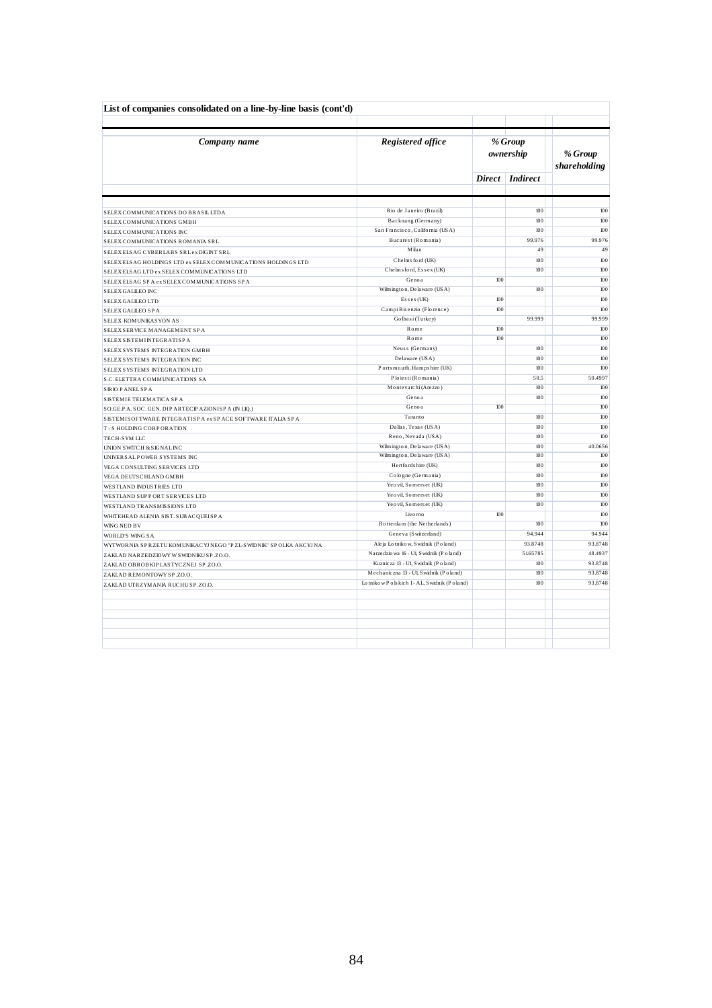| List of companies consolidated on a line-by-line basis (cont'd)   |                                           |     |                      |                         |
|-------------------------------------------------------------------|-------------------------------------------|-----|----------------------|-------------------------|
| Company name                                                      | Registered office                         |     | % Group<br>ownership | % Group<br>shareholding |
|                                                                   |                                           |     | Direct Indirect      |                         |
|                                                                   |                                           |     |                      |                         |
| SELEX COMMUNICATIONS DO BRASILLTDA                                | Rio de Janeiro (Brazil)                   |     | 100                  | 100                     |
| SELEX COMMUNICATIONS GMBH                                         | Backnang (Germany)                        |     | 100                  | 100                     |
| SELEX COMMUNICATIONS INC                                          | San Francisco, California (USA)           |     | 100                  | 100                     |
| SELEX COMMUNICATIONS ROMANIA SRL                                  | Bucarest (Romania)                        |     | 99.976               | 99.976                  |
| SELEXELSAG CYBERLABS SRLex DIGINT SRL                             | Milan                                     |     | 49                   | 49                      |
| SELEXELSAG HOLDINGS LTD ex SELEX COMMUNICATIONS HOLDINGS LTD      | Chelms ford (UK)                          |     | 100                  | 100                     |
| SELEXELSAG LTD ex SELEX COMMUNICATIONS LTD                        | Chelms ford, Essex (UK)                   |     | 100                  | 100                     |
| SELEXELSAG SPA exSELEXCOMMUNICATIONS SPA                          | Genoa                                     | 100 |                      | 100                     |
| SELEX GALLEO INC                                                  | Wilmington, Delaware (USA)                |     | 100                  | 100                     |
| SELEX GALLEO LTD                                                  | $E$ s s e x (UK)                          | 100 |                      | 100                     |
| SELEX GALLEO SPA                                                  | Campi B is enzio (Florence)               | 100 |                      | 100                     |
| SELEX KOMUNIKASYON AS                                             | Golbasi (Turkey)                          |     | 99.999               | 99.999                  |
| SELEX SERVICE MANAGEMENT SPA                                      | Rome                                      | 100 |                      | 100                     |
| SELEX SISTEMINTEGRATISP A                                         | Rome                                      | 100 |                      | 100                     |
| SELEX SYSTEMS INTEGRATION GMBH                                    | Neuss (Germany)                           |     | 100                  | 100                     |
| SELEX SYSTEMS INTEGRATION INC                                     | Delaware (USA)                            |     | 100                  | 100                     |
| SELEX SYSTEMS INTEGRATION LTD                                     | Ports mouth, Hampshire (UK)               |     | 100                  | 100                     |
| S.C. ELETTRA COMMUNICATIONS SA                                    | Ploiesti (Romania)                        |     | 50.5                 | 50.4997                 |
| <b>SIRIO PANEL SPA</b>                                            | Montevarchi (Arezzo)                      |     | 100                  | 100                     |
| SISTEMIE TELEMATICA SPA                                           | Genoa                                     |     | 100                  | 100                     |
| SO.GE.P A. SOC. GEN. DIP ARTECP AZIONISP A (IN LIQ.)              | Genoa                                     | 100 |                      | 100                     |
| SISTEMISOFTWARE INTEGRATISP A ex SP ACE SOFTWARE ITALIA SP A      | Taranto                                   |     | 100                  | 100                     |
| T-S HOLDING CORPORATION                                           | Dallas, Texas (USA)                       |     | 100                  | 100                     |
| TECH-SYM LLC                                                      | Reno, Nevada (USA)                        |     | 100                  | 100                     |
| UNION SWITCH & SIGNAL INC                                         | Wilmington, Delaware (USA)                |     | 100                  | 40.0656                 |
| UNIVER SALP OWER SYSTEMS INC                                      | Wilmington, Delaware (USA)                |     | 100                  | 100                     |
| VEGA CONSULTING SERVICES LTD                                      | Hertfords hire (UK)                       |     | 100                  | 100                     |
| VEGA DEUTSCHLAND GMBH                                             | Cologne (Germania)                        |     | 100                  | 100                     |
| WESTLAND INDUSTRIES LTD                                           | Yeo vil, Somerset (UK)                    |     | 100                  | 100                     |
| WESTLAND SUPPORT SERVICES LTD                                     | Yeo vil, Somerset (UK)                    |     | 100                  | 100                     |
| WESTLAND TRANSMISSIONS LTD                                        | Yeo vil. Somerset (UK)                    |     | 100                  | 100                     |
|                                                                   | Livomo                                    | 100 |                      | 100                     |
| WHITEHEAD ALENIA SIST. SUBACQUEISPA                               | Rotterdam (the Netherlands)               |     | 100                  | 100                     |
| WING NED BV                                                       | Geneva (Switzerland)                      |     | 94.944               | 94.944                  |
| WORLD'S WING SA                                                   | Ale ja Lo tniko w, S widnik (P o land)    |     | 93.8748              | 93.8748                 |
| WYTWORNIA SP RZETU KOMUNIKACYJ NEGO "PZL-SWIDNIK" SP OLKA AKCYJNA | Narzedzio wa 16 - Ul, S widnik (P o land) |     | 51.65785             | 48.4937                 |
| ZAKLAD NARZEDZIOWY W SWIDNIKU SP.ZO.O.                            | Kuznicza 13 - Ul, S widnik (P o land)     |     | 100                  | 93.8748                 |
| ZAKLAD OBROBKIP LASTYCZNEJ SP.ZO.O.                               | Mechaniczna 13 - Ul, Swidnik (Poland)     |     | 100                  | 93.8748                 |
| ZAKLAD REMONTOWY SP.ZO.O.                                         | Lotnikow Polskich 1-AL, Swidnik (Poland)  |     | 100                  | 93.8748                 |
| ZAKLAD UTRZYMANIA RUCHUSP.ZO.O.                                   |                                           |     |                      |                         |
|                                                                   |                                           |     |                      |                         |
|                                                                   |                                           |     |                      |                         |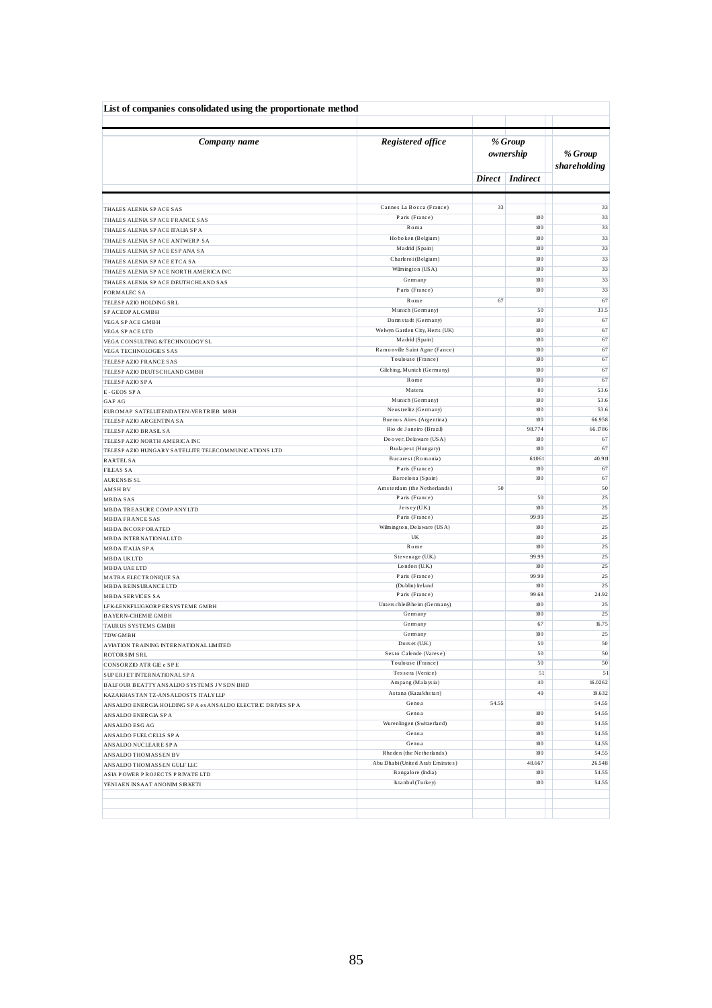| List of companies consolidated using the proportionate method        |                                                 |                      |                 |                         |
|----------------------------------------------------------------------|-------------------------------------------------|----------------------|-----------------|-------------------------|
| Company name                                                         | Registered office                               | % Group<br>ownership |                 | % Group<br>shareholding |
|                                                                      |                                                 | <b>Direct</b>        | Indirect        |                         |
|                                                                      |                                                 |                      |                 |                         |
| THALES ALENIA SPACE SAS                                              | Cannes La Bocca (France)                        | 33                   |                 | 33                      |
| THALES ALENIA SPACE FRANCE SAS                                       | Paris (France)                                  |                      | 100             | 33                      |
| THALES ALENIA SPACE ITALIA SPA                                       | Roma<br>Hoboken (Belgium)                       |                      | 100<br>100      | 33<br>33                |
| THALES ALENIA SPACE ANTWERP SA                                       | Madrid (Spain)                                  |                      | 100             | 33                      |
| THALES ALENIA SP ACE ESP ANA SA                                      | Charleroi (Belgium)                             |                      | $100\,$         | 33                      |
| THALES ALENIA SPACE ETCA SA<br>THALES ALENIA SPACE NORTH AMERICA INC | Wilmington (USA)                                |                      | 100             | 33                      |
| THALES ALENIA SPACE DEUTHCHLAND SAS                                  | Germany                                         |                      | 100             | 33                      |
| <b>FORMALEC SA</b>                                                   | Paris (France)                                  |                      | 100             | 33                      |
| TELESP AZIO HOLDING SRL                                              | Rome                                            | 67                   |                 | 67                      |
| SP ACEOP ALGMBH                                                      | Munich (Germany)                                |                      | 50              | 33.5                    |
| VEGA SP ACE GMBH                                                     | Darmstadt (Germany)                             |                      | 100             | 67                      |
| VEGA SP ACE LTD                                                      | Welwyn Garden City, Herts (UK)                  |                      | 100             | 67                      |
| VEGA CONSULTING & TECHNOLOGY SL                                      | Madrid (Spain)<br>Ramonville Saint Agne (Fance) |                      | 100<br>100      | 67                      |
| VEGA TECHNOLOGIES SAS                                                | Toulouse (France)                               |                      | 100             | 67<br>67                |
| TELESP AZIO FRANCE SAS<br>TELESP AZIO DEUTS CHLAND GMBH              | Gilching, Munich (Germany)                      |                      | 100             | 67                      |
| TELESP AZIO SP A                                                     | Rome                                            |                      | 100             | 67                      |
| E-GEOS SPA                                                           | Matera                                          |                      | 80 <sup>1</sup> | 53.6                    |
| <b>GAF AG</b>                                                        | Munich (Germany)                                |                      | 100             | 53.6                    |
| EUROMAP SATELLITENDATEN-VERTRIEB MBH                                 | Neus trelitz (Germany)                          |                      | 100             | 53.6                    |
| TELESP AZIO ARGENTINA SA                                             | Buenos Aires (Argentina)                        |                      | 100             | 66.958                  |
| TELESP AZIO BRASIL SA                                                | Rio de Janeiro (Brazil)                         |                      | 98.774          | 66.1786                 |
| TELESP AZIO NORTH AMERICA INC                                        | Doover, Delaware (USA)                          |                      | 100             | 67                      |
| TELESP AZIO HUNGARY SATELLITE TELECOMMUNICATIONS LTD                 | Budapest (Hungary)<br>Bucarest (Romania)        |                      | 100<br>61.061   | 67<br>40.911            |
| <b>RARTELSA</b><br><b>FILEAS SA</b>                                  | Paris (France)                                  |                      | 100             | 67                      |
| <b>AURENSIS SL</b>                                                   | Barcelona (Spain)                               |                      | 100             | 67                      |
| <b>AMSHBV</b>                                                        | Amsterdam (the Netherlands)                     | 50                   |                 | 50                      |
| <b>MBDASAS</b>                                                       | Paris (France)                                  |                      | 50              | 25                      |
| MBDA TREASURE COMP ANY LTD                                           | Jersey (U.K.)                                   |                      | 100             | 25                      |
| <b>MBDA FRANCE SAS</b>                                               | Paris (France)                                  |                      | 99.99           | 25                      |
| <b>MBDA INCORPORATED</b>                                             | Wilmington, Delaware (USA)<br>UK                |                      | 100<br>100      | 25<br>25                |
| <b>MBDA INTERNATIONAL LTD</b>                                        | Rome                                            |                      | 100             | 25                      |
| MBDA ITALIA SPA<br><b>MBDA UKLTD</b>                                 | Stevenage (U.K.)                                |                      | 99.99           | 25                      |
| MBDA UAE LTD                                                         | London (U.K.)                                   |                      | 100             | 25                      |
| MATRA ELECTRONIQUE SA                                                | Paris (France)                                  |                      | 99.99           | 25                      |
| <b>MBDA REINSURANCE LTD</b>                                          | (Dublin) Ireland                                |                      | 100             | 25                      |
| <b>MBDA SERVICES SA</b>                                              | Paris (France)                                  |                      | 99.68           | 24.92                   |
| LFK-LENKFLUGKORP ERSYSTEME GMBH                                      | Unterschleißheim (Germany)<br>Germany           |                      | 100<br>100      | 25<br>25                |
| <b>BAYERN-CHEMIE GMBH</b>                                            | Germany                                         |                      | 67              | 16.75                   |
| TAURUS SYSTEMS GMBH<br><b>TDWGMBH</b>                                | Germany                                         |                      | 100             | 25                      |
| AVIATION TRAINING INTERNATIONAL LIMITED                              | Dors et (U.K.)                                  |                      | 50              | 50                      |
| ROTORSIM SRL                                                         | Sesto Calende (Varese)                          |                      | 50              | 50                      |
| CONSORZIO ATR GIE e SPE                                              | Toulouse (France)                               |                      | 50              | 50                      |
| SUPERJET INTERNATIONAL SPA                                           | Tessera (Venice)                                |                      | 51              | 51                      |
| BALFOUR BEATTY ANSALDO SYSTEMS JV SDN BHD                            | Ampang (Malaysia)                               |                      | 40              | 16.0262                 |
| KAZAKHASTAN TZ-ANSALDOSTS ITALY LLP                                  | Astana (Kazakhstan)                             |                      | 49              | 19.632                  |
| ANSALDO ENERGIA HOLDING SPA ex ANSALDO ELECTRIC DRIVES SPA           | Genoa                                           | 54.55                |                 | 54.55                   |
| ANSALDO ENERGIA SP A                                                 | Genoa<br>Wurenlingen (Switzerland)              |                      | 100<br>100      | 54.55<br>54.55          |
| ANSALDO ESG AG                                                       | Genoa                                           |                      | 100             | 54.55                   |
| ANSALDO FUEL CELLS SPA<br>ANSALDO NUCLEARE SPA                       | Genoa                                           |                      | 100             | 54.55                   |
| ANSALDO THOMASSEN BV                                                 | Rheden (the Netherlands)                        |                      | $100\,$         | 54.55                   |
| ANSALDO THOMASSEN GULF LLC                                           | Abu Dhabi (United Arab Emirates)                |                      | 48.667          | 26.548                  |
| ASIA POWER PROJECTS PRIVATE LTD                                      | Bangalore (India)                               |                      | 100             | 54.55                   |
| YENIAEN INSAAT ANONIM SIRKETI                                        | Is tanbul (Turkey)                              |                      | $100\,$         | 54.55                   |
|                                                                      |                                                 |                      |                 |                         |
|                                                                      |                                                 |                      |                 |                         |
|                                                                      |                                                 |                      |                 |                         |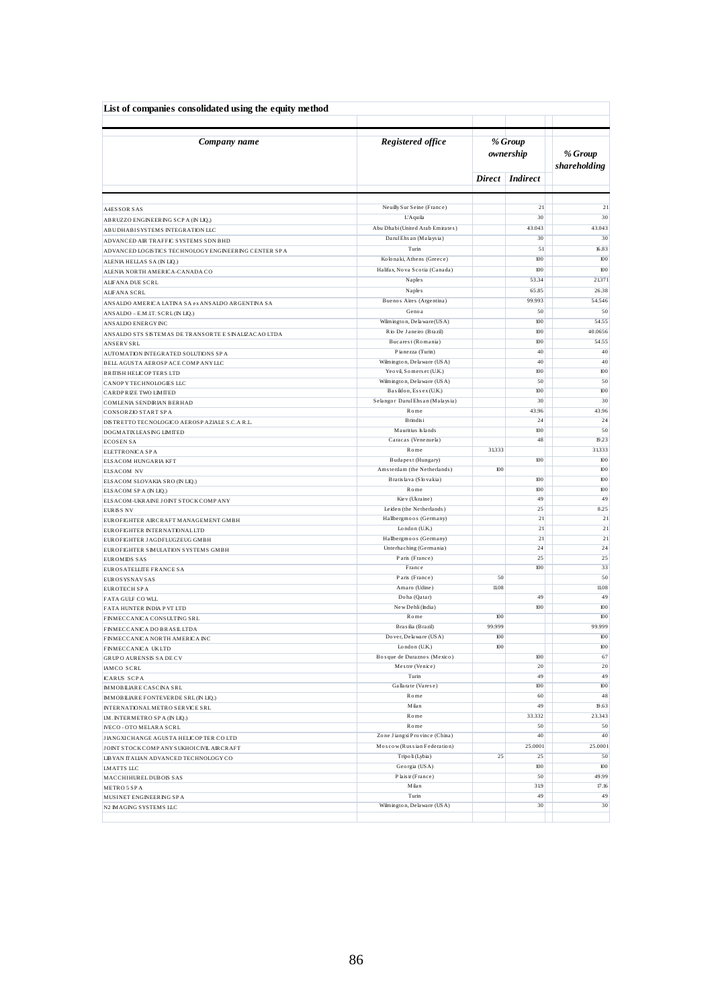| List of companies consolidated using the equity method                                       |                                                   |                      |                   |             |  |                         |
|----------------------------------------------------------------------------------------------|---------------------------------------------------|----------------------|-------------------|-------------|--|-------------------------|
| Company name                                                                                 | Registered office                                 | % Group<br>ownership |                   |             |  | % Group<br>shareholding |
|                                                                                              |                                                   |                      | Direct   Indirect |             |  |                         |
|                                                                                              |                                                   |                      | 21                | 21          |  |                         |
| A4ESSOR SAS                                                                                  | Neuilly Sur Seine (France)<br>L'Aquila            |                      | 30                | 30          |  |                         |
| ABRUZZO ENGINEERING SCP A (IN LIQ,)                                                          | Abu Dhabi (United Arab Emirates)                  |                      | 43.043            | 43.043      |  |                         |
| ABUDHABISYSTEMS INTEGRATION LLC                                                              | Darul Ehs an (Malaysia)                           |                      | 30                | 30          |  |                         |
| ADVANCED AIR TRAFFIC SYSTEMS SDN BHD<br>ADVANCED LOGISTICS TECHNOLOGY ENGINEERING CENTER SPA | Turin                                             |                      | 51                | 16.83       |  |                         |
| ALENIA HELLAS SA (IN LIQ.)                                                                   | Kolonaki, Athens (Greece)                         |                      | $100\,$           | 100         |  |                         |
| ALENIA NORTH AMERICA-CANADA CO                                                               | Halifax, Nova Scotia (Canada)                     |                      | 100               | 100         |  |                         |
| ALFANA DUE SCRL                                                                              | Naples                                            |                      | 53.34             | 21.371      |  |                         |
| <b>ALIFANA SCRL</b>                                                                          | Naples                                            |                      | 65.85             | 26.38       |  |                         |
| ANSALDO AMERICA LATINA SA ex ANSALDO ARGENTINA SA                                            | Buenos Aires (Argentina)                          |                      | 99.993            | 54.546      |  |                         |
| ANSALDO - E.M.IT. SCRL (IN LIQ.)                                                             | Genoa                                             |                      | 50                | 50          |  |                         |
| ANSALDO ENERGY INC                                                                           | Wilmington, Delaware (USA)                        |                      | 100               | 54.55       |  |                         |
| ANSALDO STS SISTEMAS DE TRANSORTE E SINALIZAÇÃO LTDA                                         | Rio De Janeiro (Brazil)                           |                      | 100               | 40.0656     |  |                         |
| <b>ANSERVSRL</b>                                                                             | Bucarest (Romania)                                |                      | 100               | 54.55       |  |                         |
| AUTOMATION INTEGRATED SOLUTIONS SPA                                                          | Pianezza (Turin)                                  |                      | 40                | 40          |  |                         |
| BELL AGUSTA AEROSP ACE COMP ANY LLC                                                          | Wilmington, Delaware (USA)                        |                      | 40                | 40          |  |                         |
| <b>BRITISH HELICOPTERS LTD</b>                                                               | Yeo vil, Somers et (U.K.)                         |                      | 100               | 100         |  |                         |
| CANOP Y TECHNOLOGIES LLC                                                                     | Wilmington, Delaware (USA)                        |                      | 50                | 50          |  |                         |
| CARDPRIZE TWO LIMITED                                                                        | Basildon, Essex (U.K.)                            |                      | 100               | 100         |  |                         |
| COMLENIA SENDIRIAN BERHAD                                                                    | Selangor Darul Ehsan (Malaysia)<br>Rome           |                      | 30                | 30          |  |                         |
| CONSORZIO START SPA                                                                          | B rindis i                                        |                      | 43.96<br>24       | 43.96<br>24 |  |                         |
| DISTRETTO TECNOLOGICO AEROSP AZIALE S.C.A R.L.                                               | Mauritius Islands                                 |                      | 100               | 50          |  |                         |
| DOGMATIX LEASING LIMITED<br><b>ECOSENSA</b>                                                  | Caracas (Venezuela)                               |                      | 48                | 19.23       |  |                         |
| ELETTRONICA SPA                                                                              | Rome                                              | 31333                |                   | 31333       |  |                         |
| ELSACOM HUNGARIA KFT                                                                         | Budapest (Hungary)                                |                      | 100               | 100         |  |                         |
| ELSACOM NV                                                                                   | Amsterdam (the Netherlands)                       | 100                  |                   | 100         |  |                         |
| ELSACOM SLOVAKIA SRO (IN LIQ.)                                                               | Bratislava (Slovakia)                             |                      | 100               | 100         |  |                         |
| ELSACOM SPA (IN LIQ.)                                                                        | Rome                                              |                      | 100               | 100         |  |                         |
| ELSACOM-UKRAINE JOINT STOCK COMPANY                                                          | Kiev (Ukraine)                                    |                      | 49                | 49          |  |                         |
| <b>EURISS NV</b>                                                                             | Leiden (the Netherlands)                          |                      | 25                | 8.25        |  |                         |
| EUROFIGHTER AIRCRAFT MANAGEMENT GMBH                                                         | Hallbergmoos (Germany)                            |                      | 21                | 21          |  |                         |
| EUROFIGHTER INTERNATIONAL LTD                                                                | London (U.K.)                                     |                      | 21<br>21          | 21<br>21    |  |                         |
| EUROFIGHTER JAGDFLUGZEUG GMBH                                                                | Hallbergmoos (Germany)<br>Unterhaching (Germania) |                      | 24                | 24          |  |                         |
| EUROFIGHTER SIMULATION SYSTEMS GMBH                                                          | Paris (France)                                    |                      | 25                | 25          |  |                         |
| <b>EUROMIDS SAS</b><br>EUROS ATELLITE FRANCE SA                                              | France                                            |                      | 100               | 33          |  |                         |
| <b>EUROS YS NAV SAS</b>                                                                      | Paris (France)                                    | 50                   |                   | 50          |  |                         |
| EUROTECH SPA                                                                                 | Amaro (Udine)                                     | 11.08                |                   | 11.08       |  |                         |
| FATA GULF CO WLL                                                                             | Doha (Qatar)                                      |                      | 49                | 49          |  |                         |
| FATA HUNTER INDIA P VT LTD                                                                   | New Dehli (India)                                 |                      | 100               | 100         |  |                         |
| FINMECCANICA CONSULTING SRL                                                                  | Rome                                              | 100                  |                   | 100         |  |                         |
| FINMECCANICA DO BRASILLTDA                                                                   | Brasilia (Brazil)                                 | 99.999               |                   | 99.999      |  |                         |
| FINMECCANICA NORTH AMERICA INC                                                               | Do ver, De la ware (USA)                          | 100                  |                   | 100         |  |                         |
| FINMECCANICA UKLTD                                                                           | London (U.K.)                                     | $100\,$              |                   | $100\,$     |  |                         |
| <b>GRUP O AURENSIS SADE CV</b>                                                               | Bosque de Duraznos (Mexico)                       |                      | 100               | 67          |  |                         |
| IAMCO SCRL                                                                                   | Mestre (Venice)                                   |                      | 20                | 20<br>49    |  |                         |
| <b>ICARUS SCPA</b>                                                                           | Turin<br>Gallarate (Varese)                       |                      | 49<br>$100\,$     | 100         |  |                         |
| <b>IMMOBILIARE CASCINA SRL</b>                                                               | Rome                                              |                      | 60                | 48          |  |                         |
| <b>IMMOBILIARE FONTEVERDE SRL (IN LIQ.)</b>                                                  | Milan                                             |                      | 49                | 19.63       |  |                         |
| INTERNATIONAL METRO SERVICE SRL<br>IM. INTERMETRO SP A (IN LIQ.)                             | Rome                                              |                      | 33.332            | 23.343      |  |                         |
| IVECO - OTO MELARA SCRL                                                                      | Rome                                              |                      | 50                | 50          |  |                         |
| JIANGXICHANGE AGUSTA HELICOPTER CO LTD                                                       | Zone Jiangxi Province (China)                     |                      | 40                | 40          |  |                         |
| JOINT STOCK COMP ANY SUKHOICIVIL AIRCRAFT                                                    | Moscow (Russian Federation)                       |                      | 25.0001           | 25.0001     |  |                         |
| LIBYAN ITALIAN ADVANCED TECHNOLOGY CO                                                        | Tripo li (Lybia)                                  | 25                   | 25                | 50          |  |                         |
| LMATTS LLC                                                                                   | Georgia (USA)                                     |                      | 100               | $100\,$     |  |                         |
| MACCHIHUREL DUBOIS SAS                                                                       | Plais ir (France)                                 |                      | 50                | 49.99       |  |                         |
| METRO 5 SPA                                                                                  | Milan                                             |                      | 319               | 17.16       |  |                         |
| MUSINET ENGINEERING SPA                                                                      | Turin                                             |                      | 49                | 49          |  |                         |
| N2 IMAGING SYSTEMS LLC                                                                       | Wilmington, Delaware (USA)                        |                      | 30                | 30          |  |                         |
|                                                                                              |                                                   |                      |                   |             |  |                         |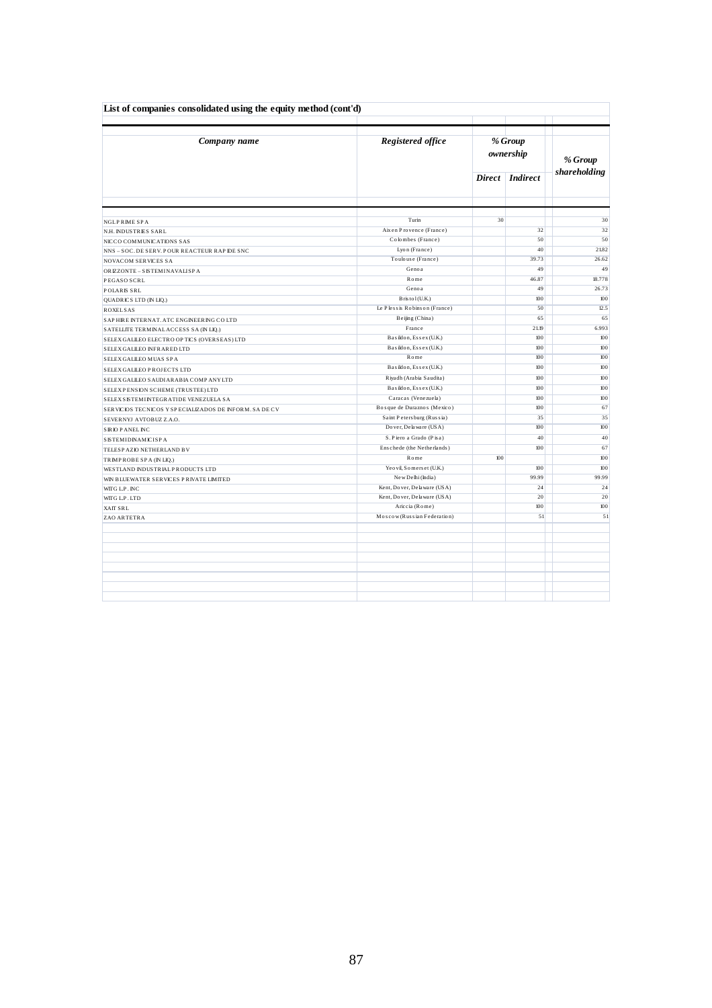| List of companies consolidated using the equity method (cont'd) |                                                            |                      |                 |              |  |
|-----------------------------------------------------------------|------------------------------------------------------------|----------------------|-----------------|--------------|--|
| Company name                                                    | Registered office                                          | % Group<br>ownership |                 | % Group      |  |
|                                                                 |                                                            |                      | Direct Indirect | shareholding |  |
|                                                                 |                                                            |                      |                 |              |  |
| <b>NGLPRIME SPA</b>                                             | Turin                                                      | 30                   |                 | 30           |  |
| N.H. INDUSTRIES SARL                                            | Aix en Provence (France)                                   |                      | 32              | 32           |  |
| NICCO COMMUNICATIONS SAS                                        | Colombes (France)                                          |                      | 50              | 50           |  |
| NNS - SOC. DE SERV. POUR REACTEUR RAP IDE SNC                   | Lyon (France)                                              |                      | 40              | 21.82        |  |
| NOVACOM SERVICES SA                                             | Toulouse (France)                                          |                      | 39.73           | 26.62        |  |
| ORIZZONTE - SISTEMINAVALISPA                                    | Genoa                                                      |                      | 49              | 49           |  |
| PEGASO SCRL                                                     | Rome                                                       |                      | 46.87           | 18.778       |  |
| POLARIS SRL                                                     | Genoa                                                      |                      | 49              | 26.73        |  |
| QUADRICS LTD (IN LIQ.)                                          | B ris to l (U.K.)                                          |                      | 100             | 100          |  |
| <b>ROXELSAS</b>                                                 | Le Plessis Robinson (France)                               |                      | 50              | 12.5         |  |
| SAPHIRE INTERNAT. ATC ENGINEERING COLTD                         | Beijing (China)                                            |                      | 65              | 65           |  |
| SATELLITE TERMINAL ACCESS SA (IN LIQ.)                          | France                                                     |                      | 21.19           | 6.993        |  |
| SELEX GALILEO ELECTRO OP TICS (OVERSEAS) LTD                    | Basildon, Essex (U.K.)                                     |                      | 100             | 100          |  |
| SELEX GALILEO INFRARED LTD                                      | Basildon, Essex (U.K.)                                     |                      | 100             | 100          |  |
| SELEX GALLEO MUAS SPA                                           | Rome                                                       |                      | 100             | 100          |  |
| SELEX GALLEO PROJECTS LTD                                       | Basildon, Essex (U.K.)                                     |                      | 100             | 100          |  |
| SELEX GALILEO SAUDIARABIA COMPANYLTD                            | Riyadh (Arabia Saudita)                                    |                      | 100             | 100          |  |
| SELEXPENSION SCHEME (TRUSTEE) LTD                               | Basildon, Essex (U.K.)                                     |                      | 100             | 100          |  |
| SELEX SISTEMINTEGRATIDE VENEZUELA SA                            | Caracas (Venezuela)                                        |                      | 100             | 100          |  |
| SERVICIOS TECNICOS Y SPECIALIZADOS DE INFORM. SA DE CV          | Bosque de Duraznos (Mexico)                                |                      | 100             | 67           |  |
| SEVERNYJ AVTOBUZ Z.A.O.                                         | Saint Petersburg (Russia)                                  |                      | 35              | 35           |  |
|                                                                 | Do ver, De la ware (USA)                                   |                      | 100             | 100          |  |
| <b>SIRIO PANELINC</b>                                           | S. Piero a Grado (Pisa)                                    |                      | 40              | 40           |  |
| <b>SISTEMIDINAMICISPA</b>                                       | Enschede (the Netherlands)                                 |                      | 100             | 67           |  |
| TELESP AZIO NETHERLAND BV                                       | Rome                                                       | 100                  |                 | 100          |  |
| TRIMPROBE SPA (IN LIQ.)                                         | Yeo vil, Somers et (U.K.)                                  |                      |                 |              |  |
| WESTLAND INDUSTRIALP RODUCTS LTD                                | New Delhi (India)                                          |                      | 100<br>99.99    | 100<br>99.99 |  |
| WIN BLUEWATER SERVICES PRIVATE LIMITED                          |                                                            |                      |                 |              |  |
| WITG L.P. INC                                                   | Kent, Dover, Delaware (USA)<br>Kent, Dover, Delaware (USA) |                      | 24<br>20        | 24<br>20     |  |
| WITG L.P. LTD                                                   | Ariccia (Rome)                                             |                      | 100             | 100          |  |
| XAIT SRL                                                        | Moscow (Russian Federation)                                |                      | 51              | 51           |  |
| ZAO ARTETRA                                                     |                                                            |                      |                 |              |  |
|                                                                 |                                                            |                      |                 |              |  |
|                                                                 |                                                            |                      |                 |              |  |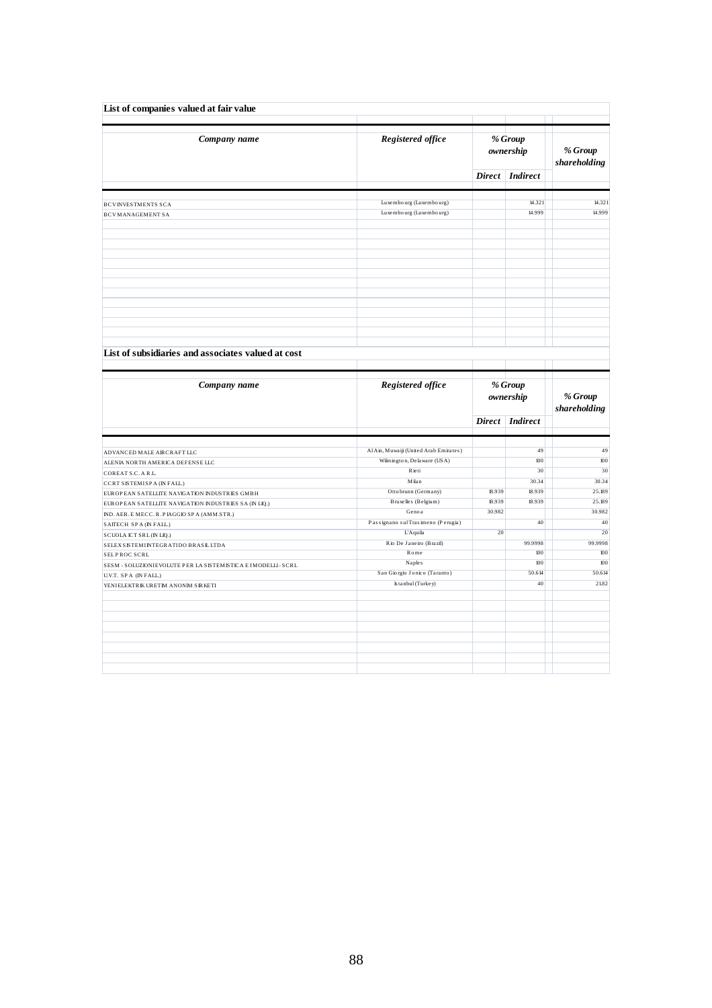| List of companies valued at fair value                         |                                                    |        |                      |                            |
|----------------------------------------------------------------|----------------------------------------------------|--------|----------------------|----------------------------|
| Company name                                                   | Registered office                                  |        | % Group<br>ownership | $\%$ Group<br>shareholding |
|                                                                |                                                    |        | Direct Indirect      |                            |
| <b>BCVINVESTMENTS SCA</b><br><b>BCVMANAGEMENT SA</b>           | Luxembourg (Luxembourg)<br>Luxembourg (Luxembourg) |        | 14.321<br>14.999     | 14.321<br>14.999           |
|                                                                |                                                    |        |                      |                            |
|                                                                |                                                    |        |                      |                            |
| List of subsidiaries and associates valued at cost             |                                                    |        |                      |                            |
| Company name                                                   | Registered office                                  |        | % Group<br>ownership | % Group<br>shareholding    |
|                                                                |                                                    |        | Direct Indirect      |                            |
| ADVANCED MALE AIRCRAFT LLC                                     | Al Ain, Muwaiji (United Arab Emirates)             |        | 49                   | 49                         |
| ALENIA NORTH AMERICA DEFENSE LLC                               | Wilmington, Delaware (USA)                         |        | 100                  | 100                        |
|                                                                | Rieti                                              |        | 30                   | 30                         |
| COREAT S.C. A R.L.<br>CCRT SISTEMISP A (IN FALL.)              | Milan                                              |        | 30.34                | 30.34                      |
| EUROPEAN SATELLITE NAVIGATION INDUSTRIES GMBH                  | Ottobrunn (Germany)                                | 18.939 | 18.939               | 25.189                     |
| EUROPEAN SATELLITE NAVIGATION INDUSTRIES SA (IN LIQ.)          | Bruxelles (Belgium)                                | 18.939 | 18.939               | 25.189                     |
| ND. AER. E MECC. R. P IAGGIO SP A (AMM.STR.)                   | Genoa                                              | 30.982 |                      | 30.982                     |
| SAITECH SPA (IN FALL.)                                         | Passignano sul Trasimeno (Perugia)                 |        | 40                   | 40                         |
| SCUOLA ICT SRL (IN LIQ.)                                       | L'Aquila                                           | 20     |                      | 20                         |
| SELEX SISTEMINTEGRATIDO BRASILLTDA                             | Rio De Janeiro (Brazil)                            |        | 99.9998              | 99.9998                    |
| SELPROC SCRL                                                   | Rome                                               |        | 100                  | 100                        |
| SESM - SOLUZIONIEVOLUTE P ER LA SISTEMISTICA E IMODELLI - SCRL | Naples                                             |        | 100                  | 100                        |
| U.V.T. SPA (IN FALL.)                                          | San Giorgio Jonico (Taranto)                       |        | 50.614               | 50.614                     |
| YENIELEKTRIK URETIM ANONIM SIRKETI                             | Is tanbul (Turkey)                                 |        | 40                   | 21.82                      |
|                                                                |                                                    |        |                      |                            |
|                                                                |                                                    |        |                      |                            |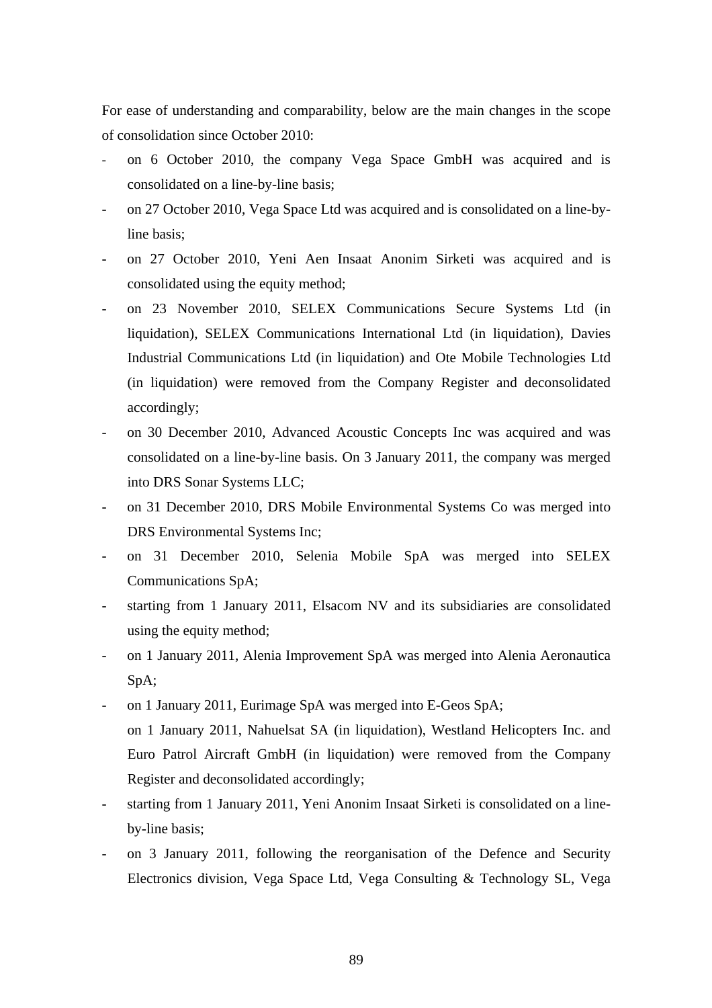For ease of understanding and comparability, below are the main changes in the scope of consolidation since October 2010:

- on 6 October 2010, the company Vega Space GmbH was acquired and is consolidated on a line-by-line basis;
- on 27 October 2010, Vega Space Ltd was acquired and is consolidated on a line-byline basis;
- on 27 October 2010, Yeni Aen Insaat Anonim Sirketi was acquired and is consolidated using the equity method;
- on 23 November 2010, SELEX Communications Secure Systems Ltd (in liquidation), SELEX Communications International Ltd (in liquidation), Davies Industrial Communications Ltd (in liquidation) and Ote Mobile Technologies Ltd (in liquidation) were removed from the Company Register and deconsolidated accordingly;
- on 30 December 2010, Advanced Acoustic Concepts Inc was acquired and was consolidated on a line-by-line basis. On 3 January 2011, the company was merged into DRS Sonar Systems LLC;
- on 31 December 2010, DRS Mobile Environmental Systems Co was merged into DRS Environmental Systems Inc;
- on 31 December 2010, Selenia Mobile SpA was merged into SELEX Communications SpA;
- starting from 1 January 2011, Elsacom NV and its subsidiaries are consolidated using the equity method;
- on 1 January 2011, Alenia Improvement SpA was merged into Alenia Aeronautica SpA;
- on 1 January 2011, Eurimage SpA was merged into E-Geos SpA; on 1 January 2011, Nahuelsat SA (in liquidation), Westland Helicopters Inc. and Euro Patrol Aircraft GmbH (in liquidation) were removed from the Company Register and deconsolidated accordingly;
- starting from 1 January 2011, Yeni Anonim Insaat Sirketi is consolidated on a lineby-line basis;
- on 3 January 2011, following the reorganisation of the Defence and Security Electronics division, Vega Space Ltd, Vega Consulting & Technology SL, Vega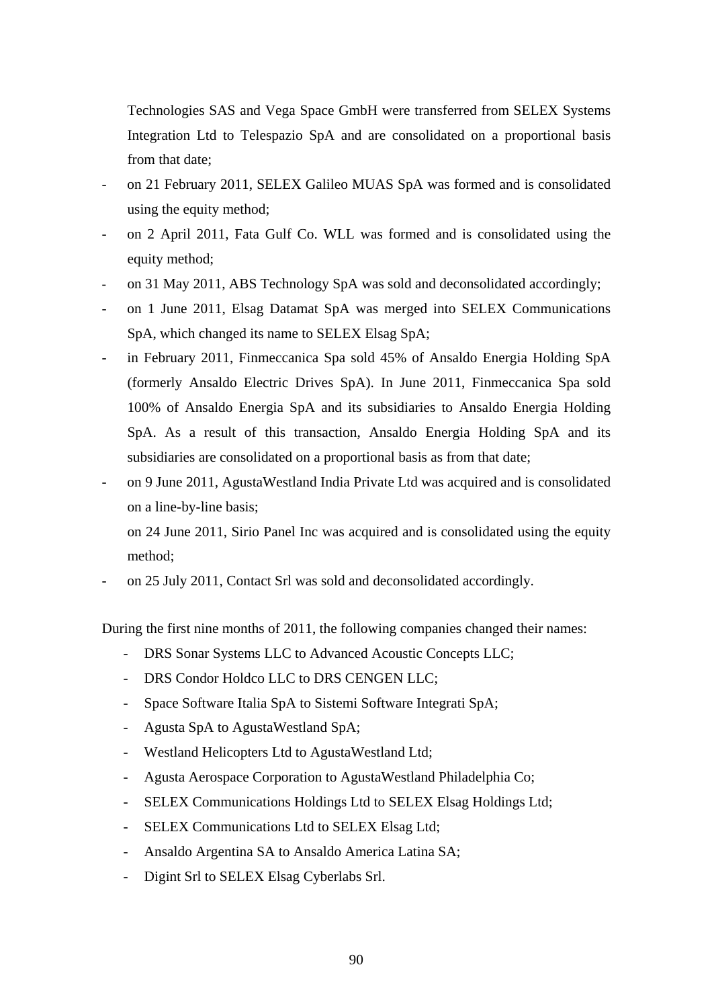Technologies SAS and Vega Space GmbH were transferred from SELEX Systems Integration Ltd to Telespazio SpA and are consolidated on a proportional basis from that date;

- on 21 February 2011, SELEX Galileo MUAS SpA was formed and is consolidated using the equity method;
- on 2 April 2011, Fata Gulf Co. WLL was formed and is consolidated using the equity method;
- on 31 May 2011, ABS Technology SpA was sold and deconsolidated accordingly;
- on 1 June 2011, Elsag Datamat SpA was merged into SELEX Communications SpA, which changed its name to SELEX Elsag SpA;
- in February 2011, Finmeccanica Spa sold 45% of Ansaldo Energia Holding SpA (formerly Ansaldo Electric Drives SpA). In June 2011, Finmeccanica Spa sold 100% of Ansaldo Energia SpA and its subsidiaries to Ansaldo Energia Holding SpA. As a result of this transaction, Ansaldo Energia Holding SpA and its subsidiaries are consolidated on a proportional basis as from that date;
- on 9 June 2011, AgustaWestland India Private Ltd was acquired and is consolidated on a line-by-line basis;

 on 24 June 2011, Sirio Panel Inc was acquired and is consolidated using the equity method;

- on 25 July 2011, Contact Srl was sold and deconsolidated accordingly.

During the first nine months of 2011, the following companies changed their names:

- DRS Sonar Systems LLC to Advanced Acoustic Concepts LLC;
- DRS Condor Holdco LLC to DRS CENGEN LLC:
- Space Software Italia SpA to Sistemi Software Integrati SpA;
- Agusta SpA to AgustaWestland SpA;
- Westland Helicopters Ltd to AgustaWestland Ltd;
- Agusta Aerospace Corporation to AgustaWestland Philadelphia Co;
- SELEX Communications Holdings Ltd to SELEX Elsag Holdings Ltd;
- SELEX Communications Ltd to SELEX Elsag Ltd;
- Ansaldo Argentina SA to Ansaldo America Latina SA;
- Digint Srl to SELEX Elsag Cyberlabs Srl.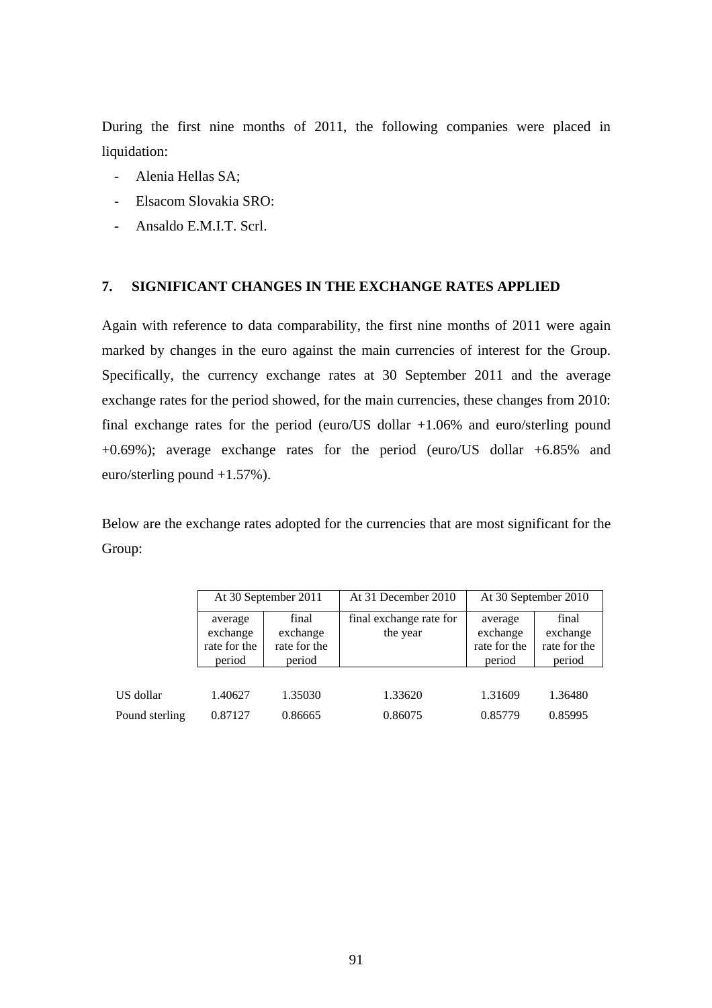During the first nine months of 2011, the following companies were placed in liquidation:

- Alenia Hellas SA;
- Elsacom Slovakia SRO:
- Ansaldo E.M.I.T. Scrl.

### **7. SIGNIFICANT CHANGES IN THE EXCHANGE RATES APPLIED**

Again with reference to data comparability, the first nine months of 2011 were again marked by changes in the euro against the main currencies of interest for the Group. Specifically, the currency exchange rates at 30 September 2011 and the average exchange rates for the period showed, for the main currencies, these changes from 2010: final exchange rates for the period (euro/US dollar +1.06% and euro/sterling pound +0.69%); average exchange rates for the period (euro/US dollar +6.85% and euro/sterling pound +1.57%).

Below are the exchange rates adopted for the currencies that are most significant for the Group:

|                | At 30 September 2011<br>final<br>average<br>exchange<br>exchange<br>rate for the<br>rate for the<br>period<br>period |         | At 31 December 2010                 | At 30 September 2010                          |                                             |  |
|----------------|----------------------------------------------------------------------------------------------------------------------|---------|-------------------------------------|-----------------------------------------------|---------------------------------------------|--|
|                |                                                                                                                      |         | final exchange rate for<br>the year | average<br>exchange<br>rate for the<br>period | final<br>exchange<br>rate for the<br>period |  |
|                |                                                                                                                      |         |                                     |                                               |                                             |  |
| US dollar      | 1.40627                                                                                                              | 1.35030 | 1.33620                             | 1.31609                                       | 1.36480                                     |  |
| Pound sterling | 0.87127                                                                                                              | 0.86665 | 0.86075                             | 0.85779                                       | 0.85995                                     |  |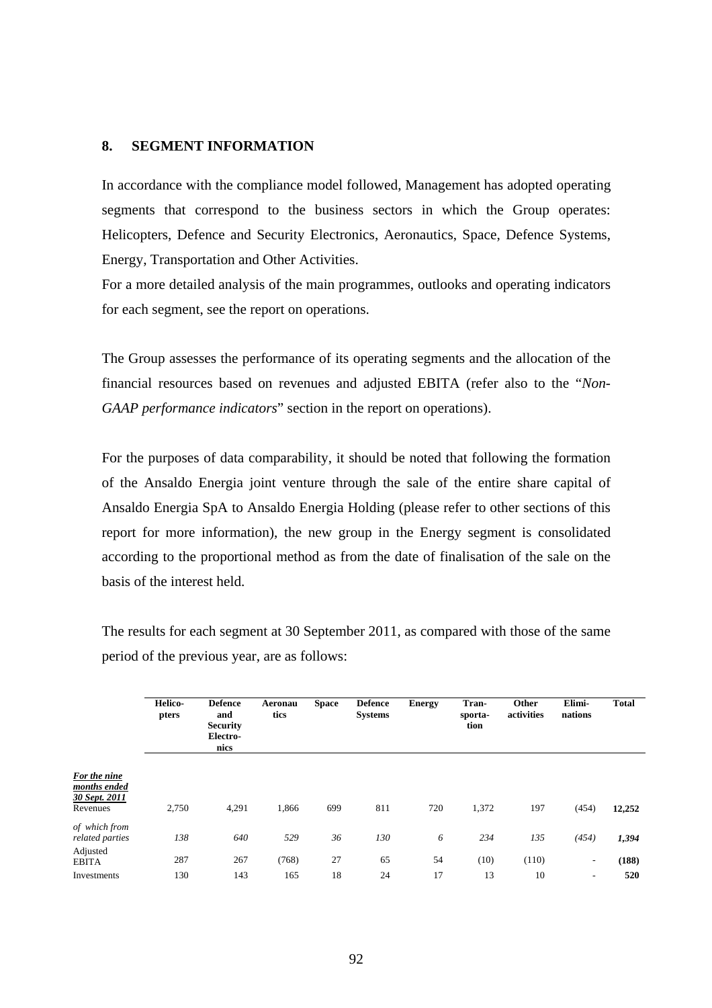#### **8. SEGMENT INFORMATION**

In accordance with the compliance model followed, Management has adopted operating segments that correspond to the business sectors in which the Group operates: Helicopters, Defence and Security Electronics, Aeronautics, Space, Defence Systems, Energy, Transportation and Other Activities.

For a more detailed analysis of the main programmes, outlooks and operating indicators for each segment, see the report on operations.

The Group assesses the performance of its operating segments and the allocation of the financial resources based on revenues and adjusted EBITA (refer also to the "*Non-GAAP performance indicators*" section in the report on operations).

For the purposes of data comparability, it should be noted that following the formation of the Ansaldo Energia joint venture through the sale of the entire share capital of Ansaldo Energia SpA to Ansaldo Energia Holding (please refer to other sections of this report for more information), the new group in the Energy segment is consolidated according to the proportional method as from the date of finalisation of the sale on the basis of the interest held.

The results for each segment at 30 September 2011, as compared with those of the same period of the previous year, are as follows:

|                                                           | Helico-<br>pters | <b>Defence</b><br>and<br><b>Security</b><br>Electro-<br>nics | Aeronau<br>tics | <b>Space</b> | <b>Defence</b><br><b>Systems</b> | <b>Energy</b> | Tran-<br>sporta-<br>tion | Other<br>activities | Elimi-<br>nations              | <b>Total</b> |
|-----------------------------------------------------------|------------------|--------------------------------------------------------------|-----------------|--------------|----------------------------------|---------------|--------------------------|---------------------|--------------------------------|--------------|
| For the nine<br>months ended<br>30 Sept. 2011<br>Revenues | 2,750            | 4,291                                                        | 1,866           | 699          | 811                              | 720           | 1,372                    | 197                 | (454)                          | 12,252       |
| of which from<br>related parties                          | 138              | 640                                                          | 529             | 36           | 130                              | 6             | 234                      | 135                 | (454)                          | 1,394        |
| Adjusted<br><b>EBITA</b><br>Investments                   | 287<br>130       | 267<br>143                                                   | (768)<br>165    | 27<br>18     | 65<br>24                         | 54<br>17      | (10)<br>13               | (110)<br>10         | ۰.<br>$\overline{\phantom{a}}$ | (188)<br>520 |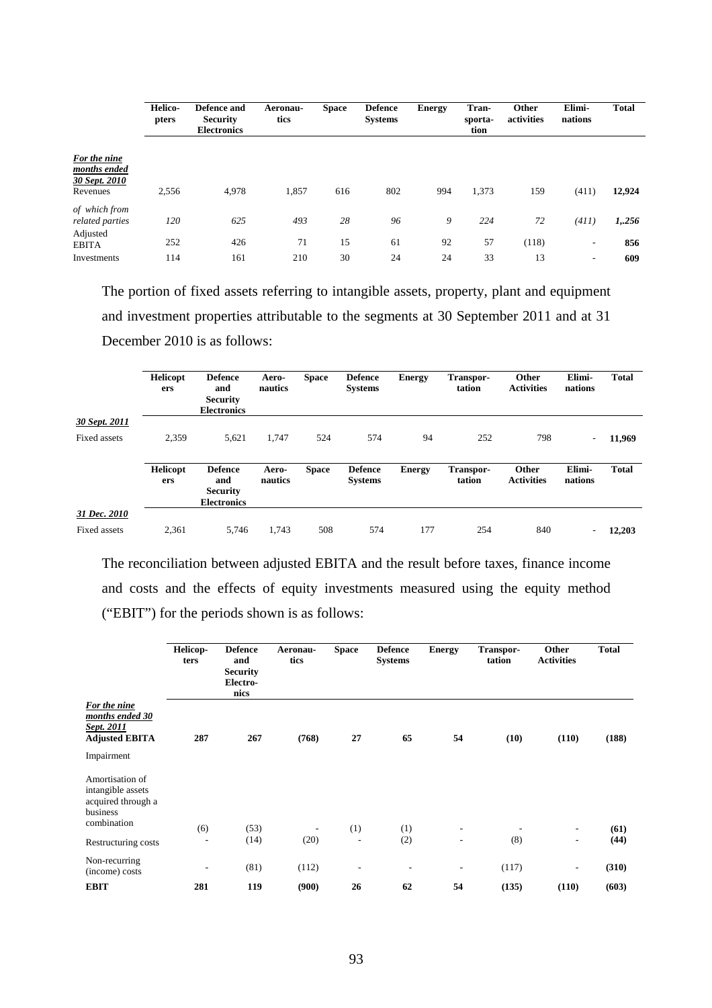|                                                           | Helico-<br>pters | Defence and<br><b>Security</b><br><b>Electronics</b> | Aeronau-<br>tics | <b>Space</b> | <b>Defence</b><br><b>Systems</b> | <b>Energy</b> | Tran-<br>sporta-<br>tion | Other<br>activities | Elimi-<br>nations                     | <b>Total</b> |
|-----------------------------------------------------------|------------------|------------------------------------------------------|------------------|--------------|----------------------------------|---------------|--------------------------|---------------------|---------------------------------------|--------------|
| For the nine<br>months ended<br>30 Sept. 2010<br>Revenues | 2,556            | 4,978                                                | 1,857            | 616          | 802                              | 994           | 1,373                    | 159                 | (411)                                 | 12,924       |
| of which from<br>related parties<br>Adjusted              | 120<br>252       | 625<br>426                                           | 493<br>71        | 28<br>15     | 96<br>61                         | 9<br>92       | 224<br>57                | 72<br>(118)         | (411)<br>$\qquad \qquad \blacksquare$ | 1,256<br>856 |
| <b>EBITA</b><br>Investments                               | 114              | 161                                                  | 210              | 30           | 24                               | 24            | 33                       | 13                  | ۰                                     | 609          |

The portion of fixed assets referring to intangible assets, property, plant and equipment and investment properties attributable to the segments at 30 September 2011 and at 31 December 2010 is as follows:

|               | <b>Helicopt</b><br>ers | <b>Defence</b><br>and<br><b>Security</b><br><b>Electronics</b> | Aero-<br>nautics | <b>Space</b> | <b>Defence</b><br><b>Systems</b> | <b>Energy</b> | Transpor-<br>tation | Other<br><b>Activities</b> | Elimi-<br>nations        | <b>Total</b> |
|---------------|------------------------|----------------------------------------------------------------|------------------|--------------|----------------------------------|---------------|---------------------|----------------------------|--------------------------|--------------|
| 30 Sept. 2011 |                        |                                                                |                  |              |                                  |               |                     |                            |                          |              |
| Fixed assets  | 2.359                  | 5,621                                                          | 1,747            | 524          | 574                              | 94            | 252                 | 798                        | $\overline{\phantom{a}}$ | 11,969       |
|               | Helicopt<br>ers        | <b>Defence</b><br>and<br><b>Security</b><br><b>Electronics</b> | Aero-<br>nautics | <b>Space</b> | <b>Defence</b><br><b>Systems</b> | <b>Energy</b> | Transpor-<br>tation | Other<br><b>Activities</b> | Elimi-<br>nations        | <b>Total</b> |
| 31 Dec. 2010  |                        |                                                                |                  |              |                                  |               |                     |                            |                          |              |
| Fixed assets  | 2,361                  | 5.746                                                          | 1,743            | 508          | 574                              | 177           | 254                 | 840                        | $\overline{\phantom{a}}$ | 12.203       |

The reconciliation between adjusted EBITA and the result before taxes, finance income and costs and the effects of equity investments measured using the equity method ("EBIT") for the periods shown is as follows:

|                                                                                       | Helicop-<br>ters         | <b>Defence</b><br>and<br><b>Security</b><br>Electro-<br>nics | Aeronau-<br>tics         | <b>Space</b>             | <b>Defence</b><br><b>Systems</b> | <b>Energy</b> | Transpor-<br>tation | Other<br><b>Activities</b> | <b>Total</b> |
|---------------------------------------------------------------------------------------|--------------------------|--------------------------------------------------------------|--------------------------|--------------------------|----------------------------------|---------------|---------------------|----------------------------|--------------|
| For the nine<br>months ended 30<br>Sept. 2011<br><b>Adjusted EBITA</b>                | 287                      | 267                                                          | (768)                    | 27                       | 65                               | 54            | (10)                | (110)                      | (188)        |
| Impairment                                                                            |                          |                                                              |                          |                          |                                  |               |                     |                            |              |
| Amortisation of<br>intangible assets<br>acquired through a<br>business<br>combination | (6)                      | (53)                                                         | $\overline{\phantom{a}}$ | (1)                      | (1)                              | ٠             |                     | ٠                          | (61)         |
| Restructuring costs                                                                   | $\overline{\phantom{a}}$ | (14)                                                         | (20)                     | $\overline{\phantom{a}}$ | (2)                              | ٠             | (8)                 | ٠                          | (44)         |
| Non-recurring<br>(income) costs                                                       | $\overline{\phantom{a}}$ | (81)                                                         | (112)                    | $\overline{\phantom{a}}$ | $\overline{\phantom{a}}$         | ۰             | (117)               | ٠                          | (310)        |
| <b>EBIT</b>                                                                           | 281                      | 119                                                          | (900)                    | 26                       | 62                               | 54            | (135)               | (110)                      | (603)        |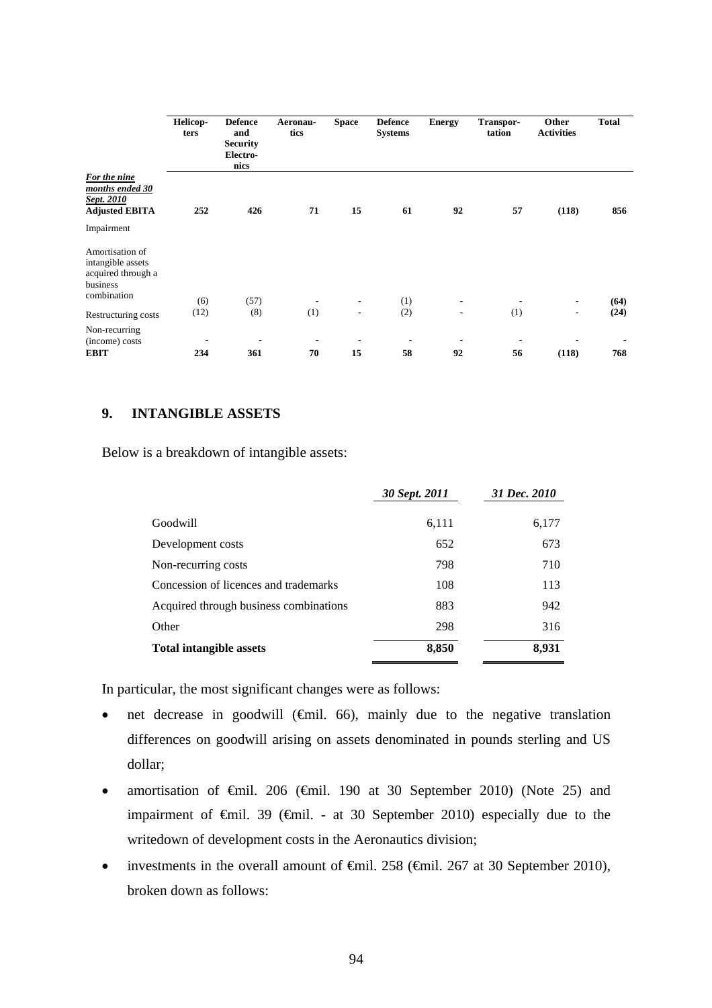|                                                                                       | Helicop-<br>ters                | <b>Defence</b><br>and<br><b>Security</b><br>Electro-<br>nics | Aeronau-<br>tics | <b>Space</b>                   | <b>Defence</b><br><b>Systems</b> | <b>Energy</b>                  | Transpor-<br>tation            | Other<br><b>Activities</b> | <b>Total</b> |
|---------------------------------------------------------------------------------------|---------------------------------|--------------------------------------------------------------|------------------|--------------------------------|----------------------------------|--------------------------------|--------------------------------|----------------------------|--------------|
| For the nine<br>months ended 30<br>Sept. 2010<br><b>Adjusted EBITA</b>                | 252                             | 426                                                          | 71               | 15                             | 61                               | 92                             | 57                             | (118)                      | 856          |
| Impairment                                                                            |                                 |                                                              |                  |                                |                                  |                                |                                |                            |              |
| Amortisation of<br>intangible assets<br>acquired through a<br>business<br>combination | (6)                             | (57)                                                         | ٠                | $\overline{\phantom{a}}$       | (1)                              | -                              | $\overline{\phantom{a}}$       | $\overline{\phantom{a}}$   | (64)         |
| Restructuring costs                                                                   | (12)                            | (8)                                                          | (1)              | $\overline{\phantom{a}}$       | (2)                              | $\overline{\phantom{a}}$       | (1)                            | ۰                          | (24)         |
| Non-recurring<br>(income) costs<br><b>EBIT</b>                                        | $\overline{\phantom{a}}$<br>234 | 361                                                          | 70               | $\overline{\phantom{a}}$<br>15 | ٠<br>58                          | $\overline{\phantom{a}}$<br>92 | $\overline{\phantom{a}}$<br>56 | (118)                      | 768          |

## **9. INTANGIBLE ASSETS**

Below is a breakdown of intangible assets:

|                                        | 30 Sept. 2011 | 31 Dec. 2010 |
|----------------------------------------|---------------|--------------|
|                                        |               |              |
| Goodwill                               | 6,111         | 6,177        |
| Development costs                      | 652           | 673          |
| Non-recurring costs                    | 798           | 710          |
| Concession of licences and trademarks  | 108           | 113          |
| Acquired through business combinations | 883           | 942          |
| Other                                  | 298           | 316          |
| <b>Total intangible assets</b>         | 8,850         | 8,931        |

In particular, the most significant changes were as follows:

- net decrease in goodwill  $(\oplus$ mil. 66), mainly due to the negative translation differences on goodwill arising on assets denominated in pounds sterling and US dollar;
- amortisation of  $\theta$ mil. 206 ( $\theta$ mil. 190 at 30 September 2010) (Note 25) and impairment of  $\oplus$ mil. 39 ( $\oplus$ mil. - at 30 September 2010) especially due to the writedown of development costs in the Aeronautics division;
- investments in the overall amount of  $\epsilon$ mil. 258 ( $\epsilon$ mil. 267 at 30 September 2010), broken down as follows: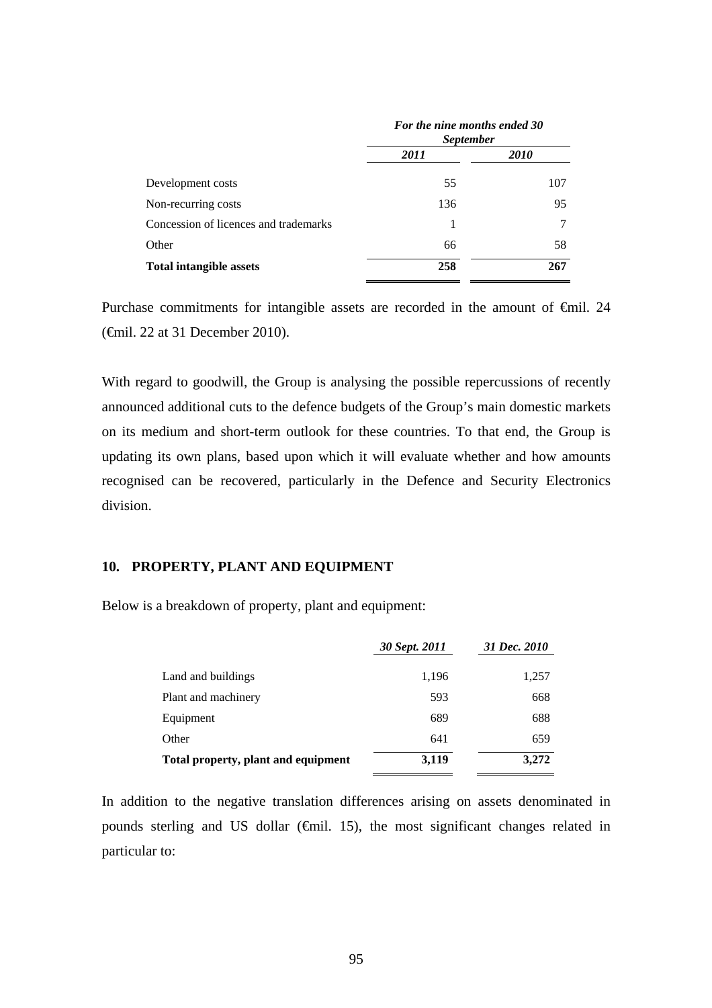|                                       | For the nine months ended 30<br><i>September</i> |             |  |  |
|---------------------------------------|--------------------------------------------------|-------------|--|--|
|                                       | 2011                                             | <i>2010</i> |  |  |
| Development costs                     | 55                                               | 107         |  |  |
| Non-recurring costs                   | 136                                              | 95          |  |  |
| Concession of licences and trademarks |                                                  | 7           |  |  |
| Other                                 | 66                                               | 58          |  |  |
| <b>Total intangible assets</b>        | 258                                              | 267         |  |  |

Purchase commitments for intangible assets are recorded in the amount of €mil. 24 (€mil. 22 at 31 December 2010).

With regard to goodwill, the Group is analysing the possible repercussions of recently announced additional cuts to the defence budgets of the Group's main domestic markets on its medium and short-term outlook for these countries. To that end, the Group is updating its own plans, based upon which it will evaluate whether and how amounts recognised can be recovered, particularly in the Defence and Security Electronics division.

### **10. PROPERTY, PLANT AND EQUIPMENT**

Below is a breakdown of property, plant and equipment:

|                                     | 30 Sept. 2011 | 31 Dec. 2010 |
|-------------------------------------|---------------|--------------|
| Land and buildings                  | 1,196         | 1,257        |
| Plant and machinery                 | 593           | 668          |
| Equipment                           | 689           | 688          |
| Other                               | 641           | 659          |
| Total property, plant and equipment | 3,119         | 3,272        |

In addition to the negative translation differences arising on assets denominated in pounds sterling and US dollar (€mil. 15), the most significant changes related in particular to: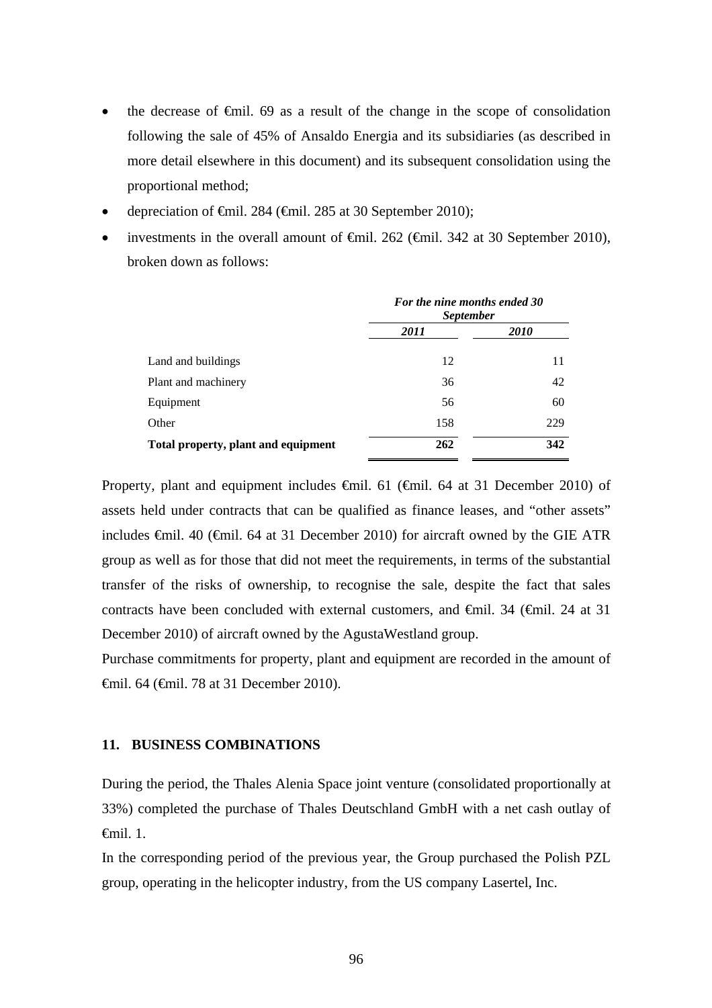- the decrease of €mil. 69 as a result of the change in the scope of consolidation following the sale of 45% of Ansaldo Energia and its subsidiaries (as described in more detail elsewhere in this document) and its subsequent consolidation using the proportional method;
- depreciation of €mil. 284 (€mil. 285 at 30 September 2010);
- investments in the overall amount of  $\epsilon$ mil. 262 ( $\epsilon$ mil. 342 at 30 September 2010), broken down as follows:

|                                     | For the nine months ended 30<br><i>September</i> |             |  |  |
|-------------------------------------|--------------------------------------------------|-------------|--|--|
|                                     | 2011                                             | <i>2010</i> |  |  |
| Land and buildings                  | 12                                               | 11          |  |  |
| Plant and machinery                 | 36                                               | 42          |  |  |
| Equipment                           | 56                                               | 60          |  |  |
| Other                               | 158                                              | 229         |  |  |
| Total property, plant and equipment | 262                                              | 342         |  |  |

Property, plant and equipment includes €mil. 61 (€mil. 64 at 31 December 2010) of assets held under contracts that can be qualified as finance leases, and "other assets" includes  $\epsilon$ mil. 40 ( $\epsilon$ mil. 64 at 31 December 2010) for aircraft owned by the GIE ATR group as well as for those that did not meet the requirements, in terms of the substantial transfer of the risks of ownership, to recognise the sale, despite the fact that sales contracts have been concluded with external customers, and €mil. 34 (€mil. 24 at 31 December 2010) of aircraft owned by the AgustaWestland group.

Purchase commitments for property, plant and equipment are recorded in the amount of €mil. 64 (€mil. 78 at 31 December 2010).

### **11. BUSINESS COMBINATIONS**

During the period, the Thales Alenia Space joint venture (consolidated proportionally at 33%) completed the purchase of Thales Deutschland GmbH with a net cash outlay of €mil. 1.

In the corresponding period of the previous year, the Group purchased the Polish PZL group, operating in the helicopter industry, from the US company Lasertel, Inc.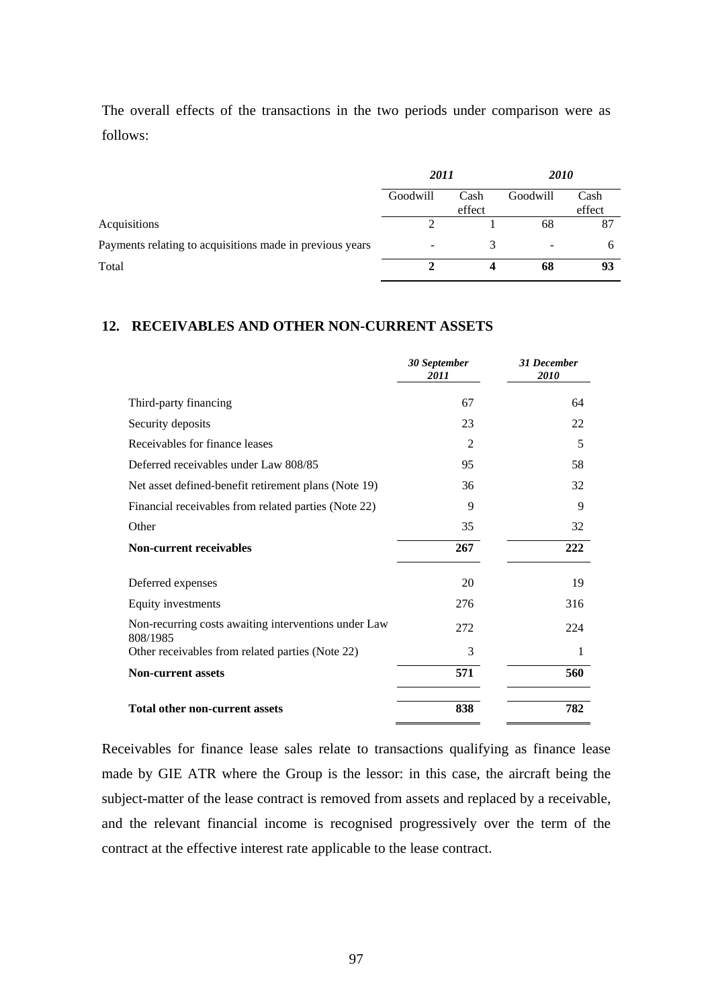The overall effects of the transactions in the two periods under comparison were as follows:

|                                                          | 2011             |        | <i>2010</i> |        |
|----------------------------------------------------------|------------------|--------|-------------|--------|
|                                                          | Goodwill<br>Cash |        | Goodwill    | Cash   |
|                                                          |                  | effect |             | effect |
| Acquisitions                                             |                  |        | 68          | 87     |
| Payments relating to acquisitions made in previous years | ۰                |        |             | h      |
| Total                                                    |                  |        | 68          | 93     |

### **12. RECEIVABLES AND OTHER NON-CURRENT ASSETS**

|                                                                  | 30 September<br>2011 | 31 December<br>2010 |
|------------------------------------------------------------------|----------------------|---------------------|
| Third-party financing                                            | 67                   | 64                  |
| Security deposits                                                | 23                   | 22                  |
| Receivables for finance leases                                   | $\mathfrak{D}$       | 5                   |
| Deferred receivables under Law 808/85                            | 95                   | 58                  |
| Net asset defined-benefit retirement plans (Note 19)             | 36                   | 32                  |
| Financial receivables from related parties (Note 22)             | 9                    | 9                   |
| Other                                                            | 35                   | 32                  |
| <b>Non-current receivables</b>                                   | 267                  | 222                 |
| Deferred expenses                                                | 20                   | 19                  |
| Equity investments                                               | 276                  | 316                 |
| Non-recurring costs awaiting interventions under Law<br>808/1985 | 272                  | 224                 |
| Other receivables from related parties (Note 22)                 | 3                    | 1                   |
| <b>Non-current assets</b>                                        | 571                  | 560                 |
| <b>Total other non-current assets</b>                            | 838                  | 782                 |

Receivables for finance lease sales relate to transactions qualifying as finance lease made by GIE ATR where the Group is the lessor: in this case, the aircraft being the subject-matter of the lease contract is removed from assets and replaced by a receivable, and the relevant financial income is recognised progressively over the term of the contract at the effective interest rate applicable to the lease contract.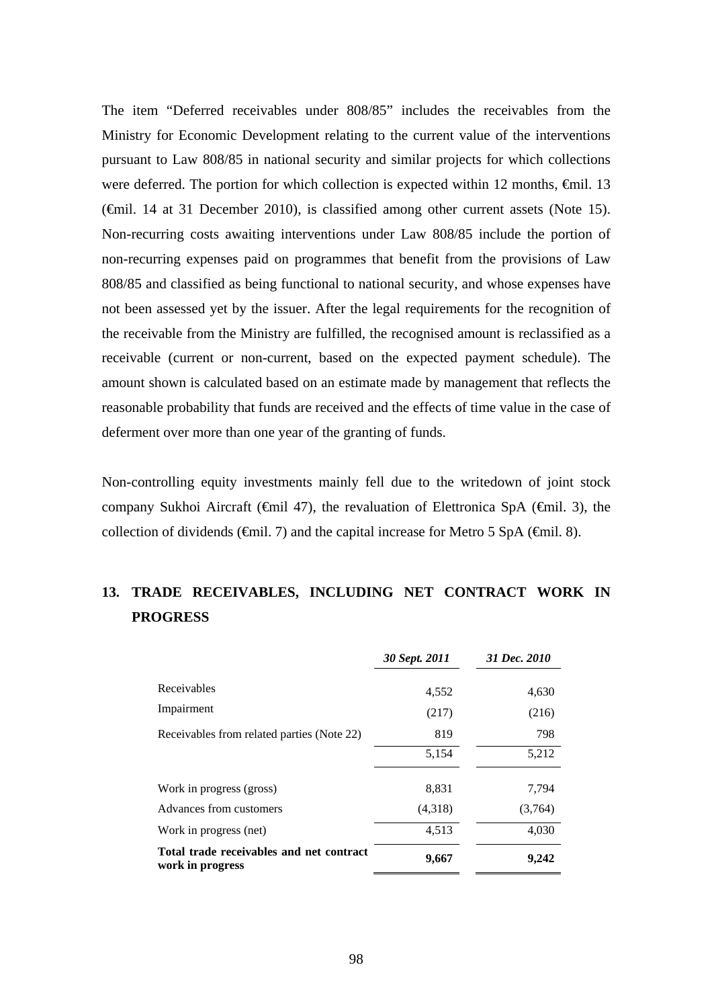The item "Deferred receivables under 808/85" includes the receivables from the Ministry for Economic Development relating to the current value of the interventions pursuant to Law 808/85 in national security and similar projects for which collections were deferred. The portion for which collection is expected within 12 months,  $\epsilon$ mil. 13 (€mil. 14 at 31 December 2010), is classified among other current assets (Note 15). Non-recurring costs awaiting interventions under Law 808/85 include the portion of non-recurring expenses paid on programmes that benefit from the provisions of Law 808/85 and classified as being functional to national security, and whose expenses have not been assessed yet by the issuer. After the legal requirements for the recognition of the receivable from the Ministry are fulfilled, the recognised amount is reclassified as a receivable (current or non-current, based on the expected payment schedule). The amount shown is calculated based on an estimate made by management that reflects the reasonable probability that funds are received and the effects of time value in the case of deferment over more than one year of the granting of funds.

Non-controlling equity investments mainly fell due to the writedown of joint stock company Sukhoi Aircraft ( $\epsilon$ mil 47), the revaluation of Elettronica SpA ( $\epsilon$ mil. 3), the collection of dividends ( $\epsilon$ mil. 7) and the capital increase for Metro 5 SpA ( $\epsilon$ mil. 8).

# **13. TRADE RECEIVABLES, INCLUDING NET CONTRACT WORK IN PROGRESS**

|                                                              | 30 Sept. 2011 | 31 Dec. 2010 |
|--------------------------------------------------------------|---------------|--------------|
| Receivables                                                  | 4,552         | 4,630        |
| Impairment                                                   | (217)         | (216)        |
| Receivables from related parties (Note 22)                   | 819           | 798          |
|                                                              | 5,154         | 5,212        |
| Work in progress (gross)                                     | 8,831         | 7,794        |
| Advances from customers                                      | (4,318)       | (3,764)      |
| Work in progress (net)                                       | 4,513         | 4,030        |
| Total trade receivables and net contract<br>work in progress | 9,667         | 9,242        |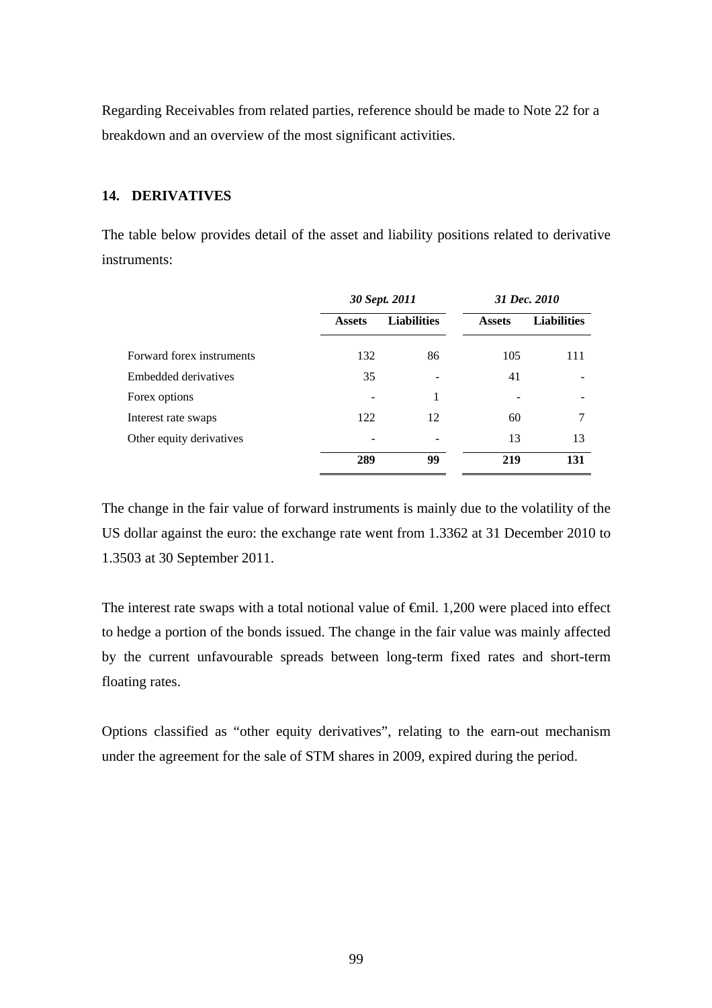Regarding Receivables from related parties, reference should be made to Note 22 for a breakdown and an overview of the most significant activities.

### **14. DERIVATIVES**

The table below provides detail of the asset and liability positions related to derivative instruments:

|                           | 30 Sept. 2011 |                    | 31 Dec. 2010  |                    |
|---------------------------|---------------|--------------------|---------------|--------------------|
|                           | <b>Assets</b> | <b>Liabilities</b> | <b>Assets</b> | <b>Liabilities</b> |
| Forward forex instruments | 132           | 86                 | 105           | 111                |
| Embedded derivatives      | 35            |                    | 41            |                    |
| Forex options             |               | 1                  |               |                    |
| Interest rate swaps       | 122           | 12                 | 60            | 7                  |
| Other equity derivatives  |               |                    | 13            | 13                 |
|                           | 289           | 99                 | 219           | 131                |

The change in the fair value of forward instruments is mainly due to the volatility of the US dollar against the euro: the exchange rate went from 1.3362 at 31 December 2010 to 1.3503 at 30 September 2011.

The interest rate swaps with a total notional value of  $\oplus$ mil. 1,200 were placed into effect to hedge a portion of the bonds issued. The change in the fair value was mainly affected by the current unfavourable spreads between long-term fixed rates and short-term floating rates.

Options classified as "other equity derivatives", relating to the earn-out mechanism under the agreement for the sale of STM shares in 2009, expired during the period.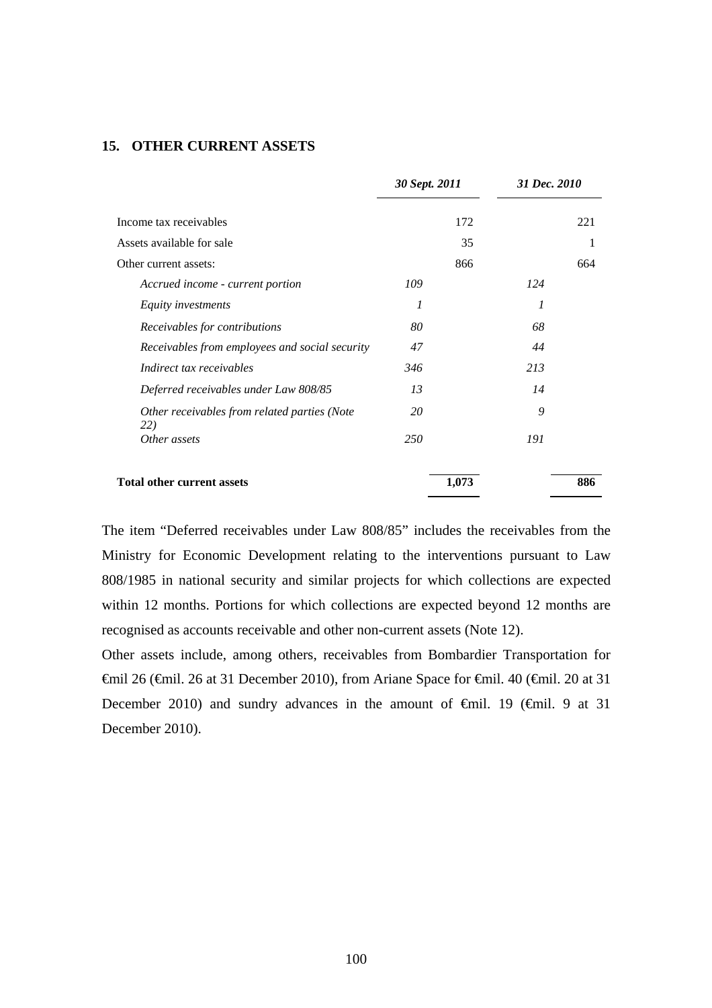### **15. OTHER CURRENT ASSETS**

|                                                     | 30 Sept. 2011 |       | 31 Dec. 2010 |     |
|-----------------------------------------------------|---------------|-------|--------------|-----|
| Income tax receivables                              |               | 172   |              | 221 |
| Assets available for sale                           |               | 35    |              | 1   |
| Other current assets:                               |               | 866   |              | 664 |
| Accrued income - current portion                    | 109           |       | 124          |     |
| Equity investments                                  | 1             |       | 1            |     |
| Receivables for contributions                       | 80            |       | 68           |     |
| Receivables from employees and social security      | 47            |       | 44           |     |
| Indirect tax receivables                            | 346           |       | 213          |     |
| Deferred receivables under Law 808/85               | 13            |       | 14           |     |
| Other receivables from related parties (Note<br>22) | 20            |       | 9            |     |
| Other assets                                        | 250           |       | 191          |     |
| <b>Total other current assets</b>                   |               | 1,073 |              | 886 |

The item "Deferred receivables under Law 808/85" includes the receivables from the Ministry for Economic Development relating to the interventions pursuant to Law 808/1985 in national security and similar projects for which collections are expected within 12 months. Portions for which collections are expected beyond 12 months are recognised as accounts receivable and other non-current assets (Note 12).

Other assets include, among others, receivables from Bombardier Transportation for €mil 26 (€mil. 26 at 31 December 2010), from Ariane Space for €mil. 40 (€mil. 20 at 31 December 2010) and sundry advances in the amount of  $\theta$ mil. 19 ( $\theta$ mil. 9 at 31 December 2010).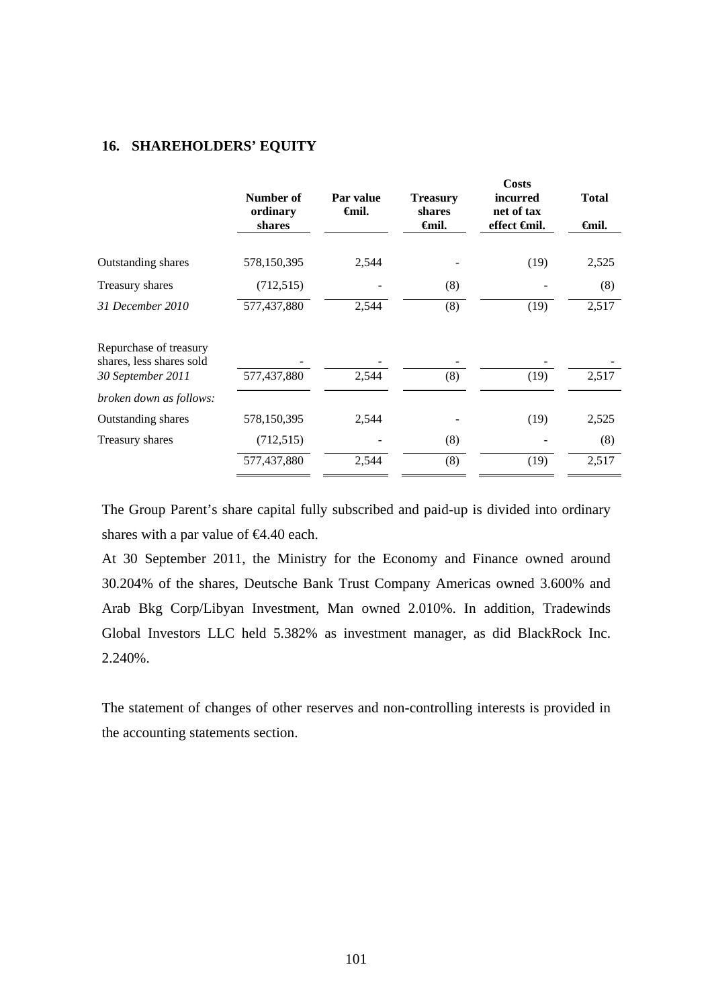#### **16. SHAREHOLDERS' EQUITY**

|                                                                         | Number of<br>ordinary<br>shares | Par value<br>Gmil. | <b>Treasury</b><br>shares<br>Gmil. | Costs<br>incurred<br>net of tax<br>effect <del>C</del> mil. | <b>Total</b><br><del>∈</del> mil. |
|-------------------------------------------------------------------------|---------------------------------|--------------------|------------------------------------|-------------------------------------------------------------|-----------------------------------|
| Outstanding shares                                                      | 578,150,395                     | 2,544              |                                    | (19)                                                        | 2,525                             |
| Treasury shares                                                         | (712, 515)                      |                    | (8)                                |                                                             | (8)                               |
| 31 December 2010                                                        | 577,437,880                     | 2,544              | (8)                                | (19)                                                        | 2,517                             |
| Repurchase of treasury<br>shares, less shares sold<br>30 September 2011 | 577,437,880                     | 2,544              | (8)                                | (19)                                                        | 2,517                             |
| broken down as follows:                                                 |                                 |                    |                                    |                                                             |                                   |
| Outstanding shares                                                      | 578,150,395                     | 2,544              |                                    | (19)                                                        | 2,525                             |
| Treasury shares                                                         | (712, 515)                      |                    | (8)                                |                                                             | (8)                               |
|                                                                         | 577,437,880                     | 2,544              | (8)                                | (19)                                                        | 2,517                             |

The Group Parent's share capital fully subscribed and paid-up is divided into ordinary shares with a par value of  $\epsilon 4.40$  each.

At 30 September 2011, the Ministry for the Economy and Finance owned around 30.204% of the shares, Deutsche Bank Trust Company Americas owned 3.600% and Arab Bkg Corp/Libyan Investment, Man owned 2.010%. In addition, Tradewinds Global Investors LLC held 5.382% as investment manager, as did BlackRock Inc. 2.240%.

The statement of changes of other reserves and non-controlling interests is provided in the accounting statements section.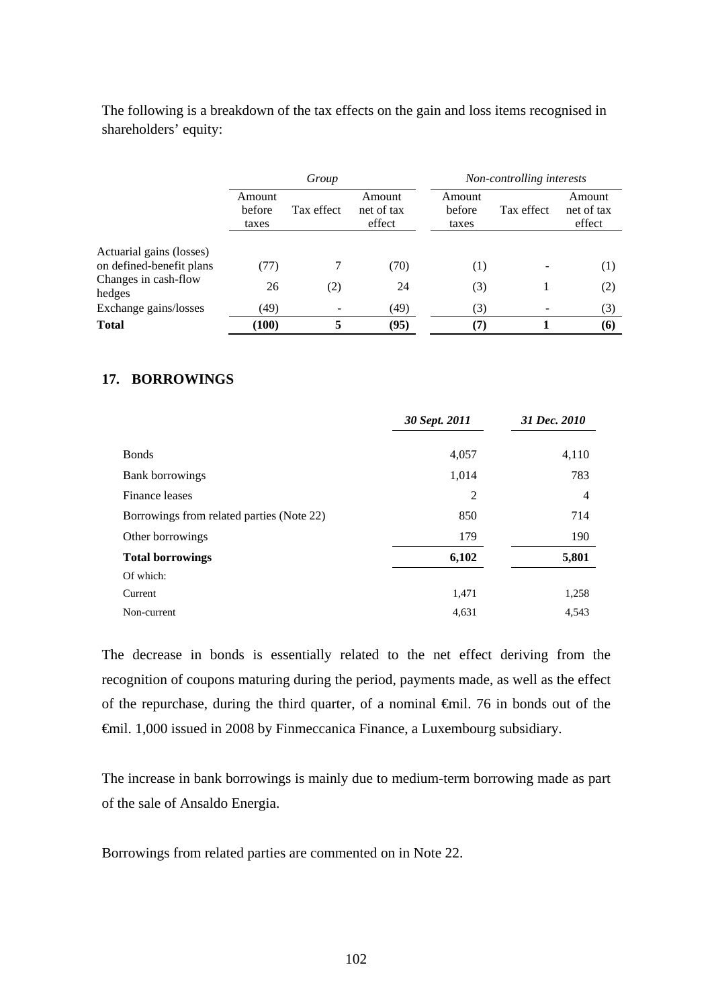The following is a breakdown of the tax effects on the gain and loss items recognised in shareholders' equity:

|                                                      | Group                     |            |                                |                           | Non-controlling interests |                                |  |
|------------------------------------------------------|---------------------------|------------|--------------------------------|---------------------------|---------------------------|--------------------------------|--|
|                                                      | Amount<br>before<br>taxes | Tax effect | Amount<br>net of tax<br>effect | Amount<br>before<br>taxes | Tax effect                | Amount<br>net of tax<br>effect |  |
|                                                      |                           |            |                                |                           |                           |                                |  |
| Actuarial gains (losses)<br>on defined-benefit plans | (77)                      |            | (70)                           | $\left(1\right)$          |                           | (1)                            |  |
| Changes in cash-flow<br>hedges                       | 26                        | (2)        | 24                             | (3)                       |                           | (2)                            |  |
| Exchange gains/losses                                | (49)                      |            | (49)                           | (3)                       |                           | (3)                            |  |
| <b>Total</b>                                         | (100)                     |            | (95)                           | (7)                       |                           | (6)                            |  |

## **17. BORROWINGS**

|                                           | 30 Sept. 2011 | 31 Dec. 2010 |
|-------------------------------------------|---------------|--------------|
| <b>B</b> onds                             | 4,057         | 4,110        |
| Bank borrowings                           | 1,014         | 783          |
| Finance leases                            | 2             | 4            |
| Borrowings from related parties (Note 22) | 850           | 714          |
| Other borrowings                          | 179           | 190          |
| <b>Total borrowings</b>                   | 6,102         | 5,801        |
| Of which:                                 |               |              |
| Current                                   | 1,471         | 1,258        |
| Non-current                               | 4,631         | 4.543        |

The decrease in bonds is essentially related to the net effect deriving from the recognition of coupons maturing during the period, payments made, as well as the effect of the repurchase, during the third quarter, of a nominal  $\theta$ mil. 76 in bonds out of the €mil. 1,000 issued in 2008 by Finmeccanica Finance, a Luxembourg subsidiary.

The increase in bank borrowings is mainly due to medium-term borrowing made as part of the sale of Ansaldo Energia.

Borrowings from related parties are commented on in Note 22.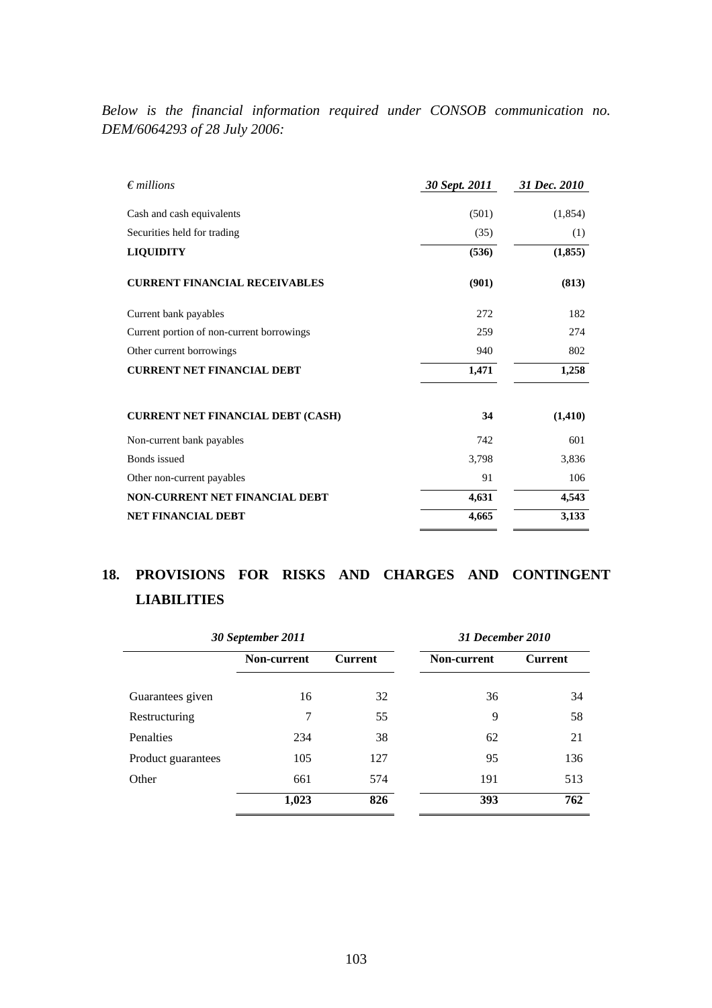*Below is the financial information required under CONSOB communication no. DEM/6064293 of 28 July 2006:* 

| $\epsilon$ millions                       | 30 Sept. 2011 | 31 Dec. 2010 |
|-------------------------------------------|---------------|--------------|
| Cash and cash equivalents                 | (501)         | (1,854)      |
| Securities held for trading               | (35)          | (1)          |
| <b>LIQUIDITY</b>                          | (536)         | (1, 855)     |
| <b>CURRENT FINANCIAL RECEIVABLES</b>      | (901)         | (813)        |
| Current bank payables                     | 272           | 182          |
| Current portion of non-current borrowings | 259           | 274          |
| Other current borrowings                  | 940           | 802          |
| <b>CURRENT NET FINANCIAL DEBT</b>         | 1,471         | 1,258        |
| <b>CURRENT NET FINANCIAL DEBT (CASH)</b>  | 34            | (1, 410)     |
| Non-current bank payables                 | 742           | 601          |
| <b>Bonds</b> issued                       | 3,798         | 3,836        |
| Other non-current payables                | 91            | 106          |
| NON-CURRENT NET FINANCIAL DEBT            | 4,631         | 4,543        |
| <b>NET FINANCIAL DEBT</b>                 | 4,665         | 3,133        |

# **18. PROVISIONS FOR RISKS AND CHARGES AND CONTINGENT LIABILITIES**

| 30 September 2011  |             |                | 31 December 2010 |                |
|--------------------|-------------|----------------|------------------|----------------|
|                    | Non-current | <b>Current</b> | Non-current      | <b>Current</b> |
| Guarantees given   | 16          | 32             | 36               | 34             |
| Restructuring      | 7           | 55             | 9                | 58             |
| Penalties          | 234         | 38             | 62               | 21             |
| Product guarantees | 105         | 127            | 95               | 136            |
| Other              | 661         | 574            | 191              | 513            |
|                    | 1,023       | 826            | 393              | 762            |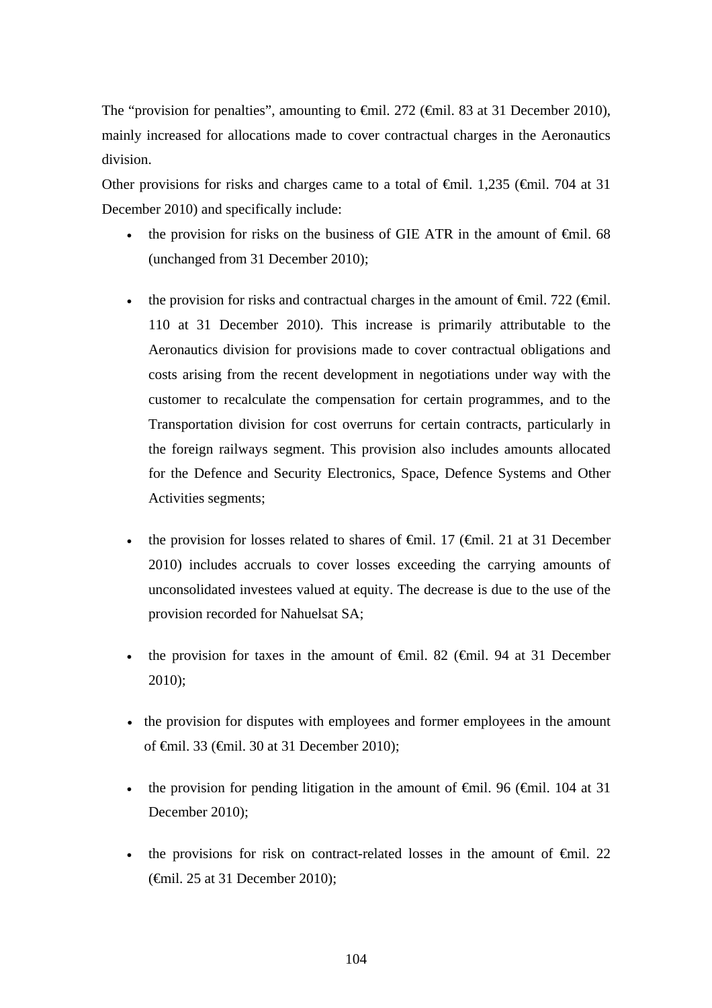The "provision for penalties", amounting to €mil. 272 (€mil. 83 at 31 December 2010), mainly increased for allocations made to cover contractual charges in the Aeronautics division.

Other provisions for risks and charges came to a total of  $\epsilon$ mil. 1,235 ( $\epsilon$ mil. 704 at 31 December 2010) and specifically include:

- the provision for risks on the business of GIE ATR in the amount of  $\epsilon$ mil. 68 (unchanged from 31 December 2010);
- the provision for risks and contractual charges in the amount of  $\epsilon$ mil. 722 ( $\epsilon$ mil. 110 at 31 December 2010). This increase is primarily attributable to the Aeronautics division for provisions made to cover contractual obligations and costs arising from the recent development in negotiations under way with the customer to recalculate the compensation for certain programmes, and to the Transportation division for cost overruns for certain contracts, particularly in the foreign railways segment. This provision also includes amounts allocated for the Defence and Security Electronics, Space, Defence Systems and Other Activities segments;
- the provision for losses related to shares of  $\epsilon$ mil. 17 ( $\epsilon$ mil. 21 at 31 December 2010) includes accruals to cover losses exceeding the carrying amounts of unconsolidated investees valued at equity. The decrease is due to the use of the provision recorded for Nahuelsat SA;
- the provision for taxes in the amount of  $\oplus$ mil. 82 ( $\oplus$ mil. 94 at 31 December 2010);
- the provision for disputes with employees and former employees in the amount of €mil. 33 (€mil. 30 at 31 December 2010);
- the provision for pending litigation in the amount of  $\theta$ mil. 96 ( $\theta$ mil. 104 at 31 December 2010);
- the provisions for risk on contract-related losses in the amount of  $\epsilon$ mil. 22 (€mil. 25 at 31 December 2010);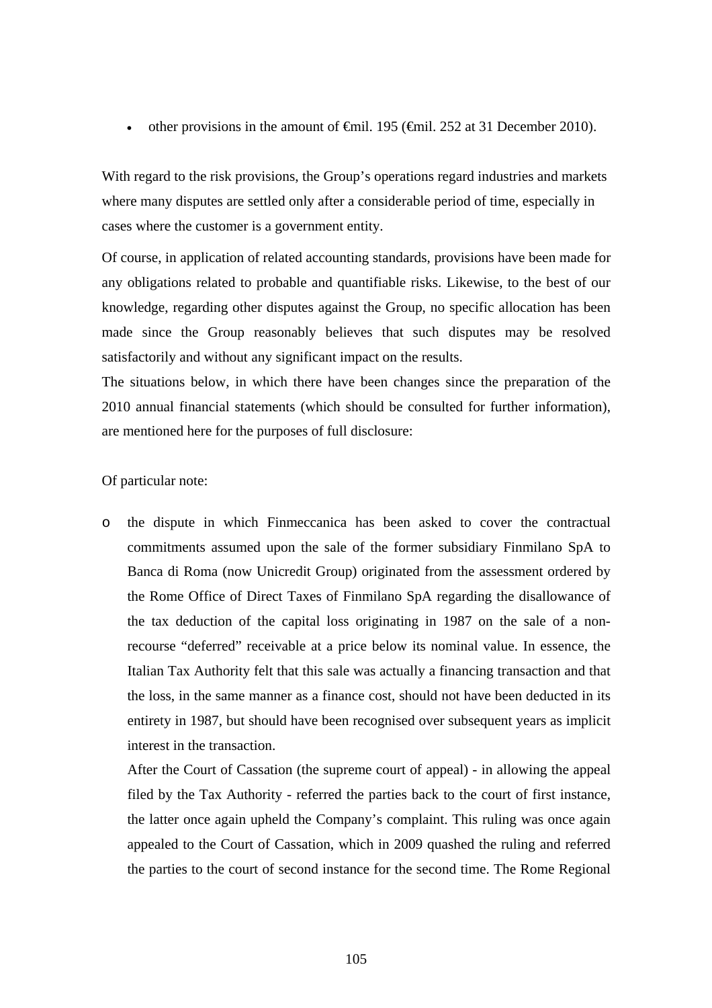• other provisions in the amount of  $\oplus$  fiil. 195 ( $\oplus$  fiil. 252 at 31 December 2010).

With regard to the risk provisions, the Group's operations regard industries and markets where many disputes are settled only after a considerable period of time, especially in cases where the customer is a government entity.

Of course, in application of related accounting standards, provisions have been made for any obligations related to probable and quantifiable risks. Likewise, to the best of our knowledge, regarding other disputes against the Group, no specific allocation has been made since the Group reasonably believes that such disputes may be resolved satisfactorily and without any significant impact on the results.

The situations below, in which there have been changes since the preparation of the 2010 annual financial statements (which should be consulted for further information), are mentioned here for the purposes of full disclosure:

#### Of particular note:

o the dispute in which Finmeccanica has been asked to cover the contractual commitments assumed upon the sale of the former subsidiary Finmilano SpA to Banca di Roma (now Unicredit Group) originated from the assessment ordered by the Rome Office of Direct Taxes of Finmilano SpA regarding the disallowance of the tax deduction of the capital loss originating in 1987 on the sale of a nonrecourse "deferred" receivable at a price below its nominal value. In essence, the Italian Tax Authority felt that this sale was actually a financing transaction and that the loss, in the same manner as a finance cost, should not have been deducted in its entirety in 1987, but should have been recognised over subsequent years as implicit interest in the transaction.

After the Court of Cassation (the supreme court of appeal) - in allowing the appeal filed by the Tax Authority - referred the parties back to the court of first instance, the latter once again upheld the Company's complaint. This ruling was once again appealed to the Court of Cassation, which in 2009 quashed the ruling and referred the parties to the court of second instance for the second time. The Rome Regional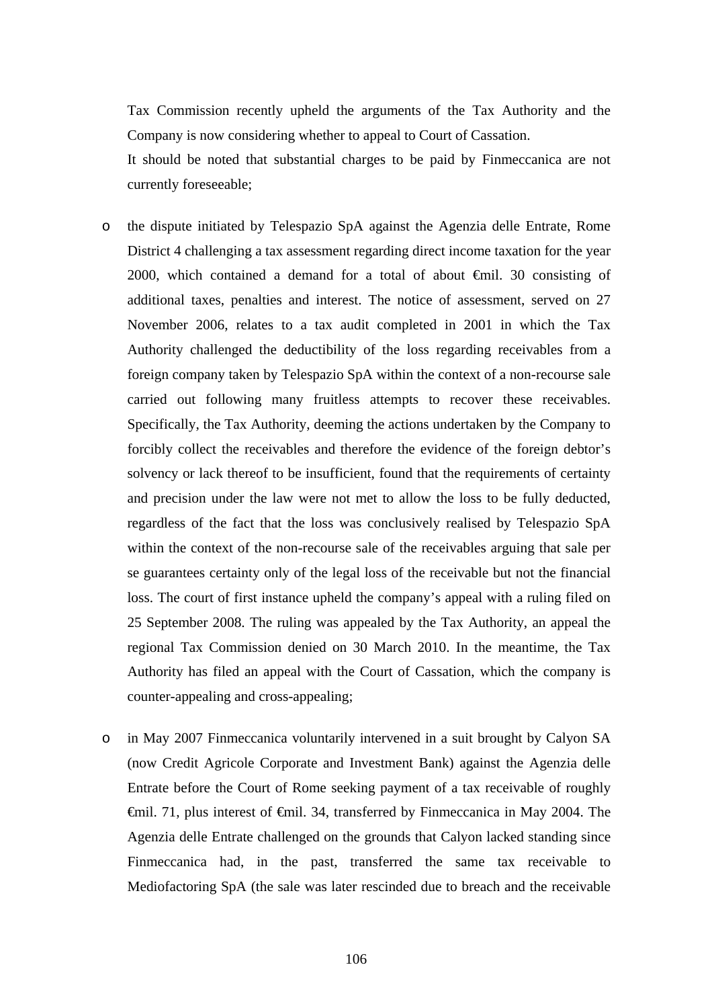Tax Commission recently upheld the arguments of the Tax Authority and the Company is now considering whether to appeal to Court of Cassation.

It should be noted that substantial charges to be paid by Finmeccanica are not currently foreseeable;

- o the dispute initiated by Telespazio SpA against the Agenzia delle Entrate, Rome District 4 challenging a tax assessment regarding direct income taxation for the year 2000, which contained a demand for a total of about €mil. 30 consisting of additional taxes, penalties and interest. The notice of assessment, served on 27 November 2006, relates to a tax audit completed in 2001 in which the Tax Authority challenged the deductibility of the loss regarding receivables from a foreign company taken by Telespazio SpA within the context of a non-recourse sale carried out following many fruitless attempts to recover these receivables. Specifically, the Tax Authority, deeming the actions undertaken by the Company to forcibly collect the receivables and therefore the evidence of the foreign debtor's solvency or lack thereof to be insufficient, found that the requirements of certainty and precision under the law were not met to allow the loss to be fully deducted, regardless of the fact that the loss was conclusively realised by Telespazio SpA within the context of the non-recourse sale of the receivables arguing that sale per se guarantees certainty only of the legal loss of the receivable but not the financial loss. The court of first instance upheld the company's appeal with a ruling filed on 25 September 2008. The ruling was appealed by the Tax Authority, an appeal the regional Tax Commission denied on 30 March 2010. In the meantime, the Tax Authority has filed an appeal with the Court of Cassation, which the company is counter-appealing and cross-appealing;
- o in May 2007 Finmeccanica voluntarily intervened in a suit brought by Calyon SA (now Credit Agricole Corporate and Investment Bank) against the Agenzia delle Entrate before the Court of Rome seeking payment of a tax receivable of roughly €mil. 71, plus interest of €mil. 34, transferred by Finmeccanica in May 2004. The Agenzia delle Entrate challenged on the grounds that Calyon lacked standing since Finmeccanica had, in the past, transferred the same tax receivable to Mediofactoring SpA (the sale was later rescinded due to breach and the receivable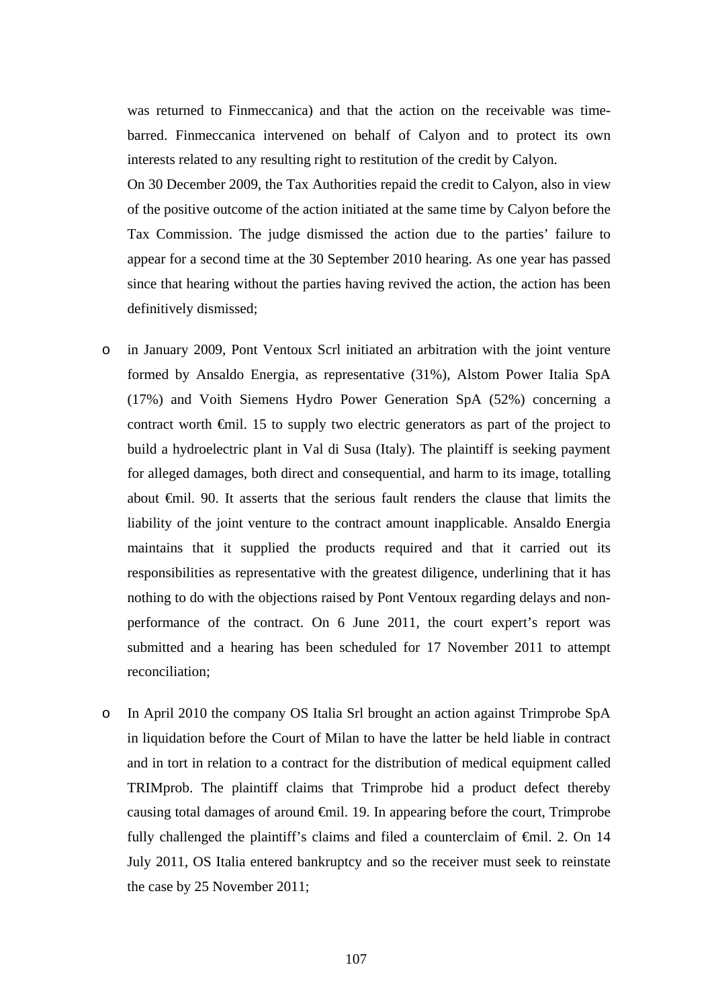was returned to Finmeccanica) and that the action on the receivable was timebarred. Finmeccanica intervened on behalf of Calyon and to protect its own interests related to any resulting right to restitution of the credit by Calyon.

On 30 December 2009, the Tax Authorities repaid the credit to Calyon, also in view of the positive outcome of the action initiated at the same time by Calyon before the Tax Commission. The judge dismissed the action due to the parties' failure to appear for a second time at the 30 September 2010 hearing. As one year has passed since that hearing without the parties having revived the action, the action has been definitively dismissed;

- o in January 2009, Pont Ventoux Scrl initiated an arbitration with the joint venture formed by Ansaldo Energia, as representative (31%), Alstom Power Italia SpA (17%) and Voith Siemens Hydro Power Generation SpA (52%) concerning a contract worth €mil. 15 to supply two electric generators as part of the project to build a hydroelectric plant in Val di Susa (Italy). The plaintiff is seeking payment for alleged damages, both direct and consequential, and harm to its image, totalling about €mil. 90. It asserts that the serious fault renders the clause that limits the liability of the joint venture to the contract amount inapplicable. Ansaldo Energia maintains that it supplied the products required and that it carried out its responsibilities as representative with the greatest diligence, underlining that it has nothing to do with the objections raised by Pont Ventoux regarding delays and nonperformance of the contract. On 6 June 2011, the court expert's report was submitted and a hearing has been scheduled for 17 November 2011 to attempt reconciliation;
- o In April 2010 the company OS Italia Srl brought an action against Trimprobe SpA in liquidation before the Court of Milan to have the latter be held liable in contract and in tort in relation to a contract for the distribution of medical equipment called TRIMprob. The plaintiff claims that Trimprobe hid a product defect thereby causing total damages of around  $\oplus$  finil. 19. In appearing before the court, Trimprobe fully challenged the plaintiff's claims and filed a counterclaim of €mil. 2. On 14 July 2011, OS Italia entered bankruptcy and so the receiver must seek to reinstate the case by 25 November 2011;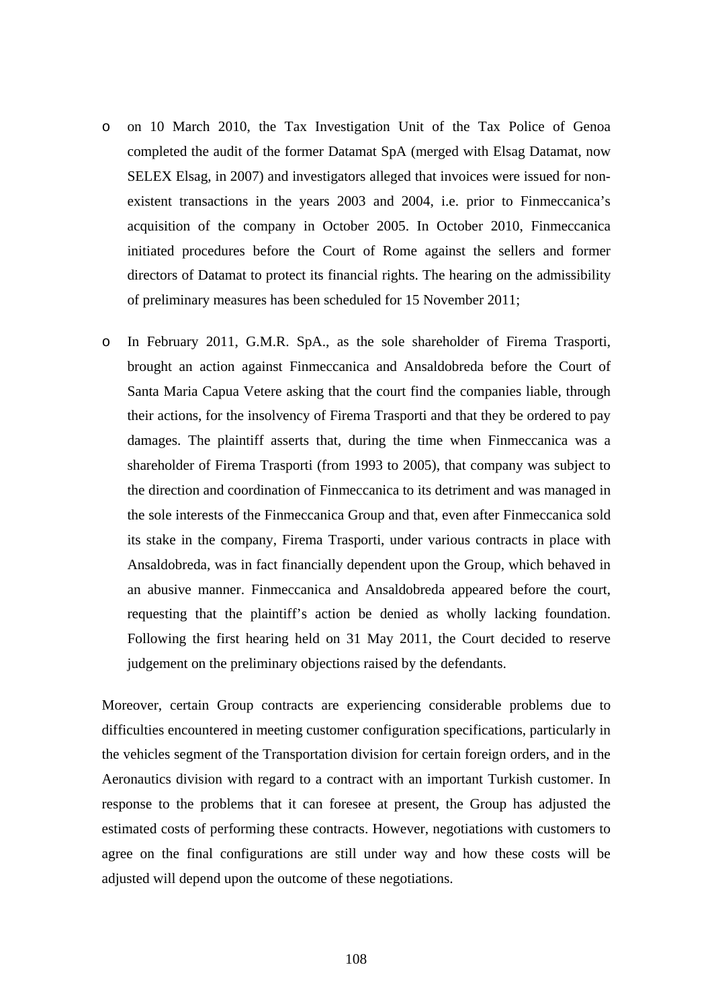- o on 10 March 2010, the Tax Investigation Unit of the Tax Police of Genoa completed the audit of the former Datamat SpA (merged with Elsag Datamat, now SELEX Elsag, in 2007) and investigators alleged that invoices were issued for nonexistent transactions in the years 2003 and 2004, i.e. prior to Finmeccanica's acquisition of the company in October 2005. In October 2010, Finmeccanica initiated procedures before the Court of Rome against the sellers and former directors of Datamat to protect its financial rights. The hearing on the admissibility of preliminary measures has been scheduled for 15 November 2011;
- o In February 2011, G.M.R. SpA., as the sole shareholder of Firema Trasporti, brought an action against Finmeccanica and Ansaldobreda before the Court of Santa Maria Capua Vetere asking that the court find the companies liable, through their actions, for the insolvency of Firema Trasporti and that they be ordered to pay damages. The plaintiff asserts that, during the time when Finmeccanica was a shareholder of Firema Trasporti (from 1993 to 2005), that company was subject to the direction and coordination of Finmeccanica to its detriment and was managed in the sole interests of the Finmeccanica Group and that, even after Finmeccanica sold its stake in the company, Firema Trasporti, under various contracts in place with Ansaldobreda, was in fact financially dependent upon the Group, which behaved in an abusive manner. Finmeccanica and Ansaldobreda appeared before the court, requesting that the plaintiff's action be denied as wholly lacking foundation. Following the first hearing held on 31 May 2011, the Court decided to reserve judgement on the preliminary objections raised by the defendants.

Moreover, certain Group contracts are experiencing considerable problems due to difficulties encountered in meeting customer configuration specifications, particularly in the vehicles segment of the Transportation division for certain foreign orders, and in the Aeronautics division with regard to a contract with an important Turkish customer. In response to the problems that it can foresee at present, the Group has adjusted the estimated costs of performing these contracts. However, negotiations with customers to agree on the final configurations are still under way and how these costs will be adjusted will depend upon the outcome of these negotiations.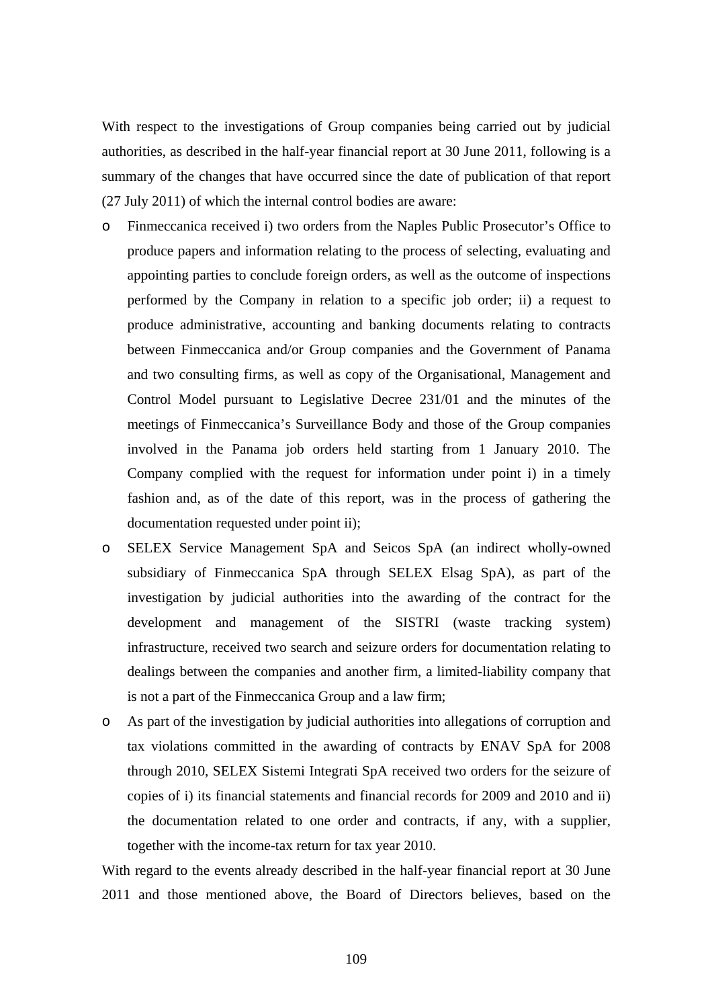With respect to the investigations of Group companies being carried out by judicial authorities, as described in the half-year financial report at 30 June 2011, following is a summary of the changes that have occurred since the date of publication of that report (27 July 2011) of which the internal control bodies are aware:

- o Finmeccanica received i) two orders from the Naples Public Prosecutor's Office to produce papers and information relating to the process of selecting, evaluating and appointing parties to conclude foreign orders, as well as the outcome of inspections performed by the Company in relation to a specific job order; ii) a request to produce administrative, accounting and banking documents relating to contracts between Finmeccanica and/or Group companies and the Government of Panama and two consulting firms, as well as copy of the Organisational, Management and Control Model pursuant to Legislative Decree 231/01 and the minutes of the meetings of Finmeccanica's Surveillance Body and those of the Group companies involved in the Panama job orders held starting from 1 January 2010. The Company complied with the request for information under point i) in a timely fashion and, as of the date of this report, was in the process of gathering the documentation requested under point ii);
- o SELEX Service Management SpA and Seicos SpA (an indirect wholly-owned subsidiary of Finmeccanica SpA through SELEX Elsag SpA), as part of the investigation by judicial authorities into the awarding of the contract for the development and management of the SISTRI (waste tracking system) infrastructure, received two search and seizure orders for documentation relating to dealings between the companies and another firm, a limited-liability company that is not a part of the Finmeccanica Group and a law firm;
- o As part of the investigation by judicial authorities into allegations of corruption and tax violations committed in the awarding of contracts by ENAV SpA for 2008 through 2010, SELEX Sistemi Integrati SpA received two orders for the seizure of copies of i) its financial statements and financial records for 2009 and 2010 and ii) the documentation related to one order and contracts, if any, with a supplier, together with the income-tax return for tax year 2010.

With regard to the events already described in the half-year financial report at 30 June 2011 and those mentioned above, the Board of Directors believes, based on the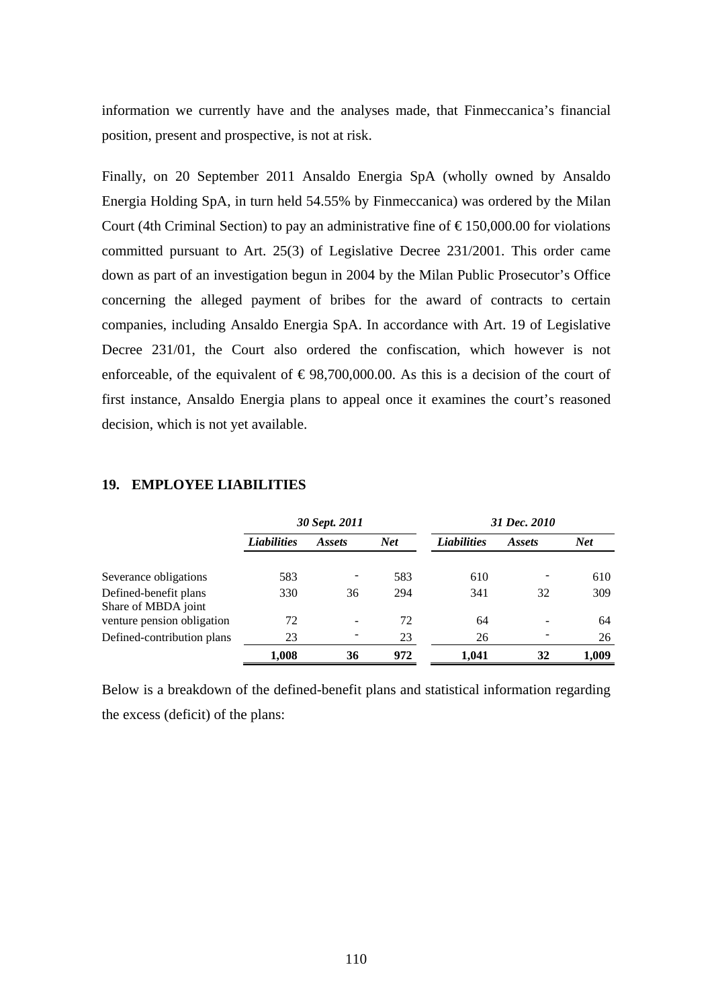information we currently have and the analyses made, that Finmeccanica's financial position, present and prospective, is not at risk.

Finally, on 20 September 2011 Ansaldo Energia SpA (wholly owned by Ansaldo Energia Holding SpA, in turn held 54.55% by Finmeccanica) was ordered by the Milan Court (4th Criminal Section) to pay an administrative fine of  $\epsilon$ 150,000.00 for violations committed pursuant to Art. 25(3) of Legislative Decree 231/2001. This order came down as part of an investigation begun in 2004 by the Milan Public Prosecutor's Office concerning the alleged payment of bribes for the award of contracts to certain companies, including Ansaldo Energia SpA. In accordance with Art. 19 of Legislative Decree 231/01, the Court also ordered the confiscation, which however is not enforceable, of the equivalent of  $\epsilon$ 98,700,000.00. As this is a decision of the court of first instance, Ansaldo Energia plans to appeal once it examines the court's reasoned decision, which is not yet available.

|                                              |                    | 30 Sept. 2011 |            | 31 Dec. 2010       |               |            |
|----------------------------------------------|--------------------|---------------|------------|--------------------|---------------|------------|
|                                              | <b>Liabilities</b> | <i>Assets</i> | <b>Net</b> | <b>Liabilities</b> | <i>Assets</i> | <b>Net</b> |
| Severance obligations                        | 583                |               | 583        | 610                |               | 610        |
| Defined-benefit plans<br>Share of MBDA joint | 330                | 36            | 294        | 341                | 32            | 309        |
| venture pension obligation                   | 72                 |               | 72         | 64                 |               | 64         |
| Defined-contribution plans                   | 23                 |               | 23         | 26                 |               | 26         |
|                                              | 1,008              | 36            | 972        | 1.041              | 32            | 1.009      |

## **19. EMPLOYEE LIABILITIES**

Below is a breakdown of the defined-benefit plans and statistical information regarding the excess (deficit) of the plans: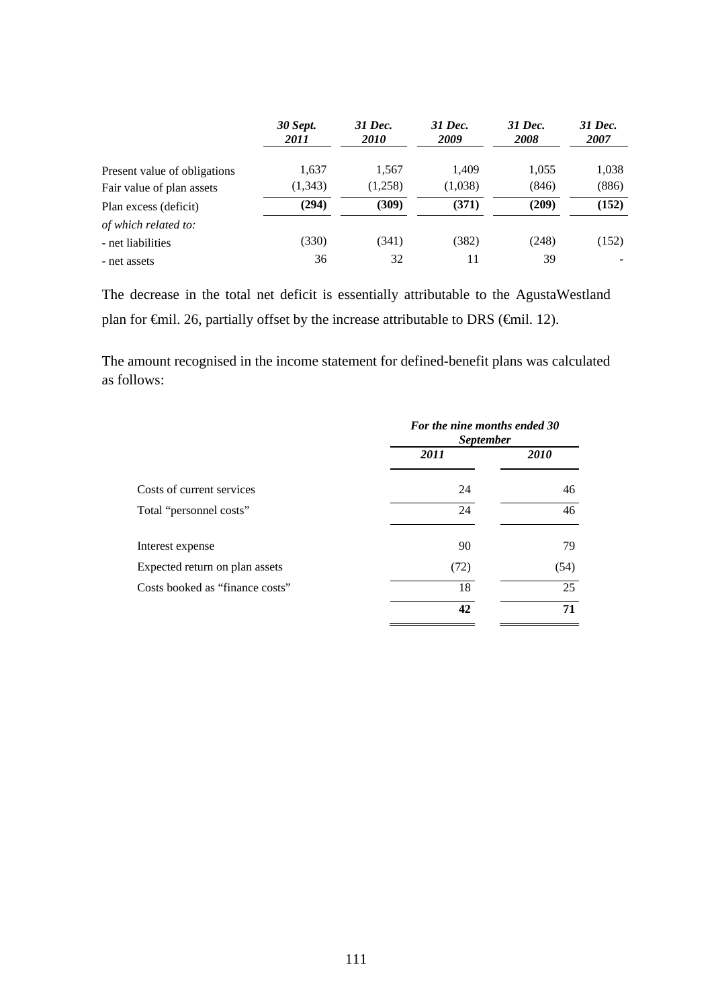|                              | <b>30 Sept.</b><br>2011 | 31 Dec.<br><i>2010</i> | 31 Dec.<br>2009 | 31 Dec.<br><b>2008</b> | 31 Dec.<br>2007 |
|------------------------------|-------------------------|------------------------|-----------------|------------------------|-----------------|
| Present value of obligations | 1,637                   | 1,567                  | 1.409           | 1,055                  | 1,038           |
| Fair value of plan assets    | (1,343)                 | (1,258)                | (1,038)         | (846)                  | (886)           |
| Plan excess (deficit)        | (294)                   | (309)                  | (371)           | (209)                  | (152)           |
| of which related to:         |                         |                        |                 |                        |                 |
| - net liabilities            | (330)                   | (341)                  | (382)           | (248)                  | (152)           |
| - net assets                 | 36                      | 32                     | 11              | 39                     |                 |

The decrease in the total net deficit is essentially attributable to the AgustaWestland plan for €mil. 26, partially offset by the increase attributable to DRS (€mil. 12).

The amount recognised in the income statement for defined-benefit plans was calculated as follows:

|                                 | For the nine months ended 30<br><i>September</i> |      |  |  |
|---------------------------------|--------------------------------------------------|------|--|--|
|                                 | 2011                                             | 2010 |  |  |
| Costs of current services       | 24                                               | 46   |  |  |
| Total "personnel costs"         | 24                                               | 46   |  |  |
| Interest expense                | 90                                               | 79   |  |  |
| Expected return on plan assets  | (72)                                             | (54) |  |  |
| Costs booked as "finance costs" | 18                                               | 25   |  |  |
|                                 | 42                                               | 71   |  |  |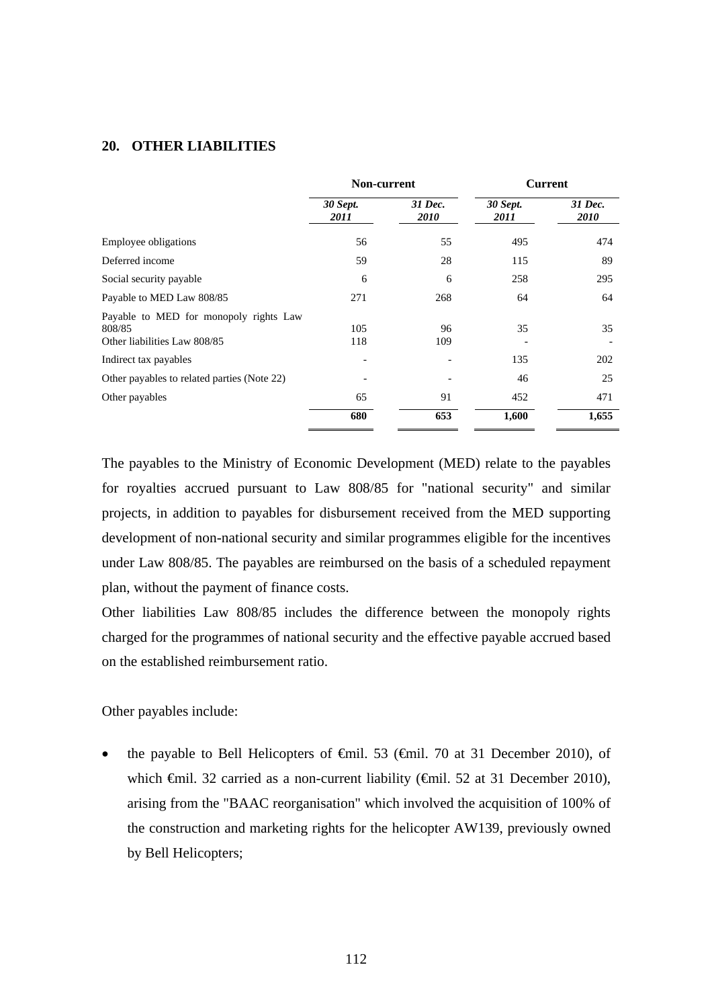### **20. OTHER LIABILITIES**

|                                                                                  | Non-current             |                        |                         | <b>Current</b>  |  |
|----------------------------------------------------------------------------------|-------------------------|------------------------|-------------------------|-----------------|--|
|                                                                                  | <b>30 Sept.</b><br>2011 | 31 Dec.<br><i>2010</i> | <b>30 Sept.</b><br>2011 | 31 Dec.<br>2010 |  |
| Employee obligations                                                             | 56                      | 55                     | 495                     | 474             |  |
| Deferred income                                                                  | 59                      | 28                     | 115                     | 89              |  |
| Social security payable                                                          | 6                       | 6                      | 258                     | 295             |  |
| Payable to MED Law 808/85                                                        | 271                     | 268                    | 64                      | 64              |  |
| Payable to MED for monopoly rights Law<br>808/85<br>Other liabilities Law 808/85 | 105<br>118              | 96<br>109              | 35                      | 35              |  |
| Indirect tax payables                                                            |                         |                        | 135                     | 202             |  |
| Other payables to related parties (Note 22)                                      |                         |                        | 46                      | 25              |  |
| Other payables                                                                   | 65                      | 91                     | 452                     | 471             |  |
|                                                                                  | 680                     | 653                    | 1,600                   | 1,655           |  |

The payables to the Ministry of Economic Development (MED) relate to the payables for royalties accrued pursuant to Law 808/85 for "national security" and similar projects, in addition to payables for disbursement received from the MED supporting development of non-national security and similar programmes eligible for the incentives under Law 808/85. The payables are reimbursed on the basis of a scheduled repayment plan, without the payment of finance costs.

Other liabilities Law 808/85 includes the difference between the monopoly rights charged for the programmes of national security and the effective payable accrued based on the established reimbursement ratio.

Other payables include:

the payable to Bell Helicopters of  $\theta$ mil. 53 ( $\theta$ mil. 70 at 31 December 2010), of which €mil. 32 carried as a non-current liability (€mil. 52 at 31 December 2010), arising from the "BAAC reorganisation" which involved the acquisition of 100% of the construction and marketing rights for the helicopter AW139, previously owned by Bell Helicopters;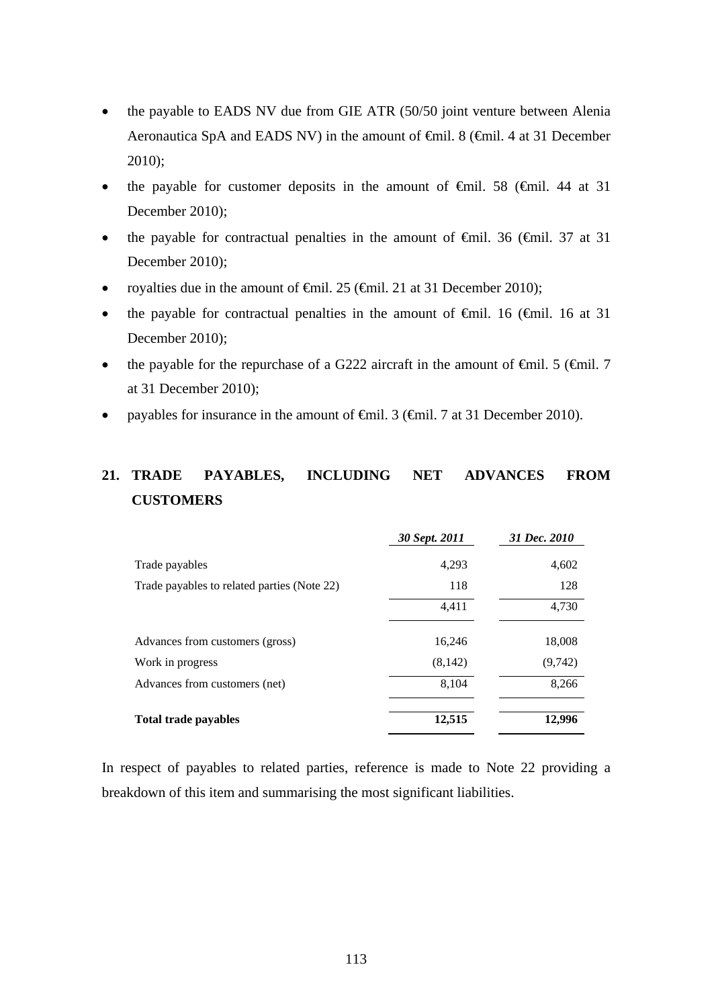- the payable to EADS NV due from GIE ATR (50/50 joint venture between Alenia Aeronautica SpA and EADS NV) in the amount of <del>€</del>mil. 8 (€mil. 4 at 31 December 2010);
- the payable for customer deposits in the amount of  $\theta$ mil. 58 ( $\theta$ mil. 44 at 31 December 2010);
- the payable for contractual penalties in the amount of  $\theta$ mil. 36 ( $\theta$ mil. 37 at 31 December 2010);
- royalties due in the amount of  $\epsilon$ mil. 25 ( $\epsilon$ mil. 21 at 31 December 2010);
- the payable for contractual penalties in the amount of  $\theta$ mil. 16 ( $\theta$ mil. 16 at 31 December 2010):
- the payable for the repurchase of a G222 aircraft in the amount of  $\theta$ mil. 5 ( $\theta$ mil. 7 at 31 December 2010);
- payables for insurance in the amount of €mil. 3 (€mil. 7 at 31 December 2010).

# **21. TRADE PAYABLES, INCLUDING NET ADVANCES FROM CUSTOMERS**

|                                             | 30 Sept. 2011 | 31 Dec. 2010 |
|---------------------------------------------|---------------|--------------|
| Trade payables                              | 4,293         | 4,602        |
| Trade payables to related parties (Note 22) | 118           | 128          |
|                                             | 4,411         | 4,730        |
| Advances from customers (gross)             | 16,246        | 18,008       |
| Work in progress                            | (8, 142)      | (9,742)      |
| Advances from customers (net)               | 8,104         | 8,266        |
| <b>Total trade payables</b>                 | 12,515        | 12,996       |

In respect of payables to related parties, reference is made to Note 22 providing a breakdown of this item and summarising the most significant liabilities.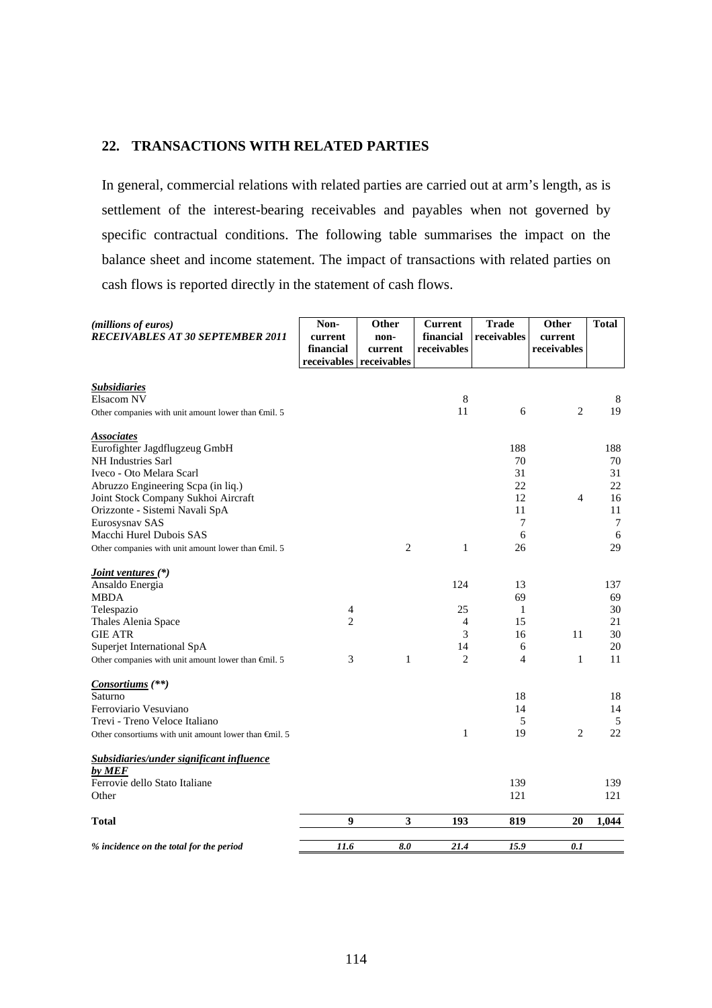### **22. TRANSACTIONS WITH RELATED PARTIES**

In general, commercial relations with related parties are carried out at arm's length, as is settlement of the interest-bearing receivables and payables when not governed by specific contractual conditions. The following table summarises the impact on the balance sheet and income statement. The impact of transactions with related parties on cash flows is reported directly in the statement of cash flows.

| (millions of euros)<br><b>RECEIVABLES AT 30 SEPTEMBER 2011</b>  | Non-<br>current<br>financial<br>receivables receivables | Other<br>non-<br>current | <b>Current</b><br>financial<br>receivables | <b>Trade</b><br>receivables | Other<br>current<br>receivables | <b>Total</b> |
|-----------------------------------------------------------------|---------------------------------------------------------|--------------------------|--------------------------------------------|-----------------------------|---------------------------------|--------------|
|                                                                 |                                                         |                          |                                            |                             |                                 |              |
| <b>Subsidiaries</b>                                             |                                                         |                          |                                            |                             |                                 |              |
| Elsacom NV                                                      |                                                         |                          | $\,8\,$                                    |                             |                                 | 8            |
| Other companies with unit amount lower than $\epsilon$ mil. 5   |                                                         |                          | 11                                         | 6                           | $\overline{2}$                  | 19           |
| <b>Associates</b>                                               |                                                         |                          |                                            |                             |                                 |              |
| Eurofighter Jagdflugzeug GmbH                                   |                                                         |                          |                                            | 188                         |                                 | 188          |
| NH Industries Sarl                                              |                                                         |                          |                                            | 70                          |                                 | 70           |
| Iveco - Oto Melara Scarl                                        |                                                         |                          |                                            | 31                          |                                 | 31           |
| Abruzzo Engineering Scpa (in liq.)                              |                                                         |                          |                                            | 22                          |                                 | 22           |
| Joint Stock Company Sukhoi Aircraft                             |                                                         |                          |                                            | 12                          | $\overline{4}$                  | 16           |
| Orizzonte - Sistemi Navali SpA                                  |                                                         |                          |                                            | 11                          |                                 | 11           |
| Eurosysnav SAS                                                  |                                                         |                          |                                            | 7                           |                                 | 7            |
| Macchi Hurel Dubois SAS                                         |                                                         |                          |                                            | 6                           |                                 | 6            |
| Other companies with unit amount lower than $\epsilon$ mil. 5   |                                                         | $\overline{2}$           | $\mathbf{1}$                               | 26                          |                                 | 29           |
| <i>Joint ventures</i> (*)                                       |                                                         |                          |                                            |                             |                                 |              |
| Ansaldo Energia                                                 |                                                         |                          | 124                                        | 13                          |                                 | 137          |
| <b>MBDA</b>                                                     |                                                         |                          |                                            | 69                          |                                 | 69           |
| Telespazio                                                      | $\overline{4}$                                          |                          | 25                                         | 1                           |                                 | 30           |
| Thales Alenia Space                                             | $\overline{2}$                                          |                          | $\overline{4}$                             | 15                          |                                 | 21           |
| <b>GIE ATR</b>                                                  |                                                         |                          | 3                                          | 16                          | 11                              | 30           |
| Superjet International SpA                                      |                                                         |                          | 14                                         | 6                           |                                 | 20           |
| Other companies with unit amount lower than $\oplus$ nil. 5     | 3                                                       | 1                        | $\overline{2}$                             | $\overline{4}$              | $\mathbf{1}$                    | 11           |
| Consortiums $(**)$                                              |                                                         |                          |                                            |                             |                                 |              |
| Saturno                                                         |                                                         |                          |                                            | 18                          |                                 | 18           |
| Ferroviario Vesuviano                                           |                                                         |                          |                                            | 14                          |                                 | 14           |
| Trevi - Treno Veloce Italiano                                   |                                                         |                          |                                            | 5                           |                                 | 5            |
| Other consortiums with unit amount lower than $\epsilon$ mil. 5 |                                                         |                          | $\mathbf{1}$                               | 19                          | $\overline{2}$                  | 22           |
| Subsidiaries/under significant influence                        |                                                         |                          |                                            |                             |                                 |              |
| by MEF                                                          |                                                         |                          |                                            |                             |                                 |              |
| Ferrovie dello Stato Italiane                                   |                                                         |                          |                                            | 139                         |                                 | 139          |
| Other                                                           |                                                         |                          |                                            | 121                         |                                 | 121          |
| <b>Total</b>                                                    | $\boldsymbol{9}$                                        | $\mathbf{3}$             | 193                                        | 819                         | 20                              | 1,044        |
|                                                                 |                                                         |                          |                                            |                             |                                 |              |
| % incidence on the total for the period                         | 11.6                                                    | 8.0                      | 21.4                                       | 15.9                        | 0.1                             |              |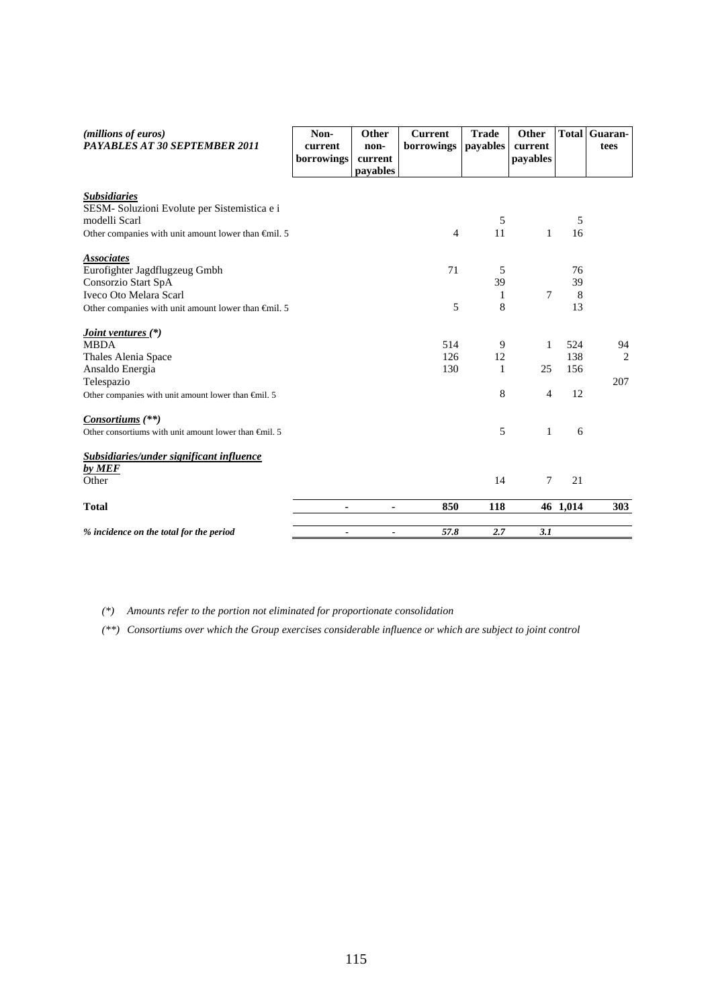| (millions of euros)<br>PAYABLES AT 30 SEPTEMBER 2011            | Non-<br>current<br>borrowings | Other<br>non-<br>current<br>payables | <b>Current</b><br>borrowings | <b>Trade</b><br>payables | Other<br>current<br>payables | <b>Total</b> | Guaran-<br>tees |
|-----------------------------------------------------------------|-------------------------------|--------------------------------------|------------------------------|--------------------------|------------------------------|--------------|-----------------|
|                                                                 |                               |                                      |                              |                          |                              |              |                 |
| <b>Subsidiaries</b>                                             |                               |                                      |                              |                          |                              |              |                 |
| SESM-Soluzioni Evolute per Sistemistica e i                     |                               |                                      |                              |                          |                              |              |                 |
| modelli Scarl                                                   |                               |                                      |                              | 5                        |                              | 5            |                 |
| Other companies with unit amount lower than $\epsilon$ mil. 5   |                               |                                      | $\overline{4}$               | 11                       | $\mathbf{1}$                 | 16           |                 |
| <b>Associates</b>                                               |                               |                                      |                              |                          |                              |              |                 |
| Eurofighter Jagdflugzeug Gmbh                                   |                               |                                      | 71                           | 5                        |                              | 76           |                 |
| Consorzio Start SpA                                             |                               |                                      |                              | 39                       |                              | 39           |                 |
| Iveco Oto Melara Scarl                                          |                               |                                      |                              | 1                        | 7                            | 8            |                 |
| Other companies with unit amount lower than $\epsilon$ mil. 5   |                               |                                      | 5                            | 8                        |                              | 13           |                 |
| <i><u><b>Joint ventures</b></u></i> (*)                         |                               |                                      |                              |                          |                              |              |                 |
| <b>MBDA</b>                                                     |                               |                                      | 514                          | 9                        | 1                            | 524          | 94              |
| Thales Alenia Space                                             |                               |                                      | 126                          | 12                       |                              | 138          | 2               |
| Ansaldo Energia                                                 |                               |                                      | 130                          | $\mathbf{1}$             | 25                           | 156          |                 |
| Telespazio                                                      |                               |                                      |                              |                          |                              |              | 207             |
| Other companies with unit amount lower than $\epsilon$ mil. 5   |                               |                                      |                              | 8                        | $\overline{4}$               | 12           |                 |
| Consortiums (**)                                                |                               |                                      |                              |                          |                              |              |                 |
| Other consortiums with unit amount lower than $\epsilon$ mil. 5 |                               |                                      |                              | 5                        | 1                            | 6            |                 |
| Subsidiaries/under significant influence                        |                               |                                      |                              |                          |                              |              |                 |
| by MEF                                                          |                               |                                      |                              |                          |                              |              |                 |
| Other                                                           |                               |                                      |                              | 14                       | 7                            | 21           |                 |
| <b>Total</b>                                                    | $\blacksquare$                | ٠                                    | 850                          | 118                      |                              | 46 1,014     | 303             |
| % incidence on the total for the period                         |                               | ۰                                    | 57.8                         | 2.7                      | 3.1                          |              |                 |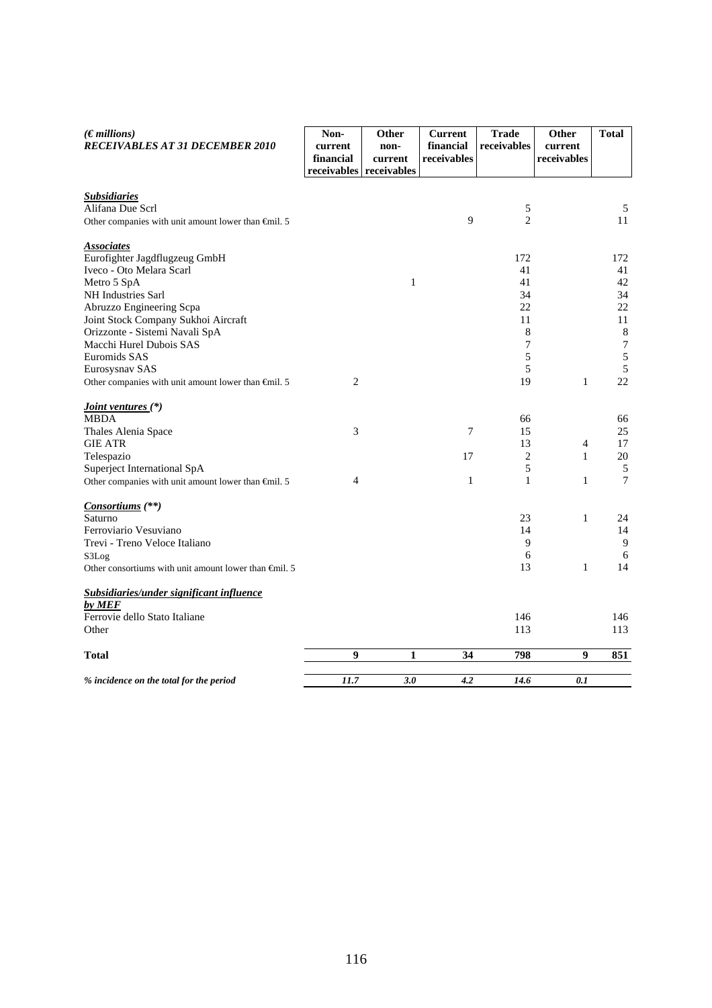| $(E$ <i>millions</i> )<br><b>RECEIVABLES AT 31 DECEMBER 2010</b>                | Non-<br>current<br>financial | Other<br>non-<br>current<br>receivables receivables | <b>Current</b><br>financial<br>receivables | <b>Trade</b><br>receivables | Other<br>current<br>receivables | <b>Total</b> |
|---------------------------------------------------------------------------------|------------------------------|-----------------------------------------------------|--------------------------------------------|-----------------------------|---------------------------------|--------------|
|                                                                                 |                              |                                                     |                                            |                             |                                 |              |
| <b>Subsidiaries</b>                                                             |                              |                                                     |                                            |                             |                                 |              |
| Alifana Due Scrl<br>Other companies with unit amount lower than $\oplus$ nil. 5 |                              |                                                     | 9                                          | 5<br>$\overline{2}$         |                                 | 5<br>11      |
|                                                                                 |                              |                                                     |                                            |                             |                                 |              |
| <b>Associates</b>                                                               |                              |                                                     |                                            |                             |                                 |              |
| Eurofighter Jagdflugzeug GmbH                                                   |                              |                                                     |                                            | 172                         |                                 | 172          |
| Iveco - Oto Melara Scarl                                                        |                              |                                                     |                                            | 41                          |                                 | 41           |
| Metro 5 SpA                                                                     |                              | $\mathbf{1}$                                        |                                            | 41<br>34                    |                                 | 42<br>34     |
| NH Industries Sarl<br>Abruzzo Engineering Scpa                                  |                              |                                                     |                                            | 22                          |                                 | 22           |
| Joint Stock Company Sukhoi Aircraft                                             |                              |                                                     |                                            | 11                          |                                 | 11           |
| Orizzonte - Sistemi Navali SpA                                                  |                              |                                                     |                                            | 8                           |                                 | $\,8\,$      |
| Macchi Hurel Dubois SAS                                                         |                              |                                                     |                                            | 7                           |                                 | $\tau$       |
| Euromids SAS                                                                    |                              |                                                     |                                            | 5                           |                                 | $\sqrt{5}$   |
| Eurosysnav SAS                                                                  |                              |                                                     |                                            | 5                           |                                 | 5            |
| Other companies with unit amount lower than $\epsilon$ mil. 5                   | 2                            |                                                     |                                            | 19                          | $\mathbf{1}$                    | 22           |
| <i>Joint ventures</i> (*)                                                       |                              |                                                     |                                            |                             |                                 |              |
| MBDA                                                                            |                              |                                                     |                                            | 66                          |                                 | 66           |
| Thales Alenia Space                                                             | 3                            |                                                     | 7                                          | 15                          |                                 | 25           |
| <b>GIE ATR</b>                                                                  |                              |                                                     |                                            | 13                          | $\overline{4}$                  | 17           |
| Telespazio                                                                      |                              |                                                     | 17                                         | 2                           | $\mathbf{1}$                    | 20           |
| Superject International SpA                                                     |                              |                                                     |                                            | 5                           |                                 | $\sqrt{5}$   |
| Other companies with unit amount lower than $\epsilon$ mil. 5                   | 4                            |                                                     | 1                                          | 1                           | 1                               | $\tau$       |
| <i>Consortiums</i> (**)                                                         |                              |                                                     |                                            |                             |                                 |              |
| Saturno                                                                         |                              |                                                     |                                            | 23                          | $\mathbf{1}$                    | 24           |
| Ferroviario Vesuviano                                                           |                              |                                                     |                                            | 14                          |                                 | 14           |
| Trevi - Treno Veloce Italiano                                                   |                              |                                                     |                                            | 9                           |                                 | 9            |
| S3Log                                                                           |                              |                                                     |                                            | 6                           |                                 | 6            |
| Other consortiums with unit amount lower than $\epsilon$ mil. 5                 |                              |                                                     |                                            | 13                          | $\mathbf{1}$                    | 14           |
| Subsidiaries/under significant influence<br>by MEF                              |                              |                                                     |                                            |                             |                                 |              |
| Ferrovie dello Stato Italiane                                                   |                              |                                                     |                                            | 146                         |                                 | 146          |
| Other                                                                           |                              |                                                     |                                            | 113                         |                                 | 113          |
| Total                                                                           | 9                            | 1                                                   | 34                                         | 798                         | $\boldsymbol{9}$                | 851          |
|                                                                                 |                              |                                                     |                                            |                             |                                 |              |
| % incidence on the total for the period                                         | 11.7                         | 3.0                                                 | 4.2                                        | 14.6                        | 0.1                             |              |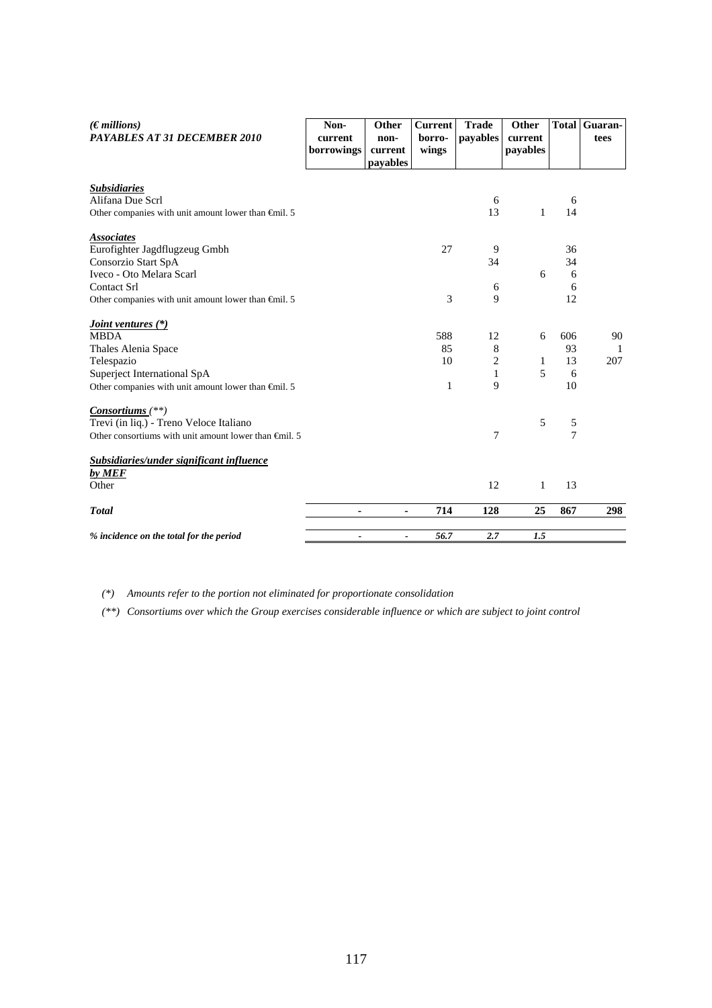| $(\epsilon$ millions)<br><b>PAYABLES AT 31 DECEMBER 2010</b>    | Non-<br>current          | Other<br>non-       | <b>Current</b><br>borro- | <b>Trade</b><br>payables | Other<br>current |                | <b>Total Guaran-</b><br>tees |
|-----------------------------------------------------------------|--------------------------|---------------------|--------------------------|--------------------------|------------------|----------------|------------------------------|
|                                                                 | borrowings               | current<br>payables | wings                    |                          | payables         |                |                              |
| <b>Subsidiaries</b>                                             |                          |                     |                          |                          |                  |                |                              |
| Alifana Due Scrl                                                |                          |                     |                          | 6                        |                  | 6              |                              |
| Other companies with unit amount lower than $\epsilon$ mil. 5   |                          |                     |                          | 13                       | 1                | 14             |                              |
| <b>Associates</b>                                               |                          |                     |                          |                          |                  |                |                              |
| Eurofighter Jagdflugzeug Gmbh                                   |                          |                     | 27                       | 9                        |                  | 36             |                              |
| Consorzio Start SpA                                             |                          |                     |                          | 34                       |                  | 34             |                              |
| Iveco - Oto Melara Scarl                                        |                          |                     |                          |                          | 6                | 6              |                              |
| Contact Srl                                                     |                          |                     |                          | 6                        |                  | 6              |                              |
| Other companies with unit amount lower than $\epsilon$ mil. 5   |                          |                     | 3                        | 9                        |                  | 12             |                              |
| <i><u><b>Joint ventures (*)</b></u></i>                         |                          |                     |                          |                          |                  |                |                              |
| <b>MBDA</b>                                                     |                          |                     | 588                      | 12                       | 6                | 606            | 90                           |
| Thales Alenia Space                                             |                          |                     | 85                       | 8                        |                  | 93             | $\mathbf{1}$                 |
| Telespazio                                                      |                          |                     | 10                       | $\overline{2}$           | 1                | 13             | 207                          |
| Superject International SpA                                     |                          |                     |                          | 1                        | 5                | 6              |                              |
| Other companies with unit amount lower than $\oplus$ nil. 5     |                          |                     | $\mathbf{1}$             | 9                        |                  | 10             |                              |
| $Consortiums$ <sup>(**)</sup>                                   |                          |                     |                          |                          |                  |                |                              |
| Trevi (in liq.) - Treno Veloce Italiano                         |                          |                     |                          |                          | 5                | 5              |                              |
| Other consortiums with unit amount lower than $\epsilon$ mil. 5 |                          |                     |                          | 7                        |                  | $\overline{7}$ |                              |
| Subsidiaries/under significant influence                        |                          |                     |                          |                          |                  |                |                              |
| by MEF                                                          |                          |                     |                          |                          |                  |                |                              |
| Other                                                           |                          |                     |                          | 12                       | 1                | 13             |                              |
| <b>Total</b>                                                    | ٠                        | ۰                   | 714                      | 128                      | 25               | 867            | 298                          |
| % incidence on the total for the period                         | $\overline{\phantom{0}}$ | $\blacksquare$      | 56.7                     | 2.7                      | 1.5              |                |                              |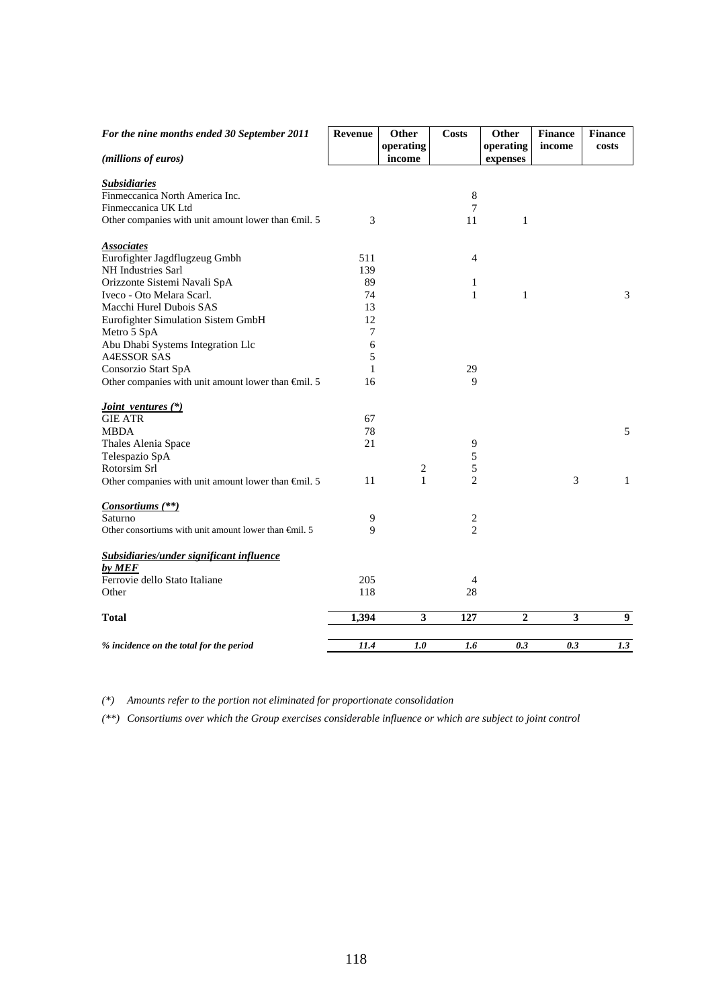| For the nine months ended 30 September 2011                   | <b>Revenue</b> | Other<br>operating | <b>Costs</b>     | Other<br>operating | <b>Finance</b><br>income | <b>Finance</b><br>costs |
|---------------------------------------------------------------|----------------|--------------------|------------------|--------------------|--------------------------|-------------------------|
| (millions of euros)                                           |                | income             |                  | expenses           |                          |                         |
| <b>Subsidiaries</b>                                           |                |                    |                  |                    |                          |                         |
| Finmeccanica North America Inc.                               |                |                    | 8                |                    |                          |                         |
| Finmeccanica UK Ltd                                           |                |                    | 7                |                    |                          |                         |
| Other companies with unit amount lower than $\epsilon$ mil. 5 | 3              |                    | 11               | $\mathbf{1}$       |                          |                         |
| <b>Associates</b>                                             |                |                    |                  |                    |                          |                         |
| Eurofighter Jagdflugzeug Gmbh                                 | 511            |                    | $\overline{4}$   |                    |                          |                         |
| NH Industries Sarl                                            | 139            |                    |                  |                    |                          |                         |
| Orizzonte Sistemi Navali SpA                                  | 89             |                    | 1                |                    |                          |                         |
| Iveco - Oto Melara Scarl.                                     | 74             |                    | 1                | $\mathbf{1}$       |                          | 3                       |
| Macchi Hurel Dubois SAS                                       | 13             |                    |                  |                    |                          |                         |
| Eurofighter Simulation Sistem GmbH                            | 12             |                    |                  |                    |                          |                         |
| Metro 5 SpA                                                   | 7              |                    |                  |                    |                          |                         |
| Abu Dhabi Systems Integration Llc                             | 6              |                    |                  |                    |                          |                         |
| <b>A4ESSOR SAS</b>                                            | 5              |                    |                  |                    |                          |                         |
| Consorzio Start SpA                                           | $\mathbf{1}$   |                    | 29               |                    |                          |                         |
| Other companies with unit amount lower than $\epsilon$ mil. 5 | 16             |                    | 9                |                    |                          |                         |
| Joint ventures (*)                                            |                |                    |                  |                    |                          |                         |
| <b>GIE ATR</b>                                                | 67             |                    |                  |                    |                          |                         |
| <b>MBDA</b>                                                   | 78             |                    |                  |                    |                          | 5                       |
| Thales Alenia Space                                           | 21             |                    | 9                |                    |                          |                         |
| Telespazio SpA                                                |                |                    | 5                |                    |                          |                         |
| Rotorsim Srl                                                  |                | 2                  | 5                |                    |                          |                         |
| Other companies with unit amount lower than Gnil. 5           | 11             | $\mathbf{1}$       | $\overline{2}$   |                    | 3                        | $\mathbf{1}$            |
| Consortiums (**)                                              |                |                    |                  |                    |                          |                         |
| Saturno                                                       | 9              |                    | $\boldsymbol{2}$ |                    |                          |                         |
| Other consortiums with unit amount lower than $\theta$ mil. 5 | 9              |                    | $\overline{2}$   |                    |                          |                         |
| Subsidiaries/under significant influence                      |                |                    |                  |                    |                          |                         |
| by MEF                                                        |                |                    |                  |                    |                          |                         |
| Ferrovie dello Stato Italiane                                 | 205            |                    | $\overline{4}$   |                    |                          |                         |
| Other                                                         | 118            |                    | 28               |                    |                          |                         |
| <b>Total</b>                                                  | 1,394          | 3                  | 127              | $\boldsymbol{2}$   | 3                        | 9                       |
| % incidence on the total for the period                       | 11.4           | 1.0                | 1.6              | 0.3                | 0.3                      | 1.3                     |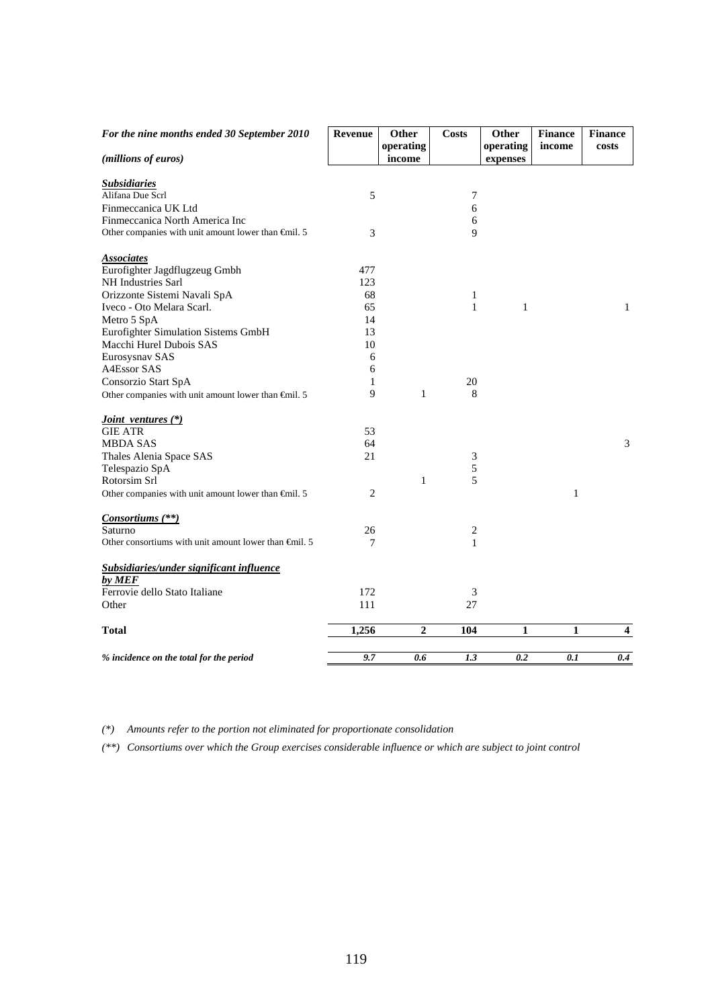| For the nine months ended 30 September 2010                   | <b>Revenue</b> | Other<br>operating | <b>Costs</b> | Other<br>operating | <b>Finance</b><br>income | <b>Finance</b><br>costs |
|---------------------------------------------------------------|----------------|--------------------|--------------|--------------------|--------------------------|-------------------------|
| (millions of euros)                                           |                | income             |              | expenses           |                          |                         |
| <b>Subsidiaries</b>                                           |                |                    |              |                    |                          |                         |
| Alifana Due Scrl                                              | 5              |                    | 7<br>6       |                    |                          |                         |
| Finmeccanica UK Ltd<br>Finmeccanica North America Inc         |                |                    | 6            |                    |                          |                         |
| Other companies with unit amount lower than $\epsilon$ mil. 5 | 3              |                    | 9            |                    |                          |                         |
|                                                               |                |                    |              |                    |                          |                         |
| <b>Associates</b>                                             |                |                    |              |                    |                          |                         |
| Eurofighter Jagdflugzeug Gmbh                                 | 477            |                    |              |                    |                          |                         |
| NH Industries Sarl                                            | 123            |                    |              |                    |                          |                         |
| Orizzonte Sistemi Navali SpA                                  | 68             |                    | $\mathbf{1}$ |                    |                          |                         |
| Iveco - Oto Melara Scarl.                                     | 65             |                    | $\mathbf{1}$ | $\mathbf{1}$       |                          | 1                       |
| Metro 5 SpA                                                   | 14             |                    |              |                    |                          |                         |
| Eurofighter Simulation Sistems GmbH                           | 13             |                    |              |                    |                          |                         |
| Macchi Hurel Dubois SAS                                       | 10             |                    |              |                    |                          |                         |
| Eurosysnav SAS                                                | 6              |                    |              |                    |                          |                         |
| A4Essor SAS                                                   | 6              |                    |              |                    |                          |                         |
| Consorzio Start SpA                                           | 1              |                    | 20           |                    |                          |                         |
| Other companies with unit amount lower than $\oplus$ nil. 5   | 9              | $\mathbf{1}$       | 8            |                    |                          |                         |
| <i>Joint ventures</i> (*)                                     |                |                    |              |                    |                          |                         |
| <b>GIE ATR</b>                                                | 53             |                    |              |                    |                          |                         |
| <b>MBDA SAS</b>                                               | 64             |                    |              |                    |                          | 3                       |
| Thales Alenia Space SAS                                       | 21             |                    | 3            |                    |                          |                         |
| Telespazio SpA                                                |                |                    | 5            |                    |                          |                         |
| Rotorsim Srl                                                  |                | $\mathbf{1}$       | 5            |                    |                          |                         |
| Other companies with unit amount lower than $\epsilon$ mil. 5 | 2              |                    |              |                    | 1                        |                         |
|                                                               |                |                    |              |                    |                          |                         |
| Consortiums (**)                                              |                |                    |              |                    |                          |                         |
| Saturno                                                       | 26             |                    | 2            |                    |                          |                         |
| Other consortiums with unit amount lower than $\theta$ mil. 5 | 7              |                    | $\mathbf{1}$ |                    |                          |                         |
| Subsidiaries/under significant influence                      |                |                    |              |                    |                          |                         |
| by MEF                                                        |                |                    |              |                    |                          |                         |
| Ferrovie dello Stato Italiane                                 | 172            |                    | 3            |                    |                          |                         |
| Other                                                         | 111            |                    | 27           |                    |                          |                         |
| <b>Total</b>                                                  | 1,256          | 2                  | 104          | 1                  | 1                        | $\overline{\mathbf{4}}$ |
|                                                               |                |                    |              |                    |                          |                         |
| % incidence on the total for the period                       | 9.7            | 0.6                | 1.3          | 0.2                | 0.1                      | 0.4                     |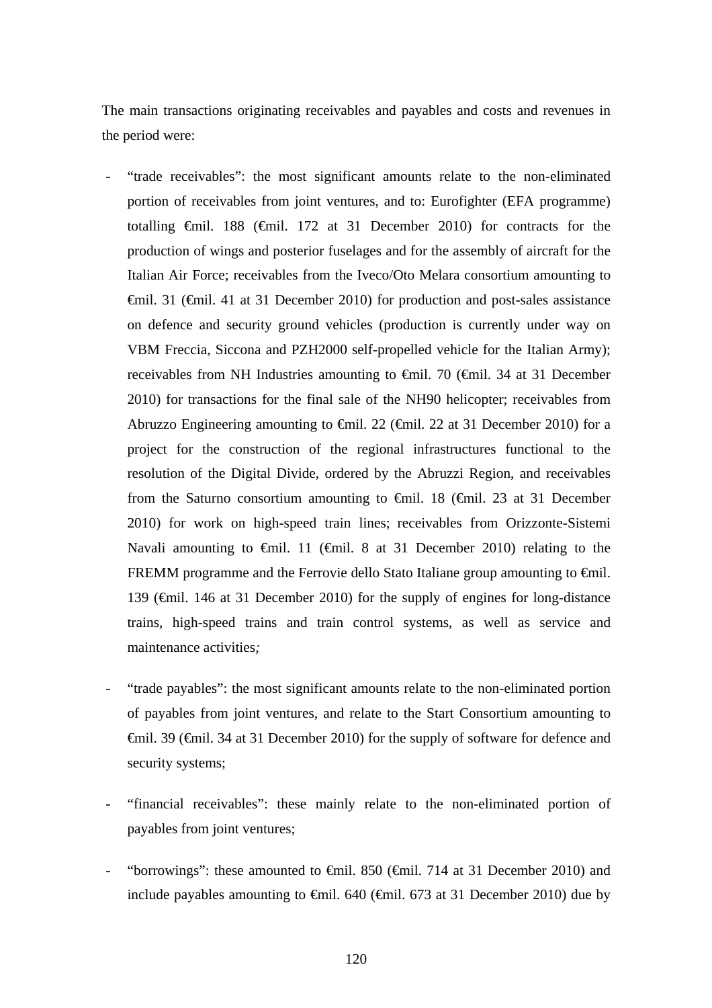The main transactions originating receivables and payables and costs and revenues in the period were:

- "trade receivables": the most significant amounts relate to the non-eliminated portion of receivables from joint ventures, and to: Eurofighter (EFA programme) totalling €mil. 188 (€mil. 172 at 31 December 2010) for contracts for the production of wings and posterior fuselages and for the assembly of aircraft for the Italian Air Force; receivables from the Iveco/Oto Melara consortium amounting to €mil. 31 (€mil. 41 at 31 December 2010) for production and post-sales assistance on defence and security ground vehicles (production is currently under way on VBM Freccia, Siccona and PZH2000 self-propelled vehicle for the Italian Army); receivables from NH Industries amounting to €mil. 70 (€mil. 34 at 31 December 2010) for transactions for the final sale of the NH90 helicopter; receivables from Abruzzo Engineering amounting to  $\epsilon$ mil. 22 ( $\epsilon$ mil. 22 at 31 December 2010) for a project for the construction of the regional infrastructures functional to the resolution of the Digital Divide, ordered by the Abruzzi Region, and receivables from the Saturno consortium amounting to  $\epsilon$ mil. 18 ( $\epsilon$ mil. 23 at 31 December 2010) for work on high-speed train lines; receivables from Orizzonte-Sistemi Navali amounting to  $\epsilon$ mil. 11 ( $\epsilon$ mil. 8 at 31 December 2010) relating to the FREMM programme and the Ferrovie dello Stato Italiane group amounting to €mil. 139 (€mil. 146 at 31 December 2010) for the supply of engines for long-distance trains, high-speed trains and train control systems, as well as service and maintenance activities*;*
- "trade payables": the most significant amounts relate to the non-eliminated portion of payables from joint ventures, and relate to the Start Consortium amounting to €mil. 39 (€mil. 34 at 31 December 2010) for the supply of software for defence and security systems;
- "financial receivables": these mainly relate to the non-eliminated portion of payables from joint ventures;
- "borrowings": these amounted to  $\epsilon$ mil. 850 ( $\epsilon$ mil. 714 at 31 December 2010) and include payables amounting to €mil. 640 (€mil. 673 at 31 December 2010) due by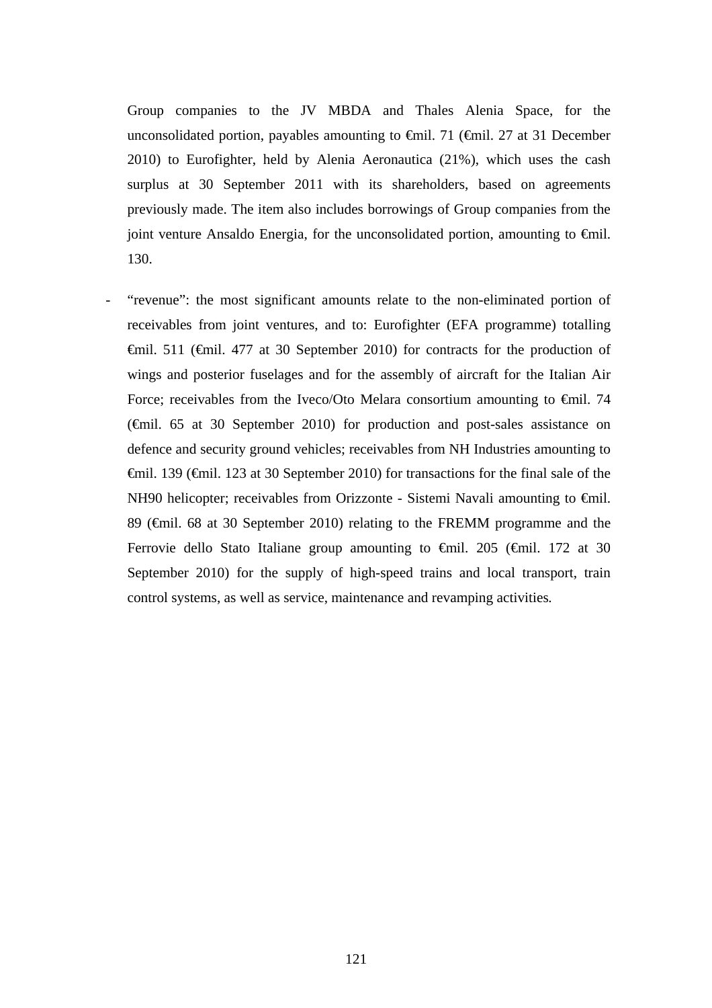Group companies to the JV MBDA and Thales Alenia Space, for the unconsolidated portion, payables amounting to  $\epsilon$ mil. 71 ( $\epsilon$ mil. 27 at 31 December 2010) to Eurofighter, held by Alenia Aeronautica (21%), which uses the cash surplus at 30 September 2011 with its shareholders, based on agreements previously made. The item also includes borrowings of Group companies from the joint venture Ansaldo Energia, for the unconsolidated portion, amounting to  $\epsilon$ mil. 130.

"revenue": the most significant amounts relate to the non-eliminated portion of receivables from joint ventures, and to: Eurofighter (EFA programme) totalling €mil. 511 (€mil. 477 at 30 September 2010) for contracts for the production of wings and posterior fuselages and for the assembly of aircraft for the Italian Air Force; receivables from the Iveco/Oto Melara consortium amounting to €mil. 74 (€mil. 65 at 30 September 2010) for production and post-sales assistance on defence and security ground vehicles; receivables from NH Industries amounting to €mil. 139 (€mil. 123 at 30 September 2010) for transactions for the final sale of the NH90 helicopter; receivables from Orizzonte - Sistemi Navali amounting to €mil. 89 ( $\epsilon$ mil. 68 at 30 September 2010) relating to the FREMM programme and the Ferrovie dello Stato Italiane group amounting to €mil. 205 (€mil. 172 at 30 September 2010) for the supply of high-speed trains and local transport, train control systems, as well as service, maintenance and revamping activities*.*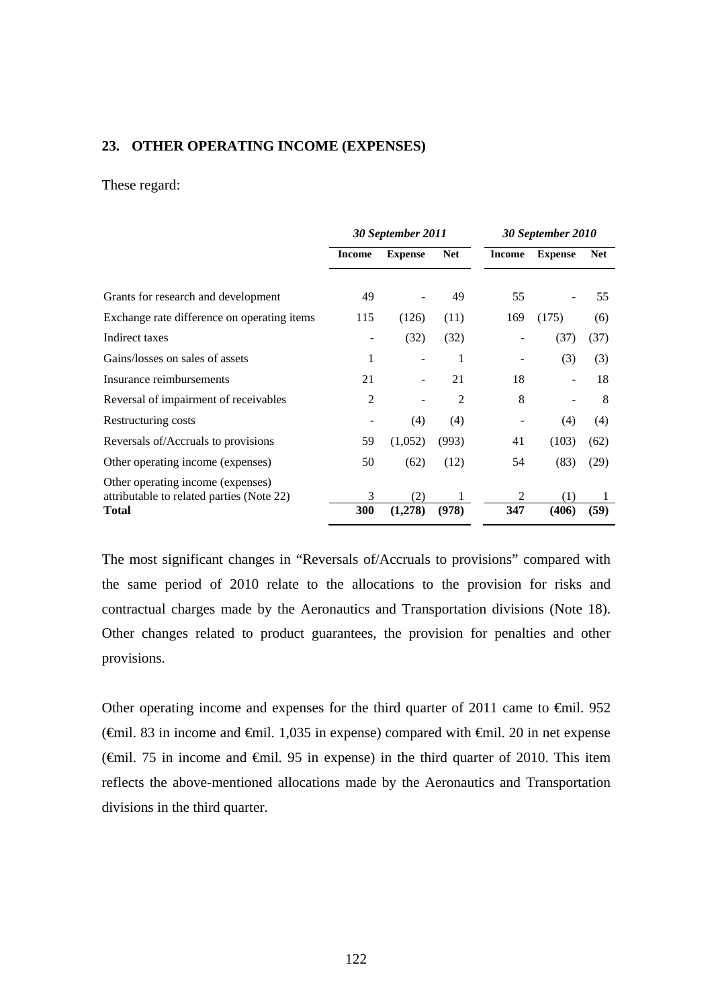### **23. OTHER OPERATING INCOME (EXPENSES)**

#### These regard:

|                                                           | 30 September 2011 |                |            |               | 30 September 2010 |            |
|-----------------------------------------------------------|-------------------|----------------|------------|---------------|-------------------|------------|
|                                                           | <b>Income</b>     | <b>Expense</b> | <b>Net</b> | <b>Income</b> | <b>Expense</b>    | <b>Net</b> |
|                                                           |                   |                |            |               |                   |            |
| Grants for research and development                       | 49                |                | 49         | 55            |                   | 55         |
| Exchange rate difference on operating items               | 115               | (126)          | (11)       | 169           | (175)             | (6)        |
| Indirect taxes                                            |                   | (32)           | (32)       |               | (37)              | (37)       |
| Gains/losses on sales of assets                           | 1                 |                | 1          |               | (3)               | (3)        |
| Insurance reimbursements                                  | 21                |                | 21         | 18            |                   | 18         |
| Reversal of impairment of receivables                     | 2                 |                | 2          | 8             |                   | 8          |
| Restructuring costs                                       |                   | (4)            | (4)        |               | (4)               | (4)        |
| Reversals of/Accruals to provisions                       | 59                | (1,052)        | (993)      | 41            | (103)             | (62)       |
| Other operating income (expenses)                         | 50                | (62)           | (12)       | 54            | (83)              | (29)       |
| Other operating income (expenses)                         |                   |                |            |               |                   |            |
| attributable to related parties (Note 22)<br><b>Total</b> | 3<br>300          | (2)<br>(1,278) | 1<br>(978) | 2<br>347      | (1)<br>(406)      | 1<br>(59)  |
|                                                           |                   |                |            |               |                   |            |

The most significant changes in "Reversals of/Accruals to provisions" compared with the same period of 2010 relate to the allocations to the provision for risks and contractual charges made by the Aeronautics and Transportation divisions (Note 18). Other changes related to product guarantees, the provision for penalties and other provisions.

Other operating income and expenses for the third quarter of 2011 came to  $\epsilon$ mil. 952 ( $\epsilon$ mil. 83 in income and  $\epsilon$ mil. 1,035 in expense) compared with  $\epsilon$ mil. 20 in net expense ( $\epsilon$ mil. 75 in income and  $\epsilon$ mil. 95 in expense) in the third quarter of 2010. This item reflects the above-mentioned allocations made by the Aeronautics and Transportation divisions in the third quarter.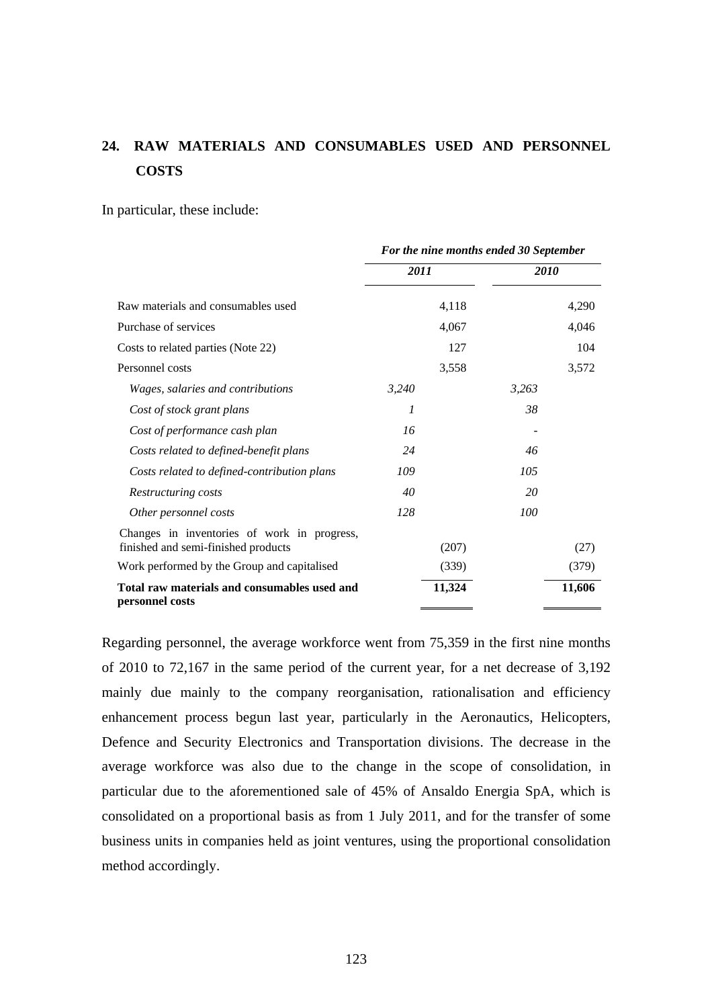# **24. RAW MATERIALS AND CONSUMABLES USED AND PERSONNEL COSTS**

In particular, these include:

|                                                                                    | For the nine months ended 30 September |        |       |        |
|------------------------------------------------------------------------------------|----------------------------------------|--------|-------|--------|
|                                                                                    | 2011                                   |        | 2010  |        |
| Raw materials and consumables used                                                 |                                        | 4,118  |       | 4,290  |
| Purchase of services                                                               |                                        | 4,067  |       | 4,046  |
| Costs to related parties (Note 22)                                                 |                                        | 127    |       | 104    |
| Personnel costs                                                                    |                                        | 3,558  |       | 3,572  |
| Wages, salaries and contributions                                                  | 3,240                                  |        | 3,263 |        |
| Cost of stock grant plans                                                          | 1                                      |        | 38    |        |
| Cost of performance cash plan                                                      | 16                                     |        |       |        |
| Costs related to defined-benefit plans                                             | 24                                     |        | 46    |        |
| Costs related to defined-contribution plans                                        | 109                                    |        | 105   |        |
| Restructuring costs                                                                | 40                                     |        | 20    |        |
| Other personnel costs                                                              | 128                                    |        | 100   |        |
| Changes in inventories of work in progress,<br>finished and semi-finished products |                                        | (207)  |       | (27)   |
| Work performed by the Group and capitalised                                        |                                        | (339)  |       | (379)  |
| Total raw materials and consumables used and<br>personnel costs                    |                                        | 11,324 |       | 11,606 |

Regarding personnel, the average workforce went from 75,359 in the first nine months of 2010 to 72,167 in the same period of the current year, for a net decrease of 3,192 mainly due mainly to the company reorganisation, rationalisation and efficiency enhancement process begun last year, particularly in the Aeronautics, Helicopters, Defence and Security Electronics and Transportation divisions. The decrease in the average workforce was also due to the change in the scope of consolidation, in particular due to the aforementioned sale of 45% of Ansaldo Energia SpA, which is consolidated on a proportional basis as from 1 July 2011, and for the transfer of some business units in companies held as joint ventures, using the proportional consolidation method accordingly.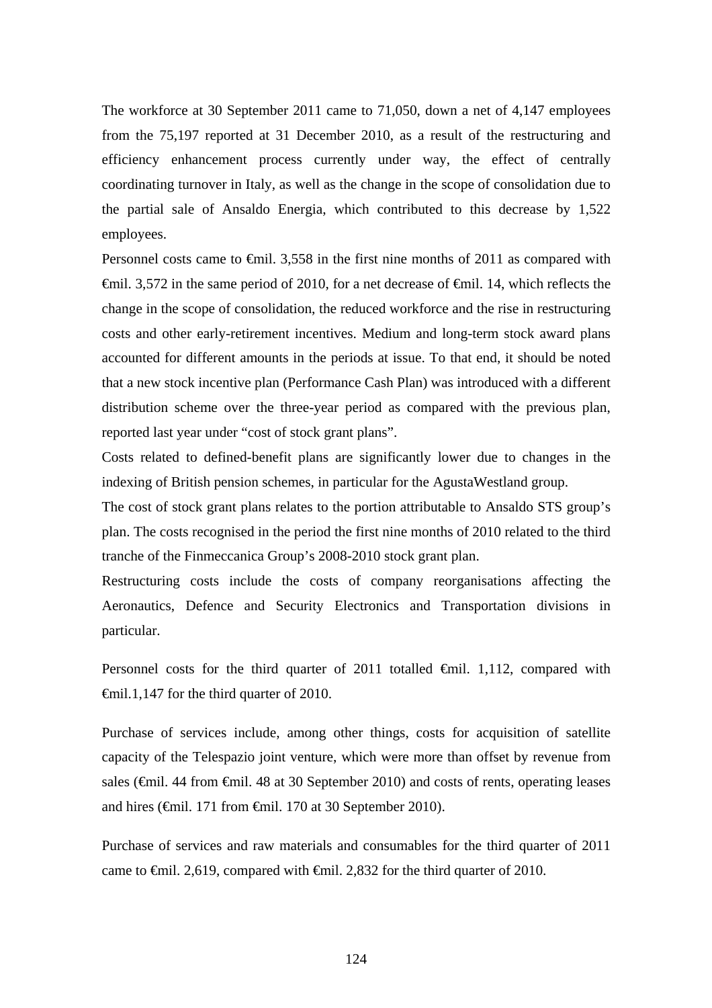The workforce at 30 September 2011 came to 71,050, down a net of 4,147 employees from the 75,197 reported at 31 December 2010, as a result of the restructuring and efficiency enhancement process currently under way, the effect of centrally coordinating turnover in Italy, as well as the change in the scope of consolidation due to the partial sale of Ansaldo Energia, which contributed to this decrease by 1,522 employees.

Personnel costs came to <del>€mil.</del> 3,558 in the first nine months of 2011 as compared with  $\theta$ mil. 3,572 in the same period of 2010, for a net decrease of  $\theta$ mil. 14, which reflects the change in the scope of consolidation, the reduced workforce and the rise in restructuring costs and other early-retirement incentives. Medium and long-term stock award plans accounted for different amounts in the periods at issue. To that end, it should be noted that a new stock incentive plan (Performance Cash Plan) was introduced with a different distribution scheme over the three-year period as compared with the previous plan, reported last year under "cost of stock grant plans".

Costs related to defined-benefit plans are significantly lower due to changes in the indexing of British pension schemes, in particular for the AgustaWestland group.

The cost of stock grant plans relates to the portion attributable to Ansaldo STS group's plan. The costs recognised in the period the first nine months of 2010 related to the third tranche of the Finmeccanica Group's 2008-2010 stock grant plan.

Restructuring costs include the costs of company reorganisations affecting the Aeronautics, Defence and Security Electronics and Transportation divisions in particular.

Personnel costs for the third quarter of 2011 totalled €mil. 1,112, compared with €mil.1,147 for the third quarter of 2010.

Purchase of services include, among other things, costs for acquisition of satellite capacity of the Telespazio joint venture, which were more than offset by revenue from sales (€mil. 44 from €mil. 48 at 30 September 2010) and costs of rents, operating leases and hires (€mil. 171 from €mil. 170 at 30 September 2010).

Purchase of services and raw materials and consumables for the third quarter of 2011 came to <del>€mil.</del> 2,619, compared with <del>€mil.</del> 2,832 for the third quarter of 2010.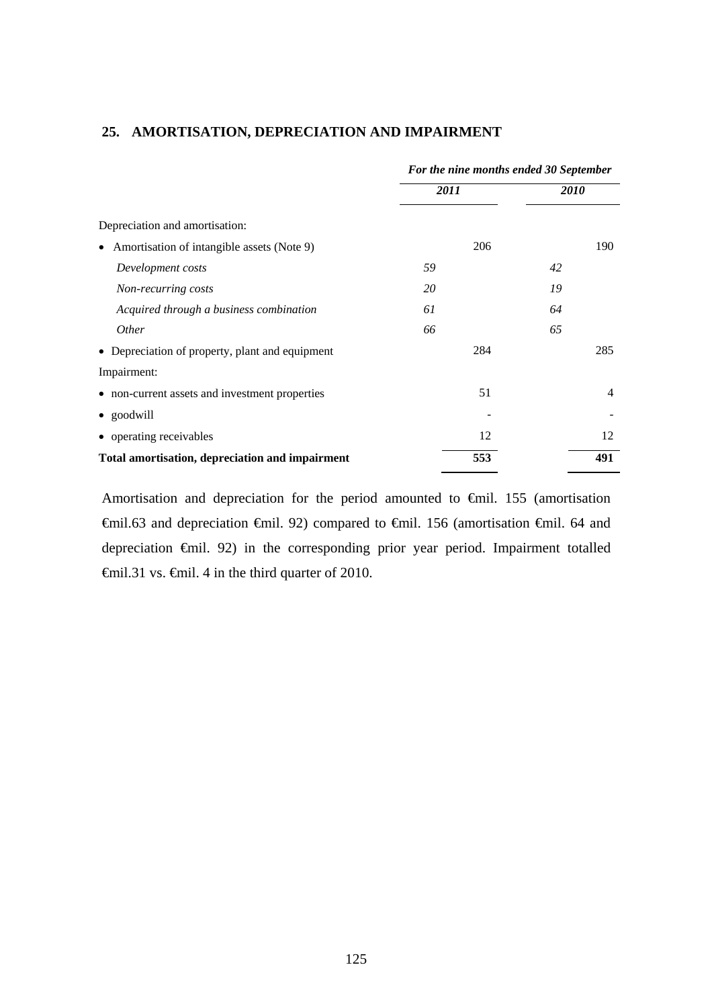|                                                         | For the nine months ended 30 September |                |  |
|---------------------------------------------------------|----------------------------------------|----------------|--|
|                                                         | <i>2011</i>                            | <i>2010</i>    |  |
| Depreciation and amortisation:                          |                                        |                |  |
| Amortisation of intangible assets (Note 9)<br>$\bullet$ | 206                                    | 190            |  |
| Development costs                                       | 59                                     | 42             |  |
| Non-recurring costs                                     | 20                                     | 19             |  |
| Acquired through a business combination                 | 61                                     | 64             |  |
| <i>Other</i>                                            | 66                                     | 65             |  |
| • Depreciation of property, plant and equipment         | 284                                    | 285            |  |
| Impairment:                                             |                                        |                |  |
| • non-current assets and investment properties          | 51                                     | $\overline{4}$ |  |
| • goodwill                                              |                                        |                |  |
| • operating receivables                                 | 12                                     | 12             |  |
| Total amortisation, depreciation and impairment         | 553                                    | 491            |  |

## **25. AMORTISATION, DEPRECIATION AND IMPAIRMENT**

Amortisation and depreciation for the period amounted to €mil. 155 (amortisation €mil.63 and depreciation €mil. 92) compared to €mil. 156 (amortisation €mil. 64 and depreciation €mil. 92) in the corresponding prior year period. Impairment totalled €mil.31 vs. €mil. 4 in the third quarter of 2010.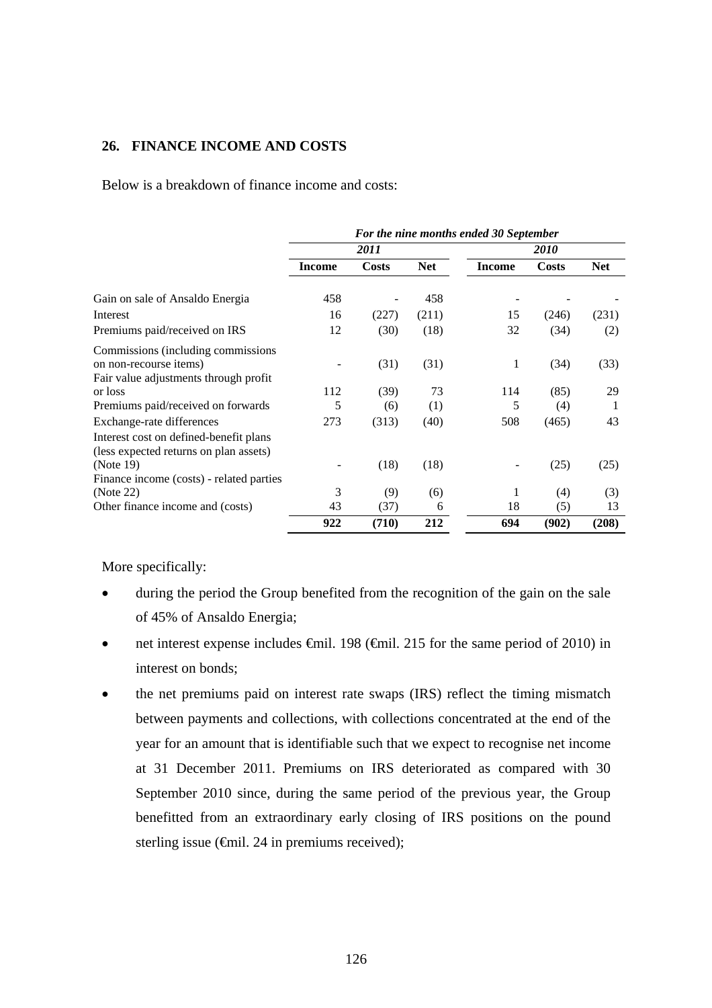# **26. FINANCE INCOME AND COSTS**

Below is a breakdown of finance income and costs:

|                                                                                                        | For the nine months ended 30 September |              |            |               |              |            |
|--------------------------------------------------------------------------------------------------------|----------------------------------------|--------------|------------|---------------|--------------|------------|
|                                                                                                        | 2011                                   |              |            | <i>2010</i>   |              |            |
|                                                                                                        | <b>Income</b>                          | <b>Costs</b> | <b>Net</b> | <b>Income</b> | <b>Costs</b> | <b>Net</b> |
| Gain on sale of Ansaldo Energia                                                                        | 458                                    |              | 458        |               |              |            |
| Interest                                                                                               | 16                                     | (227)        | (211)      | 15            | (246)        | (231)      |
| Premiums paid/received on IRS                                                                          | 12                                     | (30)         | (18)       | 32            | (34)         | (2)        |
| Commissions (including commissions)<br>on non-recourse items)<br>Fair value adjustments through profit |                                        | (31)         | (31)       | 1             | (34)         | (33)       |
| or loss                                                                                                | 112                                    | (39)         | 73         | 114           | (85)         | 29         |
| Premiums paid/received on forwards                                                                     | 5                                      | (6)          | (1)        | 5             | (4)          | 1          |
| Exchange-rate differences                                                                              | 273                                    | (313)        | (40)       | 508           | (465)        | 43         |
| Interest cost on defined-benefit plans<br>(less expected returns on plan assets)<br>(Note 19)          |                                        | (18)         | (18)       |               | (25)         | (25)       |
| Finance income (costs) - related parties                                                               |                                        |              |            |               |              |            |
| (Note 22)                                                                                              | 3                                      | (9)          | (6)        | 1             | (4)          | (3)        |
| Other finance income and (costs)                                                                       | 43                                     | (37)         | 6          | 18            | (5)          | 13         |
|                                                                                                        | 922                                    | (710)        | 212        | 694           | (902)        | (208)      |

More specifically:

- during the period the Group benefited from the recognition of the gain on the sale of 45% of Ansaldo Energia;
- net interest expense includes  $\epsilon$ mil. 198 ( $\epsilon$ mil. 215 for the same period of 2010) in interest on bonds;
- the net premiums paid on interest rate swaps (IRS) reflect the timing mismatch between payments and collections, with collections concentrated at the end of the year for an amount that is identifiable such that we expect to recognise net income at 31 December 2011. Premiums on IRS deteriorated as compared with 30 September 2010 since, during the same period of the previous year, the Group benefitted from an extraordinary early closing of IRS positions on the pound sterling issue  $(\text{6cm} 1.24 \text{ in premiums received});$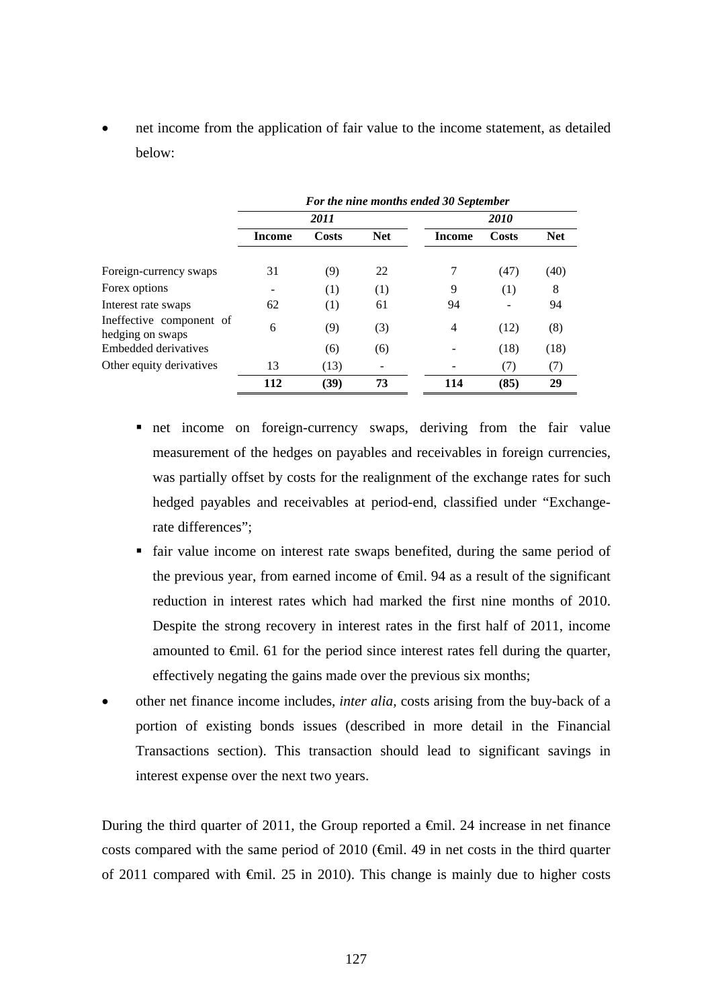net income from the application of fair value to the income statement, as detailed below:

|                                              | For the nine months ended 30 September |       |            |        |       |            |  |
|----------------------------------------------|----------------------------------------|-------|------------|--------|-------|------------|--|
|                                              | 2011                                   |       |            |        | 2010  |            |  |
|                                              | <b>Income</b>                          | Costs | <b>Net</b> | Income | Costs | <b>Net</b> |  |
| Foreign-currency swaps                       | 31                                     | (9)   | 22         |        | (47)  | (40)       |  |
| Forex options                                |                                        | (1)   | (1)        | 9      | (1)   | 8          |  |
| Interest rate swaps                          | 62                                     | (1)   | 61         | 94     |       | 94         |  |
| Ineffective component of<br>hedging on swaps | 6                                      | (9)   | (3)        | 4      | (12)  | (8)        |  |
| Embedded derivatives                         |                                        | (6)   | (6)        |        | (18)  | (18)       |  |
| Other equity derivatives                     | 13                                     | (13)  |            |        | (7)   | (7)        |  |
|                                              | 112                                    | (39)  | 73         | 114    | (85)  | 29         |  |

- net income on foreign-currency swaps, deriving from the fair value measurement of the hedges on payables and receivables in foreign currencies, was partially offset by costs for the realignment of the exchange rates for such hedged payables and receivables at period-end, classified under "Exchangerate differences";
- fair value income on interest rate swaps benefited, during the same period of the previous year, from earned income of  $\epsilon$ mil. 94 as a result of the significant reduction in interest rates which had marked the first nine months of 2010. Despite the strong recovery in interest rates in the first half of 2011, income amounted to  $\epsilon$ mil. 61 for the period since interest rates fell during the quarter, effectively negating the gains made over the previous six months;
- other net finance income includes, *inter alia,* costs arising from the buy-back of a portion of existing bonds issues (described in more detail in the Financial Transactions section). This transaction should lead to significant savings in interest expense over the next two years.

During the third quarter of 2011, the Group reported a  $\epsilon$ mil. 24 increase in net finance costs compared with the same period of 2010 ( $\bigoplus$  finil. 49 in net costs in the third quarter of 2011 compared with €mil. 25 in 2010). This change is mainly due to higher costs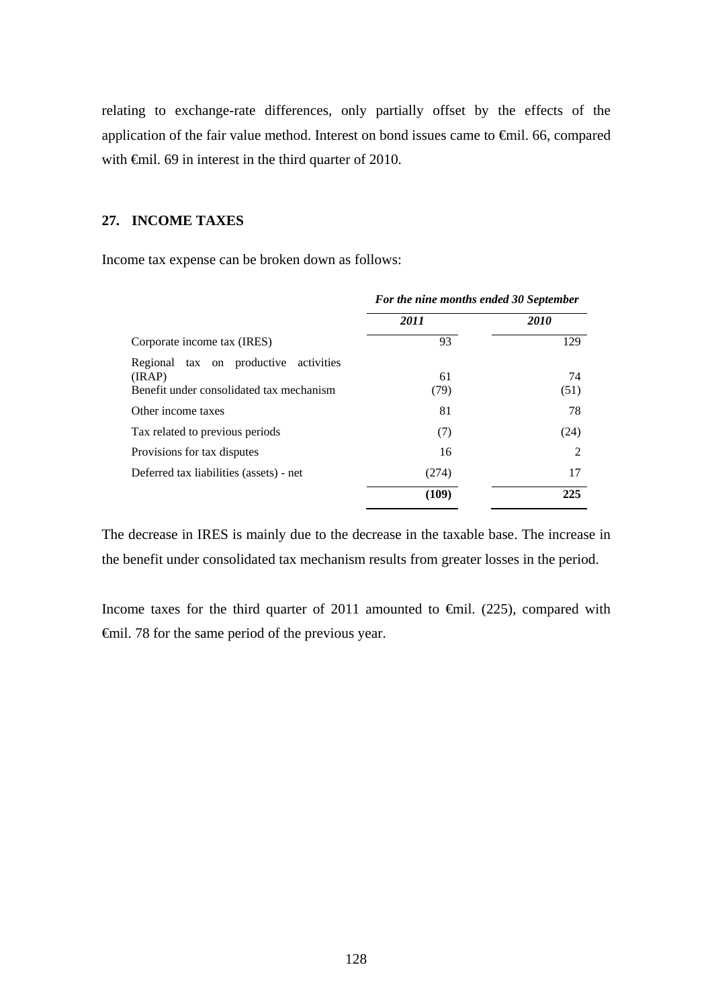relating to exchange-rate differences, only partially offset by the effects of the application of the fair value method. Interest on bond issues came to €mil. 66, compared with <del>€</del>mil. 69 in interest in the third quarter of 2010.

# **27. INCOME TAXES**

Income tax expense can be broken down as follows:

| For the nine months ended 30 September |             |  |
|----------------------------------------|-------------|--|
| 2011                                   | <b>2010</b> |  |
| 93                                     | 129         |  |
| 61<br>(79)                             | 74<br>(51)  |  |
| 81                                     | 78          |  |
| (7)                                    | (24)        |  |
| 16                                     | 2           |  |
| (274)                                  | 17          |  |
| (109)                                  | 225         |  |
|                                        |             |  |

The decrease in IRES is mainly due to the decrease in the taxable base. The increase in the benefit under consolidated tax mechanism results from greater losses in the period.

Income taxes for the third quarter of 2011 amounted to  $\epsilon$ mil. (225), compared with €mil. 78 for the same period of the previous year.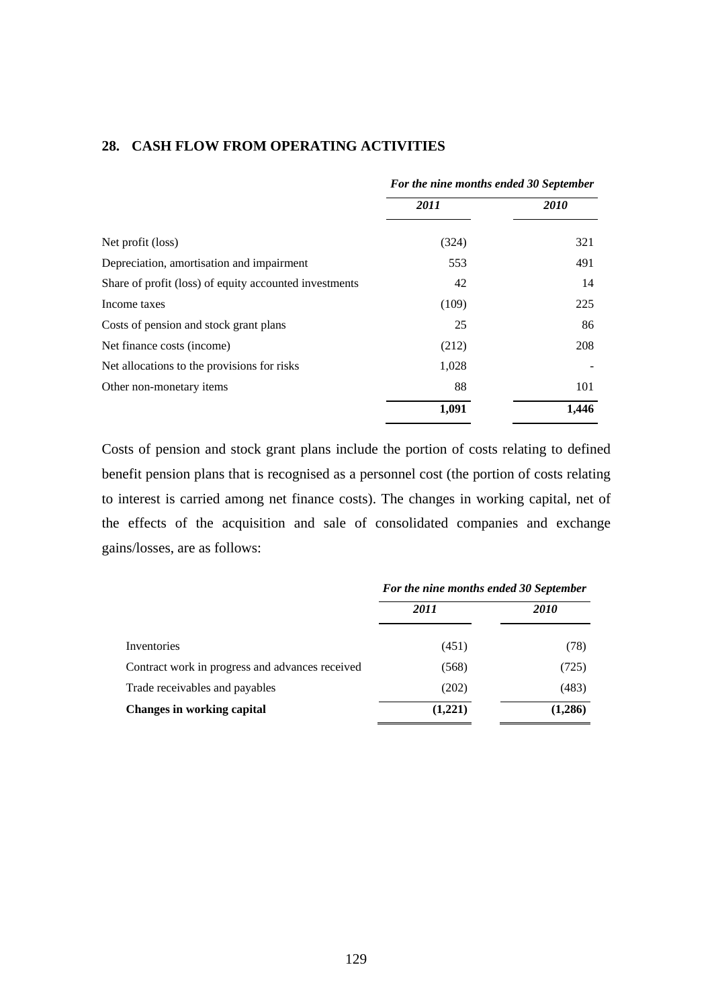|                                                        | For the nine months ended 30 September |             |  |
|--------------------------------------------------------|----------------------------------------|-------------|--|
|                                                        | 2011                                   | <i>2010</i> |  |
| Net profit (loss)                                      | (324)                                  | 321         |  |
| Depreciation, amortisation and impairment              | 553                                    | 491         |  |
| Share of profit (loss) of equity accounted investments | 42                                     | 14          |  |
| Income taxes                                           | (109)                                  | 225         |  |
| Costs of pension and stock grant plans                 | 25                                     | 86          |  |
| Net finance costs (income)                             | (212)                                  | 208         |  |
| Net allocations to the provisions for risks            | 1,028                                  |             |  |
| Other non-monetary items                               | 88                                     | 101         |  |
|                                                        | 1,091                                  | 1,446       |  |

### **28. CASH FLOW FROM OPERATING ACTIVITIES**

Costs of pension and stock grant plans include the portion of costs relating to defined benefit pension plans that is recognised as a personnel cost (the portion of costs relating to interest is carried among net finance costs). The changes in working capital, net of the effects of the acquisition and sale of consolidated companies and exchange gains/losses, are as follows:

|                                                 | For the nine months ended 30 September |             |  |
|-------------------------------------------------|----------------------------------------|-------------|--|
|                                                 | 2011                                   | <i>2010</i> |  |
| Inventories                                     | (451)                                  | (78)        |  |
| Contract work in progress and advances received | (568)                                  | (725)       |  |
| Trade receivables and payables                  | (202)                                  | (483)       |  |
| <b>Changes in working capital</b>               | (1,221)                                | (1,286)     |  |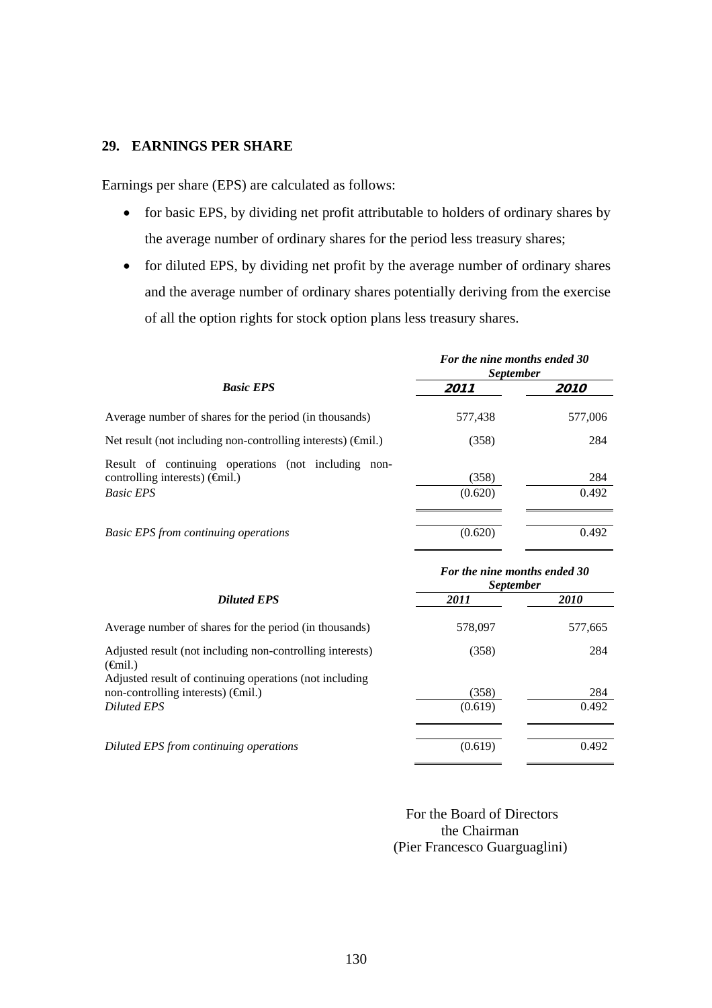## **29. EARNINGS PER SHARE**

Earnings per share (EPS) are calculated as follows:

- for basic EPS, by dividing net profit attributable to holders of ordinary shares by the average number of ordinary shares for the period less treasury shares;
- for diluted EPS, by dividing net profit by the average number of ordinary shares and the average number of ordinary shares potentially deriving from the exercise of all the option rights for stock option plans less treasury shares.

|                                                                                                                                    | For the nine months ended 30<br><b>September</b> |                    |
|------------------------------------------------------------------------------------------------------------------------------------|--------------------------------------------------|--------------------|
| <b>Basic EPS</b>                                                                                                                   | 2011                                             | <i><b>2010</b></i> |
| Average number of shares for the period (in thousands)                                                                             | 577,438                                          | 577,006            |
| Net result (not including non-controlling interests) $(\hat{\theta}$ mil.)                                                         | (358)                                            | 284                |
| Result of continuing operations (not including<br>non-<br>controlling interests) $(\widehat{\mathsf{f}}$ mil.)<br><b>Basic EPS</b> | (358)<br>(0.620)                                 | 284<br>0.492       |
| <b>Basic EPS from continuing operations</b>                                                                                        | (0.620)                                          | 0.492              |

|                                                                                                                                                        | For the nine months ended 30<br><i>September</i> |             |  |
|--------------------------------------------------------------------------------------------------------------------------------------------------------|--------------------------------------------------|-------------|--|
| <b>Diluted EPS</b>                                                                                                                                     | 2011                                             | <i>2010</i> |  |
| Average number of shares for the period (in thousands)                                                                                                 | 578,097                                          | 577,665     |  |
| Adjusted result (not including non-controlling interests)<br>$(\epsilon \in \text{final.})$<br>Adjusted result of continuing operations (not including | (358)                                            | 284         |  |
| non-controlling interests) $(\hat{\mathsf{f}}$ mil.)                                                                                                   | (358)                                            | 284         |  |
| <b>Diluted EPS</b>                                                                                                                                     | (0.619)                                          | 0.492       |  |
| Diluted EPS from continuing operations                                                                                                                 | (0.619)                                          | 0.492       |  |

 For the Board of Directors the Chairman (Pier Francesco Guarguaglini)